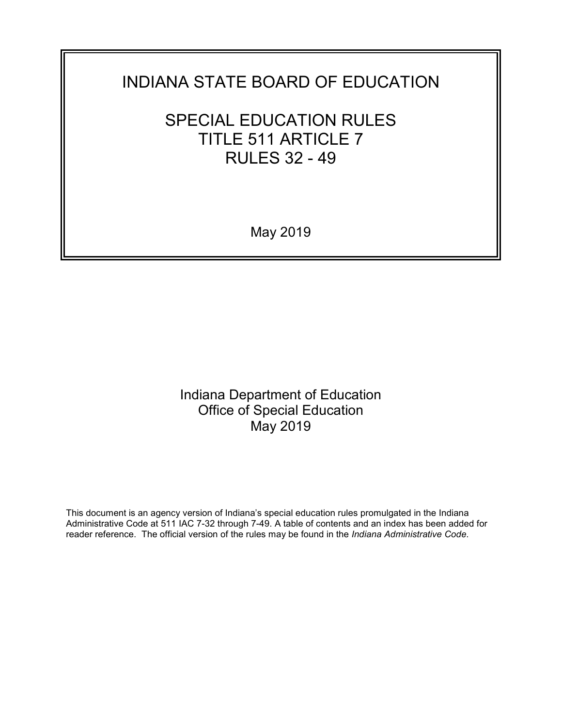# INDIANA STATE BOARD OF EDUCATION

# SPECIAL EDUCATION RULES TITLE 511 ARTICLE 7 RULES 32 - 49

May 2019

Indiana Department of Education Office of Special Education May 2019

This document is an agency version of Indiana's special education rules promulgated in the Indiana Administrative Code at 511 IAC 7-32 through 7-49. A table of contents and an index has been added for reader reference. The official version of the rules may be found in the *Indiana Administrative Code*.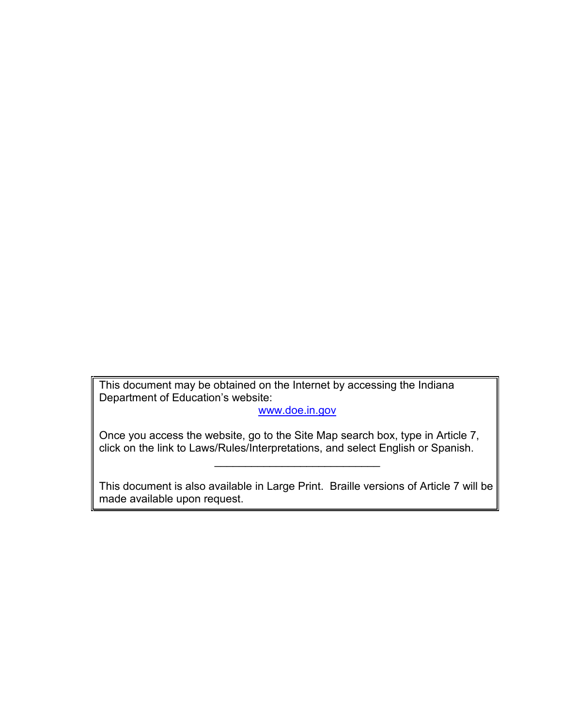This document may be obtained on the Internet by accessing the Indiana Department of Education's website:

[www.doe.in.gov](http://www.doe.in.gov/)

Once you access the website, go to the Site Map search box, type in Article 7, click on the link to Laws/Rules/Interpretations, and select English or Spanish.

This document is also available in Large Print. Braille versions of Article 7 will be made available upon request.

 $\overline{\phantom{a}}$  , where  $\overline{\phantom{a}}$  , where  $\overline{\phantom{a}}$  ,  $\overline{\phantom{a}}$  ,  $\overline{\phantom{a}}$  ,  $\overline{\phantom{a}}$  ,  $\overline{\phantom{a}}$  ,  $\overline{\phantom{a}}$  ,  $\overline{\phantom{a}}$  ,  $\overline{\phantom{a}}$  ,  $\overline{\phantom{a}}$  ,  $\overline{\phantom{a}}$  ,  $\overline{\phantom{a}}$  ,  $\overline{\phantom{a}}$  ,  $\overline{\phantom{a}}$  ,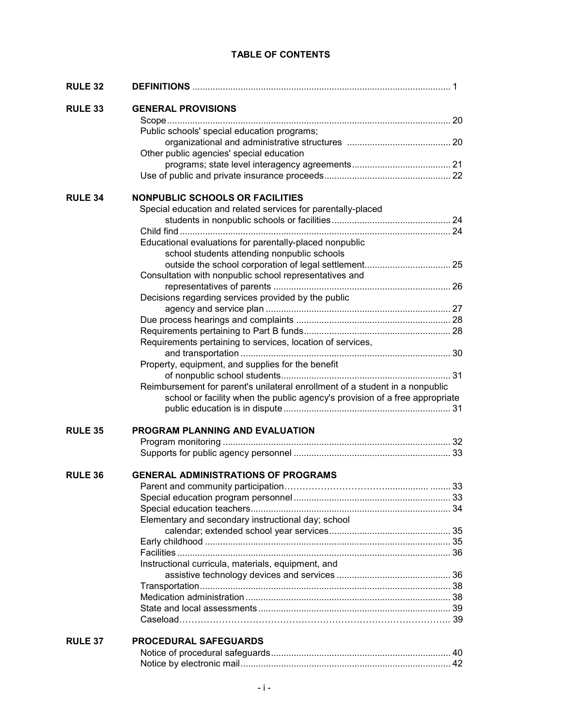## **TABLE OF CONTENTS**

| <b>RULE 32</b> |                                                                              |  |
|----------------|------------------------------------------------------------------------------|--|
| <b>RULE 33</b> | <b>GENERAL PROVISIONS</b>                                                    |  |
|                |                                                                              |  |
|                | Public schools' special education programs;                                  |  |
|                |                                                                              |  |
|                | Other public agencies' special education                                     |  |
|                |                                                                              |  |
|                |                                                                              |  |
| <b>RULE 34</b> | <b>NONPUBLIC SCHOOLS OR FACILITIES</b>                                       |  |
|                | Special education and related services for parentally-placed                 |  |
|                |                                                                              |  |
|                |                                                                              |  |
|                | Educational evaluations for parentally-placed nonpublic                      |  |
|                | school students attending nonpublic schools                                  |  |
|                |                                                                              |  |
|                | Consultation with nonpublic school representatives and                       |  |
|                |                                                                              |  |
|                | Decisions regarding services provided by the public                          |  |
|                |                                                                              |  |
|                |                                                                              |  |
|                |                                                                              |  |
|                | Requirements pertaining to services, location of services,                   |  |
|                |                                                                              |  |
|                | Property, equipment, and supplies for the benefit                            |  |
|                |                                                                              |  |
|                | Reimbursement for parent's unilateral enrollment of a student in a nonpublic |  |
|                | school or facility when the public agency's provision of a free appropriate  |  |
|                |                                                                              |  |
| <b>RULE 35</b> | PROGRAM PLANNING AND EVALUATION                                              |  |
|                |                                                                              |  |
|                |                                                                              |  |
|                |                                                                              |  |
| <b>RULE 36</b> | <b>GENERAL ADMINISTRATIONS OF PROGRAMS</b>                                   |  |
|                |                                                                              |  |
|                |                                                                              |  |
|                | Elementary and secondary instructional day; school                           |  |
|                |                                                                              |  |
|                |                                                                              |  |
|                |                                                                              |  |
|                | Instructional curricula, materials, equipment, and                           |  |
|                |                                                                              |  |
|                |                                                                              |  |
|                |                                                                              |  |
|                |                                                                              |  |
|                |                                                                              |  |
| <b>RULE 37</b> | <b>PROCEDURAL SAFEGUARDS</b>                                                 |  |
|                |                                                                              |  |
|                |                                                                              |  |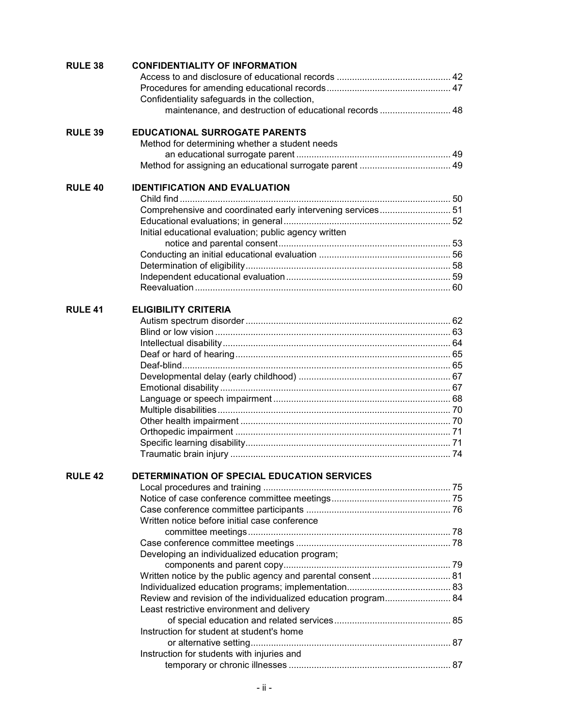| <b>RULE 38</b> | <b>CONFIDENTIALITY OF INFORMATION</b>                          |  |
|----------------|----------------------------------------------------------------|--|
|                |                                                                |  |
|                |                                                                |  |
|                | Confidentiality safeguards in the collection,                  |  |
|                | maintenance, and destruction of educational records  48        |  |
| <b>RULE 39</b> | <b>EDUCATIONAL SURROGATE PARENTS</b>                           |  |
|                | Method for determining whether a student needs                 |  |
|                |                                                                |  |
|                |                                                                |  |
| <b>RULE 40</b> | <b>IDENTIFICATION AND EVALUATION</b>                           |  |
|                |                                                                |  |
|                | Comprehensive and coordinated early intervening services 51    |  |
|                |                                                                |  |
|                | Initial educational evaluation; public agency written          |  |
|                |                                                                |  |
|                |                                                                |  |
|                |                                                                |  |
|                |                                                                |  |
|                |                                                                |  |
| <b>RULE 41</b> | <b>ELIGIBILITY CRITERIA</b>                                    |  |
|                |                                                                |  |
|                |                                                                |  |
|                |                                                                |  |
|                |                                                                |  |
|                |                                                                |  |
|                |                                                                |  |
|                |                                                                |  |
|                |                                                                |  |
|                |                                                                |  |
|                |                                                                |  |
|                |                                                                |  |
|                |                                                                |  |
|                |                                                                |  |
| <b>RULE 42</b> | DETERMINATION OF SPECIAL EDUCATION SERVICES                    |  |
|                |                                                                |  |
|                |                                                                |  |
|                |                                                                |  |
|                | Written notice before initial case conference                  |  |
|                |                                                                |  |
|                | Developing an individualized education program;                |  |
|                |                                                                |  |
|                |                                                                |  |
|                |                                                                |  |
|                | Review and revision of the individualized education program 84 |  |
|                | Least restrictive environment and delivery                     |  |
|                |                                                                |  |
|                | Instruction for student at student's home                      |  |
|                |                                                                |  |
|                | Instruction for students with injuries and                     |  |
|                |                                                                |  |
|                |                                                                |  |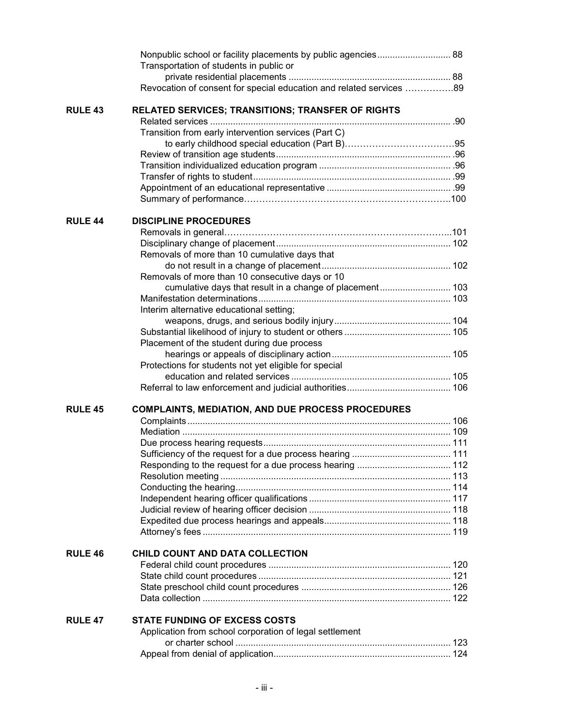|                | Nonpublic school or facility placements by public agencies 88<br>Transportation of students in public or |  |
|----------------|----------------------------------------------------------------------------------------------------------|--|
|                | Revocation of consent for special education and related services 89                                      |  |
| <b>RULE 43</b> | <b>RELATED SERVICES; TRANSITIONS; TRANSFER OF RIGHTS</b>                                                 |  |
|                |                                                                                                          |  |
|                | Transition from early intervention services (Part C)                                                     |  |
|                |                                                                                                          |  |
|                |                                                                                                          |  |
|                |                                                                                                          |  |
|                |                                                                                                          |  |
|                |                                                                                                          |  |
| <b>RULE 44</b> | <b>DISCIPLINE PROCEDURES</b>                                                                             |  |
|                |                                                                                                          |  |
|                |                                                                                                          |  |
|                | Removals of more than 10 cumulative days that                                                            |  |
|                |                                                                                                          |  |
|                | Removals of more than 10 consecutive days or 10                                                          |  |
|                | cumulative days that result in a change of placement 103                                                 |  |
|                |                                                                                                          |  |
|                | Interim alternative educational setting;                                                                 |  |
|                |                                                                                                          |  |
|                |                                                                                                          |  |
|                | Placement of the student during due process                                                              |  |
|                |                                                                                                          |  |
|                | Protections for students not yet eligible for special                                                    |  |
|                |                                                                                                          |  |
| <b>RULE 45</b> | <b>COMPLAINTS, MEDIATION, AND DUE PROCESS PROCEDURES</b>                                                 |  |
|                |                                                                                                          |  |
|                |                                                                                                          |  |
|                |                                                                                                          |  |
|                |                                                                                                          |  |
|                |                                                                                                          |  |
|                |                                                                                                          |  |
|                |                                                                                                          |  |
|                |                                                                                                          |  |
|                |                                                                                                          |  |
|                |                                                                                                          |  |
|                |                                                                                                          |  |
| <b>RULE 46</b> | CHILD COUNT AND DATA COLLECTION                                                                          |  |
|                |                                                                                                          |  |
|                |                                                                                                          |  |
|                |                                                                                                          |  |
| <b>RULE 47</b> | <b>STATE FUNDING OF EXCESS COSTS</b>                                                                     |  |
|                | Application from school corporation of legal settlement                                                  |  |
|                |                                                                                                          |  |
|                |                                                                                                          |  |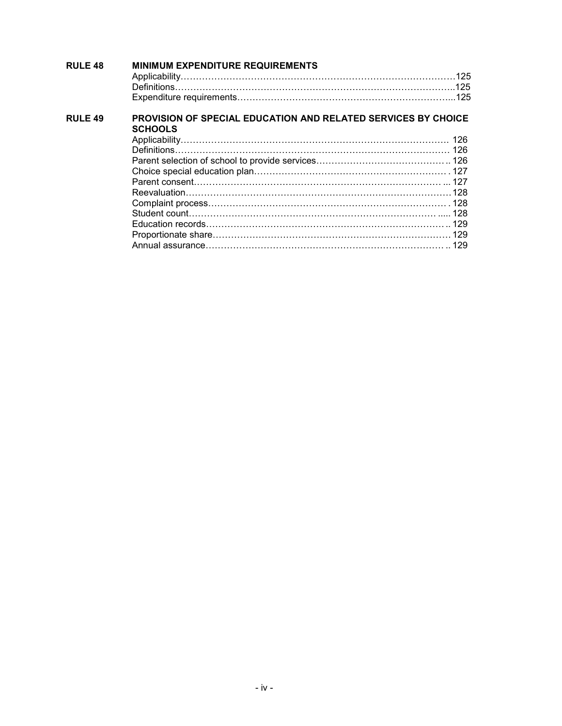| <b>RULE 48</b> | <b>MINIMUM EXPENDITURE REQUIREMENTS</b>                                                |  |
|----------------|----------------------------------------------------------------------------------------|--|
|                |                                                                                        |  |
|                |                                                                                        |  |
| <b>RULE 49</b> | <b>PROVISION OF SPECIAL EDUCATION AND RELATED SERVICES BY CHOICE</b><br><b>SCHOOLS</b> |  |
|                |                                                                                        |  |
|                |                                                                                        |  |
|                |                                                                                        |  |
|                |                                                                                        |  |
|                |                                                                                        |  |
|                |                                                                                        |  |
|                |                                                                                        |  |
|                |                                                                                        |  |
|                |                                                                                        |  |
|                |                                                                                        |  |
|                |                                                                                        |  |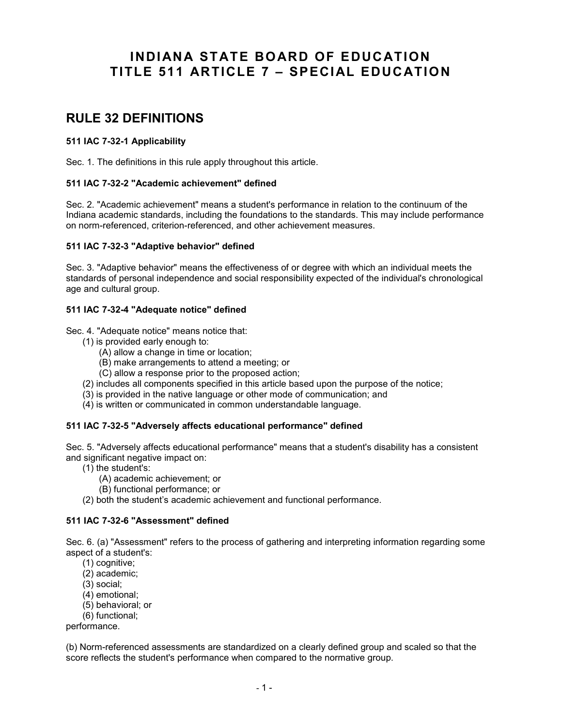## **INDIANA STATE BOARD OF EDUCATION TITLE 511 ARTICLE 7 – SPECIAL EDUCATION**

## **RULE 32 DEFINITIONS**

## **511 IAC 7-32-1 Applicability**

Sec. 1. The definitions in this rule apply throughout this article.

## **511 IAC 7-32-2 "Academic achievement" defined**

Sec. 2. "Academic achievement" means a student's performance in relation to the continuum of the Indiana academic standards, including the foundations to the standards. This may include performance on norm-referenced, criterion-referenced, and other achievement measures.

#### **511 IAC 7-32-3 "Adaptive behavior" defined**

Sec. 3. "Adaptive behavior" means the effectiveness of or degree with which an individual meets the standards of personal independence and social responsibility expected of the individual's chronological age and cultural group.

## **511 IAC 7-32-4 "Adequate notice" defined**

Sec. 4. "Adequate notice" means notice that:

- (1) is provided early enough to:
	- (A) allow a change in time or location;
	- (B) make arrangements to attend a meeting; or
	- (C) allow a response prior to the proposed action;
- (2) includes all components specified in this article based upon the purpose of the notice;
- (3) is provided in the native language or other mode of communication; and
- (4) is written or communicated in common understandable language.

## **511 IAC 7-32-5 "Adversely affects educational performance" defined**

Sec. 5. "Adversely affects educational performance" means that a student's disability has a consistent and significant negative impact on:

- (1) the student's:
	- (A) academic achievement; or
	- (B) functional performance; or
- (2) both the student's academic achievement and functional performance.

## **511 IAC 7-32-6 "Assessment" defined**

Sec. 6. (a) "Assessment" refers to the process of gathering and interpreting information regarding some aspect of a student's:

- (1) cognitive;
- (2) academic;
- (3) social;
- (4) emotional;
- (5) behavioral; or
- (6) functional;

performance.

(b) Norm-referenced assessments are standardized on a clearly defined group and scaled so that the score reflects the student's performance when compared to the normative group.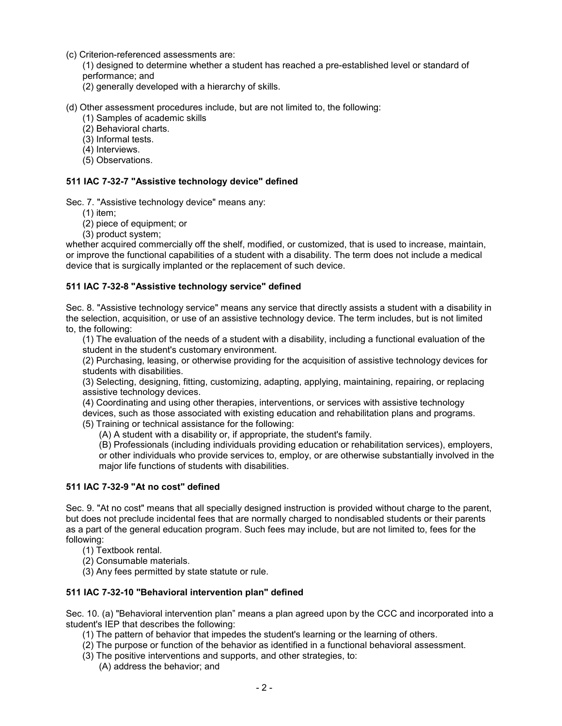- (c) Criterion-referenced assessments are:
	- (1) designed to determine whether a student has reached a pre-established level or standard of performance; and
	- (2) generally developed with a hierarchy of skills.

(d) Other assessment procedures include, but are not limited to, the following:

- (1) Samples of academic skills
- (2) Behavioral charts.
- (3) Informal tests.
- (4) Interviews.
- (5) Observations.

## **511 IAC 7-32-7 "Assistive technology device" defined**

Sec. 7. "Assistive technology device" means any:

- (1) item;
- (2) piece of equipment; or
- (3) product system;

whether acquired commercially off the shelf, modified, or customized, that is used to increase, maintain, or improve the functional capabilities of a student with a disability. The term does not include a medical device that is surgically implanted or the replacement of such device.

#### **511 IAC 7-32-8 "Assistive technology service" defined**

Sec. 8. "Assistive technology service" means any service that directly assists a student with a disability in the selection, acquisition, or use of an assistive technology device. The term includes, but is not limited to, the following:

(1) The evaluation of the needs of a student with a disability, including a functional evaluation of the student in the student's customary environment.

(2) Purchasing, leasing, or otherwise providing for the acquisition of assistive technology devices for students with disabilities.

(3) Selecting, designing, fitting, customizing, adapting, applying, maintaining, repairing, or replacing assistive technology devices.

(4) Coordinating and using other therapies, interventions, or services with assistive technology devices, such as those associated with existing education and rehabilitation plans and programs. (5) Training or technical assistance for the following:

(A) A student with a disability or, if appropriate, the student's family.

(B) Professionals (including individuals providing education or rehabilitation services), employers, or other individuals who provide services to, employ, or are otherwise substantially involved in the major life functions of students with disabilities.

#### **511 IAC 7-32-9 "At no cost" defined**

Sec. 9. "At no cost" means that all specially designed instruction is provided without charge to the parent, but does not preclude incidental fees that are normally charged to nondisabled students or their parents as a part of the general education program. Such fees may include, but are not limited to, fees for the following:

- (1) Textbook rental.
- (2) Consumable materials.
- (3) Any fees permitted by state statute or rule.

#### **511 IAC 7-32-10 "Behavioral intervention plan" defined**

Sec. 10. (a) "Behavioral intervention plan" means a plan agreed upon by the CCC and incorporated into a student's IEP that describes the following:

- (1) The pattern of behavior that impedes the student's learning or the learning of others.
- (2) The purpose or function of the behavior as identified in a functional behavioral assessment.
- (3) The positive interventions and supports, and other strategies, to:
	- (A) address the behavior; and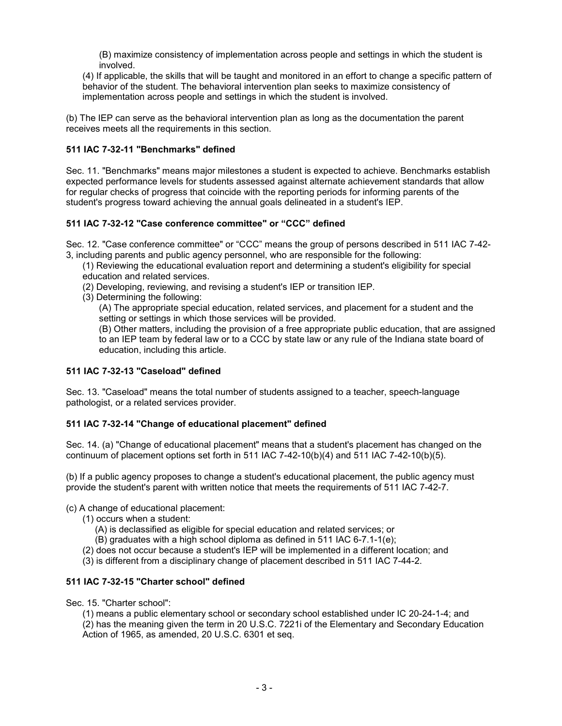(B) maximize consistency of implementation across people and settings in which the student is involved.

(4) If applicable, the skills that will be taught and monitored in an effort to change a specific pattern of behavior of the student. The behavioral intervention plan seeks to maximize consistency of implementation across people and settings in which the student is involved.

(b) The IEP can serve as the behavioral intervention plan as long as the documentation the parent receives meets all the requirements in this section.

## **511 IAC 7-32-11 "Benchmarks" defined**

Sec. 11. "Benchmarks" means major milestones a student is expected to achieve. Benchmarks establish expected performance levels for students assessed against alternate achievement standards that allow for regular checks of progress that coincide with the reporting periods for informing parents of the student's progress toward achieving the annual goals delineated in a student's IEP.

#### **511 IAC 7-32-12 "Case conference committee" or "CCC" defined**

Sec. 12. "Case conference committee" or "CCC" means the group of persons described in 511 IAC 7-42- 3, including parents and public agency personnel, who are responsible for the following:

(1) Reviewing the educational evaluation report and determining a student's eligibility for special education and related services.

- (2) Developing, reviewing, and revising a student's IEP or transition IEP.
- (3) Determining the following:

(A) The appropriate special education, related services, and placement for a student and the setting or settings in which those services will be provided.

(B) Other matters, including the provision of a free appropriate public education, that are assigned to an IEP team by federal law or to a CCC by state law or any rule of the Indiana state board of education, including this article.

#### **511 IAC 7-32-13 "Caseload" defined**

Sec. 13. "Caseload" means the total number of students assigned to a teacher, speech-language pathologist, or a related services provider.

## **511 IAC 7-32-14 "Change of educational placement" defined**

Sec. 14. (a) "Change of educational placement" means that a student's placement has changed on the continuum of placement options set forth in 511 IAC 7-42-10(b)(4) and 511 IAC 7-42-10(b)(5).

(b) If a public agency proposes to change a student's educational placement, the public agency must provide the student's parent with written notice that meets the requirements of 511 IAC 7-42-7.

#### (c) A change of educational placement:

- (1) occurs when a student:
	- (A) is declassified as eligible for special education and related services; or
	- (B) graduates with a high school diploma as defined in 511 IAC 6-7.1-1(e);
- (2) does not occur because a student's IEP will be implemented in a different location; and
- (3) is different from a disciplinary change of placement described in 511 IAC 7-44-2.

## **511 IAC 7-32-15 "Charter school" defined**

Sec. 15. "Charter school":

(1) means a public elementary school or secondary school established under IC 20-24-1-4; and

(2) has the meaning given the term in 20 U.S.C. 7221i of the Elementary and Secondary Education Action of 1965, as amended, 20 U.S.C. 6301 et seq.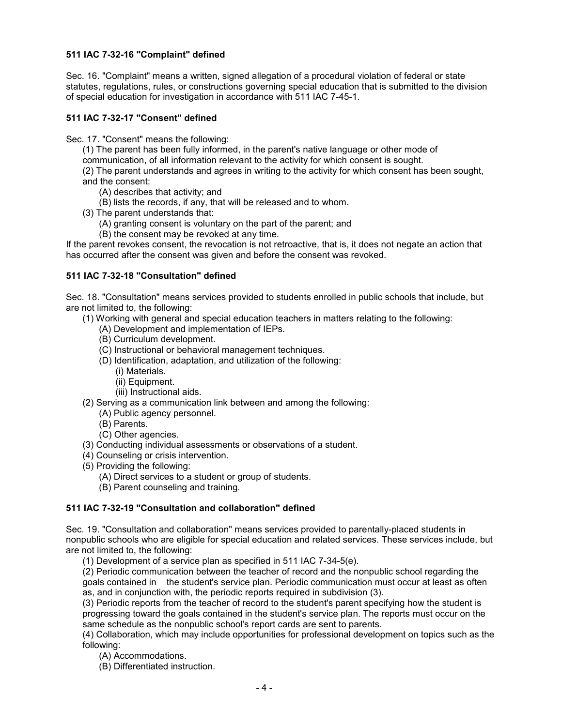## **511 IAC 7-32-16 "Complaint" defined**

Sec. 16. "Complaint" means a written, signed allegation of a procedural violation of federal or state statutes, regulations, rules, or constructions governing special education that is submitted to the division of special education for investigation in accordance with 511 IAC 7-45-1.

## **511 IAC 7-32-17 "Consent" defined**

Sec. 17. "Consent" means the following:

(1) The parent has been fully informed, in the parent's native language or other mode of

communication, of all information relevant to the activity for which consent is sought.

(2) The parent understands and agrees in writing to the activity for which consent has been sought, and the consent:

- (A) describes that activity; and
- (B) lists the records, if any, that will be released and to whom.
- (3) The parent understands that:
	- (A) granting consent is voluntary on the part of the parent; and
	- (B) the consent may be revoked at any time.

If the parent revokes consent, the revocation is not retroactive, that is, it does not negate an action that has occurred after the consent was given and before the consent was revoked.

#### **511 IAC 7-32-18 "Consultation" defined**

Sec. 18. "Consultation" means services provided to students enrolled in public schools that include, but are not limited to, the following:

- (1) Working with general and special education teachers in matters relating to the following:
	- (A) Development and implementation of IEPs.
		- (B) Curriculum development.
		- (C) Instructional or behavioral management techniques.
		- (D) Identification, adaptation, and utilization of the following:
			- (i) Materials.
			- (ii) Equipment.
			- (iii) Instructional aids.
- (2) Serving as a communication link between and among the following:
	- (A) Public agency personnel.
	- (B) Parents.
	- (C) Other agencies.
- (3) Conducting individual assessments or observations of a student.
- (4) Counseling or crisis intervention.
- (5) Providing the following:
	- (A) Direct services to a student or group of students.
	- (B) Parent counseling and training.

#### **511 IAC 7-32-19 "Consultation and collaboration" defined**

Sec. 19. "Consultation and collaboration" means services provided to parentally-placed students in nonpublic schools who are eligible for special education and related services. These services include, but are not limited to, the following:

(1) Development of a service plan as specified in 511 IAC 7-34-5(e).

(2) Periodic communication between the teacher of record and the nonpublic school regarding the goals contained in the student's service plan. Periodic communication must occur at least as often as, and in conjunction with, the periodic reports required in subdivision (3).

(3) Periodic reports from the teacher of record to the student's parent specifying how the student is progressing toward the goals contained in the student's service plan. The reports must occur on the same schedule as the nonpublic school's report cards are sent to parents.

(4) Collaboration, which may include opportunities for professional development on topics such as the following:

(A) Accommodations.

(B) Differentiated instruction.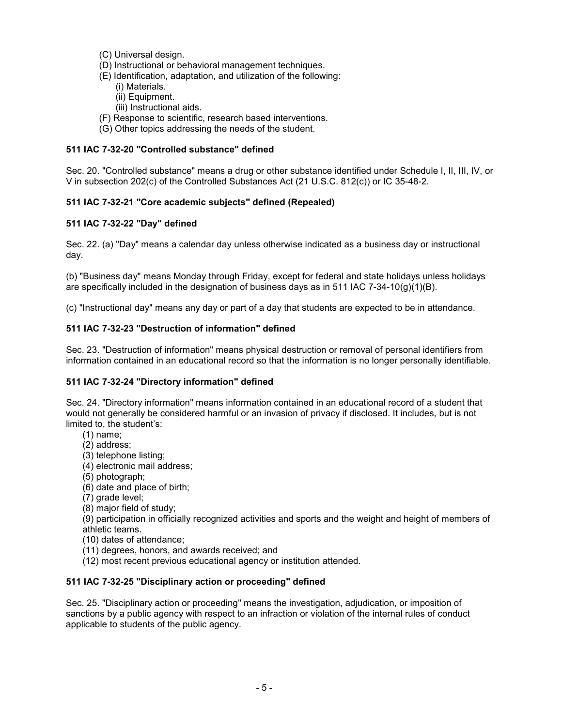- (C) Universal design.
- (D) Instructional or behavioral management techniques.
- (E) Identification, adaptation, and utilization of the following: (i) Materials.
	- (ii) Equipment.
	- (iii) Instructional aids.
- (F) Response to scientific, research based interventions.
- (G) Other topics addressing the needs of the student.

## **511 IAC 7-32-20 "Controlled substance" defined**

Sec. 20. "Controlled substance" means a drug or other substance identified under Schedule I, II, III, IV, or V in subsection 202(c) of the Controlled Substances Act (21 U.S.C. 812(c)) or IC 35-48-2.

## **511 IAC 7-32-21 "Core academic subjects" defined (Repealed)**

#### **511 IAC 7-32-22 "Day" defined**

Sec. 22. (a) "Day" means a calendar day unless otherwise indicated as a business day or instructional day.

(b) "Business day" means Monday through Friday, except for federal and state holidays unless holidays are specifically included in the designation of business days as in 511 IAC 7-34-10(g)(1)(B).

(c) "Instructional day" means any day or part of a day that students are expected to be in attendance.

#### **511 IAC 7-32-23 "Destruction of information" defined**

Sec. 23. "Destruction of information" means physical destruction or removal of personal identifiers from information contained in an educational record so that the information is no longer personally identifiable.

#### **511 IAC 7-32-24 "Directory information" defined**

Sec. 24. "Directory information" means information contained in an educational record of a student that would not generally be considered harmful or an invasion of privacy if disclosed. It includes, but is not limited to, the student's:

- (1) name;
- (2) address;
- (3) telephone listing;
- (4) electronic mail address;
- (5) photograph;
- (6) date and place of birth;
- (7) grade level;
- (8) major field of study;

(9) participation in officially recognized activities and sports and the weight and height of members of athletic teams.

- (10) dates of attendance;
- (11) degrees, honors, and awards received; and
- (12) most recent previous educational agency or institution attended.

#### **511 IAC 7-32-25 "Disciplinary action or proceeding" defined**

Sec. 25. "Disciplinary action or proceeding" means the investigation, adjudication, or imposition of sanctions by a public agency with respect to an infraction or violation of the internal rules of conduct applicable to students of the public agency.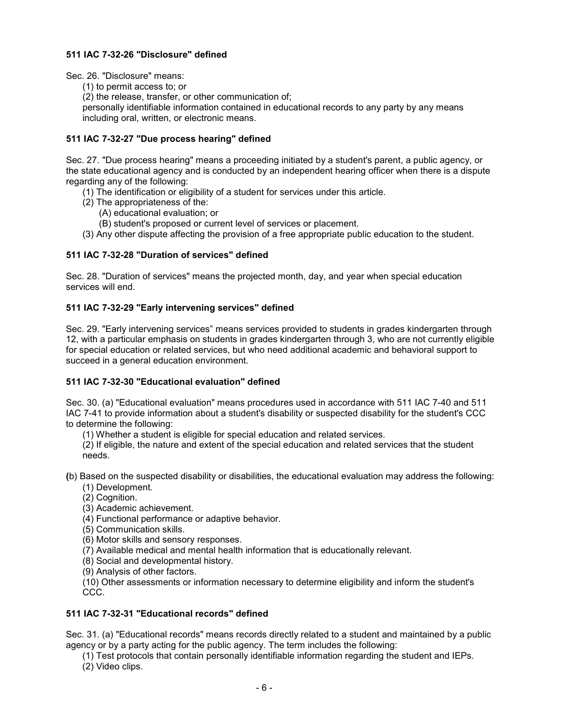## **511 IAC 7-32-26 "Disclosure" defined**

Sec. 26. "Disclosure" means:

(1) to permit access to; or

(2) the release, transfer, or other communication of;

personally identifiable information contained in educational records to any party by any means including oral, written, or electronic means.

## **511 IAC 7-32-27 "Due process hearing" defined**

Sec. 27. "Due process hearing" means a proceeding initiated by a student's parent, a public agency, or the state educational agency and is conducted by an independent hearing officer when there is a dispute regarding any of the following:

- (1) The identification or eligibility of a student for services under this article.
- (2) The appropriateness of the:
	- (A) educational evaluation; or
	- (B) student's proposed or current level of services or placement.
- (3) Any other dispute affecting the provision of a free appropriate public education to the student.

#### **511 IAC 7-32-28 "Duration of services" defined**

Sec. 28. "Duration of services" means the projected month, day, and year when special education services will end.

#### **511 IAC 7-32-29 "Early intervening services" defined**

Sec. 29. "Early intervening services" means services provided to students in grades kindergarten through 12, with a particular emphasis on students in grades kindergarten through 3, who are not currently eligible for special education or related services, but who need additional academic and behavioral support to succeed in a general education environment.

#### **511 IAC 7-32-30 "Educational evaluation" defined**

Sec. 30. (a) "Educational evaluation" means procedures used in accordance with 511 IAC 7-40 and 511 IAC 7-41 to provide information about a student's disability or suspected disability for the student's CCC to determine the following:

(1) Whether a student is eligible for special education and related services.

(2) If eligible, the nature and extent of the special education and related services that the student needs.

**(**b) Based on the suspected disability or disabilities, the educational evaluation may address the following:

- (1) Development.
- (2) Cognition.
- (3) Academic achievement.
- (4) Functional performance or adaptive behavior.
- (5) Communication skills.
- (6) Motor skills and sensory responses.
- (7) Available medical and mental health information that is educationally relevant.
- (8) Social and developmental history.
- (9) Analysis of other factors.

(10) Other assessments or information necessary to determine eligibility and inform the student's CCC.

#### **511 IAC 7-32-31 "Educational records" defined**

Sec. 31. (a) "Educational records" means records directly related to a student and maintained by a public agency or by a party acting for the public agency. The term includes the following:

(1) Test protocols that contain personally identifiable information regarding the student and IEPs. (2) Video clips.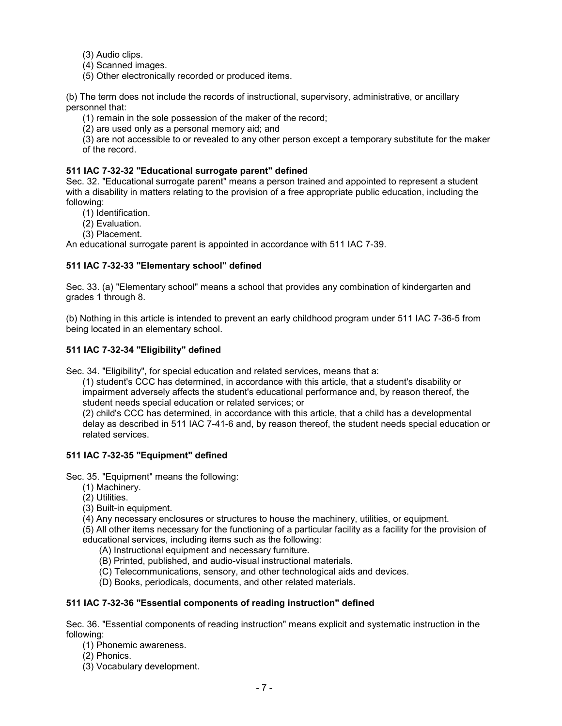(3) Audio clips.

- (4) Scanned images.
- (5) Other electronically recorded or produced items.

(b) The term does not include the records of instructional, supervisory, administrative, or ancillary personnel that:

(1) remain in the sole possession of the maker of the record;

(2) are used only as a personal memory aid; and

(3) are not accessible to or revealed to any other person except a temporary substitute for the maker of the record.

## **511 IAC 7-32-32 "Educational surrogate parent" defined**

Sec. 32. "Educational surrogate parent" means a person trained and appointed to represent a student with a disability in matters relating to the provision of a free appropriate public education, including the following:

- (1) Identification.
- (2) Evaluation.
- (3) Placement.

An educational surrogate parent is appointed in accordance with 511 IAC 7-39.

## **511 IAC 7-32-33 "Elementary school" defined**

Sec. 33. (a) "Elementary school" means a school that provides any combination of kindergarten and grades 1 through 8.

(b) Nothing in this article is intended to prevent an early childhood program under 511 IAC 7-36-5 from being located in an elementary school.

#### **511 IAC 7-32-34 "Eligibility" defined**

Sec. 34. "Eligibility", for special education and related services, means that a:

(1) student's CCC has determined, in accordance with this article, that a student's disability or impairment adversely affects the student's educational performance and, by reason thereof, the student needs special education or related services; or

(2) child's CCC has determined, in accordance with this article, that a child has a developmental delay as described in 511 IAC 7-41-6 and, by reason thereof, the student needs special education or related services.

#### **511 IAC 7-32-35 "Equipment" defined**

Sec. 35. "Equipment" means the following:

- (1) Machinery.
- (2) Utilities.
- (3) Built-in equipment.
- (4) Any necessary enclosures or structures to house the machinery, utilities, or equipment.

(5) All other items necessary for the functioning of a particular facility as a facility for the provision of educational services, including items such as the following:

(A) Instructional equipment and necessary furniture.

(B) Printed, published, and audio-visual instructional materials.

- (C) Telecommunications, sensory, and other technological aids and devices.
- (D) Books, periodicals, documents, and other related materials.

## **511 IAC 7-32-36 "Essential components of reading instruction" defined**

Sec. 36. "Essential components of reading instruction" means explicit and systematic instruction in the following:

- (1) Phonemic awareness.
- (2) Phonics.
- (3) Vocabulary development.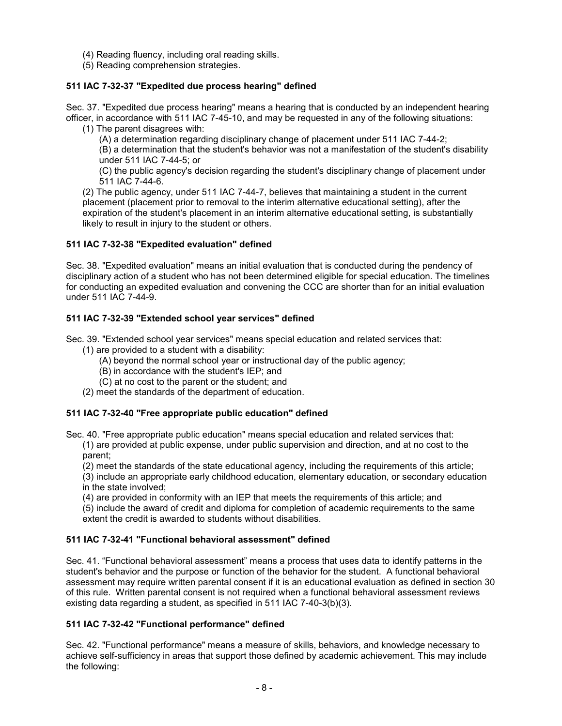- (4) Reading fluency, including oral reading skills.
- (5) Reading comprehension strategies.

## **511 IAC 7-32-37 "Expedited due process hearing" defined**

Sec. 37. "Expedited due process hearing" means a hearing that is conducted by an independent hearing officer, in accordance with 511 IAC 7-45-10, and may be requested in any of the following situations:

(1) The parent disagrees with:

(A) a determination regarding disciplinary change of placement under 511 IAC 7-44-2;

(B) a determination that the student's behavior was not a manifestation of the student's disability under 511 IAC 7-44-5; or

(C) the public agency's decision regarding the student's disciplinary change of placement under 511 IAC 7-44-6.

(2) The public agency, under 511 IAC 7-44-7, believes that maintaining a student in the current placement (placement prior to removal to the interim alternative educational setting), after the expiration of the student's placement in an interim alternative educational setting, is substantially likely to result in injury to the student or others.

## **511 IAC 7-32-38 "Expedited evaluation" defined**

Sec. 38. "Expedited evaluation" means an initial evaluation that is conducted during the pendency of disciplinary action of a student who has not been determined eligible for special education. The timelines for conducting an expedited evaluation and convening the CCC are shorter than for an initial evaluation under 511 IAC 7-44-9.

## **511 IAC 7-32-39 "Extended school year services" defined**

Sec. 39. "Extended school year services" means special education and related services that:

- (1) are provided to a student with a disability:
	- (A) beyond the normal school year or instructional day of the public agency;
	- (B) in accordance with the student's IEP; and
	- (C) at no cost to the parent or the student; and
- (2) meet the standards of the department of education.

## **511 IAC 7-32-40 "Free appropriate public education" defined**

Sec. 40. "Free appropriate public education" means special education and related services that:

- (1) are provided at public expense, under public supervision and direction, and at no cost to the parent;
	- (2) meet the standards of the state educational agency, including the requirements of this article;
- (3) include an appropriate early childhood education, elementary education, or secondary education in the state involved;
- (4) are provided in conformity with an IEP that meets the requirements of this article; and

(5) include the award of credit and diploma for completion of academic requirements to the same extent the credit is awarded to students without disabilities.

## **511 IAC 7-32-41 "Functional behavioral assessment" defined**

Sec. 41. "Functional behavioral assessment" means a process that uses data to identify patterns in the student's behavior and the purpose or function of the behavior for the student. A functional behavioral assessment may require written parental consent if it is an educational evaluation as defined in section 30 of this rule. Written parental consent is not required when a functional behavioral assessment reviews existing data regarding a student, as specified in 511 IAC 7-40-3(b)(3).

## **511 IAC 7-32-42 "Functional performance" defined**

Sec. 42. "Functional performance" means a measure of skills, behaviors, and knowledge necessary to achieve self-sufficiency in areas that support those defined by academic achievement. This may include the following: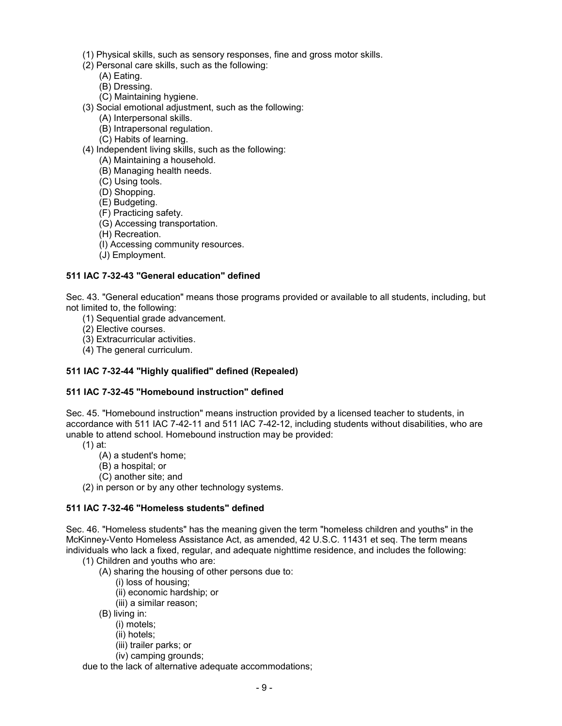- (1) Physical skills, such as sensory responses, fine and gross motor skills.
- (2) Personal care skills, such as the following:
	- (A) Eating.
	- (B) Dressing.
	- (C) Maintaining hygiene.
- (3) Social emotional adjustment, such as the following:
	- (A) Interpersonal skills.
	- (B) Intrapersonal regulation.
	- (C) Habits of learning.
- (4) Independent living skills, such as the following:
	- (A) Maintaining a household.
	- (B) Managing health needs.
	- (C) Using tools.
	- (D) Shopping.
	- (E) Budgeting.
	- (F) Practicing safety.
	- (G) Accessing transportation.
	- (H) Recreation.
	- (I) Accessing community resources.
	- (J) Employment.

#### **511 IAC 7-32-43 "General education" defined**

Sec. 43. "General education" means those programs provided or available to all students, including, but not limited to, the following:

- (1) Sequential grade advancement.
- (2) Elective courses.
- (3) Extracurricular activities.
- (4) The general curriculum.

## **511 IAC 7-32-44 "Highly qualified" defined (Repealed)**

#### **511 IAC 7-32-45 "Homebound instruction" defined**

Sec. 45. "Homebound instruction" means instruction provided by a licensed teacher to students, in accordance with 511 IAC 7-42-11 and 511 IAC 7-42-12, including students without disabilities, who are unable to attend school. Homebound instruction may be provided:

- (1) at:
	- (A) a student's home;
	- (B) a hospital; or
	- (C) another site; and
- (2) in person or by any other technology systems.

## **511 IAC 7-32-46 "Homeless students" defined**

Sec. 46. "Homeless students" has the meaning given the term "homeless children and youths" in the McKinney-Vento Homeless Assistance Act, as amended, 42 U.S.C. 11431 et seq. The term means individuals who lack a fixed, regular, and adequate nighttime residence, and includes the following:

- (1) Children and youths who are:
	- (A) sharing the housing of other persons due to:
		- (i) loss of housing;
		- (ii) economic hardship; or
		- (iii) a similar reason;
	- (B) living in:
		- (i) motels;
		- (ii) hotels;
		- (iii) trailer parks; or
		- (iv) camping grounds;

due to the lack of alternative adequate accommodations;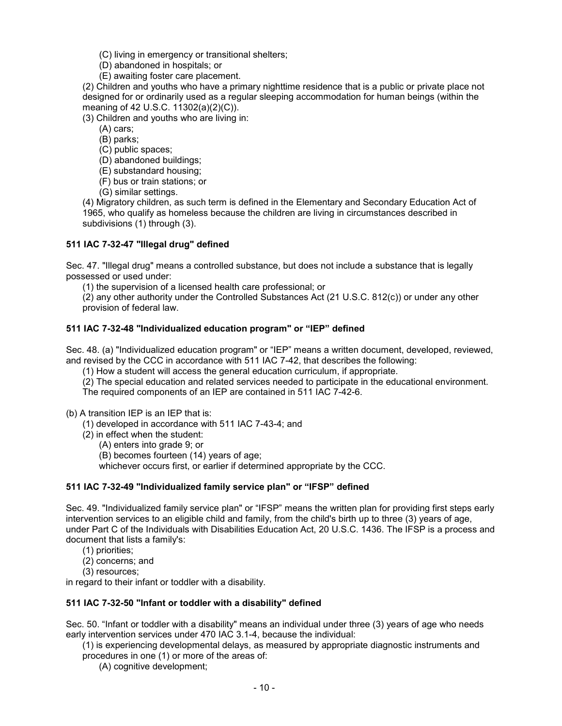- (C) living in emergency or transitional shelters;
- (D) abandoned in hospitals; or
- (E) awaiting foster care placement.

(2) Children and youths who have a primary nighttime residence that is a public or private place not designed for or ordinarily used as a regular sleeping accommodation for human beings (within the meaning of 42 U.S.C. 11302(a)(2)(C)).

(3) Children and youths who are living in:

- (A) cars;
- (B) parks;
- (C) public spaces;
- (D) abandoned buildings;
- (E) substandard housing;
- (F) bus or train stations; or
- (G) similar settings.

(4) Migratory children, as such term is defined in the Elementary and Secondary Education Act of 1965, who qualify as homeless because the children are living in circumstances described in subdivisions (1) through (3).

## **511 IAC 7-32-47 "Illegal drug" defined**

Sec. 47. "Illegal drug" means a controlled substance, but does not include a substance that is legally possessed or used under:

(1) the supervision of a licensed health care professional; or

(2) any other authority under the Controlled Substances Act (21 U.S.C. 812(c)) or under any other provision of federal law.

#### **511 IAC 7-32-48 "Individualized education program" or "IEP" defined**

Sec. 48. (a) "Individualized education program" or "IEP" means a written document, developed, reviewed, and revised by the CCC in accordance with 511 IAC 7-42, that describes the following:

(1) How a student will access the general education curriculum, if appropriate.

(2) The special education and related services needed to participate in the educational environment.

The required components of an IEP are contained in 511 IAC 7-42-6.

(b) A transition IEP is an IEP that is:

- (1) developed in accordance with 511 IAC 7-43-4; and
- (2) in effect when the student:
	- (A) enters into grade 9; or

(B) becomes fourteen (14) years of age;

whichever occurs first, or earlier if determined appropriate by the CCC.

## **511 IAC 7-32-49 "Individualized family service plan" or "IFSP" defined**

Sec. 49. "Individualized family service plan" or "IFSP" means the written plan for providing first steps early intervention services to an eligible child and family, from the child's birth up to three (3) years of age, under Part C of the Individuals with Disabilities Education Act, 20 U.S.C. 1436. The IFSP is a process and document that lists a family's:

- (1) priorities;
- (2) concerns; and
- (3) resources;

in regard to their infant or toddler with a disability.

#### **511 IAC 7-32-50 "Infant or toddler with a disability" defined**

Sec. 50. "Infant or toddler with a disability" means an individual under three (3) years of age who needs early intervention services under 470 IAC 3.1-4, because the individual:

- (1) is experiencing developmental delays, as measured by appropriate diagnostic instruments and procedures in one (1) or more of the areas of:
	- (A) cognitive development;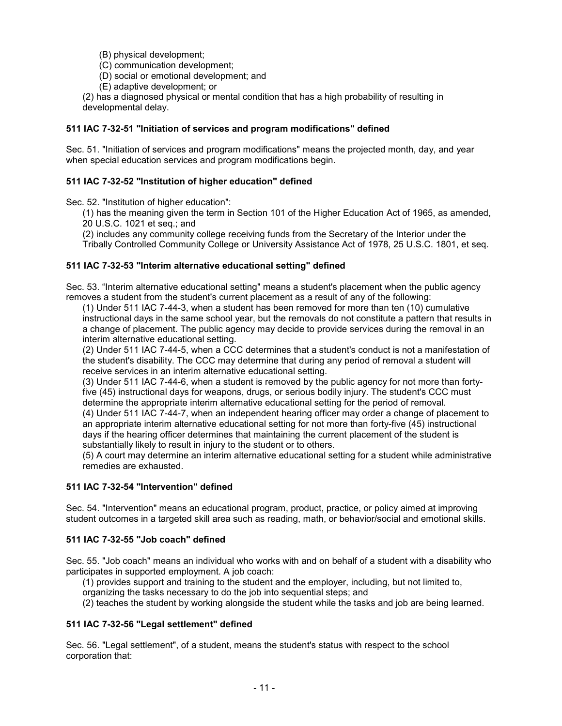(B) physical development;

- (C) communication development;
- (D) social or emotional development; and
- (E) adaptive development; or

(2) has a diagnosed physical or mental condition that has a high probability of resulting in developmental delay.

#### **511 IAC 7-32-51 "Initiation of services and program modifications" defined**

Sec. 51. "Initiation of services and program modifications" means the projected month, day, and year when special education services and program modifications begin.

#### **511 IAC 7-32-52 "Institution of higher education" defined**

Sec. 52. "Institution of higher education":

(1) has the meaning given the term in Section 101 of the Higher Education Act of 1965, as amended, 20 U.S.C. 1021 et seq.; and

(2) includes any community college receiving funds from the Secretary of the Interior under the

Tribally Controlled Community College or University Assistance Act of 1978, 25 U.S.C. 1801, et seq.

#### **511 IAC 7-32-53 "Interim alternative educational setting" defined**

Sec. 53. "Interim alternative educational setting" means a student's placement when the public agency removes a student from the student's current placement as a result of any of the following:

(1) Under 511 IAC 7-44-3, when a student has been removed for more than ten (10) cumulative instructional days in the same school year, but the removals do not constitute a pattern that results in a change of placement. The public agency may decide to provide services during the removal in an interim alternative educational setting.

(2) Under 511 IAC 7-44-5, when a CCC determines that a student's conduct is not a manifestation of the student's disability. The CCC may determine that during any period of removal a student will receive services in an interim alternative educational setting.

(3) Under 511 IAC 7-44-6, when a student is removed by the public agency for not more than fortyfive (45) instructional days for weapons, drugs, or serious bodily injury. The student's CCC must determine the appropriate interim alternative educational setting for the period of removal.

(4) Under 511 IAC 7-44-7, when an independent hearing officer may order a change of placement to an appropriate interim alternative educational setting for not more than forty-five (45) instructional days if the hearing officer determines that maintaining the current placement of the student is substantially likely to result in injury to the student or to others.

(5) A court may determine an interim alternative educational setting for a student while administrative remedies are exhausted.

#### **511 IAC 7-32-54 "Intervention" defined**

Sec. 54. "Intervention" means an educational program, product, practice, or policy aimed at improving student outcomes in a targeted skill area such as reading, math, or behavior/social and emotional skills.

#### **511 IAC 7-32-55 "Job coach" defined**

Sec. 55. "Job coach" means an individual who works with and on behalf of a student with a disability who participates in supported employment. A job coach:

(1) provides support and training to the student and the employer, including, but not limited to,

organizing the tasks necessary to do the job into sequential steps; and

(2) teaches the student by working alongside the student while the tasks and job are being learned.

#### **511 IAC 7-32-56 "Legal settlement" defined**

Sec. 56. "Legal settlement", of a student, means the student's status with respect to the school corporation that: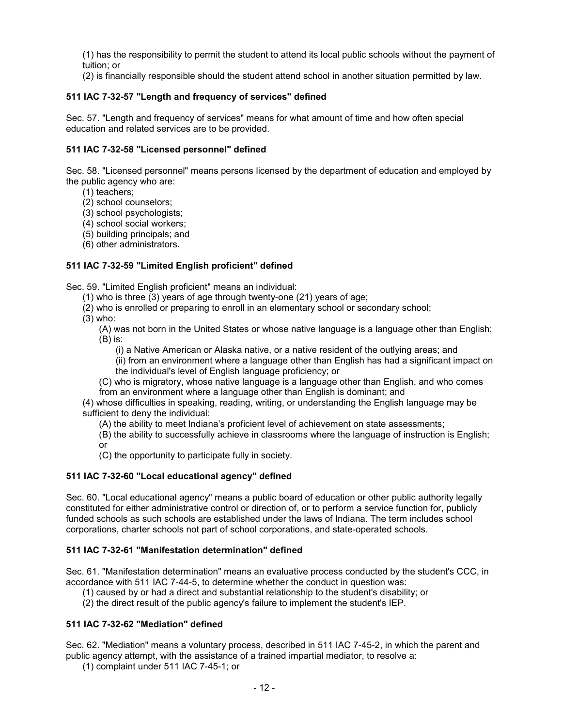(1) has the responsibility to permit the student to attend its local public schools without the payment of tuition; or

(2) is financially responsible should the student attend school in another situation permitted by law.

## **511 IAC 7-32-57 "Length and frequency of services" defined**

Sec. 57. "Length and frequency of services" means for what amount of time and how often special education and related services are to be provided.

## **511 IAC 7-32-58 "Licensed personnel" defined**

Sec. 58. "Licensed personnel" means persons licensed by the department of education and employed by the public agency who are:

- (1) teachers;
- (2) school counselors;
- (3) school psychologists;
- (4) school social workers;
- (5) building principals; and
- (6) other administrators**.**

## **511 IAC 7-32-59 "Limited English proficient" defined**

Sec. 59. "Limited English proficient" means an individual:

- (1) who is three (3) years of age through twenty-one (21) years of age;
- (2) who is enrolled or preparing to enroll in an elementary school or secondary school;
- (3) who:

(A) was not born in the United States or whose native language is a language other than English; (B) is:

(i) a Native American or Alaska native, or a native resident of the outlying areas; and

(ii) from an environment where a language other than English has had a significant impact on the individual's level of English language proficiency; or

(C) who is migratory, whose native language is a language other than English, and who comes from an environment where a language other than English is dominant; and

(4) whose difficulties in speaking, reading, writing, or understanding the English language may be sufficient to deny the individual:

(A) the ability to meet Indiana's proficient level of achievement on state assessments;

(B) the ability to successfully achieve in classrooms where the language of instruction is English; or

(C) the opportunity to participate fully in society.

## **511 IAC 7-32-60 "Local educational agency" defined**

Sec. 60. "Local educational agency" means a public board of education or other public authority legally constituted for either administrative control or direction of, or to perform a service function for, publicly funded schools as such schools are established under the laws of Indiana. The term includes school corporations, charter schools not part of school corporations, and state-operated schools.

## **511 IAC 7-32-61 "Manifestation determination" defined**

Sec. 61. "Manifestation determination" means an evaluative process conducted by the student's CCC, in accordance with 511 IAC 7-44-5, to determine whether the conduct in question was:

(1) caused by or had a direct and substantial relationship to the student's disability; or

(2) the direct result of the public agency's failure to implement the student's IEP.

## **511 IAC 7-32-62 "Mediation" defined**

Sec. 62. "Mediation" means a voluntary process, described in 511 IAC 7-45-2, in which the parent and public agency attempt, with the assistance of a trained impartial mediator, to resolve a:

(1) complaint under 511 IAC 7-45-1; or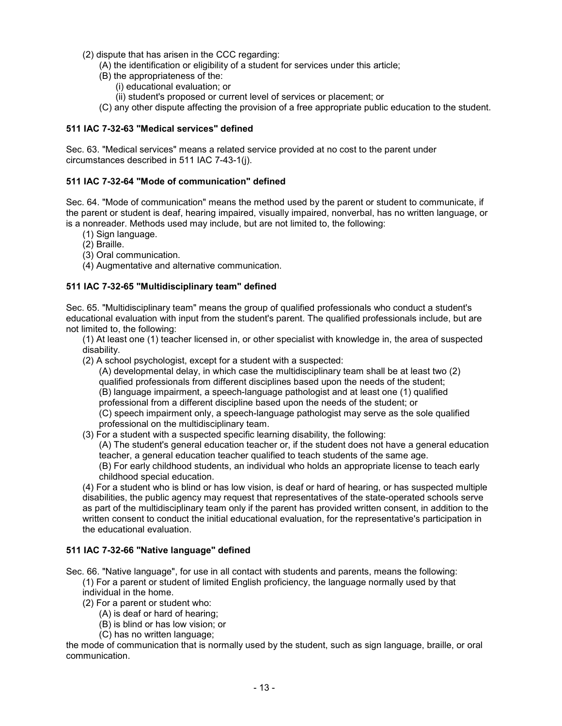- (2) dispute that has arisen in the CCC regarding:
	- (A) the identification or eligibility of a student for services under this article;
	- (B) the appropriateness of the:
		- (i) educational evaluation; or
		- (ii) student's proposed or current level of services or placement; or
	- (C) any other dispute affecting the provision of a free appropriate public education to the student.

#### **511 IAC 7-32-63 "Medical services" defined**

Sec. 63. "Medical services" means a related service provided at no cost to the parent under circumstances described in 511 IAC 7-43-1(j).

#### **511 IAC 7-32-64 "Mode of communication" defined**

Sec. 64. "Mode of communication" means the method used by the parent or student to communicate, if the parent or student is deaf, hearing impaired, visually impaired, nonverbal, has no written language, or is a nonreader. Methods used may include, but are not limited to, the following:

- (1) Sign language.
- (2) Braille.
- (3) Oral communication.
- (4) Augmentative and alternative communication.

## **511 IAC 7-32-65 "Multidisciplinary team" defined**

Sec. 65. "Multidisciplinary team" means the group of qualified professionals who conduct a student's educational evaluation with input from the student's parent. The qualified professionals include, but are not limited to, the following:

(1) At least one (1) teacher licensed in, or other specialist with knowledge in, the area of suspected disability.

(2) A school psychologist, except for a student with a suspected:

(A) developmental delay, in which case the multidisciplinary team shall be at least two (2) qualified professionals from different disciplines based upon the needs of the student; (B) language impairment, a speech-language pathologist and at least one (1) qualified professional from a different discipline based upon the needs of the student; or (C) speech impairment only, a speech-language pathologist may serve as the sole qualified

professional on the multidisciplinary team.

(3) For a student with a suspected specific learning disability, the following:

(A) The student's general education teacher or, if the student does not have a general education teacher, a general education teacher qualified to teach students of the same age.

(B) For early childhood students, an individual who holds an appropriate license to teach early childhood special education.

(4) For a student who is blind or has low vision, is deaf or hard of hearing, or has suspected multiple disabilities, the public agency may request that representatives of the state-operated schools serve as part of the multidisciplinary team only if the parent has provided written consent, in addition to the written consent to conduct the initial educational evaluation, for the representative's participation in the educational evaluation.

#### **511 IAC 7-32-66 "Native language" defined**

Sec. 66. "Native language", for use in all contact with students and parents, means the following:

- (1) For a parent or student of limited English proficiency, the language normally used by that individual in the home.
- (2) For a parent or student who:
	- (A) is deaf or hard of hearing;
	- (B) is blind or has low vision; or
	- (C) has no written language;

the mode of communication that is normally used by the student, such as sign language, braille, or oral communication.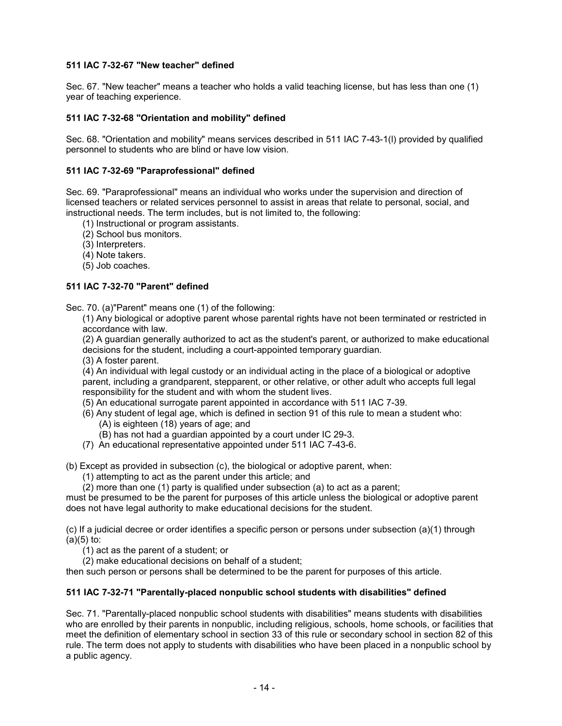## **511 IAC 7-32-67 "New teacher" defined**

Sec. 67. "New teacher" means a teacher who holds a valid teaching license, but has less than one (1) year of teaching experience.

#### **511 IAC 7-32-68 "Orientation and mobility" defined**

Sec. 68. "Orientation and mobility" means services described in 511 IAC 7-43-1(l) provided by qualified personnel to students who are blind or have low vision.

#### **511 IAC 7-32-69 "Paraprofessional" defined**

Sec. 69. "Paraprofessional" means an individual who works under the supervision and direction of licensed teachers or related services personnel to assist in areas that relate to personal, social, and instructional needs. The term includes, but is not limited to, the following:

- (1) Instructional or program assistants.
- (2) School bus monitors.
- (3) Interpreters.
- (4) Note takers.
- (5) Job coaches.

#### **511 IAC 7-32-70 "Parent" defined**

Sec. 70. (a)"Parent" means one (1) of the following:

(1) Any biological or adoptive parent whose parental rights have not been terminated or restricted in accordance with law.

(2) A guardian generally authorized to act as the student's parent, or authorized to make educational decisions for the student, including a court-appointed temporary guardian.

(3) A foster parent.

(4) An individual with legal custody or an individual acting in the place of a biological or adoptive parent, including a grandparent, stepparent, or other relative, or other adult who accepts full legal responsibility for the student and with whom the student lives.

- (5) An educational surrogate parent appointed in accordance with 511 IAC 7-39.
- (6) Any student of legal age, which is defined in section 91 of this rule to mean a student who:
	- (A) is eighteen (18) years of age; and
	- (B) has not had a guardian appointed by a court under IC 29-3.
- (7) An educational representative appointed under 511 IAC 7-43-6.

(b) Except as provided in subsection (c), the biological or adoptive parent, when:

- (1) attempting to act as the parent under this article; and
- (2) more than one (1) party is qualified under subsection (a) to act as a parent;

must be presumed to be the parent for purposes of this article unless the biological or adoptive parent does not have legal authority to make educational decisions for the student.

(c) If a judicial decree or order identifies a specific person or persons under subsection (a)(1) through  $(a)(5)$  to:

(1) act as the parent of a student; or

(2) make educational decisions on behalf of a student;

then such person or persons shall be determined to be the parent for purposes of this article.

#### **511 IAC 7-32-71 "Parentally-placed nonpublic school students with disabilities" defined**

Sec. 71. "Parentally-placed nonpublic school students with disabilities" means students with disabilities who are enrolled by their parents in nonpublic, including religious, schools, home schools, or facilities that meet the definition of elementary school in section 33 of this rule or secondary school in section 82 of this rule. The term does not apply to students with disabilities who have been placed in a nonpublic school by a public agency.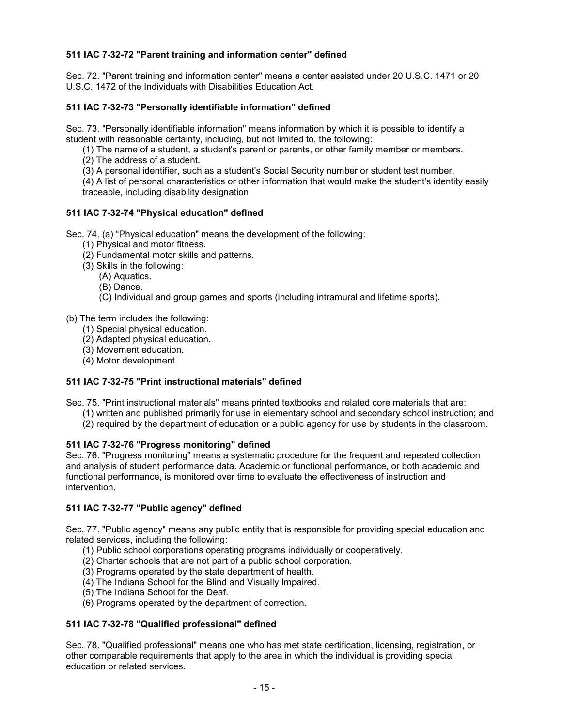## **511 IAC 7-32-72 "Parent training and information center" defined**

Sec. 72. "Parent training and information center" means a center assisted under 20 U.S.C. 1471 or 20 U.S.C. 1472 of the Individuals with Disabilities Education Act.

#### **511 IAC 7-32-73 "Personally identifiable information" defined**

Sec. 73. "Personally identifiable information" means information by which it is possible to identify a student with reasonable certainty, including, but not limited to, the following:

(1) The name of a student, a student's parent or parents, or other family member or members.

- (2) The address of a student.
- (3) A personal identifier, such as a student's Social Security number or student test number.

(4) A list of personal characteristics or other information that would make the student's identity easily traceable, including disability designation.

#### **511 IAC 7-32-74 "Physical education" defined**

Sec. 74. (a) "Physical education" means the development of the following:

- (1) Physical and motor fitness.
- (2) Fundamental motor skills and patterns.
- (3) Skills in the following:
	- (A) Aquatics.
	- (B) Dance.
	- (C) Individual and group games and sports (including intramural and lifetime sports).
- (b) The term includes the following:
	- (1) Special physical education.
	- (2) Adapted physical education.
	- (3) Movement education.
	- (4) Motor development.

#### **511 IAC 7-32-75 "Print instructional materials" defined**

Sec. 75. "Print instructional materials" means printed textbooks and related core materials that are:

- (1) written and published primarily for use in elementary school and secondary school instruction; and
- (2) required by the department of education or a public agency for use by students in the classroom.

#### **511 IAC 7-32-76 "Progress monitoring" defined**

Sec. 76. "Progress monitoring" means a systematic procedure for the frequent and repeated collection and analysis of student performance data. Academic or functional performance, or both academic and functional performance, is monitored over time to evaluate the effectiveness of instruction and intervention.

#### **511 IAC 7-32-77 "Public agency" defined**

Sec. 77. "Public agency" means any public entity that is responsible for providing special education and related services, including the following:

- (1) Public school corporations operating programs individually or cooperatively.
- (2) Charter schools that are not part of a public school corporation.
- (3) Programs operated by the state department of health.
- (4) The Indiana School for the Blind and Visually Impaired.
- (5) The Indiana School for the Deaf.
- (6) Programs operated by the department of correction**.**

#### **511 IAC 7-32-78 "Qualified professional" defined**

Sec. 78. "Qualified professional" means one who has met state certification, licensing, registration, or other comparable requirements that apply to the area in which the individual is providing special education or related services.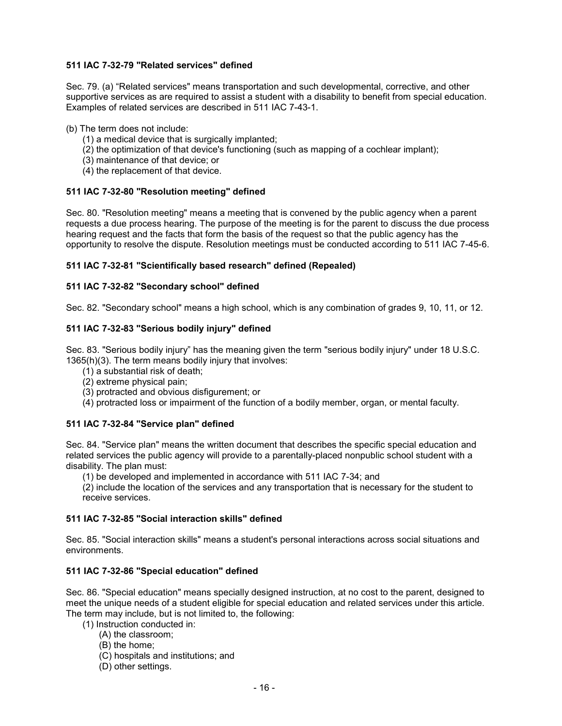## **511 IAC 7-32-79 "Related services" defined**

Sec. 79. (a) "Related services" means transportation and such developmental, corrective, and other supportive services as are required to assist a student with a disability to benefit from special education. Examples of related services are described in 511 IAC 7-43-1.

#### (b) The term does not include:

- (1) a medical device that is surgically implanted;
- (2) the optimization of that device's functioning (such as mapping of a cochlear implant);
- (3) maintenance of that device; or
- (4) the replacement of that device.

## **511 IAC 7-32-80 "Resolution meeting" defined**

Sec. 80. "Resolution meeting" means a meeting that is convened by the public agency when a parent requests a due process hearing. The purpose of the meeting is for the parent to discuss the due process hearing request and the facts that form the basis of the request so that the public agency has the opportunity to resolve the dispute. Resolution meetings must be conducted according to 511 IAC 7-45-6.

## **511 IAC 7-32-81 "Scientifically based research" defined (Repealed)**

## **511 IAC 7-32-82 "Secondary school" defined**

Sec. 82. "Secondary school" means a high school, which is any combination of grades 9, 10, 11, or 12.

#### **511 IAC 7-32-83 "Serious bodily injury" defined**

Sec. 83. "Serious bodily injury" has the meaning given the term "serious bodily injury" under 18 U.S.C. 1365(h)(3). The term means bodily injury that involves:

- (1) a substantial risk of death;
- (2) extreme physical pain;
- (3) protracted and obvious disfigurement; or
- (4) protracted loss or impairment of the function of a bodily member, organ, or mental faculty.

## **511 IAC 7-32-84 "Service plan" defined**

Sec. 84. "Service plan" means the written document that describes the specific special education and related services the public agency will provide to a parentally-placed nonpublic school student with a disability. The plan must:

(1) be developed and implemented in accordance with 511 IAC 7-34; and

(2) include the location of the services and any transportation that is necessary for the student to receive services.

#### **511 IAC 7-32-85 "Social interaction skills" defined**

Sec. 85. "Social interaction skills" means a student's personal interactions across social situations and environments.

#### **511 IAC 7-32-86 "Special education" defined**

Sec. 86. "Special education" means specially designed instruction, at no cost to the parent, designed to meet the unique needs of a student eligible for special education and related services under this article. The term may include, but is not limited to, the following:

- (1) Instruction conducted in:
	- (A) the classroom;
	- (B) the home;
	- (C) hospitals and institutions; and
	- (D) other settings.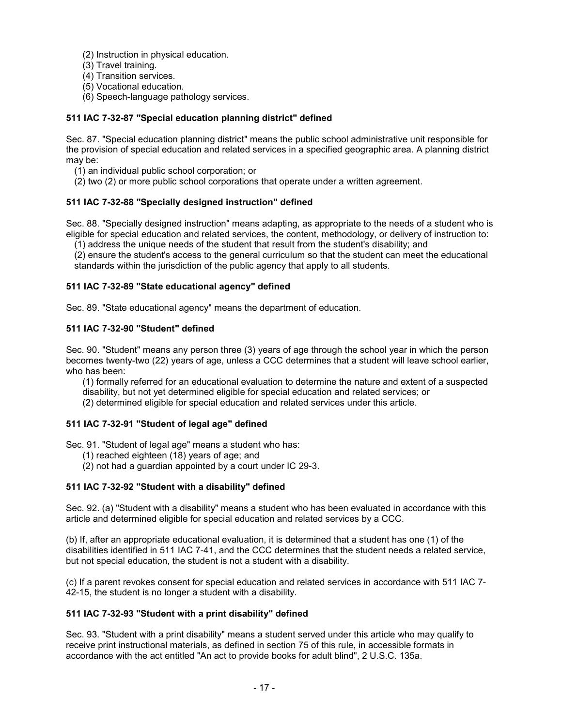- (2) Instruction in physical education.
- (3) Travel training.
- (4) Transition services.
- (5) Vocational education.
- (6) Speech-language pathology services.

## **511 IAC 7-32-87 "Special education planning district" defined**

Sec. 87. "Special education planning district" means the public school administrative unit responsible for the provision of special education and related services in a specified geographic area. A planning district may be:

- (1) an individual public school corporation; or
- (2) two (2) or more public school corporations that operate under a written agreement.

## **511 IAC 7-32-88 "Specially designed instruction" defined**

Sec. 88. "Specially designed instruction" means adapting, as appropriate to the needs of a student who is eligible for special education and related services, the content, methodology, or delivery of instruction to:

(1) address the unique needs of the student that result from the student's disability; and

(2) ensure the student's access to the general curriculum so that the student can meet the educational standards within the jurisdiction of the public agency that apply to all students.

## **511 IAC 7-32-89 "State educational agency" defined**

Sec. 89. "State educational agency" means the department of education.

## **511 IAC 7-32-90 "Student" defined**

Sec. 90. "Student" means any person three (3) years of age through the school year in which the person becomes twenty-two (22) years of age, unless a CCC determines that a student will leave school earlier, who has been:

(1) formally referred for an educational evaluation to determine the nature and extent of a suspected disability, but not yet determined eligible for special education and related services; or

(2) determined eligible for special education and related services under this article.

## **511 IAC 7-32-91 "Student of legal age" defined**

Sec. 91. "Student of legal age" means a student who has:

- (1) reached eighteen (18) years of age; and
- (2) not had a guardian appointed by a court under IC 29-3.

## **511 IAC 7-32-92 "Student with a disability" defined**

Sec. 92. (a) "Student with a disability" means a student who has been evaluated in accordance with this article and determined eligible for special education and related services by a CCC.

(b) If, after an appropriate educational evaluation, it is determined that a student has one (1) of the disabilities identified in 511 IAC 7-41, and the CCC determines that the student needs a related service, but not special education, the student is not a student with a disability.

(c) If a parent revokes consent for special education and related services in accordance with 511 IAC 7- 42-15, the student is no longer a student with a disability.

## **511 IAC 7-32-93 "Student with a print disability" defined**

Sec. 93. "Student with a print disability" means a student served under this article who may qualify to receive print instructional materials, as defined in section 75 of this rule, in accessible formats in accordance with the act entitled "An act to provide books for adult blind", 2 U.S.C. 135a.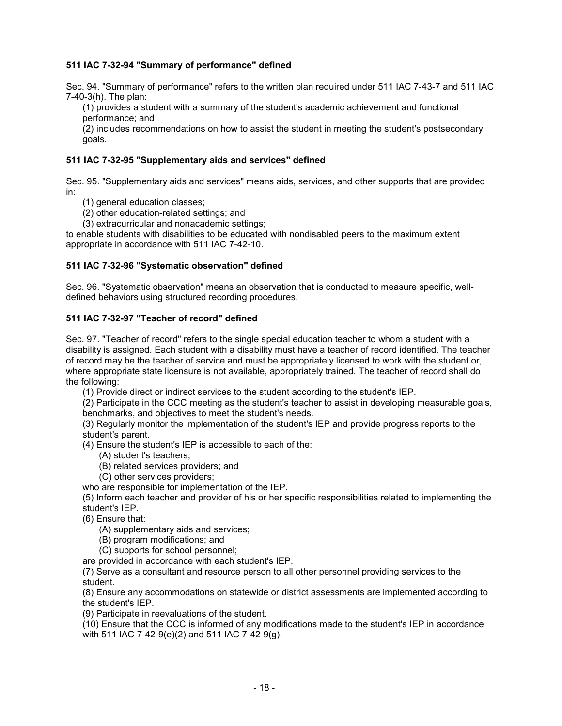## **511 IAC 7-32-94 "Summary of performance" defined**

Sec. 94. "Summary of performance" refers to the written plan required under 511 IAC 7-43-7 and 511 IAC 7-40-3(h). The plan:

(1) provides a student with a summary of the student's academic achievement and functional performance; and

(2) includes recommendations on how to assist the student in meeting the student's postsecondary goals.

## **511 IAC 7-32-95 "Supplementary aids and services" defined**

Sec. 95. "Supplementary aids and services" means aids, services, and other supports that are provided in:

(1) general education classes;

(2) other education-related settings; and

(3) extracurricular and nonacademic settings;

to enable students with disabilities to be educated with nondisabled peers to the maximum extent appropriate in accordance with 511 IAC 7-42-10.

## **511 IAC 7-32-96 "Systematic observation" defined**

Sec. 96. "Systematic observation" means an observation that is conducted to measure specific, welldefined behaviors using structured recording procedures.

#### **511 IAC 7-32-97 "Teacher of record" defined**

Sec. 97. "Teacher of record" refers to the single special education teacher to whom a student with a disability is assigned. Each student with a disability must have a teacher of record identified. The teacher of record may be the teacher of service and must be appropriately licensed to work with the student or, where appropriate state licensure is not available, appropriately trained. The teacher of record shall do the following:

(1) Provide direct or indirect services to the student according to the student's IEP.

(2) Participate in the CCC meeting as the student's teacher to assist in developing measurable goals, benchmarks, and objectives to meet the student's needs.

(3) Regularly monitor the implementation of the student's IEP and provide progress reports to the student's parent.

(4) Ensure the student's IEP is accessible to each of the:

(A) student's teachers;

(B) related services providers; and

(C) other services providers;

who are responsible for implementation of the IEP.

(5) Inform each teacher and provider of his or her specific responsibilities related to implementing the student's IEP.

(6) Ensure that:

(A) supplementary aids and services;

(B) program modifications; and

(C) supports for school personnel;

are provided in accordance with each student's IEP.

(7) Serve as a consultant and resource person to all other personnel providing services to the student.

(8) Ensure any accommodations on statewide or district assessments are implemented according to the student's IEP.

(9) Participate in reevaluations of the student.

(10) Ensure that the CCC is informed of any modifications made to the student's IEP in accordance with 511 IAC 7-42-9(e)(2) and 511 IAC 7-42-9(g).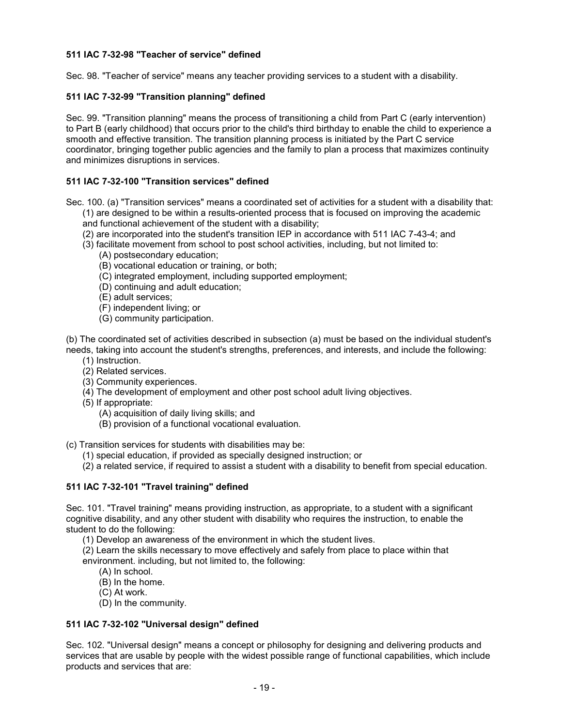## **511 IAC 7-32-98 "Teacher of service" defined**

Sec. 98. "Teacher of service" means any teacher providing services to a student with a disability.

## **511 IAC 7-32-99 "Transition planning" defined**

Sec. 99. "Transition planning" means the process of transitioning a child from Part C (early intervention) to Part B (early childhood) that occurs prior to the child's third birthday to enable the child to experience a smooth and effective transition. The transition planning process is initiated by the Part C service coordinator, bringing together public agencies and the family to plan a process that maximizes continuity and minimizes disruptions in services.

## **511 IAC 7-32-100 "Transition services" defined**

Sec. 100. (a) "Transition services" means a coordinated set of activities for a student with a disability that: (1) are designed to be within a results-oriented process that is focused on improving the academic

- and functional achievement of the student with a disability;
- (2) are incorporated into the student's transition IEP in accordance with 511 IAC 7-43-4; and
- (3) facilitate movement from school to post school activities, including, but not limited to:
	- (A) postsecondary education;
	- (B) vocational education or training, or both;
	- (C) integrated employment, including supported employment;
	- (D) continuing and adult education;
	- (E) adult services;
	- (F) independent living; or
	- (G) community participation.

(b) The coordinated set of activities described in subsection (a) must be based on the individual student's needs, taking into account the student's strengths, preferences, and interests, and include the following:

- (1) Instruction.
- (2) Related services.
- (3) Community experiences.
- (4) The development of employment and other post school adult living objectives.
- (5) If appropriate:
	- (A) acquisition of daily living skills; and
	- (B) provision of a functional vocational evaluation.

(c) Transition services for students with disabilities may be:

- (1) special education, if provided as specially designed instruction; or
- (2) a related service, if required to assist a student with a disability to benefit from special education.

#### **511 IAC 7-32-101 "Travel training" defined**

Sec. 101. "Travel training" means providing instruction, as appropriate, to a student with a significant cognitive disability, and any other student with disability who requires the instruction, to enable the student to do the following:

- (1) Develop an awareness of the environment in which the student lives.
- (2) Learn the skills necessary to move effectively and safely from place to place within that environment. including, but not limited to, the following:
	- (A) In school.
	- (B) In the home.
	- (C) At work.
	- (D) In the community.

#### **511 IAC 7-32-102 "Universal design" defined**

Sec. 102. "Universal design" means a concept or philosophy for designing and delivering products and services that are usable by people with the widest possible range of functional capabilities, which include products and services that are: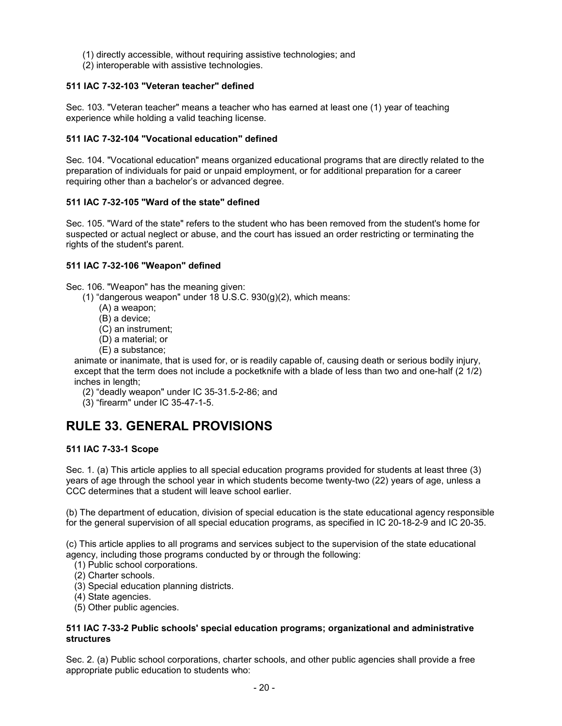- (1) directly accessible, without requiring assistive technologies; and
- (2) interoperable with assistive technologies.

## **511 IAC 7-32-103 "Veteran teacher" defined**

Sec. 103. "Veteran teacher" means a teacher who has earned at least one (1) year of teaching experience while holding a valid teaching license.

#### **511 IAC 7-32-104 "Vocational education" defined**

Sec. 104. "Vocational education" means organized educational programs that are directly related to the preparation of individuals for paid or unpaid employment, or for additional preparation for a career requiring other than a bachelor's or advanced degree.

#### **511 IAC 7-32-105 "Ward of the state" defined**

Sec. 105. "Ward of the state" refers to the student who has been removed from the student's home for suspected or actual neglect or abuse, and the court has issued an order restricting or terminating the rights of the student's parent.

#### **511 IAC 7-32-106 "Weapon" defined**

Sec. 106. "Weapon" has the meaning given:

- (1) "dangerous weapon" under 18 U.S.C. 930(g)(2), which means:
	- (A) a weapon;
	- (B) a device;
	- (C) an instrument;
	- (D) a material; or
	- (E) a substance;

animate or inanimate, that is used for, or is readily capable of, causing death or serious bodily injury, except that the term does not include a pocketknife with a blade of less than two and one-half (2 1/2) inches in length;

- (2) "deadly weapon" under IC 35-31.5-2-86; and
- (3) "firearm" under IC 35-47-1-5.

## **RULE 33. GENERAL PROVISIONS**

## **511 IAC 7-33-1 Scope**

Sec. 1. (a) This article applies to all special education programs provided for students at least three (3) years of age through the school year in which students become twenty-two (22) years of age, unless a CCC determines that a student will leave school earlier.

(b) The department of education, division of special education is the state educational agency responsible for the general supervision of all special education programs, as specified in IC 20-18-2-9 and IC 20-35.

(c) This article applies to all programs and services subject to the supervision of the state educational agency, including those programs conducted by or through the following:

(1) Public school corporations.

- (2) Charter schools.
- (3) Special education planning districts.
- (4) State agencies.
- (5) Other public agencies.

#### **511 IAC 7-33-2 Public schools' special education programs; organizational and administrative structures**

Sec. 2. (a) Public school corporations, charter schools, and other public agencies shall provide a free appropriate public education to students who: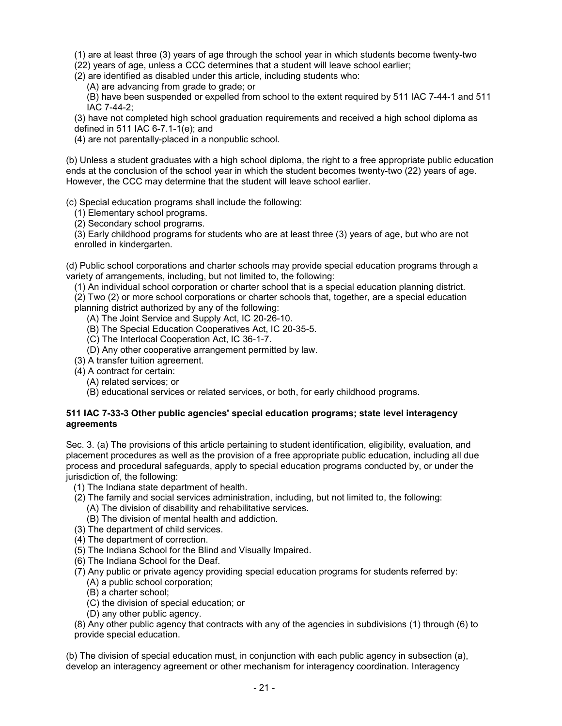(1) are at least three (3) years of age through the school year in which students become twenty-two

(22) years of age, unless a CCC determines that a student will leave school earlier;

(2) are identified as disabled under this article, including students who:

(A) are advancing from grade to grade; or

(B) have been suspended or expelled from school to the extent required by 511 IAC 7-44-1 and 511 IAC 7-44-2;

(3) have not completed high school graduation requirements and received a high school diploma as defined in 511 IAC 6-7.1-1(e); and

(4) are not parentally-placed in a nonpublic school.

(b) Unless a student graduates with a high school diploma, the right to a free appropriate public education ends at the conclusion of the school year in which the student becomes twenty-two (22) years of age. However, the CCC may determine that the student will leave school earlier.

(c) Special education programs shall include the following:

(1) Elementary school programs.

(2) Secondary school programs.

(3) Early childhood programs for students who are at least three (3) years of age, but who are not enrolled in kindergarten.

(d) Public school corporations and charter schools may provide special education programs through a variety of arrangements, including, but not limited to, the following:

(1) An individual school corporation or charter school that is a special education planning district.

(2) Two (2) or more school corporations or charter schools that, together, are a special education planning district authorized by any of the following:

(A) The Joint Service and Supply Act, IC 20-26-10.

(B) The Special Education Cooperatives Act, IC 20-35-5.

- (C) The Interlocal Cooperation Act, IC 36-1-7.
- (D) Any other cooperative arrangement permitted by law.
- (3) A transfer tuition agreement.
- (4) A contract for certain:
	- (A) related services; or
	- (B) educational services or related services, or both, for early childhood programs.

#### **511 IAC 7-33-3 Other public agencies' special education programs; state level interagency agreements**

Sec. 3. (a) The provisions of this article pertaining to student identification, eligibility, evaluation, and placement procedures as well as the provision of a free appropriate public education, including all due process and procedural safeguards, apply to special education programs conducted by, or under the jurisdiction of, the following:

- (1) The Indiana state department of health.
- (2) The family and social services administration, including, but not limited to, the following: (A) The division of disability and rehabilitative services.
	- (B) The division of mental health and addiction.
- (3) The department of child services.
- (4) The department of correction.
- (5) The Indiana School for the Blind and Visually Impaired.
- (6) The Indiana School for the Deaf.
- (7) Any public or private agency providing special education programs for students referred by: (A) a public school corporation;
	- (B) a charter school;
	- (C) the division of special education; or
	- (D) any other public agency.

(8) Any other public agency that contracts with any of the agencies in subdivisions (1) through (6) to provide special education.

(b) The division of special education must, in conjunction with each public agency in subsection (a), develop an interagency agreement or other mechanism for interagency coordination. Interagency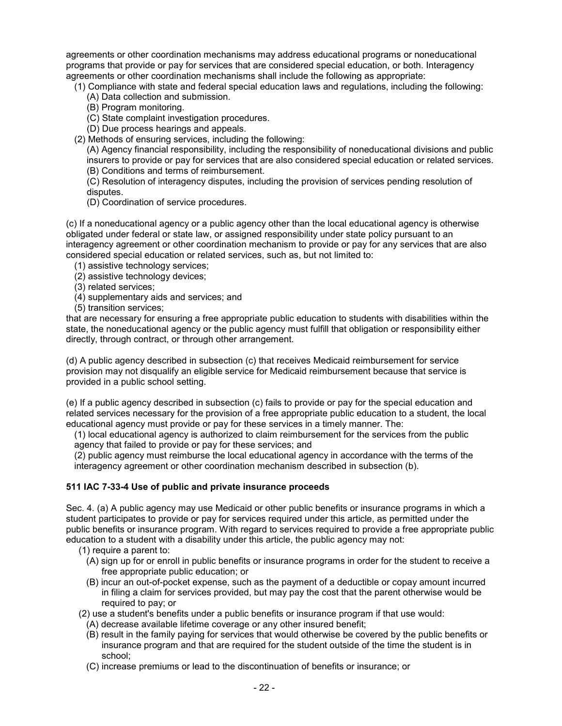agreements or other coordination mechanisms may address educational programs or noneducational programs that provide or pay for services that are considered special education, or both. Interagency agreements or other coordination mechanisms shall include the following as appropriate:

- (1) Compliance with state and federal special education laws and regulations, including the following: (A) Data collection and submission.
	- (B) Program monitoring.
	- (C) State complaint investigation procedures.
	- (D) Due process hearings and appeals.
- (2) Methods of ensuring services, including the following:

(A) Agency financial responsibility, including the responsibility of noneducational divisions and public insurers to provide or pay for services that are also considered special education or related services. (B) Conditions and terms of reimbursement.

(C) Resolution of interagency disputes, including the provision of services pending resolution of disputes.

(D) Coordination of service procedures.

(c) If a noneducational agency or a public agency other than the local educational agency is otherwise obligated under federal or state law, or assigned responsibility under state policy pursuant to an interagency agreement or other coordination mechanism to provide or pay for any services that are also considered special education or related services, such as, but not limited to:

- (1) assistive technology services;
- (2) assistive technology devices;
- (3) related services;
- (4) supplementary aids and services; and
- (5) transition services;

that are necessary for ensuring a free appropriate public education to students with disabilities within the state, the noneducational agency or the public agency must fulfill that obligation or responsibility either directly, through contract, or through other arrangement.

(d) A public agency described in subsection (c) that receives Medicaid reimbursement for service provision may not disqualify an eligible service for Medicaid reimbursement because that service is provided in a public school setting.

(e) If a public agency described in subsection (c) fails to provide or pay for the special education and related services necessary for the provision of a free appropriate public education to a student, the local educational agency must provide or pay for these services in a timely manner. The:

(1) local educational agency is authorized to claim reimbursement for the services from the public agency that failed to provide or pay for these services; and

(2) public agency must reimburse the local educational agency in accordance with the terms of the interagency agreement or other coordination mechanism described in subsection (b).

## **511 IAC 7-33-4 Use of public and private insurance proceeds**

Sec. 4. (a) A public agency may use Medicaid or other public benefits or insurance programs in which a student participates to provide or pay for services required under this article, as permitted under the public benefits or insurance program. With regard to services required to provide a free appropriate public education to a student with a disability under this article, the public agency may not:

- (1) require a parent to:
	- (A) sign up for or enroll in public benefits or insurance programs in order for the student to receive a free appropriate public education; or
	- (B) incur an out-of-pocket expense, such as the payment of a deductible or copay amount incurred in filing a claim for services provided, but may pay the cost that the parent otherwise would be required to pay; or
- (2) use a student's benefits under a public benefits or insurance program if that use would:
	- (A) decrease available lifetime coverage or any other insured benefit;
	- (B) result in the family paying for services that would otherwise be covered by the public benefits or insurance program and that are required for the student outside of the time the student is in school;
	- (C) increase premiums or lead to the discontinuation of benefits or insurance; or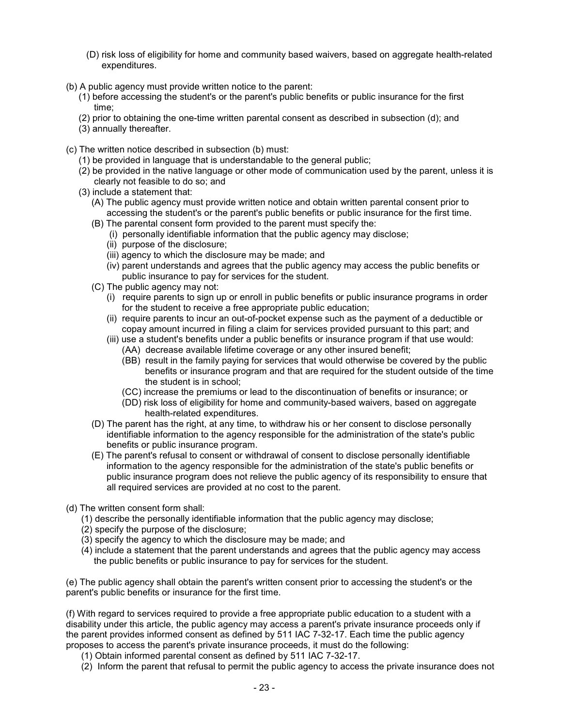- (D) risk loss of eligibility for home and community based waivers, based on aggregate health-related expenditures.
- (b) A public agency must provide written notice to the parent:
	- (1) before accessing the student's or the parent's public benefits or public insurance for the first time;
	- (2) prior to obtaining the one-time written parental consent as described in subsection (d); and
	- (3) annually thereafter.
- (c) The written notice described in subsection (b) must:
	- (1) be provided in language that is understandable to the general public;
	- (2) be provided in the native language or other mode of communication used by the parent, unless it is clearly not feasible to do so; and
	- (3) include a statement that:
		- (A) The public agency must provide written notice and obtain written parental consent prior to accessing the student's or the parent's public benefits or public insurance for the first time.
		- (B) The parental consent form provided to the parent must specify the:
			- (i) personally identifiable information that the public agency may disclose;
			- (ii) purpose of the disclosure;
			- (iii) agency to which the disclosure may be made; and
			- (iv) parent understands and agrees that the public agency may access the public benefits or public insurance to pay for services for the student.
		- (C) The public agency may not:
			- (i) require parents to sign up or enroll in public benefits or public insurance programs in order for the student to receive a free appropriate public education;
			- (ii) require parents to incur an out-of-pocket expense such as the payment of a deductible or copay amount incurred in filing a claim for services provided pursuant to this part; and
			- (iii) use a student's benefits under a public benefits or insurance program if that use would:
				- (AA) decrease available lifetime coverage or any other insured benefit;
				- (BB) result in the family paying for services that would otherwise be covered by the public benefits or insurance program and that are required for the student outside of the time the student is in school;
				- (CC) increase the premiums or lead to the discontinuation of benefits or insurance; or
				- (DD) risk loss of eligibility for home and community-based waivers, based on aggregate health-related expenditures.
		- (D) The parent has the right, at any time, to withdraw his or her consent to disclose personally identifiable information to the agency responsible for the administration of the state's public benefits or public insurance program.
		- (E) The parent's refusal to consent or withdrawal of consent to disclose personally identifiable information to the agency responsible for the administration of the state's public benefits or public insurance program does not relieve the public agency of its responsibility to ensure that all required services are provided at no cost to the parent.
- (d) The written consent form shall:
	- (1) describe the personally identifiable information that the public agency may disclose;
	- (2) specify the purpose of the disclosure;
	- (3) specify the agency to which the disclosure may be made; and
	- (4) include a statement that the parent understands and agrees that the public agency may access the public benefits or public insurance to pay for services for the student.

(e) The public agency shall obtain the parent's written consent prior to accessing the student's or the parent's public benefits or insurance for the first time.

(f) With regard to services required to provide a free appropriate public education to a student with a disability under this article, the public agency may access a parent's private insurance proceeds only if the parent provides informed consent as defined by 511 IAC 7-32-17. Each time the public agency proposes to access the parent's private insurance proceeds, it must do the following:

- (1) Obtain informed parental consent as defined by 511 IAC 7-32-17.
- (2) Inform the parent that refusal to permit the public agency to access the private insurance does not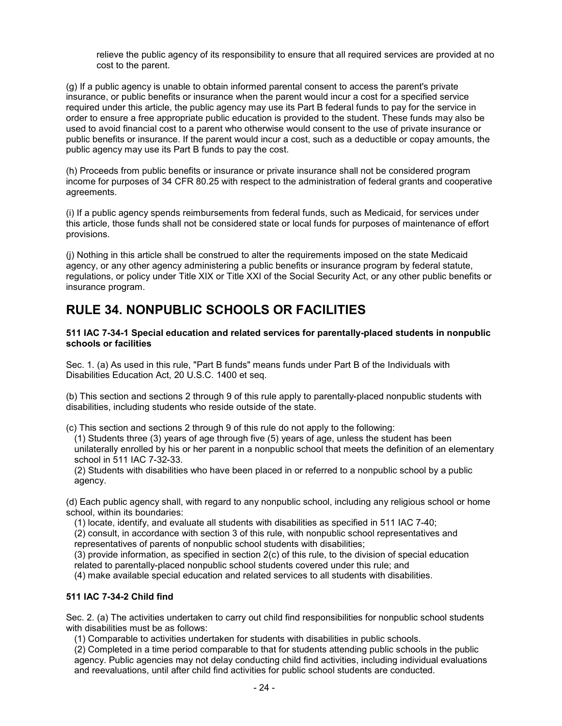relieve the public agency of its responsibility to ensure that all required services are provided at no cost to the parent.

(g) If a public agency is unable to obtain informed parental consent to access the parent's private insurance, or public benefits or insurance when the parent would incur a cost for a specified service required under this article, the public agency may use its Part B federal funds to pay for the service in order to ensure a free appropriate public education is provided to the student. These funds may also be used to avoid financial cost to a parent who otherwise would consent to the use of private insurance or public benefits or insurance. If the parent would incur a cost, such as a deductible or copay amounts, the public agency may use its Part B funds to pay the cost.

(h) Proceeds from public benefits or insurance or private insurance shall not be considered program income for purposes of 34 CFR 80.25 with respect to the administration of federal grants and cooperative agreements.

(i) If a public agency spends reimbursements from federal funds, such as Medicaid, for services under this article, those funds shall not be considered state or local funds for purposes of maintenance of effort provisions.

(j) Nothing in this article shall be construed to alter the requirements imposed on the state Medicaid agency, or any other agency administering a public benefits or insurance program by federal statute, regulations, or policy under Title XIX or Title XXI of the Social Security Act, or any other public benefits or insurance program.

## **RULE 34. NONPUBLIC SCHOOLS OR FACILITIES**

**511 IAC 7-34-1 Special education and related services for parentally-placed students in nonpublic schools or facilities**

Sec. 1. (a) As used in this rule, "Part B funds" means funds under Part B of the Individuals with Disabilities Education Act, 20 U.S.C. 1400 et seq.

(b) This section and sections 2 through 9 of this rule apply to parentally-placed nonpublic students with disabilities, including students who reside outside of the state.

(c) This section and sections 2 through 9 of this rule do not apply to the following:

(1) Students three (3) years of age through five (5) years of age, unless the student has been unilaterally enrolled by his or her parent in a nonpublic school that meets the definition of an elementary school in 511 IAC 7-32-33.

(2) Students with disabilities who have been placed in or referred to a nonpublic school by a public agency.

(d) Each public agency shall, with regard to any nonpublic school, including any religious school or home school, within its boundaries:

(1) locate, identify, and evaluate all students with disabilities as specified in 511 IAC 7-40;

(2) consult, in accordance with section 3 of this rule, with nonpublic school representatives and

representatives of parents of nonpublic school students with disabilities;

(3) provide information, as specified in section 2(c) of this rule, to the division of special education related to parentally-placed nonpublic school students covered under this rule; and

(4) make available special education and related services to all students with disabilities.

## **511 IAC 7-34-2 Child find**

Sec. 2. (a) The activities undertaken to carry out child find responsibilities for nonpublic school students with disabilities must be as follows:

(1) Comparable to activities undertaken for students with disabilities in public schools.

(2) Completed in a time period comparable to that for students attending public schools in the public agency. Public agencies may not delay conducting child find activities, including individual evaluations and reevaluations, until after child find activities for public school students are conducted.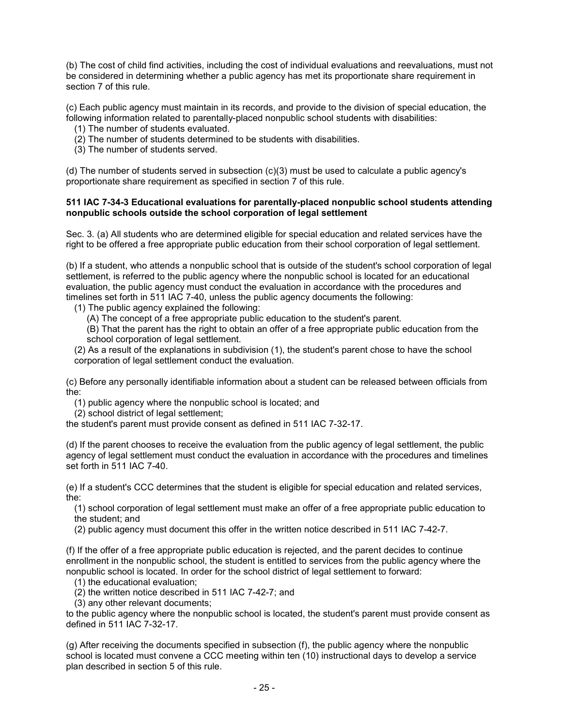(b) The cost of child find activities, including the cost of individual evaluations and reevaluations, must not be considered in determining whether a public agency has met its proportionate share requirement in section 7 of this rule.

(c) Each public agency must maintain in its records, and provide to the division of special education, the following information related to parentally-placed nonpublic school students with disabilities:

- (1) The number of students evaluated.
- (2) The number of students determined to be students with disabilities.
- (3) The number of students served.

(d) The number of students served in subsection (c)(3) must be used to calculate a public agency's proportionate share requirement as specified in section 7 of this rule.

#### **511 IAC 7-34-3 Educational evaluations for parentally-placed nonpublic school students attending nonpublic schools outside the school corporation of legal settlement**

Sec. 3. (a) All students who are determined eligible for special education and related services have the right to be offered a free appropriate public education from their school corporation of legal settlement.

(b) If a student, who attends a nonpublic school that is outside of the student's school corporation of legal settlement, is referred to the public agency where the nonpublic school is located for an educational evaluation, the public agency must conduct the evaluation in accordance with the procedures and timelines set forth in 511 IAC 7-40, unless the public agency documents the following:

(1) The public agency explained the following:

(A) The concept of a free appropriate public education to the student's parent.

(B) That the parent has the right to obtain an offer of a free appropriate public education from the school corporation of legal settlement.

(2) As a result of the explanations in subdivision (1), the student's parent chose to have the school corporation of legal settlement conduct the evaluation.

(c) Before any personally identifiable information about a student can be released between officials from the:

(1) public agency where the nonpublic school is located; and

(2) school district of legal settlement;

the student's parent must provide consent as defined in 511 IAC 7-32-17.

(d) If the parent chooses to receive the evaluation from the public agency of legal settlement, the public agency of legal settlement must conduct the evaluation in accordance with the procedures and timelines set forth in 511 IAC 7-40.

(e) If a student's CCC determines that the student is eligible for special education and related services, the:

(1) school corporation of legal settlement must make an offer of a free appropriate public education to the student; and

(2) public agency must document this offer in the written notice described in 511 IAC 7-42-7.

(f) If the offer of a free appropriate public education is rejected, and the parent decides to continue enrollment in the nonpublic school, the student is entitled to services from the public agency where the nonpublic school is located. In order for the school district of legal settlement to forward:

(1) the educational evaluation;

(2) the written notice described in 511 IAC 7-42-7; and

(3) any other relevant documents;

to the public agency where the nonpublic school is located, the student's parent must provide consent as defined in 511 IAC 7-32-17.

(g) After receiving the documents specified in subsection (f), the public agency where the nonpublic school is located must convene a CCC meeting within ten (10) instructional days to develop a service plan described in section 5 of this rule.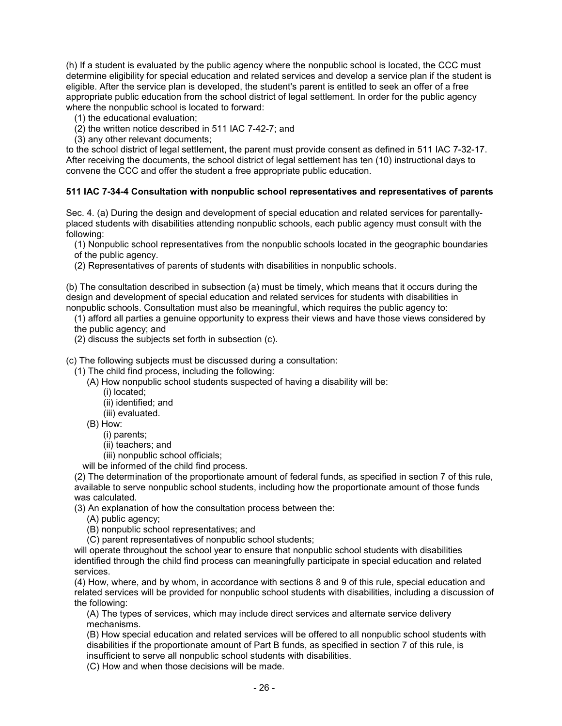(h) If a student is evaluated by the public agency where the nonpublic school is located, the CCC must determine eligibility for special education and related services and develop a service plan if the student is eligible. After the service plan is developed, the student's parent is entitled to seek an offer of a free appropriate public education from the school district of legal settlement. In order for the public agency where the nonpublic school is located to forward:

(1) the educational evaluation;

(2) the written notice described in 511 IAC 7-42-7; and

(3) any other relevant documents;

to the school district of legal settlement, the parent must provide consent as defined in 511 IAC 7-32-17. After receiving the documents, the school district of legal settlement has ten (10) instructional days to convene the CCC and offer the student a free appropriate public education.

#### **511 IAC 7-34-4 Consultation with nonpublic school representatives and representatives of parents**

Sec. 4. (a) During the design and development of special education and related services for parentallyplaced students with disabilities attending nonpublic schools, each public agency must consult with the following:

(1) Nonpublic school representatives from the nonpublic schools located in the geographic boundaries of the public agency.

(2) Representatives of parents of students with disabilities in nonpublic schools.

(b) The consultation described in subsection (a) must be timely, which means that it occurs during the design and development of special education and related services for students with disabilities in nonpublic schools. Consultation must also be meaningful, which requires the public agency to:

(1) afford all parties a genuine opportunity to express their views and have those views considered by the public agency; and

(2) discuss the subjects set forth in subsection (c).

(c) The following subjects must be discussed during a consultation:

(1) The child find process, including the following:

- (A) How nonpublic school students suspected of having a disability will be:
	- (i) located;
	- (ii) identified; and
	- (iii) evaluated.

(B) How:

(i) parents;

(ii) teachers; and

(iii) nonpublic school officials;

will be informed of the child find process.

(2) The determination of the proportionate amount of federal funds, as specified in section 7 of this rule, available to serve nonpublic school students, including how the proportionate amount of those funds was calculated.

(3) An explanation of how the consultation process between the:

(A) public agency;

(B) nonpublic school representatives; and

(C) parent representatives of nonpublic school students;

will operate throughout the school year to ensure that nonpublic school students with disabilities identified through the child find process can meaningfully participate in special education and related services.

(4) How, where, and by whom, in accordance with sections 8 and 9 of this rule, special education and related services will be provided for nonpublic school students with disabilities, including a discussion of the following:

(A) The types of services, which may include direct services and alternate service delivery mechanisms.

(B) How special education and related services will be offered to all nonpublic school students with disabilities if the proportionate amount of Part B funds, as specified in section 7 of this rule, is insufficient to serve all nonpublic school students with disabilities.

(C) How and when those decisions will be made.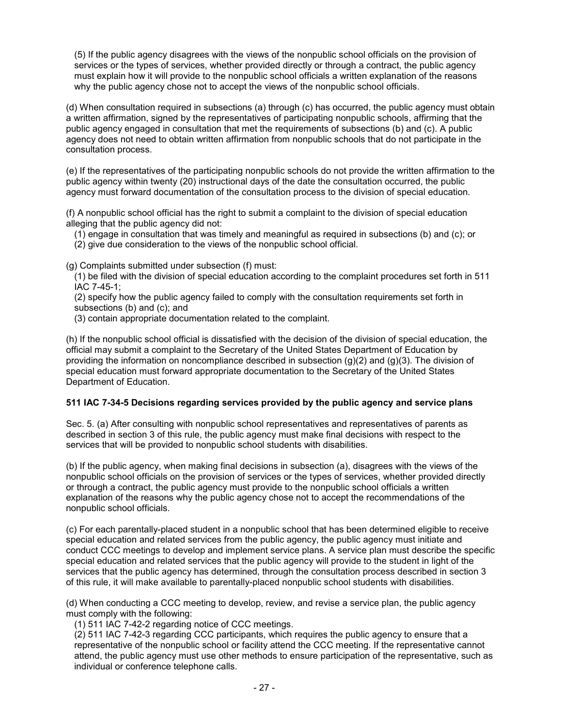(5) If the public agency disagrees with the views of the nonpublic school officials on the provision of services or the types of services, whether provided directly or through a contract, the public agency must explain how it will provide to the nonpublic school officials a written explanation of the reasons why the public agency chose not to accept the views of the nonpublic school officials.

(d) When consultation required in subsections (a) through (c) has occurred, the public agency must obtain a written affirmation, signed by the representatives of participating nonpublic schools, affirming that the public agency engaged in consultation that met the requirements of subsections (b) and (c). A public agency does not need to obtain written affirmation from nonpublic schools that do not participate in the consultation process.

(e) If the representatives of the participating nonpublic schools do not provide the written affirmation to the public agency within twenty (20) instructional days of the date the consultation occurred, the public agency must forward documentation of the consultation process to the division of special education.

(f) A nonpublic school official has the right to submit a complaint to the division of special education alleging that the public agency did not:

(1) engage in consultation that was timely and meaningful as required in subsections (b) and (c); or (2) give due consideration to the views of the nonpublic school official.

(g) Complaints submitted under subsection (f) must:

(1) be filed with the division of special education according to the complaint procedures set forth in 511 IAC 7-45-1;

(2) specify how the public agency failed to comply with the consultation requirements set forth in subsections (b) and (c); and

(3) contain appropriate documentation related to the complaint.

(h) If the nonpublic school official is dissatisfied with the decision of the division of special education, the official may submit a complaint to the Secretary of the United States Department of Education by providing the information on noncompliance described in subsection (g)(2) and (g)(3). The division of special education must forward appropriate documentation to the Secretary of the United States Department of Education.

## **511 IAC 7-34-5 Decisions regarding services provided by the public agency and service plans**

Sec. 5. (a) After consulting with nonpublic school representatives and representatives of parents as described in section 3 of this rule, the public agency must make final decisions with respect to the services that will be provided to nonpublic school students with disabilities.

(b) If the public agency, when making final decisions in subsection (a), disagrees with the views of the nonpublic school officials on the provision of services or the types of services, whether provided directly or through a contract, the public agency must provide to the nonpublic school officials a written explanation of the reasons why the public agency chose not to accept the recommendations of the nonpublic school officials.

(c) For each parentally-placed student in a nonpublic school that has been determined eligible to receive special education and related services from the public agency, the public agency must initiate and conduct CCC meetings to develop and implement service plans. A service plan must describe the specific special education and related services that the public agency will provide to the student in light of the services that the public agency has determined, through the consultation process described in section 3 of this rule, it will make available to parentally-placed nonpublic school students with disabilities.

(d) When conducting a CCC meeting to develop, review, and revise a service plan, the public agency must comply with the following:

(1) 511 IAC 7-42-2 regarding notice of CCC meetings.

(2) 511 IAC 7-42-3 regarding CCC participants, which requires the public agency to ensure that a representative of the nonpublic school or facility attend the CCC meeting. If the representative cannot attend, the public agency must use other methods to ensure participation of the representative, such as individual or conference telephone calls.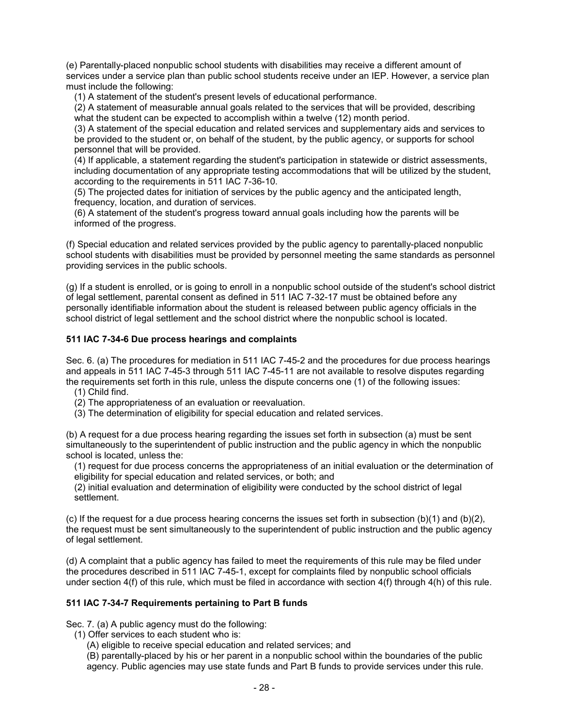(e) Parentally-placed nonpublic school students with disabilities may receive a different amount of services under a service plan than public school students receive under an IEP. However, a service plan must include the following:

(1) A statement of the student's present levels of educational performance.

(2) A statement of measurable annual goals related to the services that will be provided, describing what the student can be expected to accomplish within a twelve (12) month period.

(3) A statement of the special education and related services and supplementary aids and services to be provided to the student or, on behalf of the student, by the public agency, or supports for school personnel that will be provided.

(4) If applicable, a statement regarding the student's participation in statewide or district assessments, including documentation of any appropriate testing accommodations that will be utilized by the student, according to the requirements in 511 IAC 7-36-10.

(5) The projected dates for initiation of services by the public agency and the anticipated length, frequency, location, and duration of services.

(6) A statement of the student's progress toward annual goals including how the parents will be informed of the progress.

(f) Special education and related services provided by the public agency to parentally-placed nonpublic school students with disabilities must be provided by personnel meeting the same standards as personnel providing services in the public schools.

(g) If a student is enrolled, or is going to enroll in a nonpublic school outside of the student's school district of legal settlement, parental consent as defined in 511 IAC 7-32-17 must be obtained before any personally identifiable information about the student is released between public agency officials in the school district of legal settlement and the school district where the nonpublic school is located.

## **511 IAC 7-34-6 Due process hearings and complaints**

Sec. 6. (a) The procedures for mediation in 511 IAC 7-45-2 and the procedures for due process hearings and appeals in 511 IAC 7-45-3 through 511 IAC 7-45-11 are not available to resolve disputes regarding the requirements set forth in this rule, unless the dispute concerns one (1) of the following issues:

(1) Child find.

(2) The appropriateness of an evaluation or reevaluation.

(3) The determination of eligibility for special education and related services.

(b) A request for a due process hearing regarding the issues set forth in subsection (a) must be sent simultaneously to the superintendent of public instruction and the public agency in which the nonpublic school is located, unless the:

(1) request for due process concerns the appropriateness of an initial evaluation or the determination of eligibility for special education and related services, or both; and

(2) initial evaluation and determination of eligibility were conducted by the school district of legal settlement.

(c) If the request for a due process hearing concerns the issues set forth in subsection (b)(1) and (b)(2), the request must be sent simultaneously to the superintendent of public instruction and the public agency of legal settlement.

(d) A complaint that a public agency has failed to meet the requirements of this rule may be filed under the procedures described in 511 IAC 7-45-1, except for complaints filed by nonpublic school officials under section 4(f) of this rule, which must be filed in accordance with section 4(f) through 4(h) of this rule.

## **511 IAC 7-34-7 Requirements pertaining to Part B funds**

Sec. 7. (a) A public agency must do the following:

- (1) Offer services to each student who is:
	- (A) eligible to receive special education and related services; and

(B) parentally-placed by his or her parent in a nonpublic school within the boundaries of the public agency. Public agencies may use state funds and Part B funds to provide services under this rule.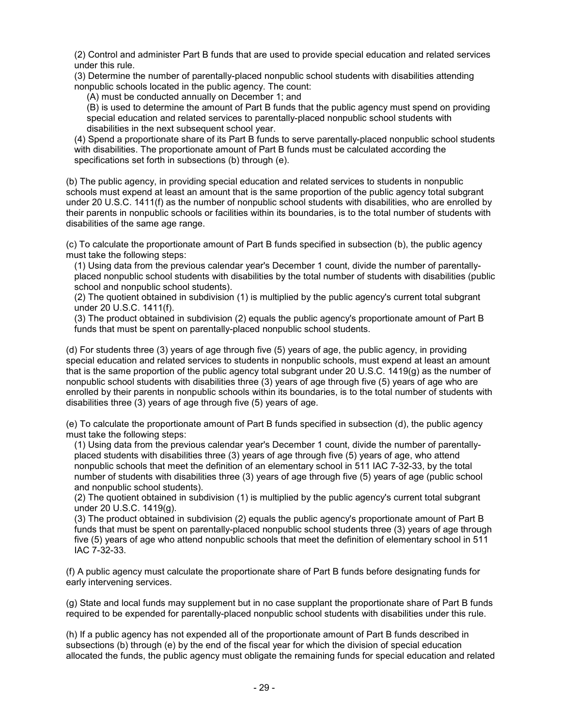(2) Control and administer Part B funds that are used to provide special education and related services under this rule.

(3) Determine the number of parentally-placed nonpublic school students with disabilities attending nonpublic schools located in the public agency. The count:

(A) must be conducted annually on December 1; and

(B) is used to determine the amount of Part B funds that the public agency must spend on providing special education and related services to parentally-placed nonpublic school students with disabilities in the next subsequent school year.

(4) Spend a proportionate share of its Part B funds to serve parentally-placed nonpublic school students with disabilities. The proportionate amount of Part B funds must be calculated according the specifications set forth in subsections (b) through (e).

(b) The public agency, in providing special education and related services to students in nonpublic schools must expend at least an amount that is the same proportion of the public agency total subgrant under 20 U.S.C. 1411(f) as the number of nonpublic school students with disabilities, who are enrolled by their parents in nonpublic schools or facilities within its boundaries, is to the total number of students with disabilities of the same age range.

(c) To calculate the proportionate amount of Part B funds specified in subsection (b), the public agency must take the following steps:

(1) Using data from the previous calendar year's December 1 count, divide the number of parentallyplaced nonpublic school students with disabilities by the total number of students with disabilities (public school and nonpublic school students).

(2) The quotient obtained in subdivision (1) is multiplied by the public agency's current total subgrant under 20 U.S.C. 1411(f).

(3) The product obtained in subdivision (2) equals the public agency's proportionate amount of Part B funds that must be spent on parentally-placed nonpublic school students.

(d) For students three (3) years of age through five (5) years of age, the public agency, in providing special education and related services to students in nonpublic schools, must expend at least an amount that is the same proportion of the public agency total subgrant under 20 U.S.C. 1419(g) as the number of nonpublic school students with disabilities three (3) years of age through five (5) years of age who are enrolled by their parents in nonpublic schools within its boundaries, is to the total number of students with disabilities three (3) years of age through five (5) years of age.

(e) To calculate the proportionate amount of Part B funds specified in subsection (d), the public agency must take the following steps:

(1) Using data from the previous calendar year's December 1 count, divide the number of parentallyplaced students with disabilities three (3) years of age through five (5) years of age, who attend nonpublic schools that meet the definition of an elementary school in 511 IAC 7-32-33, by the total number of students with disabilities three (3) years of age through five (5) years of age (public school and nonpublic school students).

(2) The quotient obtained in subdivision (1) is multiplied by the public agency's current total subgrant under 20 U.S.C. 1419(g).

(3) The product obtained in subdivision (2) equals the public agency's proportionate amount of Part B funds that must be spent on parentally-placed nonpublic school students three (3) years of age through five (5) years of age who attend nonpublic schools that meet the definition of elementary school in 511 IAC 7-32-33.

(f) A public agency must calculate the proportionate share of Part B funds before designating funds for early intervening services.

(g) State and local funds may supplement but in no case supplant the proportionate share of Part B funds required to be expended for parentally-placed nonpublic school students with disabilities under this rule.

(h) If a public agency has not expended all of the proportionate amount of Part B funds described in subsections (b) through (e) by the end of the fiscal year for which the division of special education allocated the funds, the public agency must obligate the remaining funds for special education and related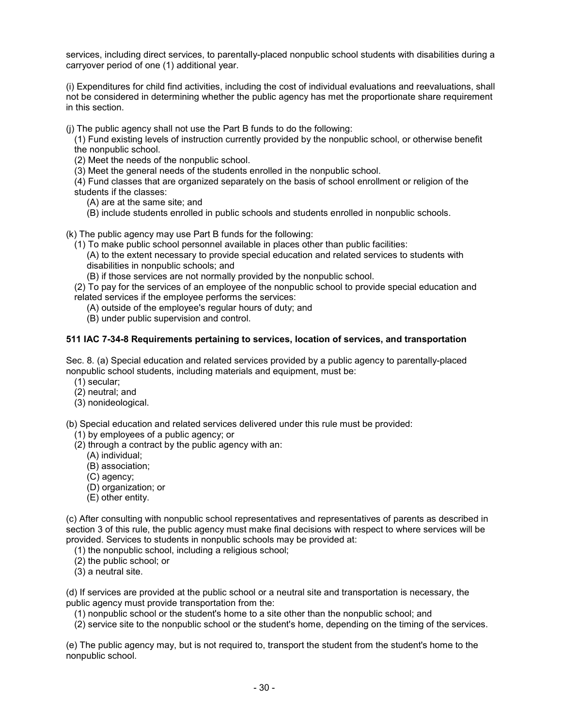services, including direct services, to parentally-placed nonpublic school students with disabilities during a carryover period of one (1) additional year.

(i) Expenditures for child find activities, including the cost of individual evaluations and reevaluations, shall not be considered in determining whether the public agency has met the proportionate share requirement in this section.

(j) The public agency shall not use the Part B funds to do the following:

- (1) Fund existing levels of instruction currently provided by the nonpublic school, or otherwise benefit the nonpublic school.
- (2) Meet the needs of the nonpublic school.

(3) Meet the general needs of the students enrolled in the nonpublic school.

(4) Fund classes that are organized separately on the basis of school enrollment or religion of the students if the classes:

- (A) are at the same site; and
- (B) include students enrolled in public schools and students enrolled in nonpublic schools.

(k) The public agency may use Part B funds for the following:

(1) To make public school personnel available in places other than public facilities:

(A) to the extent necessary to provide special education and related services to students with disabilities in nonpublic schools; and

- (B) if those services are not normally provided by the nonpublic school.
- (2) To pay for the services of an employee of the nonpublic school to provide special education and related services if the employee performs the services:
	- (A) outside of the employee's regular hours of duty; and
	- (B) under public supervision and control.

#### **511 IAC 7-34-8 Requirements pertaining to services, location of services, and transportation**

Sec. 8. (a) Special education and related services provided by a public agency to parentally-placed nonpublic school students, including materials and equipment, must be:

- (1) secular;
- (2) neutral; and
- (3) nonideological.

(b) Special education and related services delivered under this rule must be provided:

- (1) by employees of a public agency; or
- (2) through a contract by the public agency with an:
	- (A) individual;
	- (B) association;
	- (C) agency;
	- (D) organization; or
	- (E) other entity.

(c) After consulting with nonpublic school representatives and representatives of parents as described in section 3 of this rule, the public agency must make final decisions with respect to where services will be provided. Services to students in nonpublic schools may be provided at:

(1) the nonpublic school, including a religious school;

- (2) the public school; or
- (3) a neutral site.

(d) If services are provided at the public school or a neutral site and transportation is necessary, the public agency must provide transportation from the:

(1) nonpublic school or the student's home to a site other than the nonpublic school; and

(2) service site to the nonpublic school or the student's home, depending on the timing of the services.

(e) The public agency may, but is not required to, transport the student from the student's home to the nonpublic school.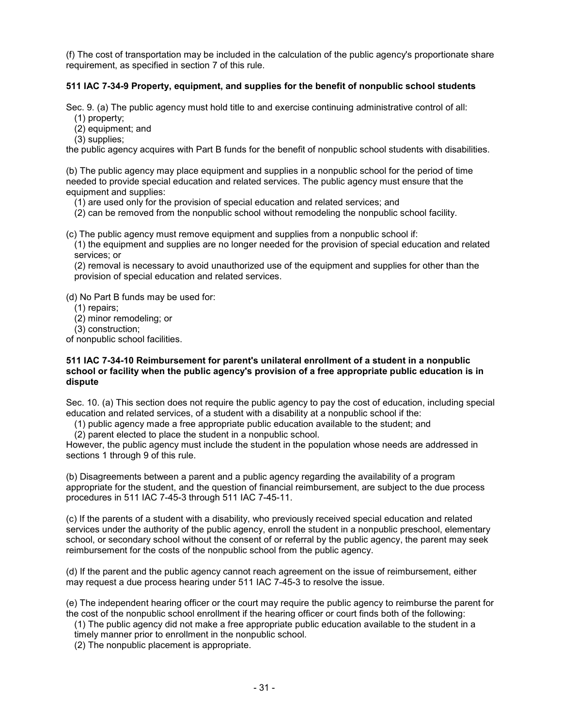(f) The cost of transportation may be included in the calculation of the public agency's proportionate share requirement, as specified in section 7 of this rule.

## **511 IAC 7-34-9 Property, equipment, and supplies for the benefit of nonpublic school students**

Sec. 9. (a) The public agency must hold title to and exercise continuing administrative control of all:

(1) property;

(2) equipment; and

(3) supplies;

the public agency acquires with Part B funds for the benefit of nonpublic school students with disabilities.

(b) The public agency may place equipment and supplies in a nonpublic school for the period of time needed to provide special education and related services. The public agency must ensure that the equipment and supplies:

(1) are used only for the provision of special education and related services; and

(2) can be removed from the nonpublic school without remodeling the nonpublic school facility.

(c) The public agency must remove equipment and supplies from a nonpublic school if:

(1) the equipment and supplies are no longer needed for the provision of special education and related services; or

(2) removal is necessary to avoid unauthorized use of the equipment and supplies for other than the provision of special education and related services.

(d) No Part B funds may be used for:

(1) repairs;

(2) minor remodeling; or

(3) construction;

of nonpublic school facilities.

#### **511 IAC 7-34-10 Reimbursement for parent's unilateral enrollment of a student in a nonpublic school or facility when the public agency's provision of a free appropriate public education is in dispute**

Sec. 10. (a) This section does not require the public agency to pay the cost of education, including special education and related services, of a student with a disability at a nonpublic school if the:

(1) public agency made a free appropriate public education available to the student; and

(2) parent elected to place the student in a nonpublic school.

However, the public agency must include the student in the population whose needs are addressed in sections 1 through 9 of this rule.

(b) Disagreements between a parent and a public agency regarding the availability of a program appropriate for the student, and the question of financial reimbursement, are subject to the due process procedures in 511 IAC 7-45-3 through 511 IAC 7-45-11.

(c) If the parents of a student with a disability, who previously received special education and related services under the authority of the public agency, enroll the student in a nonpublic preschool, elementary school, or secondary school without the consent of or referral by the public agency, the parent may seek reimbursement for the costs of the nonpublic school from the public agency.

(d) If the parent and the public agency cannot reach agreement on the issue of reimbursement, either may request a due process hearing under 511 IAC 7-45-3 to resolve the issue.

(e) The independent hearing officer or the court may require the public agency to reimburse the parent for the cost of the nonpublic school enrollment if the hearing officer or court finds both of the following:

(1) The public agency did not make a free appropriate public education available to the student in a

timely manner prior to enrollment in the nonpublic school.

(2) The nonpublic placement is appropriate.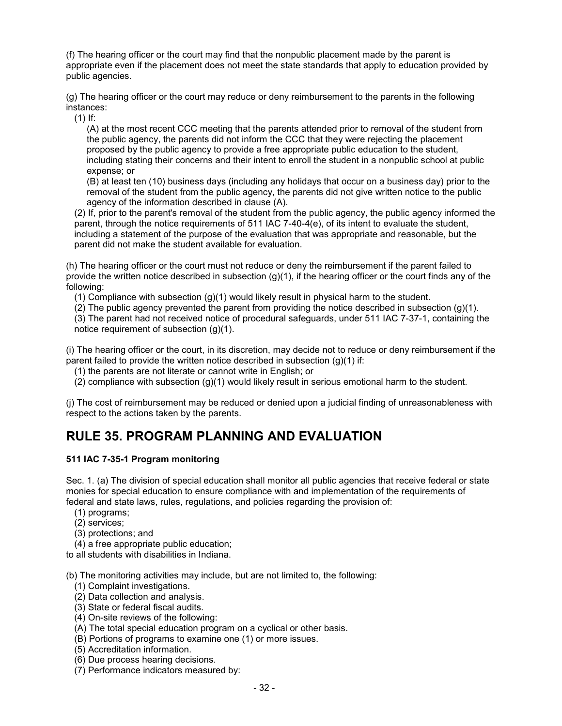(f) The hearing officer or the court may find that the nonpublic placement made by the parent is appropriate even if the placement does not meet the state standards that apply to education provided by public agencies.

(g) The hearing officer or the court may reduce or deny reimbursement to the parents in the following instances:

(1) If:

(A) at the most recent CCC meeting that the parents attended prior to removal of the student from the public agency, the parents did not inform the CCC that they were rejecting the placement proposed by the public agency to provide a free appropriate public education to the student, including stating their concerns and their intent to enroll the student in a nonpublic school at public expense; or

(B) at least ten (10) business days (including any holidays that occur on a business day) prior to the removal of the student from the public agency, the parents did not give written notice to the public agency of the information described in clause (A).

(2) If, prior to the parent's removal of the student from the public agency, the public agency informed the parent, through the notice requirements of 511 IAC 7-40-4(e), of its intent to evaluate the student, including a statement of the purpose of the evaluation that was appropriate and reasonable, but the parent did not make the student available for evaluation.

(h) The hearing officer or the court must not reduce or deny the reimbursement if the parent failed to provide the written notice described in subsection  $(q)(1)$ , if the hearing officer or the court finds any of the following:

(1) Compliance with subsection (g)(1) would likely result in physical harm to the student.

(2) The public agency prevented the parent from providing the notice described in subsection (g)(1).

(3) The parent had not received notice of procedural safeguards, under 511 IAC 7-37-1, containing the notice requirement of subsection (g)(1).

(i) The hearing officer or the court, in its discretion, may decide not to reduce or deny reimbursement if the parent failed to provide the written notice described in subsection (g)(1) if:

(1) the parents are not literate or cannot write in English; or

(2) compliance with subsection (g)(1) would likely result in serious emotional harm to the student.

(j) The cost of reimbursement may be reduced or denied upon a judicial finding of unreasonableness with respect to the actions taken by the parents.

## **RULE 35. PROGRAM PLANNING AND EVALUATION**

## **511 IAC 7-35-1 Program monitoring**

Sec. 1. (a) The division of special education shall monitor all public agencies that receive federal or state monies for special education to ensure compliance with and implementation of the requirements of federal and state laws, rules, regulations, and policies regarding the provision of:

- (1) programs;
- (2) services;
- (3) protections; and
- (4) a free appropriate public education;

to all students with disabilities in Indiana.

(b) The monitoring activities may include, but are not limited to, the following:

- (1) Complaint investigations.
- (2) Data collection and analysis.
- (3) State or federal fiscal audits.
- (4) On-site reviews of the following:
- (A) The total special education program on a cyclical or other basis.
- (B) Portions of programs to examine one (1) or more issues.
- (5) Accreditation information.
- (6) Due process hearing decisions.
- (7) Performance indicators measured by: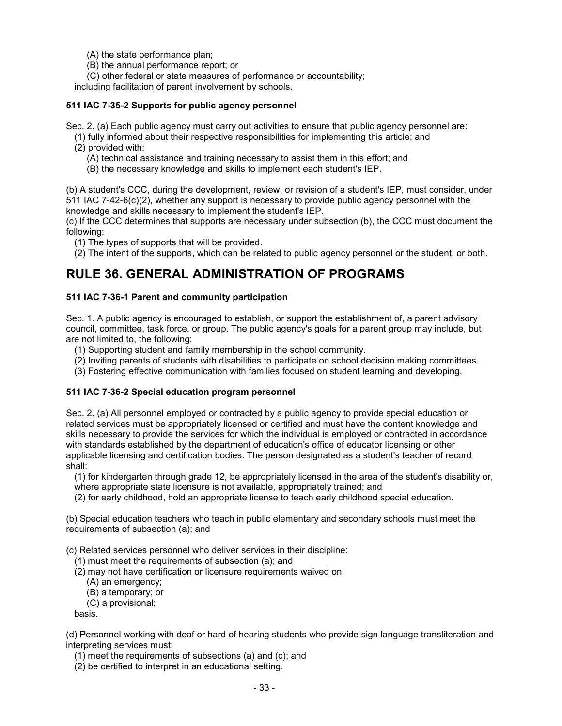(A) the state performance plan;

(B) the annual performance report; or

(C) other federal or state measures of performance or accountability;

including facilitation of parent involvement by schools.

### **511 IAC 7-35-2 Supports for public agency personnel**

Sec. 2. (a) Each public agency must carry out activities to ensure that public agency personnel are:

- (1) fully informed about their respective responsibilities for implementing this article; and (2) provided with:
	- (A) technical assistance and training necessary to assist them in this effort; and
	- (B) the necessary knowledge and skills to implement each student's IEP.

(b) A student's CCC, during the development, review, or revision of a student's IEP, must consider, under 511 IAC 7-42-6(c)(2), whether any support is necessary to provide public agency personnel with the knowledge and skills necessary to implement the student's IEP.

(c) If the CCC determines that supports are necessary under subsection (b), the CCC must document the following:

(1) The types of supports that will be provided.

(2) The intent of the supports, which can be related to public agency personnel or the student, or both.

## **RULE 36. GENERAL ADMINISTRATION OF PROGRAMS**

## **511 IAC 7-36-1 Parent and community participation**

Sec. 1. A public agency is encouraged to establish, or support the establishment of, a parent advisory council, committee, task force, or group. The public agency's goals for a parent group may include, but are not limited to, the following:

- (1) Supporting student and family membership in the school community.
- (2) Inviting parents of students with disabilities to participate on school decision making committees.
- (3) Fostering effective communication with families focused on student learning and developing.

#### **511 IAC 7-36-2 Special education program personnel**

Sec. 2. (a) All personnel employed or contracted by a public agency to provide special education or related services must be appropriately licensed or certified and must have the content knowledge and skills necessary to provide the services for which the individual is employed or contracted in accordance with standards established by the department of education's office of educator licensing or other applicable licensing and certification bodies. The person designated as a student's teacher of record shall:

(1) for kindergarten through grade 12, be appropriately licensed in the area of the student's disability or, where appropriate state licensure is not available, appropriately trained; and

(2) for early childhood, hold an appropriate license to teach early childhood special education.

(b) Special education teachers who teach in public elementary and secondary schools must meet the requirements of subsection (a); and

(c) Related services personnel who deliver services in their discipline:

(1) must meet the requirements of subsection (a); and

(2) may not have certification or licensure requirements waived on:

- (A) an emergency;
- (B) a temporary; or
- (C) a provisional;

basis.

(d) Personnel working with deaf or hard of hearing students who provide sign language transliteration and interpreting services must:

(1) meet the requirements of subsections (a) and (c); and

(2) be certified to interpret in an educational setting.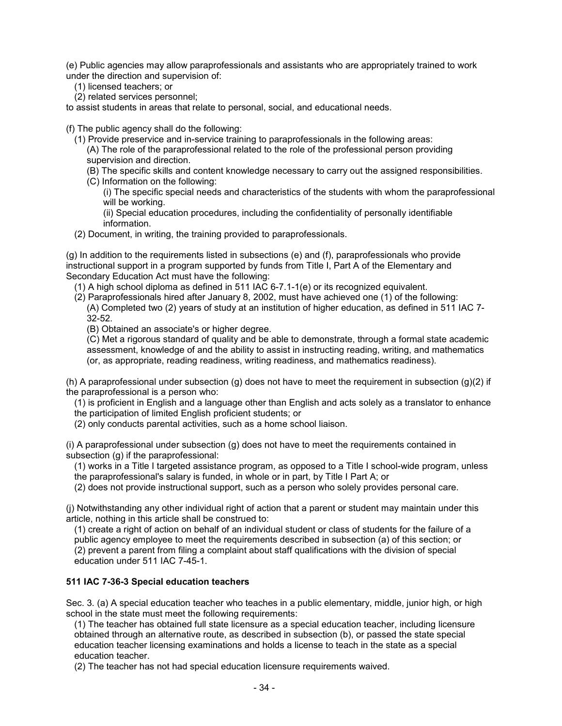(e) Public agencies may allow paraprofessionals and assistants who are appropriately trained to work under the direction and supervision of:

(1) licensed teachers; or

(2) related services personnel;

to assist students in areas that relate to personal, social, and educational needs.

(f) The public agency shall do the following:

(1) Provide preservice and in-service training to paraprofessionals in the following areas:

(A) The role of the paraprofessional related to the role of the professional person providing supervision and direction.

- (B) The specific skills and content knowledge necessary to carry out the assigned responsibilities.
- (C) Information on the following:
	- (i) The specific special needs and characteristics of the students with whom the paraprofessional will be working.

(ii) Special education procedures, including the confidentiality of personally identifiable information.

(2) Document, in writing, the training provided to paraprofessionals.

(g) In addition to the requirements listed in subsections (e) and (f), paraprofessionals who provide instructional support in a program supported by funds from Title I, Part A of the Elementary and Secondary Education Act must have the following:

- (1) A high school diploma as defined in 511 IAC 6-7.1-1(e) or its recognized equivalent.
- (2) Paraprofessionals hired after January 8, 2002, must have achieved one (1) of the following:

(A) Completed two (2) years of study at an institution of higher education, as defined in 511 IAC 7- 32-52.

(B) Obtained an associate's or higher degree.

(C) Met a rigorous standard of quality and be able to demonstrate, through a formal state academic assessment, knowledge of and the ability to assist in instructing reading, writing, and mathematics (or, as appropriate, reading readiness, writing readiness, and mathematics readiness).

(h) A paraprofessional under subsection (g) does not have to meet the requirement in subsection (g)(2) if the paraprofessional is a person who:

(1) is proficient in English and a language other than English and acts solely as a translator to enhance the participation of limited English proficient students; or

(2) only conducts parental activities, such as a home school liaison.

(i) A paraprofessional under subsection (g) does not have to meet the requirements contained in subsection (g) if the paraprofessional:

(1) works in a Title I targeted assistance program, as opposed to a Title I school-wide program, unless the paraprofessional's salary is funded, in whole or in part, by Title I Part A; or

(2) does not provide instructional support, such as a person who solely provides personal care.

(j) Notwithstanding any other individual right of action that a parent or student may maintain under this article, nothing in this article shall be construed to:

(1) create a right of action on behalf of an individual student or class of students for the failure of a

public agency employee to meet the requirements described in subsection (a) of this section; or (2) prevent a parent from filing a complaint about staff qualifications with the division of special education under 511 IAC 7-45-1.

## **511 IAC 7-36-3 Special education teachers**

Sec. 3. (a) A special education teacher who teaches in a public elementary, middle, junior high, or high school in the state must meet the following requirements:

(1) The teacher has obtained full state licensure as a special education teacher, including licensure obtained through an alternative route, as described in subsection (b), or passed the state special education teacher licensing examinations and holds a license to teach in the state as a special education teacher.

(2) The teacher has not had special education licensure requirements waived.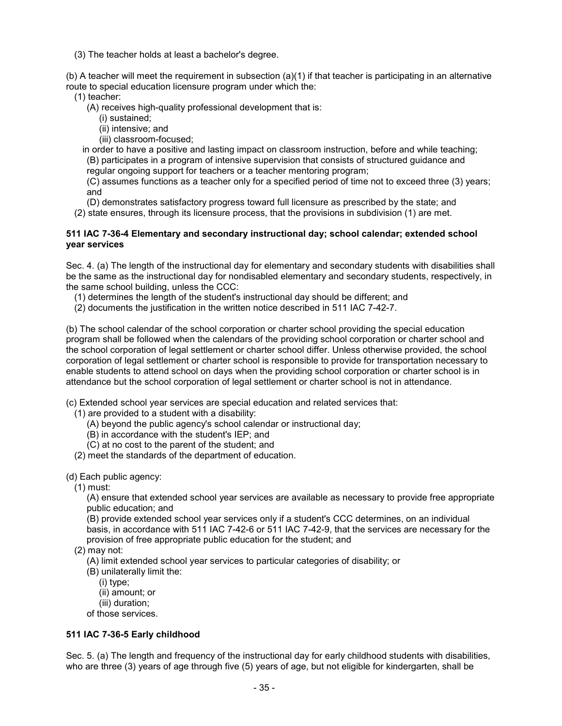(3) The teacher holds at least a bachelor's degree.

(b) A teacher will meet the requirement in subsection (a)(1) if that teacher is participating in an alternative route to special education licensure program under which the:

- (1) teacher:
	- (A) receives high-quality professional development that is:
		- (i) sustained;
		- (ii) intensive; and
		- (iii) classroom-focused;

in order to have a positive and lasting impact on classroom instruction, before and while teaching; (B) participates in a program of intensive supervision that consists of structured guidance and

regular ongoing support for teachers or a teacher mentoring program;

(C) assumes functions as a teacher only for a specified period of time not to exceed three (3) years; and

(D) demonstrates satisfactory progress toward full licensure as prescribed by the state; and

(2) state ensures, through its licensure process, that the provisions in subdivision (1) are met.

#### **511 IAC 7-36-4 Elementary and secondary instructional day; school calendar; extended school year services**

Sec. 4. (a) The length of the instructional day for elementary and secondary students with disabilities shall be the same as the instructional day for nondisabled elementary and secondary students, respectively, in the same school building, unless the CCC:

(1) determines the length of the student's instructional day should be different; and

(2) documents the justification in the written notice described in 511 IAC 7-42-7.

(b) The school calendar of the school corporation or charter school providing the special education program shall be followed when the calendars of the providing school corporation or charter school and the school corporation of legal settlement or charter school differ. Unless otherwise provided, the school corporation of legal settlement or charter school is responsible to provide for transportation necessary to enable students to attend school on days when the providing school corporation or charter school is in attendance but the school corporation of legal settlement or charter school is not in attendance.

(c) Extended school year services are special education and related services that:

- (1) are provided to a student with a disability:
	- (A) beyond the public agency's school calendar or instructional day;
	- (B) in accordance with the student's IEP; and
	- (C) at no cost to the parent of the student; and
- (2) meet the standards of the department of education.

#### (d) Each public agency:

(1) must:

(A) ensure that extended school year services are available as necessary to provide free appropriate public education; and

(B) provide extended school year services only if a student's CCC determines, on an individual basis, in accordance with 511 IAC 7-42-6 or 511 IAC 7-42-9, that the services are necessary for the provision of free appropriate public education for the student; and

(2) may not:

(A) limit extended school year services to particular categories of disability; or

(B) unilaterally limit the:

(i) type;

(ii) amount; or

(iii) duration;

of those services.

## **511 IAC 7-36-5 Early childhood**

Sec. 5. (a) The length and frequency of the instructional day for early childhood students with disabilities, who are three (3) years of age through five (5) years of age, but not eligible for kindergarten, shall be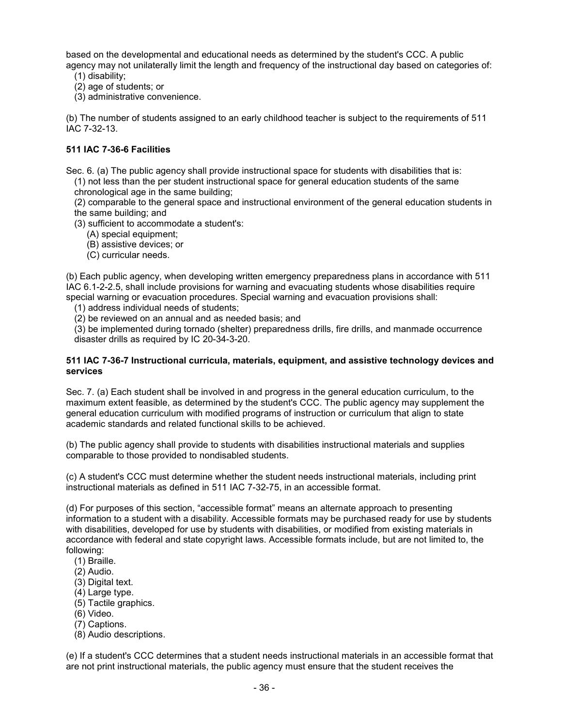based on the developmental and educational needs as determined by the student's CCC. A public agency may not unilaterally limit the length and frequency of the instructional day based on categories of:

- (1) disability;
- (2) age of students; or
- (3) administrative convenience.

(b) The number of students assigned to an early childhood teacher is subject to the requirements of 511 IAC 7-32-13.

## **511 IAC 7-36-6 Facilities**

Sec. 6. (a) The public agency shall provide instructional space for students with disabilities that is: (1) not less than the per student instructional space for general education students of the same

chronological age in the same building;

(2) comparable to the general space and instructional environment of the general education students in the same building; and

- (3) sufficient to accommodate a student's:
	- (A) special equipment;
	- (B) assistive devices; or
	- (C) curricular needs.

(b) Each public agency, when developing written emergency preparedness plans in accordance with 511 IAC 6.1-2-2.5, shall include provisions for warning and evacuating students whose disabilities require special warning or evacuation procedures. Special warning and evacuation provisions shall:

(1) address individual needs of students;

(2) be reviewed on an annual and as needed basis; and

(3) be implemented during tornado (shelter) preparedness drills, fire drills, and manmade occurrence disaster drills as required by IC 20-34-3-20.

#### **511 IAC 7-36-7 Instructional curricula, materials, equipment, and assistive technology devices and services**

Sec. 7. (a) Each student shall be involved in and progress in the general education curriculum, to the maximum extent feasible, as determined by the student's CCC. The public agency may supplement the general education curriculum with modified programs of instruction or curriculum that align to state academic standards and related functional skills to be achieved.

(b) The public agency shall provide to students with disabilities instructional materials and supplies comparable to those provided to nondisabled students.

(c) A student's CCC must determine whether the student needs instructional materials, including print instructional materials as defined in 511 IAC 7-32-75, in an accessible format.

(d) For purposes of this section, "accessible format" means an alternate approach to presenting information to a student with a disability. Accessible formats may be purchased ready for use by students with disabilities, developed for use by students with disabilities, or modified from existing materials in accordance with federal and state copyright laws. Accessible formats include, but are not limited to, the following:

- (1) Braille.
- (2) Audio.
- (3) Digital text.
- (4) Large type.
- (5) Tactile graphics.
- (6) Video.
- (7) Captions.
- (8) Audio descriptions.

(e) If a student's CCC determines that a student needs instructional materials in an accessible format that are not print instructional materials, the public agency must ensure that the student receives the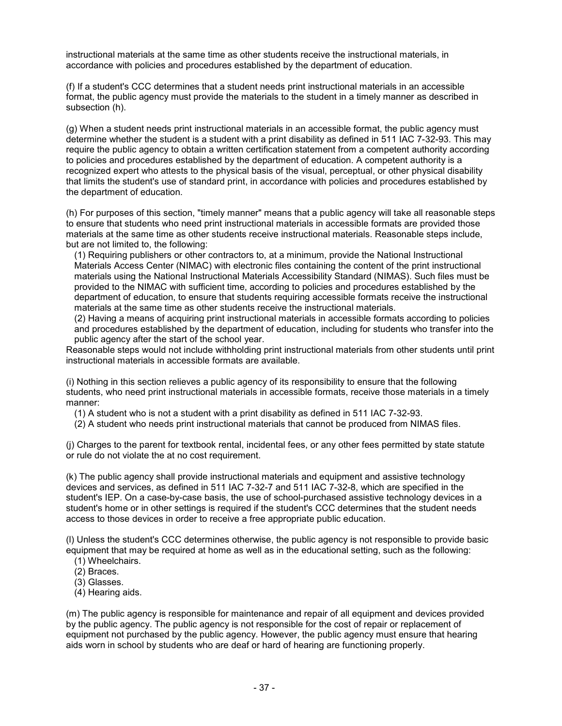instructional materials at the same time as other students receive the instructional materials, in accordance with policies and procedures established by the department of education.

(f) If a student's CCC determines that a student needs print instructional materials in an accessible format, the public agency must provide the materials to the student in a timely manner as described in subsection (h).

(g) When a student needs print instructional materials in an accessible format, the public agency must determine whether the student is a student with a print disability as defined in 511 IAC 7-32-93. This may require the public agency to obtain a written certification statement from a competent authority according to policies and procedures established by the department of education. A competent authority is a recognized expert who attests to the physical basis of the visual, perceptual, or other physical disability that limits the student's use of standard print, in accordance with policies and procedures established by the department of education.

(h) For purposes of this section, "timely manner" means that a public agency will take all reasonable steps to ensure that students who need print instructional materials in accessible formats are provided those materials at the same time as other students receive instructional materials. Reasonable steps include, but are not limited to, the following:

(1) Requiring publishers or other contractors to, at a minimum, provide the National Instructional Materials Access Center (NIMAC) with electronic files containing the content of the print instructional materials using the National Instructional Materials Accessibility Standard (NIMAS). Such files must be provided to the NIMAC with sufficient time, according to policies and procedures established by the department of education, to ensure that students requiring accessible formats receive the instructional materials at the same time as other students receive the instructional materials.

(2) Having a means of acquiring print instructional materials in accessible formats according to policies and procedures established by the department of education, including for students who transfer into the public agency after the start of the school year.

Reasonable steps would not include withholding print instructional materials from other students until print instructional materials in accessible formats are available.

(i) Nothing in this section relieves a public agency of its responsibility to ensure that the following students, who need print instructional materials in accessible formats, receive those materials in a timely manner:

(1) A student who is not a student with a print disability as defined in 511 IAC 7-32-93.

(2) A student who needs print instructional materials that cannot be produced from NIMAS files.

(j) Charges to the parent for textbook rental, incidental fees, or any other fees permitted by state statute or rule do not violate the at no cost requirement.

(k) The public agency shall provide instructional materials and equipment and assistive technology devices and services, as defined in 511 IAC 7-32-7 and 511 IAC 7-32-8, which are specified in the student's IEP. On a case-by-case basis, the use of school-purchased assistive technology devices in a student's home or in other settings is required if the student's CCC determines that the student needs access to those devices in order to receive a free appropriate public education.

(l) Unless the student's CCC determines otherwise, the public agency is not responsible to provide basic equipment that may be required at home as well as in the educational setting, such as the following:

- (1) Wheelchairs.
- (2) Braces.
- (3) Glasses.
- (4) Hearing aids.

(m) The public agency is responsible for maintenance and repair of all equipment and devices provided by the public agency. The public agency is not responsible for the cost of repair or replacement of equipment not purchased by the public agency. However, the public agency must ensure that hearing aids worn in school by students who are deaf or hard of hearing are functioning properly.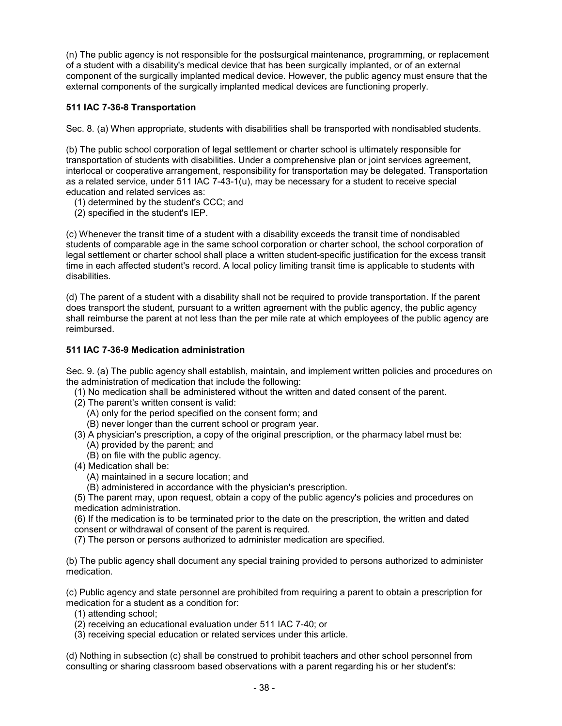(n) The public agency is not responsible for the postsurgical maintenance, programming, or replacement of a student with a disability's medical device that has been surgically implanted, or of an external component of the surgically implanted medical device. However, the public agency must ensure that the external components of the surgically implanted medical devices are functioning properly.

## **511 IAC 7-36-8 Transportation**

Sec. 8. (a) When appropriate, students with disabilities shall be transported with nondisabled students.

(b) The public school corporation of legal settlement or charter school is ultimately responsible for transportation of students with disabilities. Under a comprehensive plan or joint services agreement, interlocal or cooperative arrangement, responsibility for transportation may be delegated. Transportation as a related service, under 511 IAC 7-43-1(u), may be necessary for a student to receive special education and related services as:

- (1) determined by the student's CCC; and
- (2) specified in the student's IEP.

(c) Whenever the transit time of a student with a disability exceeds the transit time of nondisabled students of comparable age in the same school corporation or charter school, the school corporation of legal settlement or charter school shall place a written student-specific justification for the excess transit time in each affected student's record. A local policy limiting transit time is applicable to students with disabilities.

(d) The parent of a student with a disability shall not be required to provide transportation. If the parent does transport the student, pursuant to a written agreement with the public agency, the public agency shall reimburse the parent at not less than the per mile rate at which employees of the public agency are reimbursed.

## **511 IAC 7-36-9 Medication administration**

Sec. 9. (a) The public agency shall establish, maintain, and implement written policies and procedures on the administration of medication that include the following:

- (1) No medication shall be administered without the written and dated consent of the parent.
- (2) The parent's written consent is valid:

(A) only for the period specified on the consent form; and

- (B) never longer than the current school or program year.
- (3) A physician's prescription, a copy of the original prescription, or the pharmacy label must be: (A) provided by the parent; and
	- (B) on file with the public agency.
- (4) Medication shall be:
	- (A) maintained in a secure location; and
	- (B) administered in accordance with the physician's prescription.

(5) The parent may, upon request, obtain a copy of the public agency's policies and procedures on medication administration.

(6) If the medication is to be terminated prior to the date on the prescription, the written and dated consent or withdrawal of consent of the parent is required.

(7) The person or persons authorized to administer medication are specified.

(b) The public agency shall document any special training provided to persons authorized to administer medication.

(c) Public agency and state personnel are prohibited from requiring a parent to obtain a prescription for medication for a student as a condition for:

- (1) attending school;
- (2) receiving an educational evaluation under 511 IAC 7-40; or
- (3) receiving special education or related services under this article.

(d) Nothing in subsection (c) shall be construed to prohibit teachers and other school personnel from consulting or sharing classroom based observations with a parent regarding his or her student's: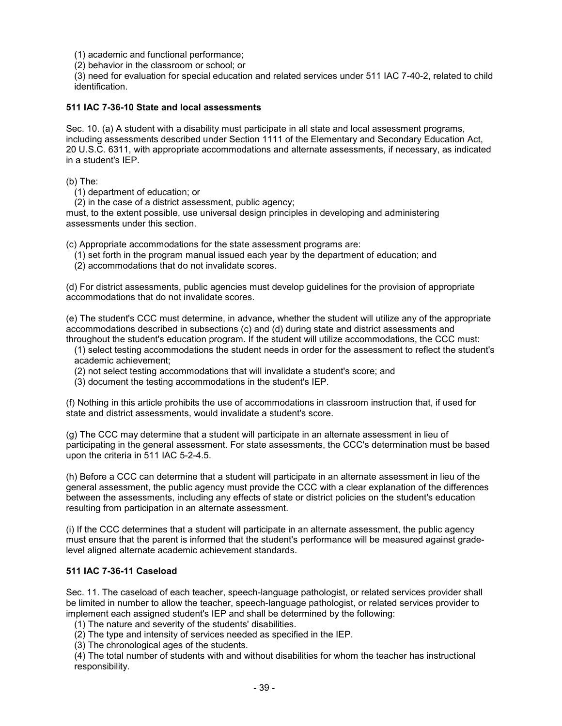(1) academic and functional performance;

(2) behavior in the classroom or school; or

(3) need for evaluation for special education and related services under 511 IAC 7-40-2, related to child identification.

#### **511 IAC 7-36-10 State and local assessments**

Sec. 10. (a) A student with a disability must participate in all state and local assessment programs, including assessments described under Section 1111 of the Elementary and Secondary Education Act, 20 U.S.C. 6311, with appropriate accommodations and alternate assessments, if necessary, as indicated in a student's IEP.

(b) The:

(1) department of education; or

(2) in the case of a district assessment, public agency;

must, to the extent possible, use universal design principles in developing and administering assessments under this section.

(c) Appropriate accommodations for the state assessment programs are:

(1) set forth in the program manual issued each year by the department of education; and

(2) accommodations that do not invalidate scores.

(d) For district assessments, public agencies must develop guidelines for the provision of appropriate accommodations that do not invalidate scores.

(e) The student's CCC must determine, in advance, whether the student will utilize any of the appropriate accommodations described in subsections (c) and (d) during state and district assessments and throughout the student's education program. If the student will utilize accommodations, the CCC must:

(1) select testing accommodations the student needs in order for the assessment to reflect the student's academic achievement;

(2) not select testing accommodations that will invalidate a student's score; and

(3) document the testing accommodations in the student's IEP.

(f) Nothing in this article prohibits the use of accommodations in classroom instruction that, if used for state and district assessments, would invalidate a student's score.

(g) The CCC may determine that a student will participate in an alternate assessment in lieu of participating in the general assessment. For state assessments, the CCC's determination must be based upon the criteria in 511 IAC 5-2-4.5.

(h) Before a CCC can determine that a student will participate in an alternate assessment in lieu of the general assessment, the public agency must provide the CCC with a clear explanation of the differences between the assessments, including any effects of state or district policies on the student's education resulting from participation in an alternate assessment.

(i) If the CCC determines that a student will participate in an alternate assessment, the public agency must ensure that the parent is informed that the student's performance will be measured against gradelevel aligned alternate academic achievement standards.

#### **511 IAC 7-36-11 Caseload**

Sec. 11. The caseload of each teacher, speech-language pathologist, or related services provider shall be limited in number to allow the teacher, speech-language pathologist, or related services provider to implement each assigned student's IEP and shall be determined by the following:

(1) The nature and severity of the students' disabilities.

(2) The type and intensity of services needed as specified in the IEP.

(3) The chronological ages of the students.

(4) The total number of students with and without disabilities for whom the teacher has instructional responsibility.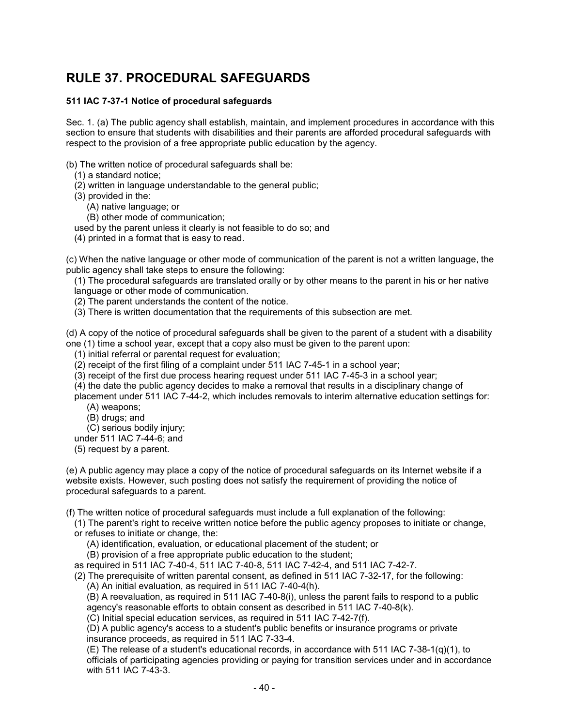# **RULE 37. PROCEDURAL SAFEGUARDS**

## **511 IAC 7-37-1 Notice of procedural safeguards**

Sec. 1. (a) The public agency shall establish, maintain, and implement procedures in accordance with this section to ensure that students with disabilities and their parents are afforded procedural safeguards with respect to the provision of a free appropriate public education by the agency.

(b) The written notice of procedural safeguards shall be:

- (1) a standard notice;
- (2) written in language understandable to the general public;
- (3) provided in the:
	- (A) native language; or
	- (B) other mode of communication;
- used by the parent unless it clearly is not feasible to do so; and
- (4) printed in a format that is easy to read.

(c) When the native language or other mode of communication of the parent is not a written language, the public agency shall take steps to ensure the following:

(1) The procedural safeguards are translated orally or by other means to the parent in his or her native language or other mode of communication.

(2) The parent understands the content of the notice.

(3) There is written documentation that the requirements of this subsection are met.

(d) A copy of the notice of procedural safeguards shall be given to the parent of a student with a disability one (1) time a school year, except that a copy also must be given to the parent upon:

- (1) initial referral or parental request for evaluation;
- (2) receipt of the first filing of a complaint under 511 IAC 7-45-1 in a school year;
- (3) receipt of the first due process hearing request under 511 IAC 7-45-3 in a school year;
- (4) the date the public agency decides to make a removal that results in a disciplinary change of
- placement under 511 IAC 7-44-2, which includes removals to interim alternative education settings for: (A) weapons;
	- (B) drugs; and
	- (C) serious bodily injury;
- under 511 IAC 7-44-6; and
- (5) request by a parent.

(e) A public agency may place a copy of the notice of procedural safeguards on its Internet website if a website exists. However, such posting does not satisfy the requirement of providing the notice of procedural safeguards to a parent.

(f) The written notice of procedural safeguards must include a full explanation of the following:

(1) The parent's right to receive written notice before the public agency proposes to initiate or change, or refuses to initiate or change, the:

- (A) identification, evaluation, or educational placement of the student; or
- (B) provision of a free appropriate public education to the student;
- as required in 511 IAC 7-40-4, 511 IAC 7-40-8, 511 IAC 7-42-4, and 511 IAC 7-42-7.
- (2) The prerequisite of written parental consent, as defined in 511 IAC 7-32-17, for the following: (A) An initial evaluation, as required in 511 IAC 7-40-4(h).
	- (B) A reevaluation, as required in 511 IAC 7-40-8(i), unless the parent fails to respond to a public agency's reasonable efforts to obtain consent as described in 511 IAC 7-40-8(k).
	- (C) Initial special education services, as required in 511 IAC 7-42-7(f).

(D) A public agency's access to a student's public benefits or insurance programs or private insurance proceeds, as required in 511 IAC 7-33-4.

(E) The release of a student's educational records, in accordance with 511 IAC 7-38-1(q)(1), to officials of participating agencies providing or paying for transition services under and in accordance with 511 IAC 7-43-3.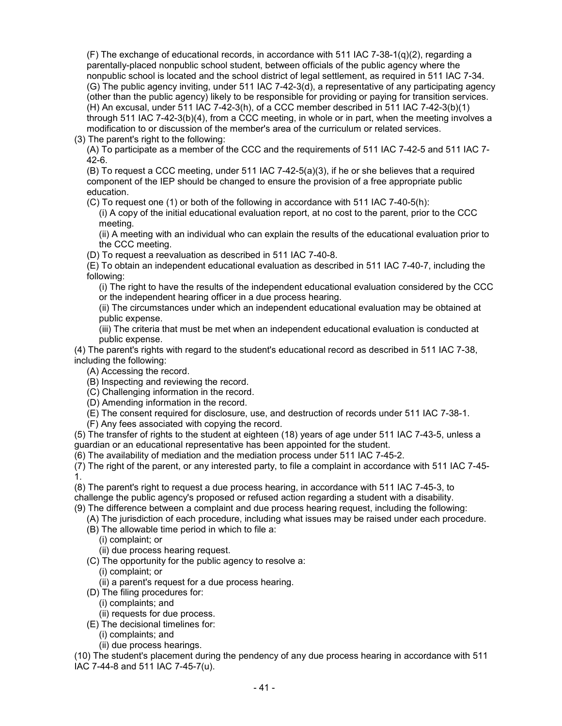(F) The exchange of educational records, in accordance with 511 IAC 7-38-1( $q$ )(2), regarding a parentally-placed nonpublic school student, between officials of the public agency where the nonpublic school is located and the school district of legal settlement, as required in 511 IAC 7-34. (G) The public agency inviting, under 511 IAC 7-42-3(d), a representative of any participating agency (other than the public agency) likely to be responsible for providing or paying for transition services. (H) An excusal, under 511 IAC 7-42-3(h), of a CCC member described in 511 IAC 7-42-3(b)(1) through 511 IAC 7-42-3(b)(4), from a CCC meeting, in whole or in part, when the meeting involves a modification to or discussion of the member's area of the curriculum or related services.

(3) The parent's right to the following:

(A) To participate as a member of the CCC and the requirements of 511 IAC 7-42-5 and 511 IAC 7- 42-6.

(B) To request a CCC meeting, under 511 IAC 7-42-5(a)(3), if he or she believes that a required component of the IEP should be changed to ensure the provision of a free appropriate public education.

(C) To request one (1) or both of the following in accordance with 511 IAC 7-40-5(h):

(i) A copy of the initial educational evaluation report, at no cost to the parent, prior to the CCC meeting.

(ii) A meeting with an individual who can explain the results of the educational evaluation prior to the CCC meeting.

(D) To request a reevaluation as described in 511 IAC 7-40-8.

(E) To obtain an independent educational evaluation as described in 511 IAC 7-40-7, including the following:

(i) The right to have the results of the independent educational evaluation considered by the CCC or the independent hearing officer in a due process hearing.

(ii) The circumstances under which an independent educational evaluation may be obtained at public expense.

(iii) The criteria that must be met when an independent educational evaluation is conducted at public expense.

(4) The parent's rights with regard to the student's educational record as described in 511 IAC 7-38, including the following:

- (A) Accessing the record.
- (B) Inspecting and reviewing the record.
- (C) Challenging information in the record.
- (D) Amending information in the record.
- (E) The consent required for disclosure, use, and destruction of records under 511 IAC 7-38-1.
- (F) Any fees associated with copying the record.

(5) The transfer of rights to the student at eighteen (18) years of age under 511 IAC 7-43-5, unless a guardian or an educational representative has been appointed for the student.

(6) The availability of mediation and the mediation process under 511 IAC 7-45-2.

(7) The right of the parent, or any interested party, to file a complaint in accordance with 511 IAC 7-45- 1.

(8) The parent's right to request a due process hearing, in accordance with 511 IAC 7-45-3, to challenge the public agency's proposed or refused action regarding a student with a disability.

(9) The difference between a complaint and due process hearing request, including the following:

- (A) The jurisdiction of each procedure, including what issues may be raised under each procedure.
- (B) The allowable time period in which to file a:
	- (i) complaint; or

(ii) due process hearing request.

(C) The opportunity for the public agency to resolve a:

(i) complaint; or

(ii) a parent's request for a due process hearing.

(D) The filing procedures for:

- (i) complaints; and
- (ii) requests for due process.
- (E) The decisional timelines for:
	- (i) complaints; and
	- (ii) due process hearings.

(10) The student's placement during the pendency of any due process hearing in accordance with 511 IAC 7-44-8 and 511 IAC 7-45-7(u).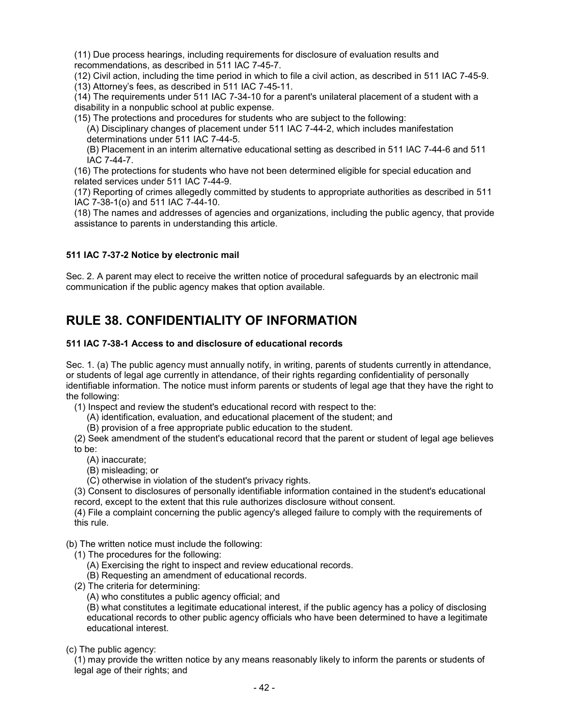(11) Due process hearings, including requirements for disclosure of evaluation results and recommendations, as described in 511 IAC 7-45-7.

(12) Civil action, including the time period in which to file a civil action, as described in 511 IAC 7-45-9.

(13) Attorney's fees, as described in 511 IAC 7-45-11.

(14) The requirements under 511 IAC 7-34-10 for a parent's unilateral placement of a student with a disability in a nonpublic school at public expense.

(15) The protections and procedures for students who are subject to the following:

(A) Disciplinary changes of placement under 511 IAC 7-44-2, which includes manifestation determinations under 511 IAC 7-44-5.

(B) Placement in an interim alternative educational setting as described in 511 IAC 7-44-6 and 511 IAC 7-44-7.

(16) The protections for students who have not been determined eligible for special education and related services under 511 IAC 7-44-9.

(17) Reporting of crimes allegedly committed by students to appropriate authorities as described in 511 IAC 7-38-1(o) and 511 IAC 7-44-10.

(18) The names and addresses of agencies and organizations, including the public agency, that provide assistance to parents in understanding this article.

## **511 IAC 7-37-2 Notice by electronic mail**

Sec. 2. A parent may elect to receive the written notice of procedural safeguards by an electronic mail communication if the public agency makes that option available.

# **RULE 38. CONFIDENTIALITY OF INFORMATION**

## **511 IAC 7-38-1 Access to and disclosure of educational records**

Sec. 1. (a) The public agency must annually notify, in writing, parents of students currently in attendance, or students of legal age currently in attendance, of their rights regarding confidentiality of personally identifiable information. The notice must inform parents or students of legal age that they have the right to the following:

(1) Inspect and review the student's educational record with respect to the:

- (A) identification, evaluation, and educational placement of the student; and
- (B) provision of a free appropriate public education to the student.

(2) Seek amendment of the student's educational record that the parent or student of legal age believes to be:

- (A) inaccurate;
- (B) misleading; or
- (C) otherwise in violation of the student's privacy rights.

(3) Consent to disclosures of personally identifiable information contained in the student's educational record, except to the extent that this rule authorizes disclosure without consent.

(4) File a complaint concerning the public agency's alleged failure to comply with the requirements of this rule.

(b) The written notice must include the following:

- (1) The procedures for the following:
	- (A) Exercising the right to inspect and review educational records.
	- (B) Requesting an amendment of educational records.
- (2) The criteria for determining:
	- (A) who constitutes a public agency official; and

(B) what constitutes a legitimate educational interest, if the public agency has a policy of disclosing educational records to other public agency officials who have been determined to have a legitimate educational interest.

(c) The public agency:

(1) may provide the written notice by any means reasonably likely to inform the parents or students of legal age of their rights; and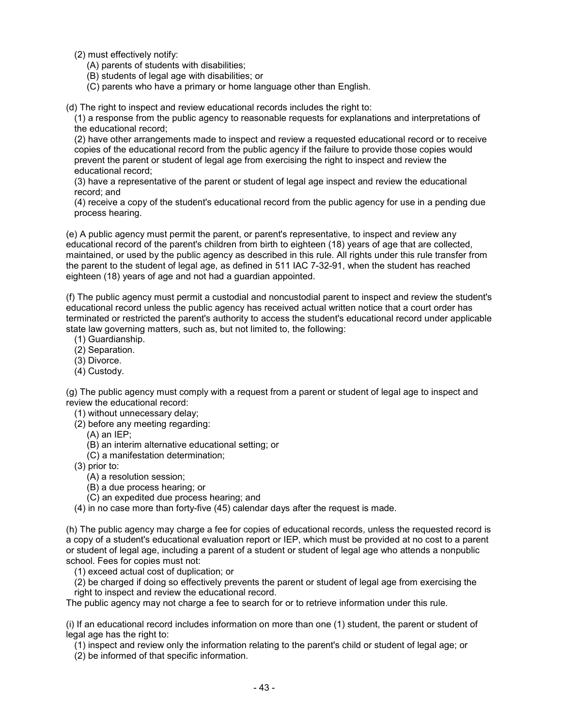- (2) must effectively notify:
	- (A) parents of students with disabilities;
	- (B) students of legal age with disabilities; or
	- (C) parents who have a primary or home language other than English.

(d) The right to inspect and review educational records includes the right to:

(1) a response from the public agency to reasonable requests for explanations and interpretations of the educational record;

(2) have other arrangements made to inspect and review a requested educational record or to receive copies of the educational record from the public agency if the failure to provide those copies would prevent the parent or student of legal age from exercising the right to inspect and review the educational record;

(3) have a representative of the parent or student of legal age inspect and review the educational record; and

(4) receive a copy of the student's educational record from the public agency for use in a pending due process hearing.

(e) A public agency must permit the parent, or parent's representative, to inspect and review any educational record of the parent's children from birth to eighteen (18) years of age that are collected, maintained, or used by the public agency as described in this rule. All rights under this rule transfer from the parent to the student of legal age, as defined in 511 IAC 7-32-91, when the student has reached eighteen (18) years of age and not had a guardian appointed.

(f) The public agency must permit a custodial and noncustodial parent to inspect and review the student's educational record unless the public agency has received actual written notice that a court order has terminated or restricted the parent's authority to access the student's educational record under applicable state law governing matters, such as, but not limited to, the following:

- (1) Guardianship.
- (2) Separation.
- (3) Divorce.
- (4) Custody.

(g) The public agency must comply with a request from a parent or student of legal age to inspect and review the educational record:

- (1) without unnecessary delay;
- (2) before any meeting regarding:
	- (A) an IEP;
	- (B) an interim alternative educational setting; or
	- (C) a manifestation determination;
- (3) prior to:
	- (A) a resolution session;
	- (B) a due process hearing; or
	- (C) an expedited due process hearing; and

(4) in no case more than forty-five (45) calendar days after the request is made.

(h) The public agency may charge a fee for copies of educational records, unless the requested record is a copy of a student's educational evaluation report or IEP, which must be provided at no cost to a parent or student of legal age, including a parent of a student or student of legal age who attends a nonpublic school. Fees for copies must not:

(1) exceed actual cost of duplication; or

(2) be charged if doing so effectively prevents the parent or student of legal age from exercising the right to inspect and review the educational record.

The public agency may not charge a fee to search for or to retrieve information under this rule.

(i) If an educational record includes information on more than one (1) student, the parent or student of legal age has the right to:

(1) inspect and review only the information relating to the parent's child or student of legal age; or

(2) be informed of that specific information.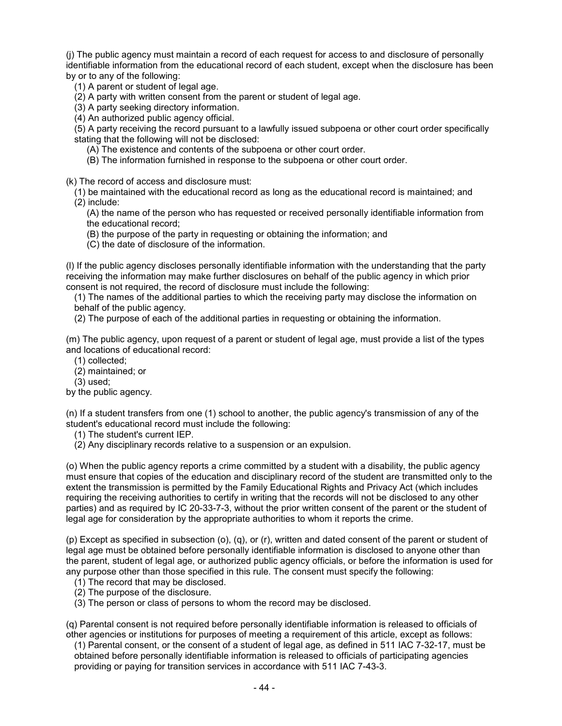(j) The public agency must maintain a record of each request for access to and disclosure of personally identifiable information from the educational record of each student, except when the disclosure has been by or to any of the following:

(1) A parent or student of legal age.

(2) A party with written consent from the parent or student of legal age.

(3) A party seeking directory information.

(4) An authorized public agency official.

(5) A party receiving the record pursuant to a lawfully issued subpoena or other court order specifically stating that the following will not be disclosed:

(A) The existence and contents of the subpoena or other court order.

(B) The information furnished in response to the subpoena or other court order.

(k) The record of access and disclosure must:

(1) be maintained with the educational record as long as the educational record is maintained; and (2) include:

(A) the name of the person who has requested or received personally identifiable information from the educational record;

(B) the purpose of the party in requesting or obtaining the information; and

(C) the date of disclosure of the information.

(l) If the public agency discloses personally identifiable information with the understanding that the party receiving the information may make further disclosures on behalf of the public agency in which prior consent is not required, the record of disclosure must include the following:

(1) The names of the additional parties to which the receiving party may disclose the information on behalf of the public agency.

(2) The purpose of each of the additional parties in requesting or obtaining the information.

(m) The public agency, upon request of a parent or student of legal age, must provide a list of the types and locations of educational record:

(1) collected;

(2) maintained; or

(3) used;

by the public agency.

(n) If a student transfers from one (1) school to another, the public agency's transmission of any of the student's educational record must include the following:

(1) The student's current IEP.

(2) Any disciplinary records relative to a suspension or an expulsion.

(o) When the public agency reports a crime committed by a student with a disability, the public agency must ensure that copies of the education and disciplinary record of the student are transmitted only to the extent the transmission is permitted by the Family Educational Rights and Privacy Act (which includes requiring the receiving authorities to certify in writing that the records will not be disclosed to any other parties) and as required by IC 20-33-7-3, without the prior written consent of the parent or the student of legal age for consideration by the appropriate authorities to whom it reports the crime.

(p) Except as specified in subsection (o), (q), or (r), written and dated consent of the parent or student of legal age must be obtained before personally identifiable information is disclosed to anyone other than the parent, student of legal age, or authorized public agency officials, or before the information is used for any purpose other than those specified in this rule. The consent must specify the following:

(1) The record that may be disclosed.

- (2) The purpose of the disclosure.
- (3) The person or class of persons to whom the record may be disclosed.

(q) Parental consent is not required before personally identifiable information is released to officials of other agencies or institutions for purposes of meeting a requirement of this article, except as follows:

(1) Parental consent, or the consent of a student of legal age, as defined in 511 IAC 7-32-17, must be obtained before personally identifiable information is released to officials of participating agencies providing or paying for transition services in accordance with 511 IAC 7-43-3.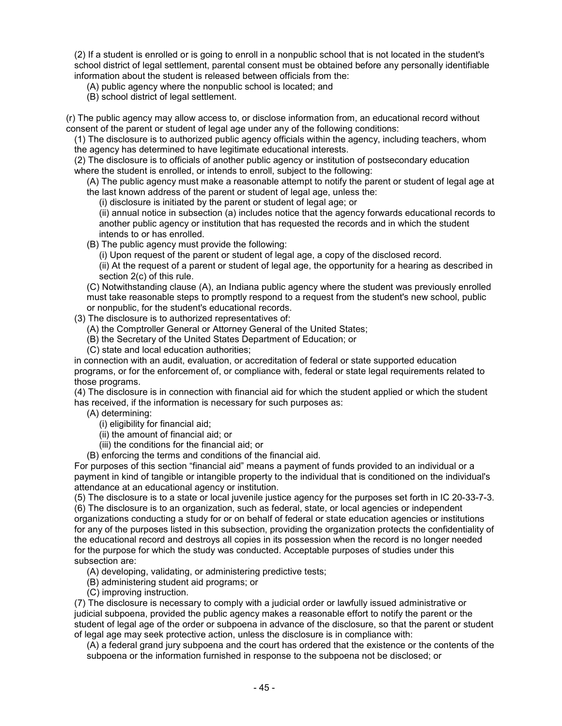(2) If a student is enrolled or is going to enroll in a nonpublic school that is not located in the student's school district of legal settlement, parental consent must be obtained before any personally identifiable information about the student is released between officials from the:

(A) public agency where the nonpublic school is located; and

(B) school district of legal settlement.

(r) The public agency may allow access to, or disclose information from, an educational record without consent of the parent or student of legal age under any of the following conditions:

(1) The disclosure is to authorized public agency officials within the agency, including teachers, whom the agency has determined to have legitimate educational interests.

(2) The disclosure is to officials of another public agency or institution of postsecondary education where the student is enrolled, or intends to enroll, subject to the following:

(A) The public agency must make a reasonable attempt to notify the parent or student of legal age at the last known address of the parent or student of legal age, unless the:

(i) disclosure is initiated by the parent or student of legal age; or

(ii) annual notice in subsection (a) includes notice that the agency forwards educational records to another public agency or institution that has requested the records and in which the student intends to or has enrolled.

(B) The public agency must provide the following:

(i) Upon request of the parent or student of legal age, a copy of the disclosed record.

(ii) At the request of a parent or student of legal age, the opportunity for a hearing as described in section 2(c) of this rule.

(C) Notwithstanding clause (A), an Indiana public agency where the student was previously enrolled must take reasonable steps to promptly respond to a request from the student's new school, public or nonpublic, for the student's educational records.

(3) The disclosure is to authorized representatives of:

(A) the Comptroller General or Attorney General of the United States;

(B) the Secretary of the United States Department of Education; or

(C) state and local education authorities;

in connection with an audit, evaluation, or accreditation of federal or state supported education programs, or for the enforcement of, or compliance with, federal or state legal requirements related to those programs.

(4) The disclosure is in connection with financial aid for which the student applied or which the student has received, if the information is necessary for such purposes as:

- (A) determining:
	- (i) eligibility for financial aid;
	- (ii) the amount of financial aid; or

(iii) the conditions for the financial aid; or

(B) enforcing the terms and conditions of the financial aid.

For purposes of this section "financial aid" means a payment of funds provided to an individual or a payment in kind of tangible or intangible property to the individual that is conditioned on the individual's attendance at an educational agency or institution.

(5) The disclosure is to a state or local juvenile justice agency for the purposes set forth in IC 20-33-7-3. (6) The disclosure is to an organization, such as federal, state, or local agencies or independent organizations conducting a study for or on behalf of federal or state education agencies or institutions for any of the purposes listed in this subsection, providing the organization protects the confidentiality of the educational record and destroys all copies in its possession when the record is no longer needed for the purpose for which the study was conducted. Acceptable purposes of studies under this subsection are:

(A) developing, validating, or administering predictive tests;

- (B) administering student aid programs; or
- (C) improving instruction.

(7) The disclosure is necessary to comply with a judicial order or lawfully issued administrative or judicial subpoena, provided the public agency makes a reasonable effort to notify the parent or the student of legal age of the order or subpoena in advance of the disclosure, so that the parent or student of legal age may seek protective action, unless the disclosure is in compliance with:

(A) a federal grand jury subpoena and the court has ordered that the existence or the contents of the subpoena or the information furnished in response to the subpoena not be disclosed; or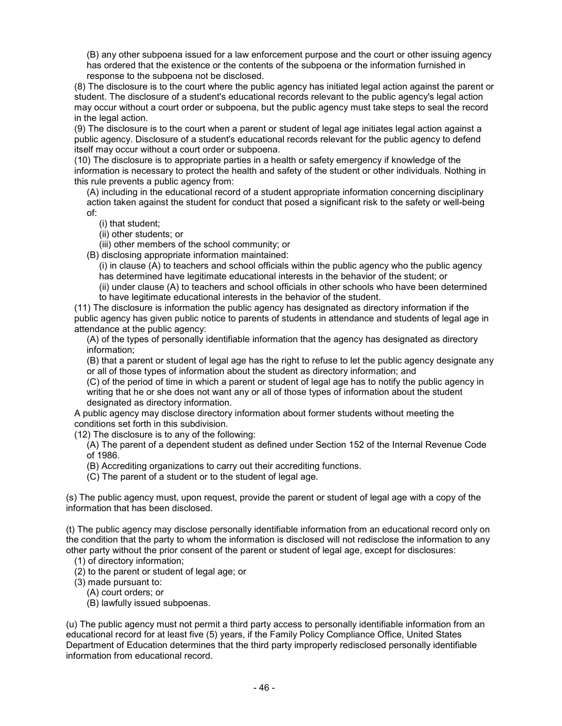(B) any other subpoena issued for a law enforcement purpose and the court or other issuing agency has ordered that the existence or the contents of the subpoena or the information furnished in response to the subpoena not be disclosed.

(8) The disclosure is to the court where the public agency has initiated legal action against the parent or student. The disclosure of a student's educational records relevant to the public agency's legal action may occur without a court order or subpoena, but the public agency must take steps to seal the record in the legal action.

(9) The disclosure is to the court when a parent or student of legal age initiates legal action against a public agency. Disclosure of a student's educational records relevant for the public agency to defend itself may occur without a court order or subpoena.

(10) The disclosure is to appropriate parties in a health or safety emergency if knowledge of the information is necessary to protect the health and safety of the student or other individuals. Nothing in this rule prevents a public agency from:

(A) including in the educational record of a student appropriate information concerning disciplinary action taken against the student for conduct that posed a significant risk to the safety or well-being of:

(i) that student;

(ii) other students; or

(iii) other members of the school community; or

(B) disclosing appropriate information maintained:

(i) in clause (A) to teachers and school officials within the public agency who the public agency has determined have legitimate educational interests in the behavior of the student; or

(ii) under clause (A) to teachers and school officials in other schools who have been determined to have legitimate educational interests in the behavior of the student.

(11) The disclosure is information the public agency has designated as directory information if the public agency has given public notice to parents of students in attendance and students of legal age in attendance at the public agency:

(A) of the types of personally identifiable information that the agency has designated as directory information;

(B) that a parent or student of legal age has the right to refuse to let the public agency designate any or all of those types of information about the student as directory information; and

(C) of the period of time in which a parent or student of legal age has to notify the public agency in writing that he or she does not want any or all of those types of information about the student designated as directory information.

A public agency may disclose directory information about former students without meeting the conditions set forth in this subdivision.

(12) The disclosure is to any of the following:

(A) The parent of a dependent student as defined under Section 152 of the Internal Revenue Code of 1986.

(B) Accrediting organizations to carry out their accrediting functions.

(C) The parent of a student or to the student of legal age.

(s) The public agency must, upon request, provide the parent or student of legal age with a copy of the information that has been disclosed.

(t) The public agency may disclose personally identifiable information from an educational record only on the condition that the party to whom the information is disclosed will not redisclose the information to any other party without the prior consent of the parent or student of legal age, except for disclosures:

(1) of directory information;

(2) to the parent or student of legal age; or

(3) made pursuant to:

(A) court orders; or

(B) lawfully issued subpoenas.

(u) The public agency must not permit a third party access to personally identifiable information from an educational record for at least five (5) years, if the Family Policy Compliance Office, United States Department of Education determines that the third party improperly redisclosed personally identifiable information from educational record.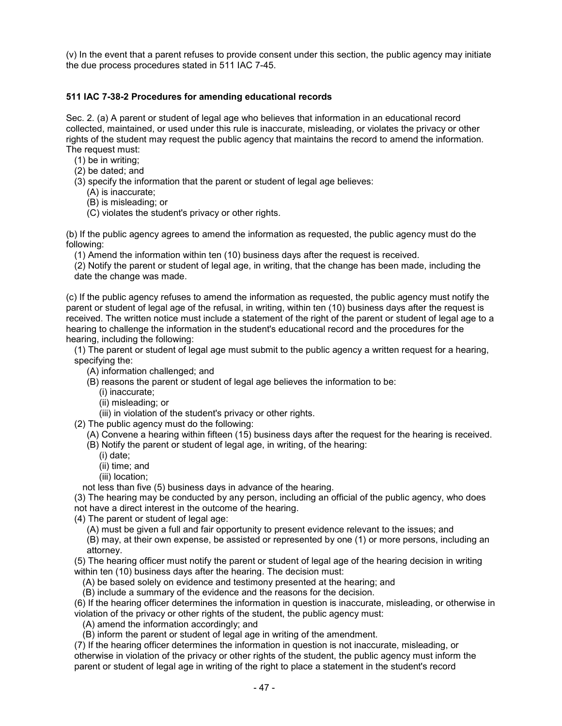(v) In the event that a parent refuses to provide consent under this section, the public agency may initiate the due process procedures stated in 511 IAC 7-45.

### **511 IAC 7-38-2 Procedures for amending educational records**

Sec. 2. (a) A parent or student of legal age who believes that information in an educational record collected, maintained, or used under this rule is inaccurate, misleading, or violates the privacy or other rights of the student may request the public agency that maintains the record to amend the information. The request must:

- (1) be in writing;
- (2) be dated; and
- (3) specify the information that the parent or student of legal age believes:
	- (A) is inaccurate;
	- (B) is misleading; or
	- (C) violates the student's privacy or other rights.

(b) If the public agency agrees to amend the information as requested, the public agency must do the following:

(1) Amend the information within ten (10) business days after the request is received.

(2) Notify the parent or student of legal age, in writing, that the change has been made, including the date the change was made.

(c) If the public agency refuses to amend the information as requested, the public agency must notify the parent or student of legal age of the refusal, in writing, within ten (10) business days after the request is received. The written notice must include a statement of the right of the parent or student of legal age to a hearing to challenge the information in the student's educational record and the procedures for the hearing, including the following:

(1) The parent or student of legal age must submit to the public agency a written request for a hearing, specifying the:

- (A) information challenged; and
- (B) reasons the parent or student of legal age believes the information to be:
	- (i) inaccurate;
	- (ii) misleading; or
	- (iii) in violation of the student's privacy or other rights.

(2) The public agency must do the following:

(A) Convene a hearing within fifteen (15) business days after the request for the hearing is received.

(B) Notify the parent or student of legal age, in writing, of the hearing:

- (i) date;
- (ii) time; and
- (iii) location;

not less than five (5) business days in advance of the hearing.

(3) The hearing may be conducted by any person, including an official of the public agency, who does not have a direct interest in the outcome of the hearing.

(4) The parent or student of legal age:

(A) must be given a full and fair opportunity to present evidence relevant to the issues; and

(B) may, at their own expense, be assisted or represented by one (1) or more persons, including an attorney.

(5) The hearing officer must notify the parent or student of legal age of the hearing decision in writing within ten (10) business days after the hearing. The decision must:

(A) be based solely on evidence and testimony presented at the hearing; and

(B) include a summary of the evidence and the reasons for the decision.

(6) If the hearing officer determines the information in question is inaccurate, misleading, or otherwise in violation of the privacy or other rights of the student, the public agency must:

(A) amend the information accordingly; and

(B) inform the parent or student of legal age in writing of the amendment.

(7) If the hearing officer determines the information in question is not inaccurate, misleading, or otherwise in violation of the privacy or other rights of the student, the public agency must inform the parent or student of legal age in writing of the right to place a statement in the student's record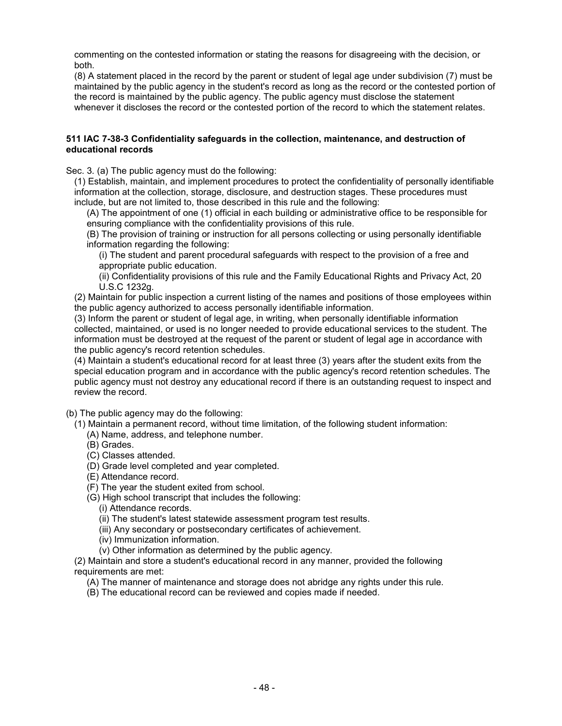commenting on the contested information or stating the reasons for disagreeing with the decision, or both.

(8) A statement placed in the record by the parent or student of legal age under subdivision (7) must be maintained by the public agency in the student's record as long as the record or the contested portion of the record is maintained by the public agency. The public agency must disclose the statement whenever it discloses the record or the contested portion of the record to which the statement relates.

#### **511 IAC 7-38-3 Confidentiality safeguards in the collection, maintenance, and destruction of educational records**

Sec. 3. (a) The public agency must do the following:

(1) Establish, maintain, and implement procedures to protect the confidentiality of personally identifiable information at the collection, storage, disclosure, and destruction stages. These procedures must include, but are not limited to, those described in this rule and the following:

(A) The appointment of one (1) official in each building or administrative office to be responsible for ensuring compliance with the confidentiality provisions of this rule.

(B) The provision of training or instruction for all persons collecting or using personally identifiable information regarding the following:

(i) The student and parent procedural safeguards with respect to the provision of a free and appropriate public education.

(ii) Confidentiality provisions of this rule and the Family Educational Rights and Privacy Act, 20 U.S.C 1232g.

(2) Maintain for public inspection a current listing of the names and positions of those employees within the public agency authorized to access personally identifiable information.

(3) Inform the parent or student of legal age, in writing, when personally identifiable information collected, maintained, or used is no longer needed to provide educational services to the student. The information must be destroyed at the request of the parent or student of legal age in accordance with the public agency's record retention schedules.

(4) Maintain a student's educational record for at least three (3) years after the student exits from the special education program and in accordance with the public agency's record retention schedules. The public agency must not destroy any educational record if there is an outstanding request to inspect and review the record.

(b) The public agency may do the following:

(1) Maintain a permanent record, without time limitation, of the following student information:

- (A) Name, address, and telephone number.
- (B) Grades.
- (C) Classes attended.
- (D) Grade level completed and year completed.
- (E) Attendance record.
- (F) The year the student exited from school.
- (G) High school transcript that includes the following:
	- (i) Attendance records.
		- (ii) The student's latest statewide assessment program test results.
		- (iii) Any secondary or postsecondary certificates of achievement.
	- (iv) Immunization information.
	- (v) Other information as determined by the public agency.

(2) Maintain and store a student's educational record in any manner, provided the following requirements are met:

- (A) The manner of maintenance and storage does not abridge any rights under this rule.
- (B) The educational record can be reviewed and copies made if needed.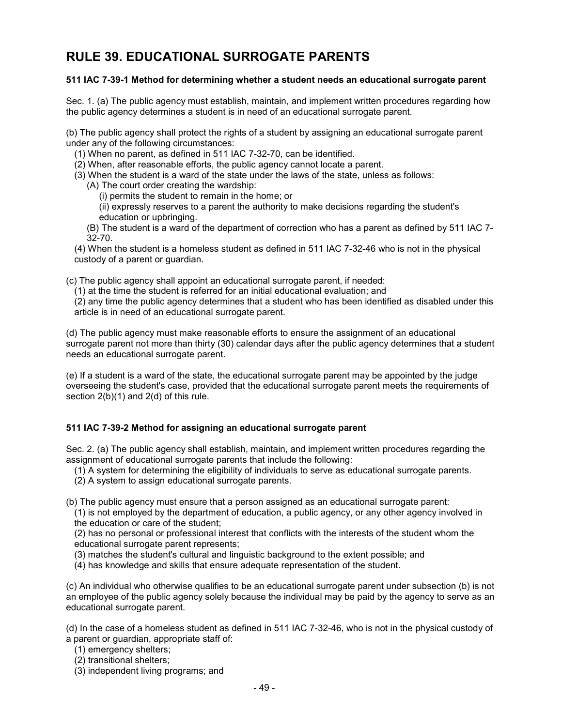# **RULE 39. EDUCATIONAL SURROGATE PARENTS**

### **511 IAC 7-39-1 Method for determining whether a student needs an educational surrogate parent**

Sec. 1. (a) The public agency must establish, maintain, and implement written procedures regarding how the public agency determines a student is in need of an educational surrogate parent.

(b) The public agency shall protect the rights of a student by assigning an educational surrogate parent under any of the following circumstances:

(1) When no parent, as defined in 511 IAC 7-32-70, can be identified.

(2) When, after reasonable efforts, the public agency cannot locate a parent.

(3) When the student is a ward of the state under the laws of the state, unless as follows:

(A) The court order creating the wardship:

(i) permits the student to remain in the home; or

(ii) expressly reserves to a parent the authority to make decisions regarding the student's education or upbringing.

(B) The student is a ward of the department of correction who has a parent as defined by 511 IAC 7- 32-70.

(4) When the student is a homeless student as defined in 511 IAC 7-32-46 who is not in the physical custody of a parent or guardian.

(c) The public agency shall appoint an educational surrogate parent, if needed:

(1) at the time the student is referred for an initial educational evaluation; and

(2) any time the public agency determines that a student who has been identified as disabled under this article is in need of an educational surrogate parent.

(d) The public agency must make reasonable efforts to ensure the assignment of an educational surrogate parent not more than thirty (30) calendar days after the public agency determines that a student needs an educational surrogate parent.

(e) If a student is a ward of the state, the educational surrogate parent may be appointed by the judge overseeing the student's case, provided that the educational surrogate parent meets the requirements of section 2(b)(1) and 2(d) of this rule.

## **511 IAC 7-39-2 Method for assigning an educational surrogate parent**

Sec. 2. (a) The public agency shall establish, maintain, and implement written procedures regarding the assignment of educational surrogate parents that include the following:

(1) A system for determining the eligibility of individuals to serve as educational surrogate parents.

(2) A system to assign educational surrogate parents.

(b) The public agency must ensure that a person assigned as an educational surrogate parent:

(1) is not employed by the department of education, a public agency, or any other agency involved in the education or care of the student;

(2) has no personal or professional interest that conflicts with the interests of the student whom the educational surrogate parent represents;

(3) matches the student's cultural and linguistic background to the extent possible; and

(4) has knowledge and skills that ensure adequate representation of the student.

(c) An individual who otherwise qualifies to be an educational surrogate parent under subsection (b) is not an employee of the public agency solely because the individual may be paid by the agency to serve as an educational surrogate parent.

(d) In the case of a homeless student as defined in 511 IAC 7-32-46, who is not in the physical custody of a parent or guardian, appropriate staff of:

- (1) emergency shelters;
- (2) transitional shelters;
- (3) independent living programs; and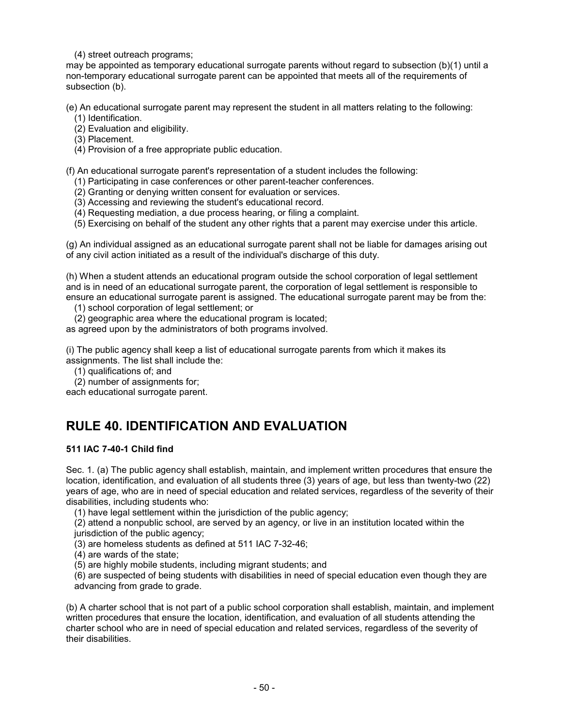(4) street outreach programs;

may be appointed as temporary educational surrogate parents without regard to subsection (b)(1) until a non-temporary educational surrogate parent can be appointed that meets all of the requirements of subsection (b).

(e) An educational surrogate parent may represent the student in all matters relating to the following: (1) Identification.

(2) Evaluation and eligibility.

(3) Placement.

(4) Provision of a free appropriate public education.

(f) An educational surrogate parent's representation of a student includes the following:

(1) Participating in case conferences or other parent-teacher conferences.

- (2) Granting or denying written consent for evaluation or services.
- (3) Accessing and reviewing the student's educational record.
- (4) Requesting mediation, a due process hearing, or filing a complaint.
- (5) Exercising on behalf of the student any other rights that a parent may exercise under this article.

(g) An individual assigned as an educational surrogate parent shall not be liable for damages arising out of any civil action initiated as a result of the individual's discharge of this duty.

(h) When a student attends an educational program outside the school corporation of legal settlement and is in need of an educational surrogate parent, the corporation of legal settlement is responsible to ensure an educational surrogate parent is assigned. The educational surrogate parent may be from the:

(1) school corporation of legal settlement; or

(2) geographic area where the educational program is located;

as agreed upon by the administrators of both programs involved.

(i) The public agency shall keep a list of educational surrogate parents from which it makes its assignments. The list shall include the:

- (1) qualifications of; and
- (2) number of assignments for;

each educational surrogate parent.

## **RULE 40. IDENTIFICATION AND EVALUATION**

## **511 IAC 7-40-1 Child find**

Sec. 1. (a) The public agency shall establish, maintain, and implement written procedures that ensure the location, identification, and evaluation of all students three (3) years of age, but less than twenty-two (22) years of age, who are in need of special education and related services, regardless of the severity of their disabilities, including students who:

(1) have legal settlement within the jurisdiction of the public agency;

(2) attend a nonpublic school, are served by an agency, or live in an institution located within the jurisdiction of the public agency;

(3) are homeless students as defined at 511 IAC 7-32-46;

(4) are wards of the state;

(5) are highly mobile students, including migrant students; and

(6) are suspected of being students with disabilities in need of special education even though they are advancing from grade to grade.

(b) A charter school that is not part of a public school corporation shall establish, maintain, and implement written procedures that ensure the location, identification, and evaluation of all students attending the charter school who are in need of special education and related services, regardless of the severity of their disabilities.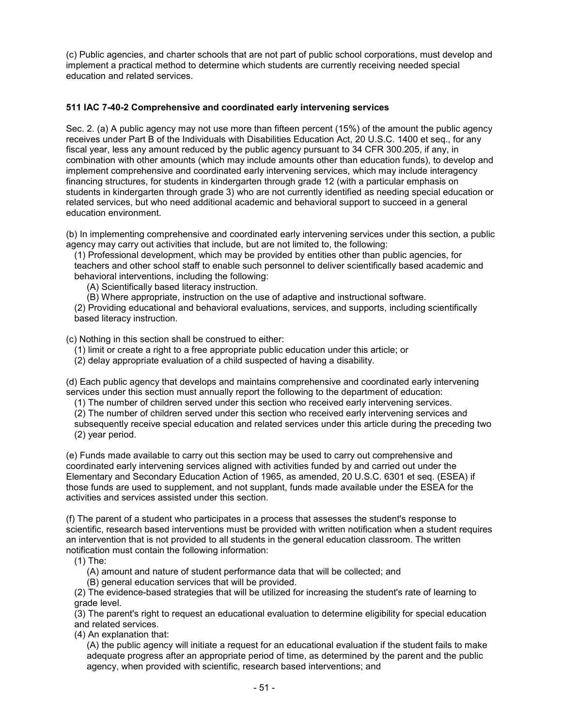(c) Public agencies, and charter schools that are not part of public school corporations, must develop and implement a practical method to determine which students are currently receiving needed special education and related services.

## **511 IAC 7-40-2 Comprehensive and coordinated early intervening services**

Sec. 2. (a) A public agency may not use more than fifteen percent (15%) of the amount the public agency receives under Part B of the Individuals with Disabilities Education Act, 20 U.S.C. 1400 et seq., for any fiscal year, less any amount reduced by the public agency pursuant to 34 CFR 300.205, if any, in combination with other amounts (which may include amounts other than education funds), to develop and implement comprehensive and coordinated early intervening services, which may include interagency financing structures, for students in kindergarten through grade 12 (with a particular emphasis on students in kindergarten through grade 3) who are not currently identified as needing special education or related services, but who need additional academic and behavioral support to succeed in a general education environment.

(b) In implementing comprehensive and coordinated early intervening services under this section, a public agency may carry out activities that include, but are not limited to, the following:

(1) Professional development, which may be provided by entities other than public agencies, for teachers and other school staff to enable such personnel to deliver scientifically based academic and behavioral interventions, including the following:

(A) Scientifically based literacy instruction.

(B) Where appropriate, instruction on the use of adaptive and instructional software.

(2) Providing educational and behavioral evaluations, services, and supports, including scientifically based literacy instruction.

(c) Nothing in this section shall be construed to either:

(1) limit or create a right to a free appropriate public education under this article; or

(2) delay appropriate evaluation of a child suspected of having a disability.

(d) Each public agency that develops and maintains comprehensive and coordinated early intervening services under this section must annually report the following to the department of education:

(1) The number of children served under this section who received early intervening services.

(2) The number of children served under this section who received early intervening services and

subsequently receive special education and related services under this article during the preceding two (2) year period.

(e) Funds made available to carry out this section may be used to carry out comprehensive and coordinated early intervening services aligned with activities funded by and carried out under the Elementary and Secondary Education Action of 1965, as amended, 20 U.S.C. 6301 et seq. (ESEA) if those funds are used to supplement, and not supplant, funds made available under the ESEA for the activities and services assisted under this section.

(f) The parent of a student who participates in a process that assesses the student's response to scientific, research based interventions must be provided with written notification when a student requires an intervention that is not provided to all students in the general education classroom. The written notification must contain the following information:

(1) The:

(A) amount and nature of student performance data that will be collected; and

(B) general education services that will be provided.

(2) The evidence-based strategies that will be utilized for increasing the student's rate of learning to grade level.

(3) The parent's right to request an educational evaluation to determine eligibility for special education and related services.

(4) An explanation that:

(A) the public agency will initiate a request for an educational evaluation if the student fails to make adequate progress after an appropriate period of time, as determined by the parent and the public agency, when provided with scientific, research based interventions; and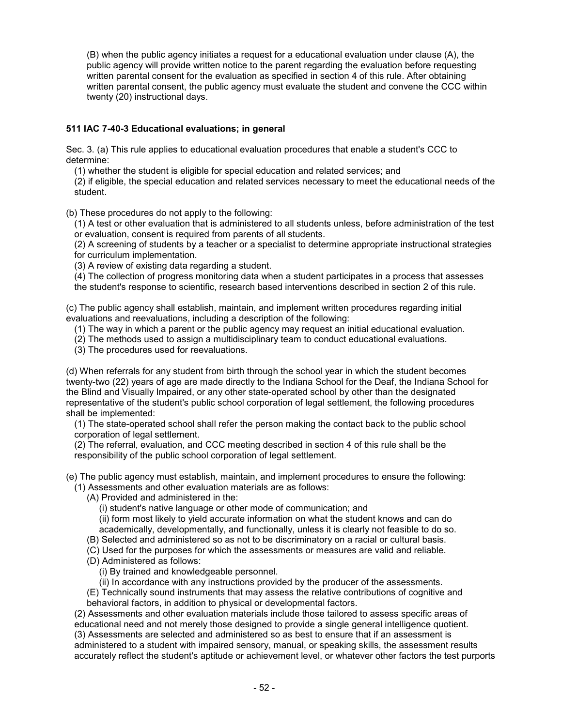(B) when the public agency initiates a request for a educational evaluation under clause (A), the public agency will provide written notice to the parent regarding the evaluation before requesting written parental consent for the evaluation as specified in section 4 of this rule. After obtaining written parental consent, the public agency must evaluate the student and convene the CCC within twenty (20) instructional days.

## **511 IAC 7-40-3 Educational evaluations; in general**

Sec. 3. (a) This rule applies to educational evaluation procedures that enable a student's CCC to determine:

(1) whether the student is eligible for special education and related services; and

(2) if eligible, the special education and related services necessary to meet the educational needs of the student.

(b) These procedures do not apply to the following:

(1) A test or other evaluation that is administered to all students unless, before administration of the test or evaluation, consent is required from parents of all students.

(2) A screening of students by a teacher or a specialist to determine appropriate instructional strategies for curriculum implementation.

(3) A review of existing data regarding a student.

(4) The collection of progress monitoring data when a student participates in a process that assesses the student's response to scientific, research based interventions described in section 2 of this rule.

(c) The public agency shall establish, maintain, and implement written procedures regarding initial evaluations and reevaluations, including a description of the following:

(1) The way in which a parent or the public agency may request an initial educational evaluation.

(2) The methods used to assign a multidisciplinary team to conduct educational evaluations.

(3) The procedures used for reevaluations.

(d) When referrals for any student from birth through the school year in which the student becomes twenty-two (22) years of age are made directly to the Indiana School for the Deaf, the Indiana School for the Blind and Visually Impaired, or any other state-operated school by other than the designated representative of the student's public school corporation of legal settlement, the following procedures shall be implemented:

(1) The state-operated school shall refer the person making the contact back to the public school corporation of legal settlement.

(2) The referral, evaluation, and CCC meeting described in section 4 of this rule shall be the responsibility of the public school corporation of legal settlement.

(e) The public agency must establish, maintain, and implement procedures to ensure the following: (1) Assessments and other evaluation materials are as follows:

(A) Provided and administered in the:

(i) student's native language or other mode of communication; and

(ii) form most likely to yield accurate information on what the student knows and can do academically, developmentally, and functionally, unless it is clearly not feasible to do so.

- (B) Selected and administered so as not to be discriminatory on a racial or cultural basis.
- (C) Used for the purposes for which the assessments or measures are valid and reliable.
- (D) Administered as follows:
	- (i) By trained and knowledgeable personnel.
	- (ii) In accordance with any instructions provided by the producer of the assessments.

(E) Technically sound instruments that may assess the relative contributions of cognitive and behavioral factors, in addition to physical or developmental factors.

(2) Assessments and other evaluation materials include those tailored to assess specific areas of educational need and not merely those designed to provide a single general intelligence quotient. (3) Assessments are selected and administered so as best to ensure that if an assessment is administered to a student with impaired sensory, manual, or speaking skills, the assessment results accurately reflect the student's aptitude or achievement level, or whatever other factors the test purports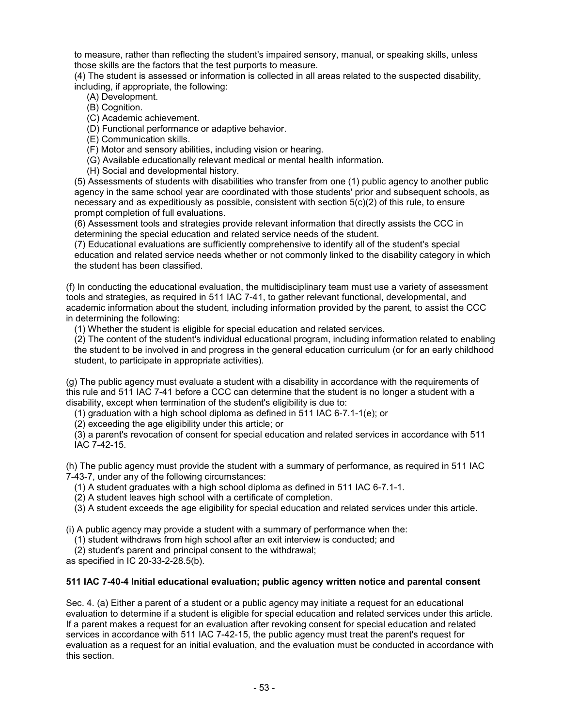to measure, rather than reflecting the student's impaired sensory, manual, or speaking skills, unless those skills are the factors that the test purports to measure.

(4) The student is assessed or information is collected in all areas related to the suspected disability, including, if appropriate, the following:

(A) Development.

- (B) Cognition.
- (C) Academic achievement.

(D) Functional performance or adaptive behavior.

(E) Communication skills.

(F) Motor and sensory abilities, including vision or hearing.

(G) Available educationally relevant medical or mental health information.

(H) Social and developmental history.

(5) Assessments of students with disabilities who transfer from one (1) public agency to another public agency in the same school year are coordinated with those students' prior and subsequent schools, as necessary and as expeditiously as possible, consistent with section 5(c)(2) of this rule, to ensure prompt completion of full evaluations.

(6) Assessment tools and strategies provide relevant information that directly assists the CCC in determining the special education and related service needs of the student.

(7) Educational evaluations are sufficiently comprehensive to identify all of the student's special education and related service needs whether or not commonly linked to the disability category in which the student has been classified.

(f) In conducting the educational evaluation, the multidisciplinary team must use a variety of assessment tools and strategies, as required in 511 IAC 7-41, to gather relevant functional, developmental, and academic information about the student, including information provided by the parent, to assist the CCC in determining the following:

(1) Whether the student is eligible for special education and related services.

(2) The content of the student's individual educational program, including information related to enabling the student to be involved in and progress in the general education curriculum (or for an early childhood student, to participate in appropriate activities).

(g) The public agency must evaluate a student with a disability in accordance with the requirements of this rule and 511 IAC 7-41 before a CCC can determine that the student is no longer a student with a disability, except when termination of the student's eligibility is due to:

(1) graduation with a high school diploma as defined in 511 IAC 6-7.1-1(e); or

(2) exceeding the age eligibility under this article; or

(3) a parent's revocation of consent for special education and related services in accordance with [511](http://www.in.gov/legislative/iac/iac_title?iact=511&iaca=7)  [IAC 7-42-15.](http://www.in.gov/legislative/iac/iac_title?iact=511&iaca=7)

(h) The public agency must provide the student with a summary of performance, as required in 511 IAC 7-43-7, under any of the following circumstances:

(1) A student graduates with a high school diploma as defined in 511 IAC 6-7.1-1.

(2) A student leaves high school with a certificate of completion.

(3) A student exceeds the age eligibility for special education and related services under this article.

(i) A public agency may provide a student with a summary of performance when the:

(1) student withdraws from high school after an exit interview is conducted; and

(2) student's parent and principal consent to the withdrawal;

as specified in IC 20-33-2-28.5(b).

#### **511 IAC 7-40-4 Initial educational evaluation; public agency written notice and parental consent**

Sec. 4. (a) Either a parent of a student or a public agency may initiate a request for an educational evaluation to determine if a student is eligible for special education and related services under this article. If a parent makes a request for an evaluation after revoking consent for special education and related services in accordance with [511 IAC 7-42-15,](http://www.in.gov/legislative/iac/iac_title?iact=511&iaca=7) the public agency must treat the parent's request for evaluation as a request for an initial evaluation, and the evaluation must be conducted in accordance with this section.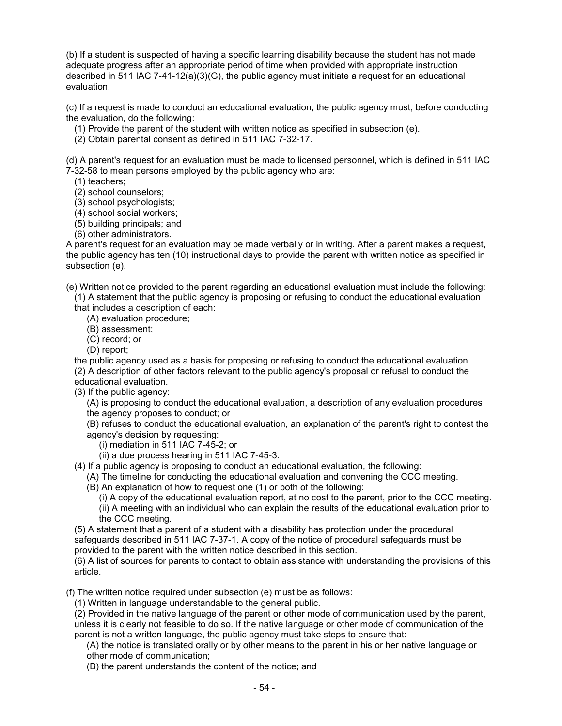(b) If a student is suspected of having a specific learning disability because the student has not made adequate progress after an appropriate period of time when provided with appropriate instruction described in 511 IAC 7-41-12(a)(3)(G), the public agency must initiate a request for an educational evaluation.

(c) If a request is made to conduct an educational evaluation, the public agency must, before conducting the evaluation, do the following:

- (1) Provide the parent of the student with written notice as specified in subsection (e).
- (2) Obtain parental consent as defined in 511 IAC 7-32-17.

(d) A parent's request for an evaluation must be made to licensed personnel, which is defined in 511 IAC 7-32-58 to mean persons employed by the public agency who are:

- (1) teachers;
- (2) school counselors;
- (3) school psychologists;
- (4) school social workers;
- (5) building principals; and
- (6) other administrators.

A parent's request for an evaluation may be made verbally or in writing. After a parent makes a request, the public agency has ten (10) instructional days to provide the parent with written notice as specified in subsection (e).

(e) Written notice provided to the parent regarding an educational evaluation must include the following:

(1) A statement that the public agency is proposing or refusing to conduct the educational evaluation that includes a description of each:

- (A) evaluation procedure;
	- (B) assessment;
- (C) record; or
- (D) report;

the public agency used as a basis for proposing or refusing to conduct the educational evaluation.

(2) A description of other factors relevant to the public agency's proposal or refusal to conduct the educational evaluation.

(3) If the public agency:

- (A) is proposing to conduct the educational evaluation, a description of any evaluation procedures the agency proposes to conduct; or
- (B) refuses to conduct the educational evaluation, an explanation of the parent's right to contest the agency's decision by requesting:
	- (i) mediation in 511 IAC 7-45-2; or
	- (ii) a due process hearing in 511 IAC 7-45-3.
- (4) If a public agency is proposing to conduct an educational evaluation, the following:
	- (A) The timeline for conducting the educational evaluation and convening the CCC meeting.
	- (B) An explanation of how to request one (1) or both of the following:
		- (i) A copy of the educational evaluation report, at no cost to the parent, prior to the CCC meeting.
		- (ii) A meeting with an individual who can explain the results of the educational evaluation prior to the CCC meeting.
- (5) A statement that a parent of a student with a disability has protection under the procedural safeguards described in 511 IAC 7-37-1. A copy of the notice of procedural safeguards must be provided to the parent with the written notice described in this section.

(6) A list of sources for parents to contact to obtain assistance with understanding the provisions of this article.

(f) The written notice required under subsection (e) must be as follows:

(1) Written in language understandable to the general public.

(2) Provided in the native language of the parent or other mode of communication used by the parent, unless it is clearly not feasible to do so. If the native language or other mode of communication of the parent is not a written language, the public agency must take steps to ensure that:

(A) the notice is translated orally or by other means to the parent in his or her native language or other mode of communication;

(B) the parent understands the content of the notice; and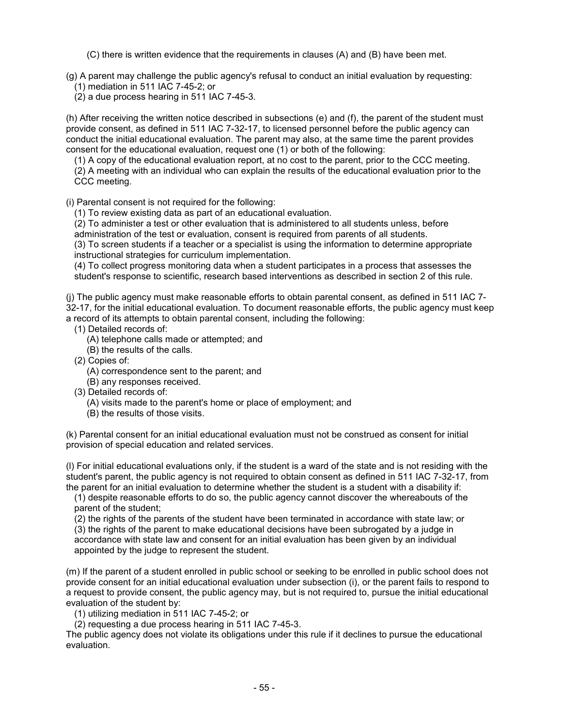(C) there is written evidence that the requirements in clauses (A) and (B) have been met.

(g) A parent may challenge the public agency's refusal to conduct an initial evaluation by requesting: (1) mediation in 511 IAC 7-45-2; or

(2) a due process hearing in 511 IAC 7-45-3.

(h) After receiving the written notice described in subsections (e) and (f), the parent of the student must provide consent, as defined in 511 IAC 7-32-17, to licensed personnel before the public agency can conduct the initial educational evaluation. The parent may also, at the same time the parent provides consent for the educational evaluation, request one (1) or both of the following:

(1) A copy of the educational evaluation report, at no cost to the parent, prior to the CCC meeting. (2) A meeting with an individual who can explain the results of the educational evaluation prior to the CCC meeting.

(i) Parental consent is not required for the following:

(1) To review existing data as part of an educational evaluation.

(2) To administer a test or other evaluation that is administered to all students unless, before administration of the test or evaluation, consent is required from parents of all students.

(3) To screen students if a teacher or a specialist is using the information to determine appropriate instructional strategies for curriculum implementation.

(4) To collect progress monitoring data when a student participates in a process that assesses the student's response to scientific, research based interventions as described in section 2 of this rule.

(j) The public agency must make reasonable efforts to obtain parental consent, as defined in 511 IAC 7- 32-17, for the initial educational evaluation. To document reasonable efforts, the public agency must keep a record of its attempts to obtain parental consent, including the following:

- (1) Detailed records of:
	- (A) telephone calls made or attempted; and
	- (B) the results of the calls.
- (2) Copies of:
	- (A) correspondence sent to the parent; and
	- (B) any responses received.
- (3) Detailed records of:
	- (A) visits made to the parent's home or place of employment; and
	- (B) the results of those visits.

(k) Parental consent for an initial educational evaluation must not be construed as consent for initial provision of special education and related services.

(l) For initial educational evaluations only, if the student is a ward of the state and is not residing with the student's parent, the public agency is not required to obtain consent as defined in 511 IAC 7-32-17, from the parent for an initial evaluation to determine whether the student is a student with a disability if:

(1) despite reasonable efforts to do so, the public agency cannot discover the whereabouts of the parent of the student;

(2) the rights of the parents of the student have been terminated in accordance with state law; or (3) the rights of the parent to make educational decisions have been subrogated by a judge in accordance with state law and consent for an initial evaluation has been given by an individual appointed by the judge to represent the student.

(m) If the parent of a student enrolled in public school or seeking to be enrolled in public school does not provide consent for an initial educational evaluation under subsection (i), or the parent fails to respond to a request to provide consent, the public agency may, but is not required to, pursue the initial educational evaluation of the student by:

(1) utilizing mediation in 511 IAC 7-45-2; or

(2) requesting a due process hearing in 511 IAC 7-45-3.

The public agency does not violate its obligations under this rule if it declines to pursue the educational evaluation.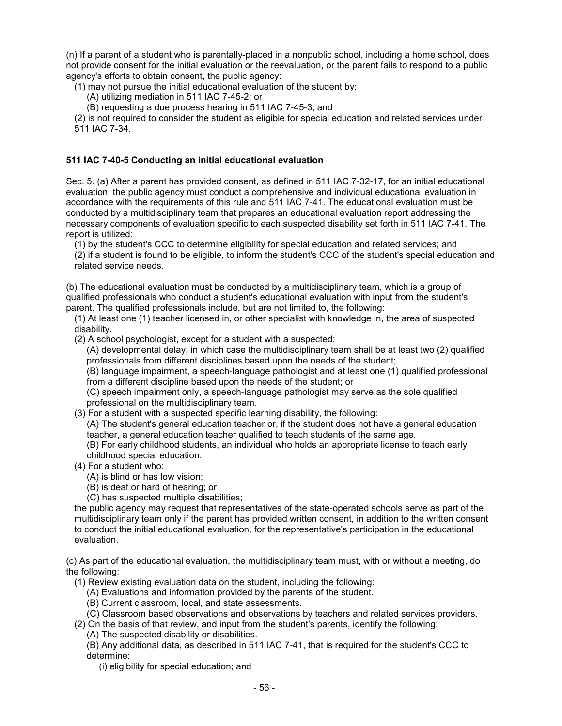(n) If a parent of a student who is parentally-placed in a nonpublic school, including a home school, does not provide consent for the initial evaluation or the reevaluation, or the parent fails to respond to a public agency's efforts to obtain consent, the public agency:

(1) may not pursue the initial educational evaluation of the student by:

- (A) utilizing mediation in 511 IAC 7-45-2; or
- (B) requesting a due process hearing in 511 IAC 7-45-3; and

(2) is not required to consider the student as eligible for special education and related services under 511 IAC 7-34.

### **511 IAC 7-40-5 Conducting an initial educational evaluation**

Sec. 5. (a) After a parent has provided consent, as defined in 511 IAC 7-32-17, for an initial educational evaluation, the public agency must conduct a comprehensive and individual educational evaluation in accordance with the requirements of this rule and 511 IAC 7-41. The educational evaluation must be conducted by a multidisciplinary team that prepares an educational evaluation report addressing the necessary components of evaluation specific to each suspected disability set forth in 511 IAC 7-41. The report is utilized:

(1) by the student's CCC to determine eligibility for special education and related services; and (2) if a student is found to be eligible, to inform the student's CCC of the student's special education and related service needs.

(b) The educational evaluation must be conducted by a multidisciplinary team, which is a group of qualified professionals who conduct a student's educational evaluation with input from the student's parent. The qualified professionals include, but are not limited to, the following:

(1) At least one (1) teacher licensed in, or other specialist with knowledge in, the area of suspected disability.

(2) A school psychologist, except for a student with a suspected:

(A) developmental delay, in which case the multidisciplinary team shall be at least two (2) qualified professionals from different disciplines based upon the needs of the student;

(B) language impairment, a speech-language pathologist and at least one (1) qualified professional from a different discipline based upon the needs of the student; or

(C) speech impairment only, a speech-language pathologist may serve as the sole qualified professional on the multidisciplinary team.

(3) For a student with a suspected specific learning disability, the following:

(A) The student's general education teacher or, if the student does not have a general education teacher, a general education teacher qualified to teach students of the same age.

(B) For early childhood students, an individual who holds an appropriate license to teach early childhood special education.

- (4) For a student who:
	- (A) is blind or has low vision;
	- (B) is deaf or hard of hearing; or

(C) has suspected multiple disabilities;

the public agency may request that representatives of the state-operated schools serve as part of the multidisciplinary team only if the parent has provided written consent, in addition to the written consent to conduct the initial educational evaluation, for the representative's participation in the educational evaluation.

(c) As part of the educational evaluation, the multidisciplinary team must, with or without a meeting, do the following:

(1) Review existing evaluation data on the student, including the following:

- (A) Evaluations and information provided by the parents of the student.
- (B) Current classroom, local, and state assessments.
- (C) Classroom based observations and observations by teachers and related services providers.
- (2) On the basis of that review, and input from the student's parents, identify the following:
	- (A) The suspected disability or disabilities.

(B) Any additional data, as described in 511 IAC 7-41, that is required for the student's CCC to determine:

(i) eligibility for special education; and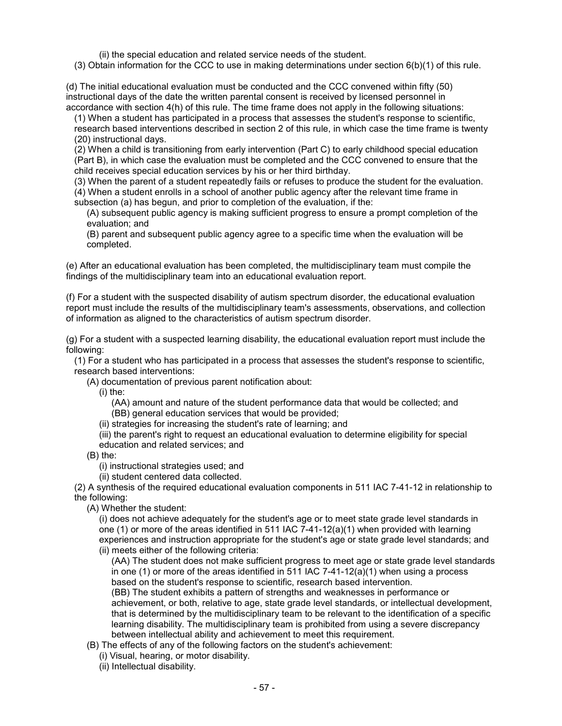(ii) the special education and related service needs of the student.

(3) Obtain information for the CCC to use in making determinations under section 6(b)(1) of this rule.

(d) The initial educational evaluation must be conducted and the CCC convened within fifty (50) instructional days of the date the written parental consent is received by licensed personnel in accordance with section 4(h) of this rule. The time frame does not apply in the following situations:

(1) When a student has participated in a process that assesses the student's response to scientific, research based interventions described in section 2 of this rule, in which case the time frame is twenty (20) instructional days.

(2) When a child is transitioning from early intervention (Part C) to early childhood special education (Part B), in which case the evaluation must be completed and the CCC convened to ensure that the child receives special education services by his or her third birthday.

(3) When the parent of a student repeatedly fails or refuses to produce the student for the evaluation.

(4) When a student enrolls in a school of another public agency after the relevant time frame in subsection (a) has begun, and prior to completion of the evaluation, if the:

(A) subsequent public agency is making sufficient progress to ensure a prompt completion of the evaluation; and

(B) parent and subsequent public agency agree to a specific time when the evaluation will be completed.

(e) After an educational evaluation has been completed, the multidisciplinary team must compile the findings of the multidisciplinary team into an educational evaluation report.

(f) For a student with the suspected disability of autism spectrum disorder, the educational evaluation report must include the results of the multidisciplinary team's assessments, observations, and collection of information as aligned to the characteristics of autism spectrum disorder.

(g) For a student with a suspected learning disability, the educational evaluation report must include the following:

(1) For a student who has participated in a process that assesses the student's response to scientific, research based interventions:

(A) documentation of previous parent notification about:

(i) the:

(AA) amount and nature of the student performance data that would be collected; and (BB) general education services that would be provided;

(ii) strategies for increasing the student's rate of learning; and

(iii) the parent's right to request an educational evaluation to determine eligibility for special education and related services; and

(B) the:

(i) instructional strategies used; and

(ii) student centered data collected.

(2) A synthesis of the required educational evaluation components in 511 IAC 7-41-12 in relationship to the following:

(A) Whether the student:

(i) does not achieve adequately for the student's age or to meet state grade level standards in one (1) or more of the areas identified in 511 IAC  $7-41-12(a)(1)$  when provided with learning experiences and instruction appropriate for the student's age or state grade level standards; and (ii) meets either of the following criteria:

(AA) The student does not make sufficient progress to meet age or state grade level standards in one (1) or more of the areas identified in 511 IAC  $7-41-12(a)(1)$  when using a process based on the student's response to scientific, research based intervention.

(BB) The student exhibits a pattern of strengths and weaknesses in performance or achievement, or both, relative to age, state grade level standards, or intellectual development, that is determined by the multidisciplinary team to be relevant to the identification of a specific learning disability. The multidisciplinary team is prohibited from using a severe discrepancy between intellectual ability and achievement to meet this requirement.

(B) The effects of any of the following factors on the student's achievement:

(i) Visual, hearing, or motor disability.

(ii) Intellectual disability.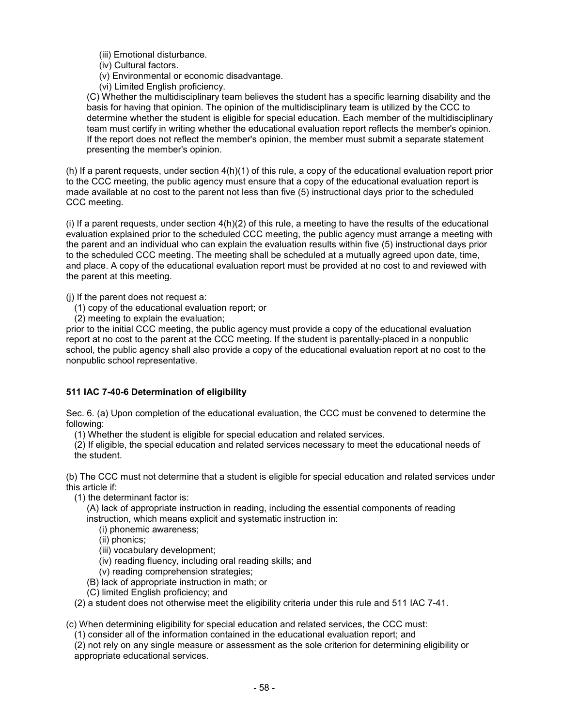(iii) Emotional disturbance.

(iv) Cultural factors.

(v) Environmental or economic disadvantage.

(vi) Limited English proficiency.

(C) Whether the multidisciplinary team believes the student has a specific learning disability and the basis for having that opinion. The opinion of the multidisciplinary team is utilized by the CCC to determine whether the student is eligible for special education. Each member of the multidisciplinary team must certify in writing whether the educational evaluation report reflects the member's opinion. If the report does not reflect the member's opinion, the member must submit a separate statement presenting the member's opinion.

(h) If a parent requests, under section 4(h)(1) of this rule, a copy of the educational evaluation report prior to the CCC meeting, the public agency must ensure that a copy of the educational evaluation report is made available at no cost to the parent not less than five (5) instructional days prior to the scheduled CCC meeting.

(i) If a parent requests, under section 4(h)(2) of this rule, a meeting to have the results of the educational evaluation explained prior to the scheduled CCC meeting, the public agency must arrange a meeting with the parent and an individual who can explain the evaluation results within five (5) instructional days prior to the scheduled CCC meeting. The meeting shall be scheduled at a mutually agreed upon date, time, and place. A copy of the educational evaluation report must be provided at no cost to and reviewed with the parent at this meeting.

(j) If the parent does not request a:

- (1) copy of the educational evaluation report; or
- (2) meeting to explain the evaluation;

prior to the initial CCC meeting, the public agency must provide a copy of the educational evaluation report at no cost to the parent at the CCC meeting. If the student is parentally-placed in a nonpublic school, the public agency shall also provide a copy of the educational evaluation report at no cost to the nonpublic school representative.

## **511 IAC 7-40-6 Determination of eligibility**

Sec. 6. (a) Upon completion of the educational evaluation, the CCC must be convened to determine the following:

(1) Whether the student is eligible for special education and related services.

(2) If eligible, the special education and related services necessary to meet the educational needs of the student.

(b) The CCC must not determine that a student is eligible for special education and related services under this article if:

(1) the determinant factor is:

(A) lack of appropriate instruction in reading, including the essential components of reading instruction, which means explicit and systematic instruction in:

(i) phonemic awareness;

(ii) phonics;

(iii) vocabulary development;

(iv) reading fluency, including oral reading skills; and

(v) reading comprehension strategies;

(B) lack of appropriate instruction in math; or

(C) limited English proficiency; and

(2) a student does not otherwise meet the eligibility criteria under this rule and 511 IAC 7-41.

(c) When determining eligibility for special education and related services, the CCC must:

(1) consider all of the information contained in the educational evaluation report; and

(2) not rely on any single measure or assessment as the sole criterion for determining eligibility or appropriate educational services.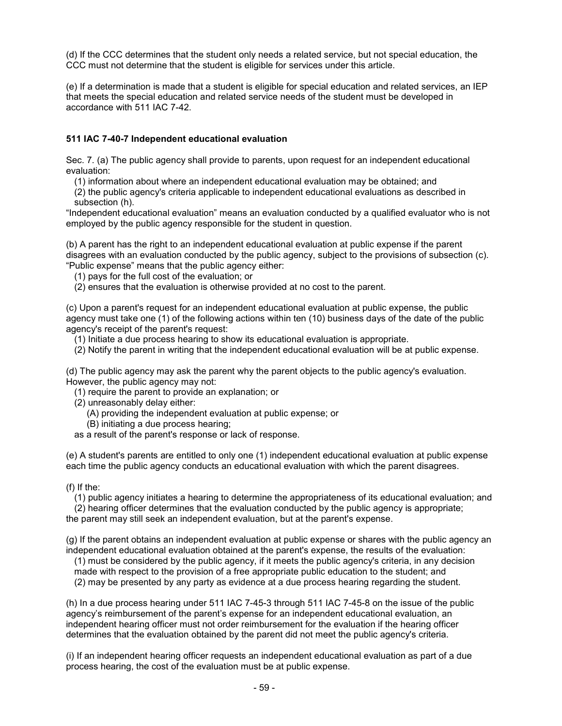(d) If the CCC determines that the student only needs a related service, but not special education, the CCC must not determine that the student is eligible for services under this article.

(e) If a determination is made that a student is eligible for special education and related services, an IEP that meets the special education and related service needs of the student must be developed in accordance with 511 IAC 7-42.

## **511 IAC 7-40-7 Independent educational evaluation**

Sec. 7. (a) The public agency shall provide to parents, upon request for an independent educational evaluation:

(1) information about where an independent educational evaluation may be obtained; and

(2) the public agency's criteria applicable to independent educational evaluations as described in subsection (h).

"Independent educational evaluation" means an evaluation conducted by a qualified evaluator who is not employed by the public agency responsible for the student in question.

(b) A parent has the right to an independent educational evaluation at public expense if the parent disagrees with an evaluation conducted by the public agency, subject to the provisions of subsection (c). "Public expense" means that the public agency either:

(1) pays for the full cost of the evaluation; or

(2) ensures that the evaluation is otherwise provided at no cost to the parent.

(c) Upon a parent's request for an independent educational evaluation at public expense, the public agency must take one (1) of the following actions within ten (10) business days of the date of the public agency's receipt of the parent's request:

(1) Initiate a due process hearing to show its educational evaluation is appropriate.

(2) Notify the parent in writing that the independent educational evaluation will be at public expense.

(d) The public agency may ask the parent why the parent objects to the public agency's evaluation. However, the public agency may not:

(1) require the parent to provide an explanation; or

(2) unreasonably delay either:

(A) providing the independent evaluation at public expense; or

(B) initiating a due process hearing;

as a result of the parent's response or lack of response.

(e) A student's parents are entitled to only one (1) independent educational evaluation at public expense each time the public agency conducts an educational evaluation with which the parent disagrees.

#### (f) If the:

(1) public agency initiates a hearing to determine the appropriateness of its educational evaluation; and (2) hearing officer determines that the evaluation conducted by the public agency is appropriate;

the parent may still seek an independent evaluation, but at the parent's expense.

(g) If the parent obtains an independent evaluation at public expense or shares with the public agency an independent educational evaluation obtained at the parent's expense, the results of the evaluation:

(1) must be considered by the public agency, if it meets the public agency's criteria, in any decision

made with respect to the provision of a free appropriate public education to the student; and

(2) may be presented by any party as evidence at a due process hearing regarding the student.

(h) In a due process hearing under 511 IAC 7-45-3 through 511 IAC 7-45-8 on the issue of the public agency's reimbursement of the parent's expense for an independent educational evaluation, an independent hearing officer must not order reimbursement for the evaluation if the hearing officer determines that the evaluation obtained by the parent did not meet the public agency's criteria.

(i) If an independent hearing officer requests an independent educational evaluation as part of a due process hearing, the cost of the evaluation must be at public expense.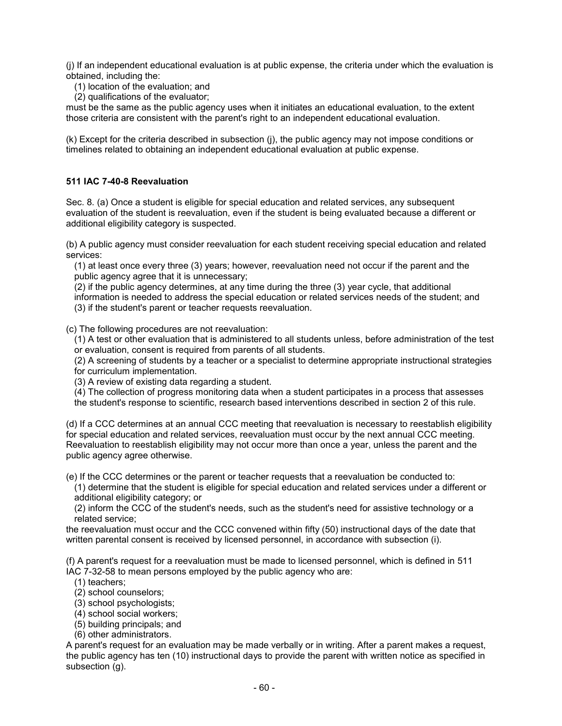(j) If an independent educational evaluation is at public expense, the criteria under which the evaluation is obtained, including the:

- (1) location of the evaluation; and
- (2) qualifications of the evaluator;

must be the same as the public agency uses when it initiates an educational evaluation, to the extent those criteria are consistent with the parent's right to an independent educational evaluation.

(k) Except for the criteria described in subsection (j), the public agency may not impose conditions or timelines related to obtaining an independent educational evaluation at public expense.

## **511 IAC 7-40-8 Reevaluation**

Sec. 8. (a) Once a student is eligible for special education and related services, any subsequent evaluation of the student is reevaluation, even if the student is being evaluated because a different or additional eligibility category is suspected.

(b) A public agency must consider reevaluation for each student receiving special education and related services:

(1) at least once every three (3) years; however, reevaluation need not occur if the parent and the public agency agree that it is unnecessary;

(2) if the public agency determines, at any time during the three (3) year cycle, that additional information is needed to address the special education or related services needs of the student; and (3) if the student's parent or teacher requests reevaluation.

(c) The following procedures are not reevaluation:

(1) A test or other evaluation that is administered to all students unless, before administration of the test or evaluation, consent is required from parents of all students.

(2) A screening of students by a teacher or a specialist to determine appropriate instructional strategies for curriculum implementation.

(3) A review of existing data regarding a student.

(4) The collection of progress monitoring data when a student participates in a process that assesses

the student's response to scientific, research based interventions described in section 2 of this rule.

(d) If a CCC determines at an annual CCC meeting that reevaluation is necessary to reestablish eligibility for special education and related services, reevaluation must occur by the next annual CCC meeting. Reevaluation to reestablish eligibility may not occur more than once a year, unless the parent and the public agency agree otherwise.

(e) If the CCC determines or the parent or teacher requests that a reevaluation be conducted to:

(1) determine that the student is eligible for special education and related services under a different or additional eligibility category; or

(2) inform the CCC of the student's needs, such as the student's need for assistive technology or a related service;

the reevaluation must occur and the CCC convened within fifty (50) instructional days of the date that written parental consent is received by licensed personnel, in accordance with subsection (i).

(f) A parent's request for a reevaluation must be made to licensed personnel, which is defined in 511 IAC 7-32-58 to mean persons employed by the public agency who are:

- (1) teachers;
- (2) school counselors;
- (3) school psychologists;
- (4) school social workers;
- (5) building principals; and
- (6) other administrators.

A parent's request for an evaluation may be made verbally or in writing. After a parent makes a request, the public agency has ten (10) instructional days to provide the parent with written notice as specified in subsection (g).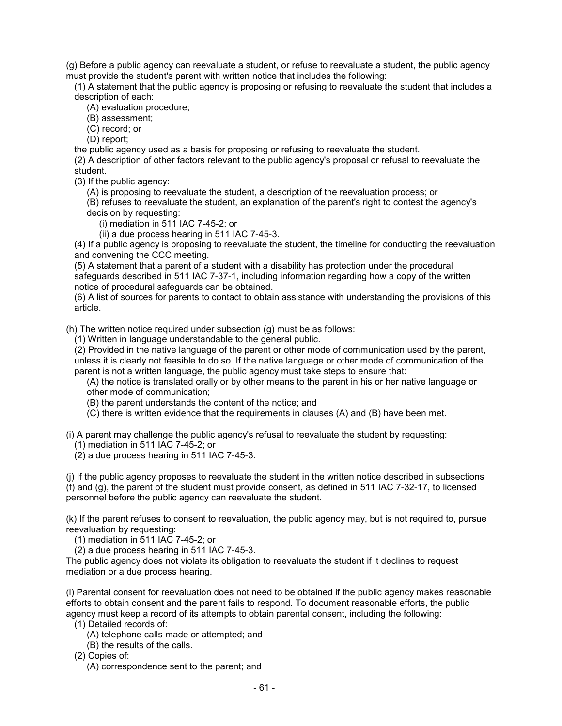(g) Before a public agency can reevaluate a student, or refuse to reevaluate a student, the public agency must provide the student's parent with written notice that includes the following:

(1) A statement that the public agency is proposing or refusing to reevaluate the student that includes a description of each:

(A) evaluation procedure;

(B) assessment;

(C) record; or

(D) report;

the public agency used as a basis for proposing or refusing to reevaluate the student.

(2) A description of other factors relevant to the public agency's proposal or refusal to reevaluate the student.

(3) If the public agency:

(A) is proposing to reevaluate the student, a description of the reevaluation process; or

(B) refuses to reevaluate the student, an explanation of the parent's right to contest the agency's decision by requesting:

(i) mediation in 511 IAC 7-45-2; or

(ii) a due process hearing in 511 IAC 7-45-3.

(4) If a public agency is proposing to reevaluate the student, the timeline for conducting the reevaluation and convening the CCC meeting.

(5) A statement that a parent of a student with a disability has protection under the procedural safeguards described in 511 IAC 7-37-1, including information regarding how a copy of the written notice of procedural safeguards can be obtained.

(6) A list of sources for parents to contact to obtain assistance with understanding the provisions of this article.

(h) The written notice required under subsection (g) must be as follows:

(1) Written in language understandable to the general public.

(2) Provided in the native language of the parent or other mode of communication used by the parent, unless it is clearly not feasible to do so. If the native language or other mode of communication of the parent is not a written language, the public agency must take steps to ensure that:

(A) the notice is translated orally or by other means to the parent in his or her native language or other mode of communication;

(B) the parent understands the content of the notice; and

(C) there is written evidence that the requirements in clauses (A) and (B) have been met.

(i) A parent may challenge the public agency's refusal to reevaluate the student by requesting:

(1) mediation in 511 IAC 7-45-2; or

(2) a due process hearing in 511 IAC 7-45-3.

(j) If the public agency proposes to reevaluate the student in the written notice described in subsections (f) and (g), the parent of the student must provide consent, as defined in 511 IAC 7-32-17, to licensed personnel before the public agency can reevaluate the student.

(k) If the parent refuses to consent to reevaluation, the public agency may, but is not required to, pursue reevaluation by requesting:

(1) mediation in 511 IAC 7-45-2; or

(2) a due process hearing in 511 IAC 7-45-3.

The public agency does not violate its obligation to reevaluate the student if it declines to request mediation or a due process hearing.

(l) Parental consent for reevaluation does not need to be obtained if the public agency makes reasonable efforts to obtain consent and the parent fails to respond. To document reasonable efforts, the public agency must keep a record of its attempts to obtain parental consent, including the following:

(1) Detailed records of:

(A) telephone calls made or attempted; and

(B) the results of the calls.

(2) Copies of:

(A) correspondence sent to the parent; and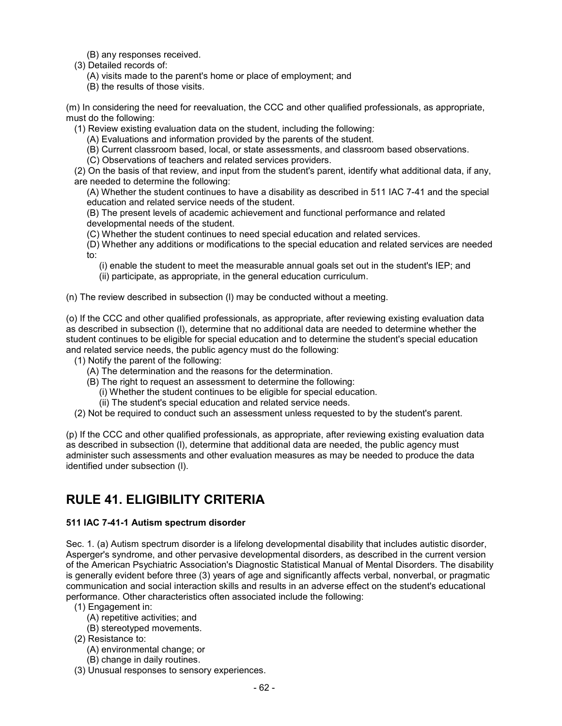(B) any responses received.

- (3) Detailed records of:
	- (A) visits made to the parent's home or place of employment; and
	- (B) the results of those visits.

(m) In considering the need for reevaluation, the CCC and other qualified professionals, as appropriate, must do the following:

(1) Review existing evaluation data on the student, including the following:

- (A) Evaluations and information provided by the parents of the student.
- (B) Current classroom based, local, or state assessments, and classroom based observations.
- (C) Observations of teachers and related services providers.

(2) On the basis of that review, and input from the student's parent, identify what additional data, if any, are needed to determine the following:

(A) Whether the student continues to have a disability as described in 511 IAC 7-41 and the special education and related service needs of the student.

(B) The present levels of academic achievement and functional performance and related

- developmental needs of the student.
- (C) Whether the student continues to need special education and related services.
- (D) Whether any additions or modifications to the special education and related services are needed to:
	- (i) enable the student to meet the measurable annual goals set out in the student's IEP; and
	- (ii) participate, as appropriate, in the general education curriculum.
- (n) The review described in subsection (l) may be conducted without a meeting.

(o) If the CCC and other qualified professionals, as appropriate, after reviewing existing evaluation data as described in subsection (l), determine that no additional data are needed to determine whether the student continues to be eligible for special education and to determine the student's special education and related service needs, the public agency must do the following:

- (1) Notify the parent of the following:
	- (A) The determination and the reasons for the determination.
	- (B) The right to request an assessment to determine the following:
		- (i) Whether the student continues to be eligible for special education.
		- (ii) The student's special education and related service needs.
- (2) Not be required to conduct such an assessment unless requested to by the student's parent.

(p) If the CCC and other qualified professionals, as appropriate, after reviewing existing evaluation data as described in subsection (l), determine that additional data are needed, the public agency must administer such assessments and other evaluation measures as may be needed to produce the data identified under subsection (l).

## **RULE 41. ELIGIBILITY CRITERIA**

## **511 IAC 7-41-1 Autism spectrum disorder**

Sec. 1. (a) Autism spectrum disorder is a lifelong developmental disability that includes autistic disorder, Asperger's syndrome, and other pervasive developmental disorders, as described in the current version of the American Psychiatric Association's Diagnostic Statistical Manual of Mental Disorders. The disability is generally evident before three (3) years of age and significantly affects verbal, nonverbal, or pragmatic communication and social interaction skills and results in an adverse effect on the student's educational performance. Other characteristics often associated include the following:

- (1) Engagement in:
	- (A) repetitive activities; and
	- (B) stereotyped movements.
- (2) Resistance to:
	- (A) environmental change; or
	- (B) change in daily routines.
- (3) Unusual responses to sensory experiences.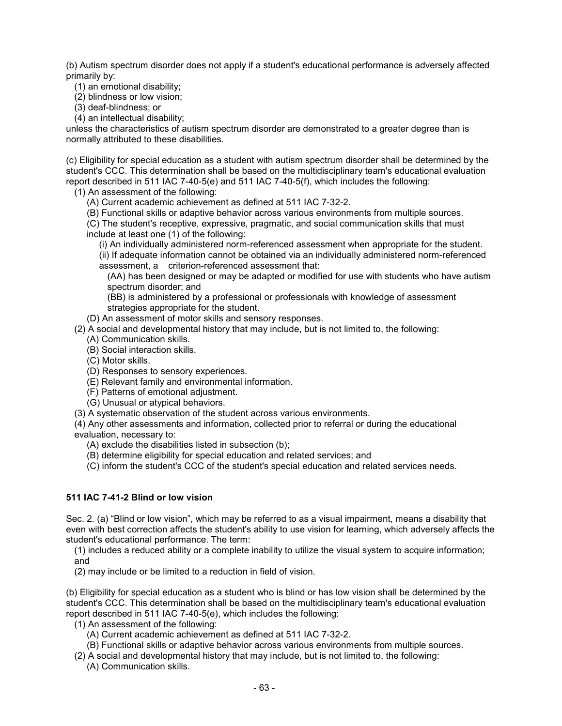(b) Autism spectrum disorder does not apply if a student's educational performance is adversely affected primarily by:

(1) an emotional disability;

(2) blindness or low vision;

(3) deaf-blindness; or

(4) an intellectual disability;

unless the characteristics of autism spectrum disorder are demonstrated to a greater degree than is normally attributed to these disabilities.

(c) Eligibility for special education as a student with autism spectrum disorder shall be determined by the student's CCC. This determination shall be based on the multidisciplinary team's educational evaluation report described in 511 IAC 7-40-5(e) and 511 IAC 7-40-5(f), which includes the following:

(1) An assessment of the following:

(A) Current academic achievement as defined at 511 IAC 7-32-2.

(B) Functional skills or adaptive behavior across various environments from multiple sources.

(C) The student's receptive, expressive, pragmatic, and social communication skills that must include at least one (1) of the following:

(i) An individually administered norm-referenced assessment when appropriate for the student. (ii) If adequate information cannot be obtained via an individually administered norm-referenced assessment, a criterion-referenced assessment that:

(AA) has been designed or may be adapted or modified for use with students who have autism spectrum disorder; and

(BB) is administered by a professional or professionals with knowledge of assessment strategies appropriate for the student.

(D) An assessment of motor skills and sensory responses.

- (2) A social and developmental history that may include, but is not limited to, the following:
	- (A) Communication skills.
	- (B) Social interaction skills.
	- (C) Motor skills.
	- (D) Responses to sensory experiences.
	- (E) Relevant family and environmental information.
	- (F) Patterns of emotional adjustment.
	- (G) Unusual or atypical behaviors.
- (3) A systematic observation of the student across various environments.

(4) Any other assessments and information, collected prior to referral or during the educational evaluation, necessary to:

(A) exclude the disabilities listed in subsection (b);

(B) determine eligibility for special education and related services; and

(C) inform the student's CCC of the student's special education and related services needs.

## **511 IAC 7-41-2 Blind or low vision**

Sec. 2. (a) "Blind or low vision", which may be referred to as a visual impairment, means a disability that even with best correction affects the student's ability to use vision for learning, which adversely affects the student's educational performance. The term:

(1) includes a reduced ability or a complete inability to utilize the visual system to acquire information; and

(2) may include or be limited to a reduction in field of vision.

(b) Eligibility for special education as a student who is blind or has low vision shall be determined by the student's CCC. This determination shall be based on the multidisciplinary team's educational evaluation report described in 511 IAC 7-40-5(e), which includes the following:

- (1) An assessment of the following:
	- (A) Current academic achievement as defined at 511 IAC 7-32-2.
	- (B) Functional skills or adaptive behavior across various environments from multiple sources.
- (2) A social and developmental history that may include, but is not limited to, the following:
	- (A) Communication skills.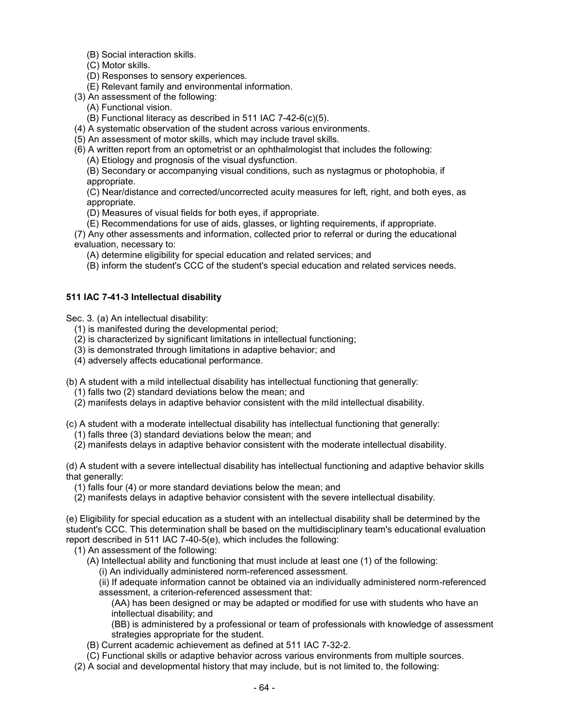(B) Social interaction skills.

- (C) Motor skills.
- (D) Responses to sensory experiences.
- (E) Relevant family and environmental information.
- (3) An assessment of the following:
	- (A) Functional vision.
	- (B) Functional literacy as described in 511 IAC 7-42-6(c)(5).
- (4) A systematic observation of the student across various environments.
- (5) An assessment of motor skills, which may include travel skills.
- (6) A written report from an optometrist or an ophthalmologist that includes the following:
	- (A) Etiology and prognosis of the visual dysfunction.

(B) Secondary or accompanying visual conditions, such as nystagmus or photophobia, if appropriate.

(C) Near/distance and corrected/uncorrected acuity measures for left, right, and both eyes, as appropriate.

- (D) Measures of visual fields for both eyes, if appropriate.
- (E) Recommendations for use of aids, glasses, or lighting requirements, if appropriate.

(7) Any other assessments and information, collected prior to referral or during the educational evaluation, necessary to:

(A) determine eligibility for special education and related services; and

(B) inform the student's CCC of the student's special education and related services needs.

## **511 IAC 7-41-3 Intellectual disability**

Sec. 3. (a) An intellectual disability:

- (1) is manifested during the developmental period;
- (2) is characterized by significant limitations in intellectual functioning;
- (3) is demonstrated through limitations in adaptive behavior; and
- (4) adversely affects educational performance.

(b) A student with a mild intellectual disability has intellectual functioning that generally:

- (1) falls two (2) standard deviations below the mean; and
- (2) manifests delays in adaptive behavior consistent with the mild intellectual disability.

(c) A student with a moderate intellectual disability has intellectual functioning that generally:

(1) falls three (3) standard deviations below the mean; and

(2) manifests delays in adaptive behavior consistent with the moderate intellectual disability.

(d) A student with a severe intellectual disability has intellectual functioning and adaptive behavior skills that generally:

(1) falls four (4) or more standard deviations below the mean; and

(2) manifests delays in adaptive behavior consistent with the severe intellectual disability.

(e) Eligibility for special education as a student with an intellectual disability shall be determined by the student's CCC. This determination shall be based on the multidisciplinary team's educational evaluation report described in 511 IAC 7-40-5(e), which includes the following:

(1) An assessment of the following:

- (A) Intellectual ability and functioning that must include at least one (1) of the following:
	- (i) An individually administered norm-referenced assessment.

(ii) If adequate information cannot be obtained via an individually administered norm-referenced assessment, a criterion-referenced assessment that:

(AA) has been designed or may be adapted or modified for use with students who have an intellectual disability; and

(BB) is administered by a professional or team of professionals with knowledge of assessment strategies appropriate for the student.

- (B) Current academic achievement as defined at 511 IAC 7-32-2.
- (C) Functional skills or adaptive behavior across various environments from multiple sources.
- (2) A social and developmental history that may include, but is not limited to, the following: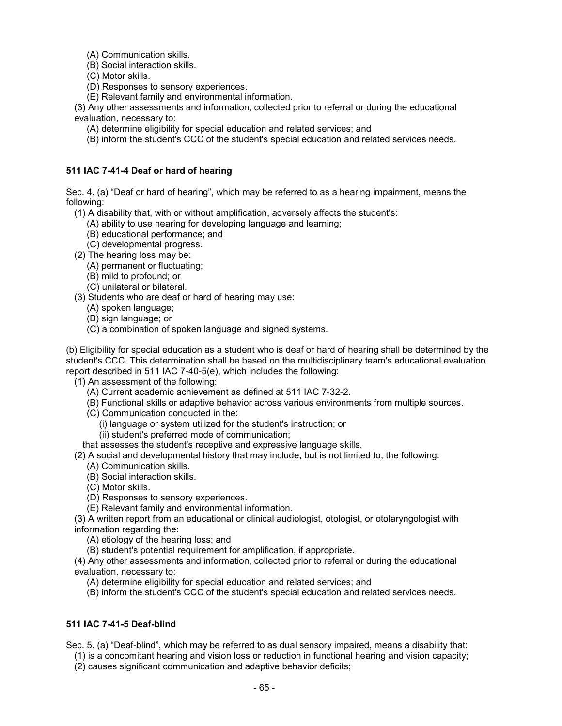(A) Communication skills.

(B) Social interaction skills.

(C) Motor skills.

(D) Responses to sensory experiences.

(E) Relevant family and environmental information.

(3) Any other assessments and information, collected prior to referral or during the educational evaluation, necessary to:

(A) determine eligibility for special education and related services; and

(B) inform the student's CCC of the student's special education and related services needs.

## **511 IAC 7-41-4 Deaf or hard of hearing**

Sec. 4. (a) "Deaf or hard of hearing", which may be referred to as a hearing impairment, means the following:

(1) A disability that, with or without amplification, adversely affects the student's:

- (A) ability to use hearing for developing language and learning;
- (B) educational performance; and
- (C) developmental progress.
- (2) The hearing loss may be:
	- (A) permanent or fluctuating;
	- (B) mild to profound; or
	- (C) unilateral or bilateral.
- (3) Students who are deaf or hard of hearing may use:
	- (A) spoken language;
	- (B) sign language; or
	- (C) a combination of spoken language and signed systems.

(b) Eligibility for special education as a student who is deaf or hard of hearing shall be determined by the student's CCC. This determination shall be based on the multidisciplinary team's educational evaluation report described in 511 IAC 7-40-5(e), which includes the following:

(1) An assessment of the following:

- (A) Current academic achievement as defined at 511 IAC 7-32-2.
- (B) Functional skills or adaptive behavior across various environments from multiple sources.
- (C) Communication conducted in the:
	- (i) language or system utilized for the student's instruction; or
	- (ii) student's preferred mode of communication;

that assesses the student's receptive and expressive language skills.

(2) A social and developmental history that may include, but is not limited to, the following:

- (A) Communication skills.
- (B) Social interaction skills.
- (C) Motor skills.
- (D) Responses to sensory experiences.
- (E) Relevant family and environmental information.

(3) A written report from an educational or clinical audiologist, otologist, or otolaryngologist with information regarding the:

(A) etiology of the hearing loss; and

(B) student's potential requirement for amplification, if appropriate.

(4) Any other assessments and information, collected prior to referral or during the educational evaluation, necessary to:

(A) determine eligibility for special education and related services; and

(B) inform the student's CCC of the student's special education and related services needs.

## **511 IAC 7-41-5 Deaf-blind**

Sec. 5. (a) "Deaf-blind", which may be referred to as dual sensory impaired, means a disability that:

(1) is a concomitant hearing and vision loss or reduction in functional hearing and vision capacity;

(2) causes significant communication and adaptive behavior deficits;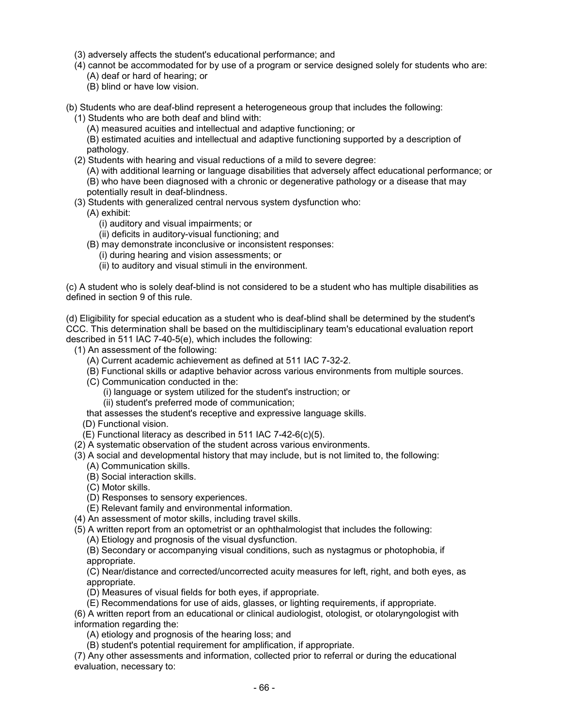- (3) adversely affects the student's educational performance; and
- (4) cannot be accommodated for by use of a program or service designed solely for students who are:
	- (A) deaf or hard of hearing; or
	- (B) blind or have low vision.

(b) Students who are deaf-blind represent a heterogeneous group that includes the following:

- (1) Students who are both deaf and blind with:
	- (A) measured acuities and intellectual and adaptive functioning; or

(B) estimated acuities and intellectual and adaptive functioning supported by a description of pathology.

- (2) Students with hearing and visual reductions of a mild to severe degree:
	- (A) with additional learning or language disabilities that adversely affect educational performance; or (B) who have been diagnosed with a chronic or degenerative pathology or a disease that may potentially result in deaf-blindness.
- (3) Students with generalized central nervous system dysfunction who:
	- (A) exhibit:
		- (i) auditory and visual impairments; or
		- (ii) deficits in auditory-visual functioning; and
	- (B) may demonstrate inconclusive or inconsistent responses:
		- (i) during hearing and vision assessments; or
		- (ii) to auditory and visual stimuli in the environment.

(c) A student who is solely deaf-blind is not considered to be a student who has multiple disabilities as defined in section 9 of this rule.

(d) Eligibility for special education as a student who is deaf-blind shall be determined by the student's CCC. This determination shall be based on the multidisciplinary team's educational evaluation report described in 511 IAC 7-40-5(e), which includes the following:

- (1) An assessment of the following:
	- (A) Current academic achievement as defined at 511 IAC 7-32-2.
	- (B) Functional skills or adaptive behavior across various environments from multiple sources.
	- (C) Communication conducted in the:
		- (i) language or system utilized for the student's instruction; or
		- (ii) student's preferred mode of communication;
	- that assesses the student's receptive and expressive language skills.
	- (D) Functional vision.
	- (E) Functional literacy as described in 511 IAC 7-42-6(c)(5).
- (2) A systematic observation of the student across various environments.
- (3) A social and developmental history that may include, but is not limited to, the following:
	- (A) Communication skills.
	- (B) Social interaction skills.
	- (C) Motor skills.
	- (D) Responses to sensory experiences.
	- (E) Relevant family and environmental information.
- (4) An assessment of motor skills, including travel skills.
- (5) A written report from an optometrist or an ophthalmologist that includes the following:
	- (A) Etiology and prognosis of the visual dysfunction.

(B) Secondary or accompanying visual conditions, such as nystagmus or photophobia, if appropriate.

(C) Near/distance and corrected/uncorrected acuity measures for left, right, and both eyes, as appropriate.

- (D) Measures of visual fields for both eyes, if appropriate.
- (E) Recommendations for use of aids, glasses, or lighting requirements, if appropriate.

(6) A written report from an educational or clinical audiologist, otologist, or otolaryngologist with information regarding the:

- (A) etiology and prognosis of the hearing loss; and
- (B) student's potential requirement for amplification, if appropriate.

(7) Any other assessments and information, collected prior to referral or during the educational evaluation, necessary to: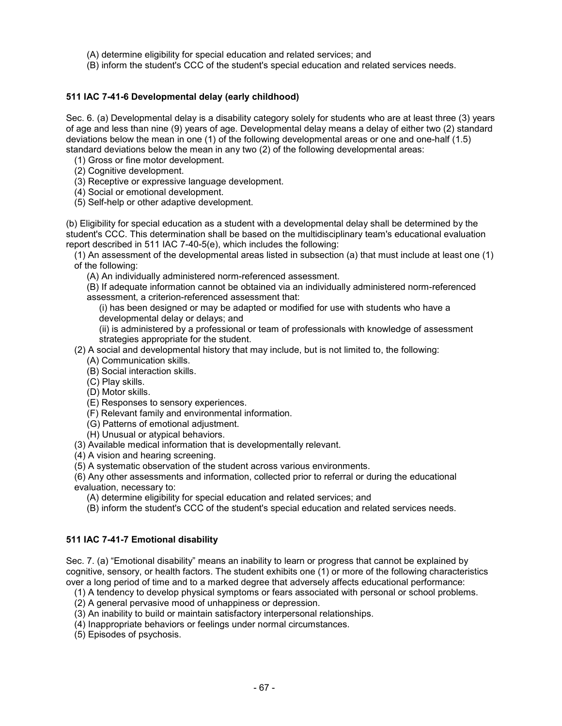(A) determine eligibility for special education and related services; and

(B) inform the student's CCC of the student's special education and related services needs.

## **511 IAC 7-41-6 Developmental delay (early childhood)**

Sec. 6. (a) Developmental delay is a disability category solely for students who are at least three (3) years of age and less than nine (9) years of age. Developmental delay means a delay of either two (2) standard deviations below the mean in one (1) of the following developmental areas or one and one-half (1.5) standard deviations below the mean in any two (2) of the following developmental areas:

(1) Gross or fine motor development.

- (2) Cognitive development.
- (3) Receptive or expressive language development.
- (4) Social or emotional development.
- (5) Self-help or other adaptive development.

(b) Eligibility for special education as a student with a developmental delay shall be determined by the student's CCC. This determination shall be based on the multidisciplinary team's educational evaluation report described in 511 IAC 7-40-5(e), which includes the following:

(1) An assessment of the developmental areas listed in subsection (a) that must include at least one (1) of the following:

(A) An individually administered norm-referenced assessment.

(B) If adequate information cannot be obtained via an individually administered norm-referenced assessment, a criterion-referenced assessment that:

(i) has been designed or may be adapted or modified for use with students who have a developmental delay or delays; and

(ii) is administered by a professional or team of professionals with knowledge of assessment strategies appropriate for the student.

- (2) A social and developmental history that may include, but is not limited to, the following:
	- (A) Communication skills.
	- (B) Social interaction skills.
	- (C) Play skills.
	- (D) Motor skills.
	- (E) Responses to sensory experiences.
	- (F) Relevant family and environmental information.
	- (G) Patterns of emotional adjustment.
	- (H) Unusual or atypical behaviors.
- (3) Available medical information that is developmentally relevant.
- (4) A vision and hearing screening.
- (5) A systematic observation of the student across various environments.

(6) Any other assessments and information, collected prior to referral or during the educational evaluation, necessary to:

(A) determine eligibility for special education and related services; and

(B) inform the student's CCC of the student's special education and related services needs.

## **511 IAC 7-41-7 Emotional disability**

Sec. 7. (a) "Emotional disability" means an inability to learn or progress that cannot be explained by cognitive, sensory, or health factors. The student exhibits one (1) or more of the following characteristics over a long period of time and to a marked degree that adversely affects educational performance:

- (1) A tendency to develop physical symptoms or fears associated with personal or school problems.
- (2) A general pervasive mood of unhappiness or depression.
- (3) An inability to build or maintain satisfactory interpersonal relationships.
- (4) Inappropriate behaviors or feelings under normal circumstances.
- (5) Episodes of psychosis.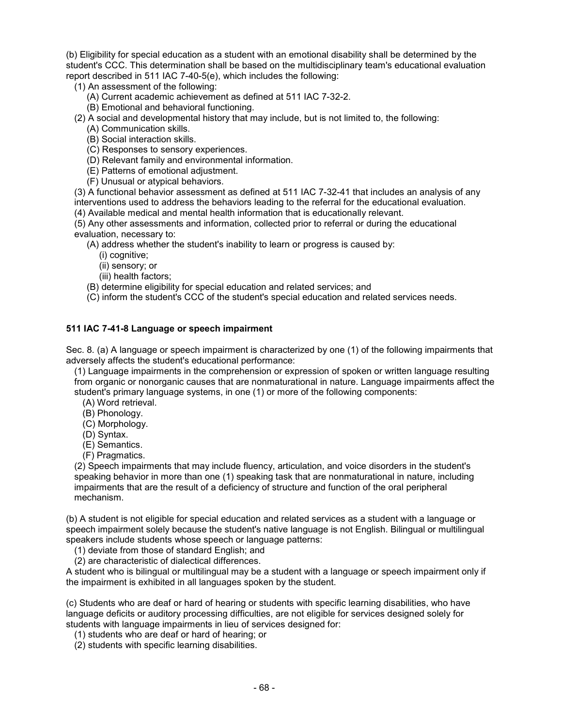(b) Eligibility for special education as a student with an emotional disability shall be determined by the student's CCC. This determination shall be based on the multidisciplinary team's educational evaluation report described in 511 IAC 7-40-5(e), which includes the following:

- (1) An assessment of the following:
	- (A) Current academic achievement as defined at 511 IAC 7-32-2.
	- (B) Emotional and behavioral functioning.
- (2) A social and developmental history that may include, but is not limited to, the following:
	- (A) Communication skills.
	- (B) Social interaction skills.
	- (C) Responses to sensory experiences.
	- (D) Relevant family and environmental information.
	- (E) Patterns of emotional adjustment.
	- (F) Unusual or atypical behaviors.

(3) A functional behavior assessment as defined at 511 IAC 7-32-41 that includes an analysis of any interventions used to address the behaviors leading to the referral for the educational evaluation.

(4) Available medical and mental health information that is educationally relevant.

(5) Any other assessments and information, collected prior to referral or during the educational evaluation, necessary to:

(A) address whether the student's inability to learn or progress is caused by:

- (i) cognitive;
- (ii) sensory; or
- (iii) health factors;
- (B) determine eligibility for special education and related services; and
- (C) inform the student's CCC of the student's special education and related services needs.

## **511 IAC 7-41-8 Language or speech impairment**

Sec. 8. (a) A language or speech impairment is characterized by one (1) of the following impairments that adversely affects the student's educational performance:

(1) Language impairments in the comprehension or expression of spoken or written language resulting from organic or nonorganic causes that are nonmaturational in nature. Language impairments affect the student's primary language systems, in one (1) or more of the following components:

- (A) Word retrieval.
- (B) Phonology.
- (C) Morphology.
- (D) Syntax.
- (E) Semantics.
- (F) Pragmatics.

(2) Speech impairments that may include fluency, articulation, and voice disorders in the student's speaking behavior in more than one (1) speaking task that are nonmaturational in nature, including impairments that are the result of a deficiency of structure and function of the oral peripheral mechanism.

(b) A student is not eligible for special education and related services as a student with a language or speech impairment solely because the student's native language is not English. Bilingual or multilingual speakers include students whose speech or language patterns:

(1) deviate from those of standard English; and

(2) are characteristic of dialectical differences.

A student who is bilingual or multilingual may be a student with a language or speech impairment only if the impairment is exhibited in all languages spoken by the student.

(c) Students who are deaf or hard of hearing or students with specific learning disabilities, who have language deficits or auditory processing difficulties, are not eligible for services designed solely for students with language impairments in lieu of services designed for:

- (1) students who are deaf or hard of hearing; or
- (2) students with specific learning disabilities.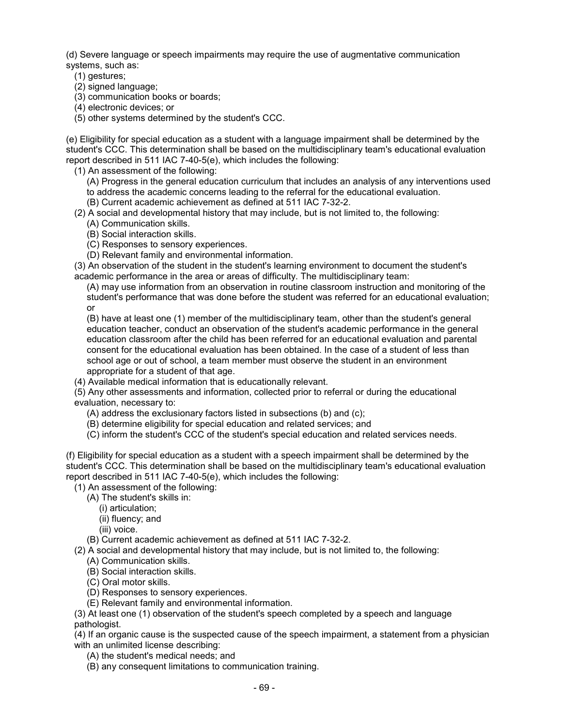(d) Severe language or speech impairments may require the use of augmentative communication systems, such as:

(1) gestures;

(2) signed language;

(3) communication books or boards;

(4) electronic devices; or

(5) other systems determined by the student's CCC.

(e) Eligibility for special education as a student with a language impairment shall be determined by the student's CCC. This determination shall be based on the multidisciplinary team's educational evaluation report described in 511 IAC 7-40-5(e), which includes the following:

(1) An assessment of the following:

(A) Progress in the general education curriculum that includes an analysis of any interventions used to address the academic concerns leading to the referral for the educational evaluation.

(B) Current academic achievement as defined at 511 IAC 7-32-2.

(2) A social and developmental history that may include, but is not limited to, the following:

- (A) Communication skills.
- (B) Social interaction skills.
- (C) Responses to sensory experiences.
- (D) Relevant family and environmental information.

(3) An observation of the student in the student's learning environment to document the student's academic performance in the area or areas of difficulty. The multidisciplinary team:

(A) may use information from an observation in routine classroom instruction and monitoring of the student's performance that was done before the student was referred for an educational evaluation; or

(B) have at least one (1) member of the multidisciplinary team, other than the student's general education teacher, conduct an observation of the student's academic performance in the general education classroom after the child has been referred for an educational evaluation and parental consent for the educational evaluation has been obtained. In the case of a student of less than school age or out of school, a team member must observe the student in an environment appropriate for a student of that age.

(4) Available medical information that is educationally relevant.

(5) Any other assessments and information, collected prior to referral or during the educational evaluation, necessary to:

- (A) address the exclusionary factors listed in subsections (b) and (c);
- (B) determine eligibility for special education and related services; and
- (C) inform the student's CCC of the student's special education and related services needs.

(f) Eligibility for special education as a student with a speech impairment shall be determined by the student's CCC. This determination shall be based on the multidisciplinary team's educational evaluation report described in 511 IAC 7-40-5(e), which includes the following:

(1) An assessment of the following:

- (A) The student's skills in:
	- (i) articulation;
	- (ii) fluency; and
	- (iii) voice.

(B) Current academic achievement as defined at 511 IAC 7-32-2.

- (2) A social and developmental history that may include, but is not limited to, the following:
	- (A) Communication skills.
	- (B) Social interaction skills.
	- (C) Oral motor skills.
	- (D) Responses to sensory experiences.
	- (E) Relevant family and environmental information.

(3) At least one (1) observation of the student's speech completed by a speech and language pathologist.

(4) If an organic cause is the suspected cause of the speech impairment, a statement from a physician with an unlimited license describing:

(A) the student's medical needs; and

(B) any consequent limitations to communication training.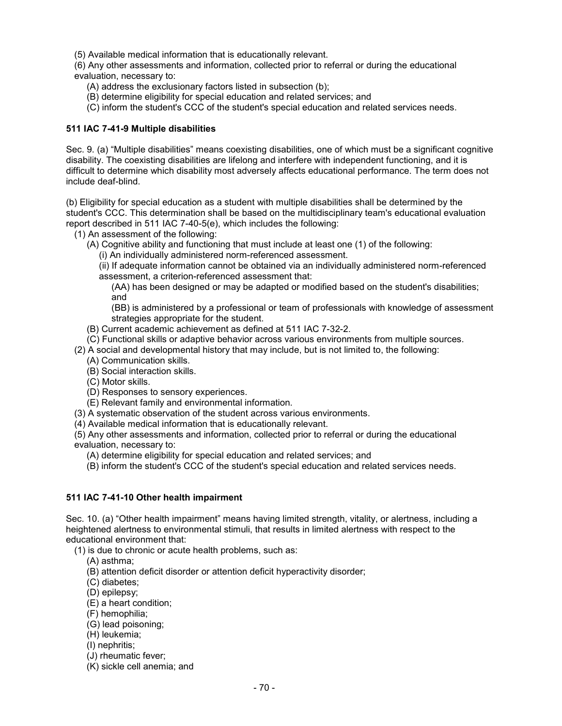(5) Available medical information that is educationally relevant.

(6) Any other assessments and information, collected prior to referral or during the educational evaluation, necessary to:

- (A) address the exclusionary factors listed in subsection (b);
- (B) determine eligibility for special education and related services; and
- (C) inform the student's CCC of the student's special education and related services needs.

## **511 IAC 7-41-9 Multiple disabilities**

Sec. 9. (a) "Multiple disabilities" means coexisting disabilities, one of which must be a significant cognitive disability. The coexisting disabilities are lifelong and interfere with independent functioning, and it is difficult to determine which disability most adversely affects educational performance. The term does not include deaf-blind.

(b) Eligibility for special education as a student with multiple disabilities shall be determined by the student's CCC. This determination shall be based on the multidisciplinary team's educational evaluation report described in 511 IAC 7-40-5(e), which includes the following:

- (1) An assessment of the following:
	- (A) Cognitive ability and functioning that must include at least one (1) of the following:
		- (i) An individually administered norm-referenced assessment.

(ii) If adequate information cannot be obtained via an individually administered norm-referenced assessment, a criterion-referenced assessment that:

(AA) has been designed or may be adapted or modified based on the student's disabilities; and

(BB) is administered by a professional or team of professionals with knowledge of assessment strategies appropriate for the student.

- (B) Current academic achievement as defined at 511 IAC 7-32-2.
- (C) Functional skills or adaptive behavior across various environments from multiple sources.
- (2) A social and developmental history that may include, but is not limited to, the following:
	- (A) Communication skills.
	- (B) Social interaction skills.
	- (C) Motor skills.
	- (D) Responses to sensory experiences.
	- (E) Relevant family and environmental information.
- (3) A systematic observation of the student across various environments.
- (4) Available medical information that is educationally relevant.

(5) Any other assessments and information, collected prior to referral or during the educational evaluation, necessary to:

- (A) determine eligibility for special education and related services; and
- (B) inform the student's CCC of the student's special education and related services needs.

## **511 IAC 7-41-10 Other health impairment**

Sec. 10. (a) "Other health impairment" means having limited strength, vitality, or alertness, including a heightened alertness to environmental stimuli, that results in limited alertness with respect to the educational environment that:

(1) is due to chronic or acute health problems, such as:

- (A) asthma;
- (B) attention deficit disorder or attention deficit hyperactivity disorder;
- (C) diabetes;
- (D) epilepsy;
- (E) a heart condition;
- (F) hemophilia;
- (G) lead poisoning;
- (H) leukemia;
- (I) nephritis;
- (J) rheumatic fever;
- (K) sickle cell anemia; and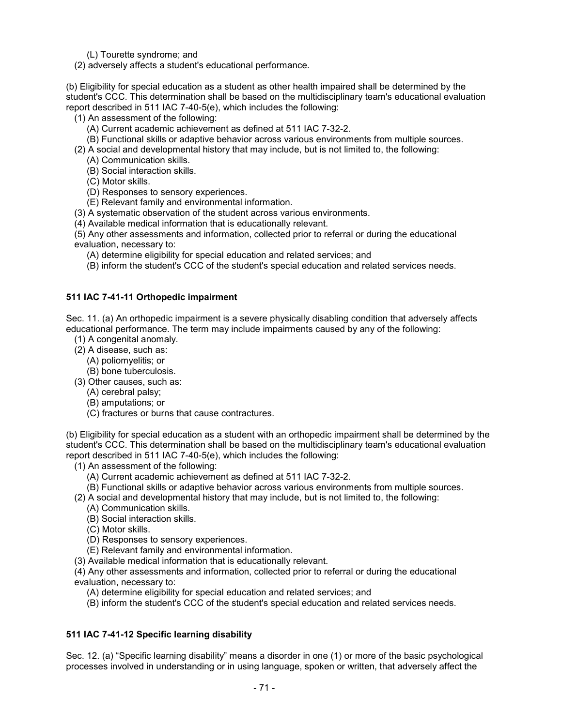(L) Tourette syndrome; and

(2) adversely affects a student's educational performance.

(b) Eligibility for special education as a student as other health impaired shall be determined by the student's CCC. This determination shall be based on the multidisciplinary team's educational evaluation report described in 511 IAC 7-40-5(e), which includes the following:

- (1) An assessment of the following:
	- (A) Current academic achievement as defined at 511 IAC 7-32-2.
	- (B) Functional skills or adaptive behavior across various environments from multiple sources.
- (2) A social and developmental history that may include, but is not limited to, the following:
	- (A) Communication skills.
	- (B) Social interaction skills.
	- (C) Motor skills.
	- (D) Responses to sensory experiences.
	- (E) Relevant family and environmental information.
- (3) A systematic observation of the student across various environments.
- (4) Available medical information that is educationally relevant.

(5) Any other assessments and information, collected prior to referral or during the educational evaluation, necessary to:

(A) determine eligibility for special education and related services; and

(B) inform the student's CCC of the student's special education and related services needs.

## **511 IAC 7-41-11 Orthopedic impairment**

Sec. 11. (a) An orthopedic impairment is a severe physically disabling condition that adversely affects educational performance. The term may include impairments caused by any of the following:

- (1) A congenital anomaly.
- (2) A disease, such as:
	- (A) poliomyelitis; or
	- (B) bone tuberculosis.
- (3) Other causes, such as:
	- (A) cerebral palsy;
	- (B) amputations; or
	- (C) fractures or burns that cause contractures.

(b) Eligibility for special education as a student with an orthopedic impairment shall be determined by the student's CCC. This determination shall be based on the multidisciplinary team's educational evaluation report described in 511 IAC 7-40-5(e), which includes the following:

- (1) An assessment of the following:
	- (A) Current academic achievement as defined at 511 IAC 7-32-2.
	- (B) Functional skills or adaptive behavior across various environments from multiple sources.
- (2) A social and developmental history that may include, but is not limited to, the following:
	- (A) Communication skills.
	- (B) Social interaction skills.
	- (C) Motor skills.
	- (D) Responses to sensory experiences.
	- (E) Relevant family and environmental information.
- (3) Available medical information that is educationally relevant.

(4) Any other assessments and information, collected prior to referral or during the educational evaluation, necessary to:

- (A) determine eligibility for special education and related services; and
- (B) inform the student's CCC of the student's special education and related services needs.

## **511 IAC 7-41-12 Specific learning disability**

Sec. 12. (a) "Specific learning disability" means a disorder in one (1) or more of the basic psychological processes involved in understanding or in using language, spoken or written, that adversely affect the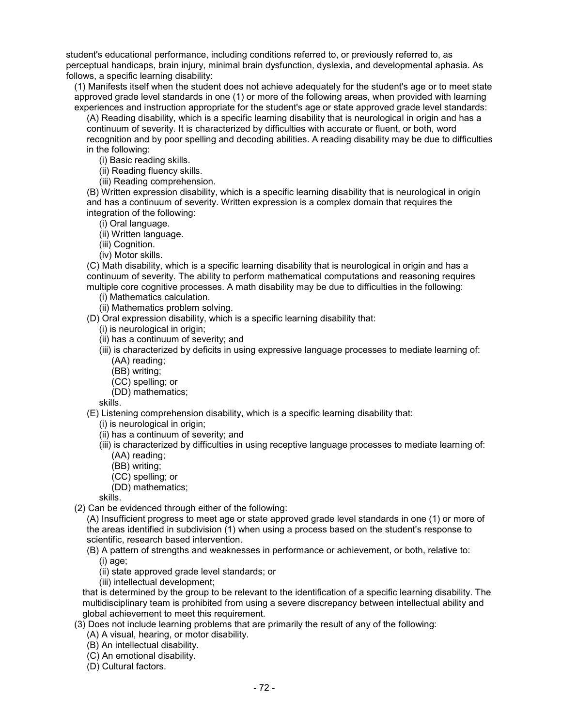student's educational performance, including conditions referred to, or previously referred to, as perceptual handicaps, brain injury, minimal brain dysfunction, dyslexia, and developmental aphasia. As follows, a specific learning disability:

(1) Manifests itself when the student does not achieve adequately for the student's age or to meet state approved grade level standards in one (1) or more of the following areas, when provided with learning experiences and instruction appropriate for the student's age or state approved grade level standards:

(A) Reading disability, which is a specific learning disability that is neurological in origin and has a continuum of severity. It is characterized by difficulties with accurate or fluent, or both, word recognition and by poor spelling and decoding abilities. A reading disability may be due to difficulties in the following:

(i) Basic reading skills.

(ii) Reading fluency skills.

(iii) Reading comprehension.

(B) Written expression disability, which is a specific learning disability that is neurological in origin and has a continuum of severity. Written expression is a complex domain that requires the integration of the following:

(i) Oral language.

(ii) Written language.

(iii) Cognition.

(iv) Motor skills.

(C) Math disability, which is a specific learning disability that is neurological in origin and has a continuum of severity. The ability to perform mathematical computations and reasoning requires multiple core cognitive processes. A math disability may be due to difficulties in the following:

(i) Mathematics calculation.

(ii) Mathematics problem solving.

(D) Oral expression disability, which is a specific learning disability that:

- (i) is neurological in origin;
- (ii) has a continuum of severity; and

(iii) is characterized by deficits in using expressive language processes to mediate learning of: (AA) reading;

- (BB) writing;
- (CC) spelling; or
- (DD) mathematics;

skills.

(E) Listening comprehension disability, which is a specific learning disability that:

(i) is neurological in origin;

(ii) has a continuum of severity; and

- (iii) is characterized by difficulties in using receptive language processes to mediate learning of: (AA) reading;
	-

(BB) writing;

- (CC) spelling; or
- (DD) mathematics;

skills.

(2) Can be evidenced through either of the following:

(A) Insufficient progress to meet age or state approved grade level standards in one (1) or more of the areas identified in subdivision (1) when using a process based on the student's response to scientific, research based intervention.

(B) A pattern of strengths and weaknesses in performance or achievement, or both, relative to:

(i) age;

(ii) state approved grade level standards; or

(iii) intellectual development;

that is determined by the group to be relevant to the identification of a specific learning disability. The multidisciplinary team is prohibited from using a severe discrepancy between intellectual ability and global achievement to meet this requirement.

(3) Does not include learning problems that are primarily the result of any of the following:

- (A) A visual, hearing, or motor disability.
- (B) An intellectual disability.
- (C) An emotional disability.
- (D) Cultural factors.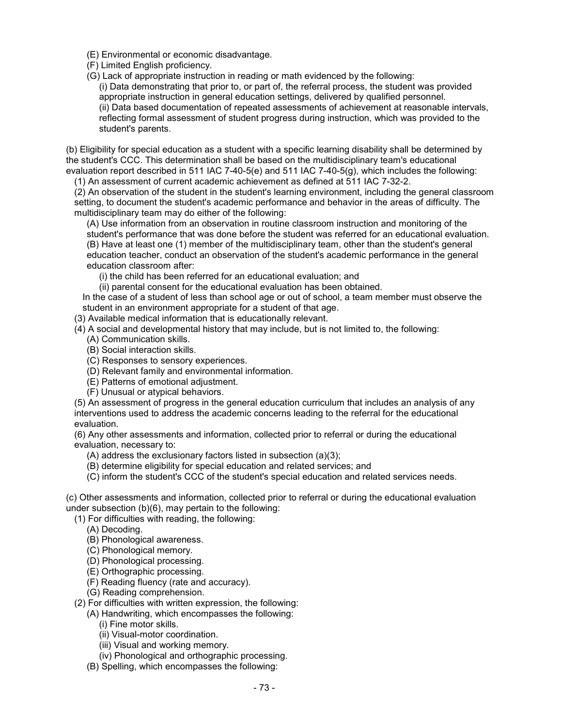- (E) Environmental or economic disadvantage.
- (F) Limited English proficiency.
- (G) Lack of appropriate instruction in reading or math evidenced by the following: (i) Data demonstrating that prior to, or part of, the referral process, the student was provided appropriate instruction in general education settings, delivered by qualified personnel. (ii) Data based documentation of repeated assessments of achievement at reasonable intervals, reflecting formal assessment of student progress during instruction, which was provided to the student's parents.

(b) Eligibility for special education as a student with a specific learning disability shall be determined by the student's CCC. This determination shall be based on the multidisciplinary team's educational evaluation report described in 511 IAC 7-40-5(e) and 511 IAC 7-40-5(g), which includes the following:

(1) An assessment of current academic achievement as defined at 511 IAC 7-32-2.

(2) An observation of the student in the student's learning environment, including the general classroom setting, to document the student's academic performance and behavior in the areas of difficulty. The multidisciplinary team may do either of the following:

(A) Use information from an observation in routine classroom instruction and monitoring of the student's performance that was done before the student was referred for an educational evaluation. (B) Have at least one (1) member of the multidisciplinary team, other than the student's general education teacher, conduct an observation of the student's academic performance in the general education classroom after:

(i) the child has been referred for an educational evaluation; and

(ii) parental consent for the educational evaluation has been obtained.

In the case of a student of less than school age or out of school, a team member must observe the student in an environment appropriate for a student of that age.

(3) Available medical information that is educationally relevant.

(4) A social and developmental history that may include, but is not limited to, the following:

- (A) Communication skills.
- (B) Social interaction skills.
- (C) Responses to sensory experiences.
- (D) Relevant family and environmental information.
- (E) Patterns of emotional adjustment.
- (F) Unusual or atypical behaviors.

(5) An assessment of progress in the general education curriculum that includes an analysis of any interventions used to address the academic concerns leading to the referral for the educational evaluation.

(6) Any other assessments and information, collected prior to referral or during the educational evaluation, necessary to:

(A) address the exclusionary factors listed in subsection (a)(3);

(B) determine eligibility for special education and related services; and

(C) inform the student's CCC of the student's special education and related services needs.

(c) Other assessments and information, collected prior to referral or during the educational evaluation under subsection (b)(6), may pertain to the following:

(1) For difficulties with reading, the following:

- (A) Decoding.
- (B) Phonological awareness.
- (C) Phonological memory.
- (D) Phonological processing.
- (E) Orthographic processing.
- (F) Reading fluency (rate and accuracy).

(G) Reading comprehension.

- (2) For difficulties with written expression, the following:
	- (A) Handwriting, which encompasses the following:
		- (i) Fine motor skills.
		- (ii) Visual-motor coordination.
		- (iii) Visual and working memory.
		- (iv) Phonological and orthographic processing.
	- (B) Spelling, which encompasses the following: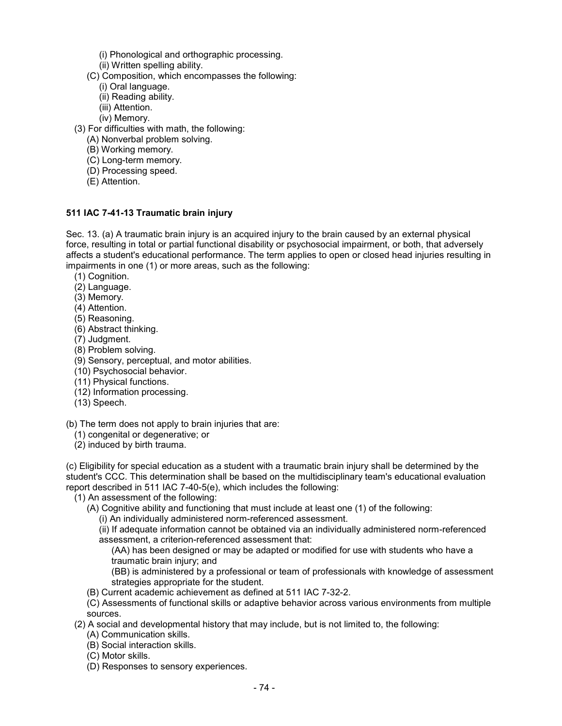- (i) Phonological and orthographic processing.
- (ii) Written spelling ability.
- (C) Composition, which encompasses the following:
	- (i) Oral language.
	- (ii) Reading ability.
	- (iii) Attention.
	- (iv) Memory.
- (3) For difficulties with math, the following:
	- (A) Nonverbal problem solving.
	- (B) Working memory.
	- (C) Long-term memory.
	- (D) Processing speed.
	- (E) Attention.

## **511 IAC 7-41-13 Traumatic brain injury**

Sec. 13. (a) A traumatic brain injury is an acquired injury to the brain caused by an external physical force, resulting in total or partial functional disability or psychosocial impairment, or both, that adversely affects a student's educational performance. The term applies to open or closed head injuries resulting in impairments in one (1) or more areas, such as the following:

- (1) Cognition.
- (2) Language.
- (3) Memory.
- (4) Attention.
- (5) Reasoning.
- (6) Abstract thinking.
- (7) Judgment.
- (8) Problem solving.
- (9) Sensory, perceptual, and motor abilities.
- (10) Psychosocial behavior.
- (11) Physical functions.
- (12) Information processing.
- (13) Speech.

#### (b) The term does not apply to brain injuries that are:

- (1) congenital or degenerative; or
- (2) induced by birth trauma.

(c) Eligibility for special education as a student with a traumatic brain injury shall be determined by the student's CCC. This determination shall be based on the multidisciplinary team's educational evaluation report described in 511 IAC 7-40-5(e), which includes the following:

(1) An assessment of the following:

- (A) Cognitive ability and functioning that must include at least one (1) of the following:
	- (i) An individually administered norm-referenced assessment.

(ii) If adequate information cannot be obtained via an individually administered norm-referenced assessment, a criterion-referenced assessment that:

(AA) has been designed or may be adapted or modified for use with students who have a traumatic brain injury; and

(BB) is administered by a professional or team of professionals with knowledge of assessment strategies appropriate for the student.

(B) Current academic achievement as defined at 511 IAC 7-32-2.

(C) Assessments of functional skills or adaptive behavior across various environments from multiple sources.

- (2) A social and developmental history that may include, but is not limited to, the following:
	- (A) Communication skills.
	- (B) Social interaction skills.
	- (C) Motor skills.
	- (D) Responses to sensory experiences.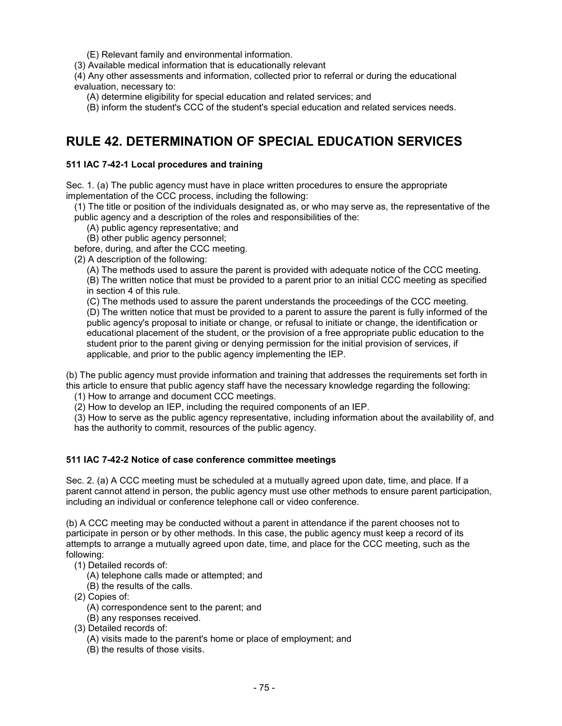(E) Relevant family and environmental information.

(3) Available medical information that is educationally relevant

(4) Any other assessments and information, collected prior to referral or during the educational evaluation, necessary to:

(A) determine eligibility for special education and related services; and

(B) inform the student's CCC of the student's special education and related services needs.

## **RULE 42. DETERMINATION OF SPECIAL EDUCATION SERVICES**

## **511 IAC 7-42-1 Local procedures and training**

Sec. 1. (a) The public agency must have in place written procedures to ensure the appropriate implementation of the CCC process, including the following:

(1) The title or position of the individuals designated as, or who may serve as, the representative of the public agency and a description of the roles and responsibilities of the:

(A) public agency representative; and

(B) other public agency personnel;

before, during, and after the CCC meeting.

(2) A description of the following:

(A) The methods used to assure the parent is provided with adequate notice of the CCC meeting.

(B) The written notice that must be provided to a parent prior to an initial CCC meeting as specified in section 4 of this rule.

(C) The methods used to assure the parent understands the proceedings of the CCC meeting.

(D) The written notice that must be provided to a parent to assure the parent is fully informed of the public agency's proposal to initiate or change, or refusal to initiate or change, the identification or educational placement of the student, or the provision of a free appropriate public education to the student prior to the parent giving or denying permission for the initial provision of services, if applicable, and prior to the public agency implementing the IEP.

(b) The public agency must provide information and training that addresses the requirements set forth in this article to ensure that public agency staff have the necessary knowledge regarding the following:

(1) How to arrange and document CCC meetings.

(2) How to develop an IEP, including the required components of an IEP.

(3) How to serve as the public agency representative, including information about the availability of, and has the authority to commit, resources of the public agency.

## **511 IAC 7-42-2 Notice of case conference committee meetings**

Sec. 2. (a) A CCC meeting must be scheduled at a mutually agreed upon date, time, and place. If a parent cannot attend in person, the public agency must use other methods to ensure parent participation, including an individual or conference telephone call or video conference.

(b) A CCC meeting may be conducted without a parent in attendance if the parent chooses not to participate in person or by other methods. In this case, the public agency must keep a record of its attempts to arrange a mutually agreed upon date, time, and place for the CCC meeting, such as the following:

- (1) Detailed records of:
	- (A) telephone calls made or attempted; and
	- (B) the results of the calls.
- (2) Copies of:
	- (A) correspondence sent to the parent; and
	- (B) any responses received.
- (3) Detailed records of:
	- (A) visits made to the parent's home or place of employment; and
	- (B) the results of those visits.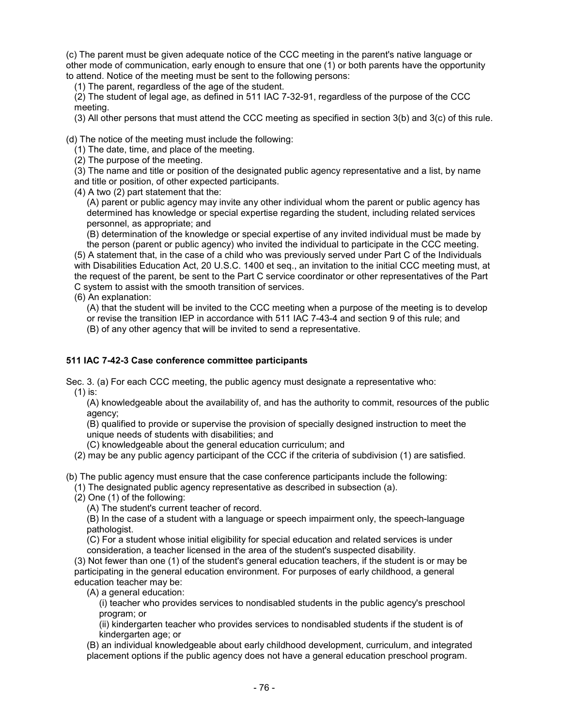(c) The parent must be given adequate notice of the CCC meeting in the parent's native language or other mode of communication, early enough to ensure that one (1) or both parents have the opportunity to attend. Notice of the meeting must be sent to the following persons:

(1) The parent, regardless of the age of the student.

(2) The student of legal age, as defined in 511 IAC 7-32-91, regardless of the purpose of the CCC meeting.

(3) All other persons that must attend the CCC meeting as specified in section 3(b) and 3(c) of this rule.

(d) The notice of the meeting must include the following:

(1) The date, time, and place of the meeting.

(2) The purpose of the meeting.

(3) The name and title or position of the designated public agency representative and a list, by name and title or position, of other expected participants.

(4) A two (2) part statement that the:

(A) parent or public agency may invite any other individual whom the parent or public agency has determined has knowledge or special expertise regarding the student, including related services personnel, as appropriate; and

(B) determination of the knowledge or special expertise of any invited individual must be made by

the person (parent or public agency) who invited the individual to participate in the CCC meeting. (5) A statement that, in the case of a child who was previously served under Part C of the Individuals with Disabilities Education Act, 20 U.S.C. 1400 et seq., an invitation to the initial CCC meeting must, at the request of the parent, be sent to the Part C service coordinator or other representatives of the Part C system to assist with the smooth transition of services.

(6) An explanation:

(A) that the student will be invited to the CCC meeting when a purpose of the meeting is to develop

or revise the transition IEP in accordance with 511 IAC 7-43-4 and section 9 of this rule; and

(B) of any other agency that will be invited to send a representative.

## **511 IAC 7-42-3 Case conference committee participants**

Sec. 3. (a) For each CCC meeting, the public agency must designate a representative who: (1) is:

(A) knowledgeable about the availability of, and has the authority to commit, resources of the public agency;

(B) qualified to provide or supervise the provision of specially designed instruction to meet the unique needs of students with disabilities; and

(C) knowledgeable about the general education curriculum; and

(2) may be any public agency participant of the CCC if the criteria of subdivision (1) are satisfied.

(b) The public agency must ensure that the case conference participants include the following:

(1) The designated public agency representative as described in subsection (a).

(2) One (1) of the following:

(A) The student's current teacher of record.

(B) In the case of a student with a language or speech impairment only, the speech-language pathologist.

(C) For a student whose initial eligibility for special education and related services is under consideration, a teacher licensed in the area of the student's suspected disability.

(3) Not fewer than one (1) of the student's general education teachers, if the student is or may be participating in the general education environment. For purposes of early childhood, a general education teacher may be:

(A) a general education:

(i) teacher who provides services to nondisabled students in the public agency's preschool program; or

(ii) kindergarten teacher who provides services to nondisabled students if the student is of kindergarten age; or

(B) an individual knowledgeable about early childhood development, curriculum, and integrated placement options if the public agency does not have a general education preschool program.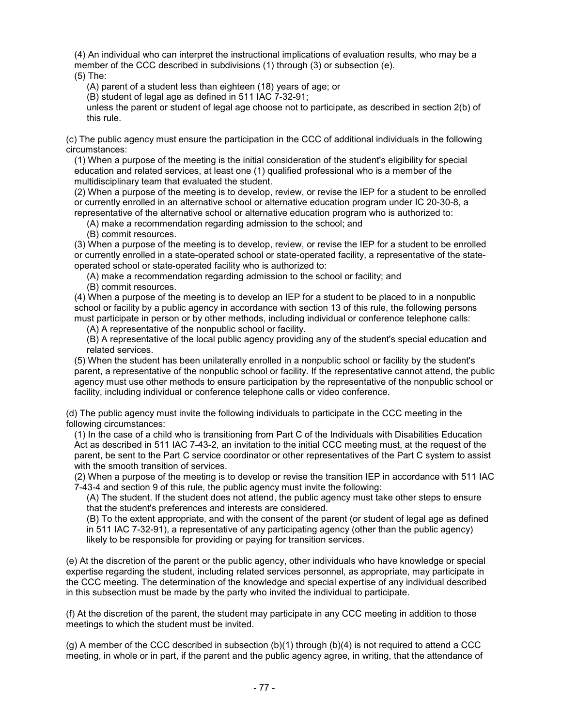(4) An individual who can interpret the instructional implications of evaluation results, who may be a member of the CCC described in subdivisions (1) through (3) or subsection (e).

(5) The:

(A) parent of a student less than eighteen (18) years of age; or

(B) student of legal age as defined in 511 IAC 7-32-91;

unless the parent or student of legal age choose not to participate, as described in section 2(b) of this rule.

(c) The public agency must ensure the participation in the CCC of additional individuals in the following circumstances:

(1) When a purpose of the meeting is the initial consideration of the student's eligibility for special education and related services, at least one (1) qualified professional who is a member of the multidisciplinary team that evaluated the student.

(2) When a purpose of the meeting is to develop, review, or revise the IEP for a student to be enrolled or currently enrolled in an alternative school or alternative education program under IC 20-30-8, a representative of the alternative school or alternative education program who is authorized to:

(A) make a recommendation regarding admission to the school; and

(B) commit resources.

(3) When a purpose of the meeting is to develop, review, or revise the IEP for a student to be enrolled or currently enrolled in a state-operated school or state-operated facility, a representative of the stateoperated school or state-operated facility who is authorized to:

(A) make a recommendation regarding admission to the school or facility; and

(B) commit resources.

(4) When a purpose of the meeting is to develop an IEP for a student to be placed to in a nonpublic school or facility by a public agency in accordance with section 13 of this rule, the following persons must participate in person or by other methods, including individual or conference telephone calls:

(A) A representative of the nonpublic school or facility.

(B) A representative of the local public agency providing any of the student's special education and related services.

(5) When the student has been unilaterally enrolled in a nonpublic school or facility by the student's parent, a representative of the nonpublic school or facility. If the representative cannot attend, the public agency must use other methods to ensure participation by the representative of the nonpublic school or facility, including individual or conference telephone calls or video conference.

(d) The public agency must invite the following individuals to participate in the CCC meeting in the following circumstances:

(1) In the case of a child who is transitioning from Part C of the Individuals with Disabilities Education Act as described in 511 IAC 7-43-2, an invitation to the initial CCC meeting must, at the request of the parent, be sent to the Part C service coordinator or other representatives of the Part C system to assist with the smooth transition of services.

(2) When a purpose of the meeting is to develop or revise the transition IEP in accordance with 511 IAC 7-43-4 and section 9 of this rule, the public agency must invite the following:

(A) The student. If the student does not attend, the public agency must take other steps to ensure that the student's preferences and interests are considered.

(B) To the extent appropriate, and with the consent of the parent (or student of legal age as defined in 511 IAC 7-32-91), a representative of any participating agency (other than the public agency) likely to be responsible for providing or paying for transition services.

(e) At the discretion of the parent or the public agency, other individuals who have knowledge or special expertise regarding the student, including related services personnel, as appropriate, may participate in the CCC meeting. The determination of the knowledge and special expertise of any individual described in this subsection must be made by the party who invited the individual to participate.

(f) At the discretion of the parent, the student may participate in any CCC meeting in addition to those meetings to which the student must be invited.

(g) A member of the CCC described in subsection (b)(1) through (b)(4) is not required to attend a CCC meeting, in whole or in part, if the parent and the public agency agree, in writing, that the attendance of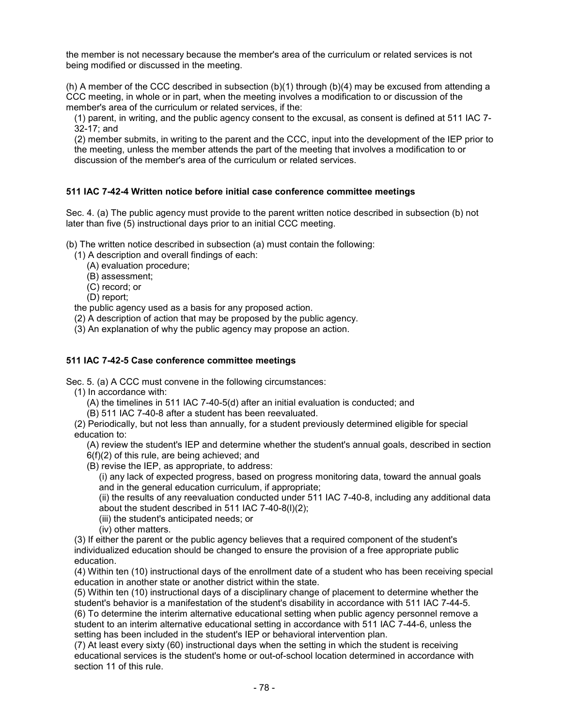the member is not necessary because the member's area of the curriculum or related services is not being modified or discussed in the meeting.

(h) A member of the CCC described in subsection (b)(1) through (b)(4) may be excused from attending a CCC meeting, in whole or in part, when the meeting involves a modification to or discussion of the member's area of the curriculum or related services, if the:

(1) parent, in writing, and the public agency consent to the excusal, as consent is defined at 511 IAC 7- 32-17; and

(2) member submits, in writing to the parent and the CCC, input into the development of the IEP prior to the meeting, unless the member attends the part of the meeting that involves a modification to or discussion of the member's area of the curriculum or related services.

## **511 IAC 7-42-4 Written notice before initial case conference committee meetings**

Sec. 4. (a) The public agency must provide to the parent written notice described in subsection (b) not later than five (5) instructional days prior to an initial CCC meeting.

(b) The written notice described in subsection (a) must contain the following:

(1) A description and overall findings of each:

- (A) evaluation procedure;
- (B) assessment;
- (C) record; or
- (D) report;

the public agency used as a basis for any proposed action.

- (2) A description of action that may be proposed by the public agency.
- (3) An explanation of why the public agency may propose an action.

## **511 IAC 7-42-5 Case conference committee meetings**

Sec. 5. (a) A CCC must convene in the following circumstances:

- (1) In accordance with:
	- (A) the timelines in 511 IAC 7-40-5(d) after an initial evaluation is conducted; and
	- (B) 511 IAC 7-40-8 after a student has been reevaluated.

(2) Periodically, but not less than annually, for a student previously determined eligible for special education to:

(A) review the student's IEP and determine whether the student's annual goals, described in section 6(f)(2) of this rule, are being achieved; and

(B) revise the IEP, as appropriate, to address:

(i) any lack of expected progress, based on progress monitoring data, toward the annual goals and in the general education curriculum, if appropriate;

(ii) the results of any reevaluation conducted under 511 IAC 7-40-8, including any additional data about the student described in 511 IAC 7-40-8(l)(2);

- (iii) the student's anticipated needs; or
- (iv) other matters.

(3) If either the parent or the public agency believes that a required component of the student's individualized education should be changed to ensure the provision of a free appropriate public education.

(4) Within ten (10) instructional days of the enrollment date of a student who has been receiving special education in another state or another district within the state.

(5) Within ten (10) instructional days of a disciplinary change of placement to determine whether the student's behavior is a manifestation of the student's disability in accordance with 511 IAC 7-44-5. (6) To determine the interim alternative educational setting when public agency personnel remove a student to an interim alternative educational setting in accordance with 511 IAC 7-44-6, unless the setting has been included in the student's IEP or behavioral intervention plan.

(7) At least every sixty (60) instructional days when the setting in which the student is receiving educational services is the student's home or out-of-school location determined in accordance with section 11 of this rule.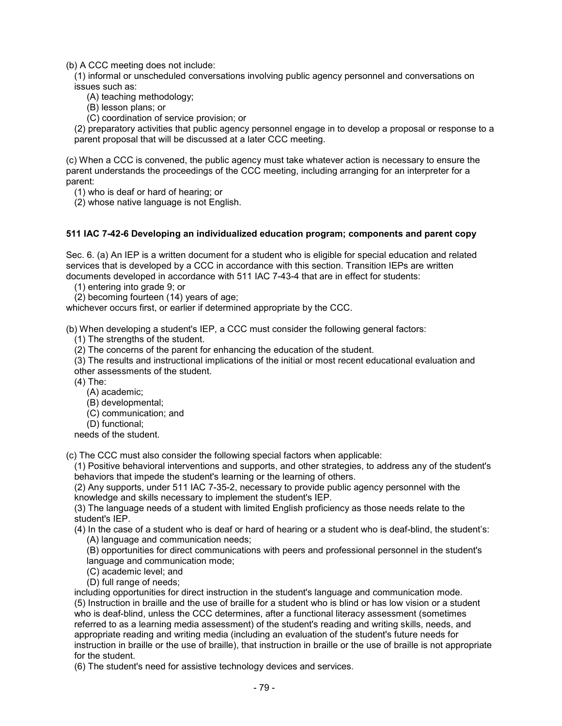(b) A CCC meeting does not include:

(1) informal or unscheduled conversations involving public agency personnel and conversations on issues such as:

(A) teaching methodology;

(B) lesson plans; or

(C) coordination of service provision; or

(2) preparatory activities that public agency personnel engage in to develop a proposal or response to a parent proposal that will be discussed at a later CCC meeting.

(c) When a CCC is convened, the public agency must take whatever action is necessary to ensure the parent understands the proceedings of the CCC meeting, including arranging for an interpreter for a parent:

(1) who is deaf or hard of hearing; or

(2) whose native language is not English.

## **511 IAC 7-42-6 Developing an individualized education program; components and parent copy**

Sec. 6. (a) An IEP is a written document for a student who is eligible for special education and related services that is developed by a CCC in accordance with this section. Transition IEPs are written documents developed in accordance with 511 IAC 7-43-4 that are in effect for students:

(1) entering into grade 9; or

(2) becoming fourteen (14) years of age;

whichever occurs first, or earlier if determined appropriate by the CCC.

(b) When developing a student's IEP, a CCC must consider the following general factors:

(1) The strengths of the student.

(2) The concerns of the parent for enhancing the education of the student.

(3) The results and instructional implications of the initial or most recent educational evaluation and other assessments of the student.

(4) The:

(A) academic;

(B) developmental;

- (C) communication; and
- (D) functional;

needs of the student.

(c) The CCC must also consider the following special factors when applicable:

(1) Positive behavioral interventions and supports, and other strategies, to address any of the student's behaviors that impede the student's learning or the learning of others.

(2) Any supports, under 511 IAC 7-35-2, necessary to provide public agency personnel with the knowledge and skills necessary to implement the student's IEP.

(3) The language needs of a student with limited English proficiency as those needs relate to the student's IEP.

(4) In the case of a student who is deaf or hard of hearing or a student who is deaf-blind, the student's: (A) language and communication needs;

(B) opportunities for direct communications with peers and professional personnel in the student's language and communication mode;

- (C) academic level; and
- (D) full range of needs;

including opportunities for direct instruction in the student's language and communication mode. (5) Instruction in braille and the use of braille for a student who is blind or has low vision or a student who is deaf-blind, unless the CCC determines, after a functional literacy assessment (sometimes referred to as a learning media assessment) of the student's reading and writing skills, needs, and appropriate reading and writing media (including an evaluation of the student's future needs for instruction in braille or the use of braille), that instruction in braille or the use of braille is not appropriate for the student.

(6) The student's need for assistive technology devices and services.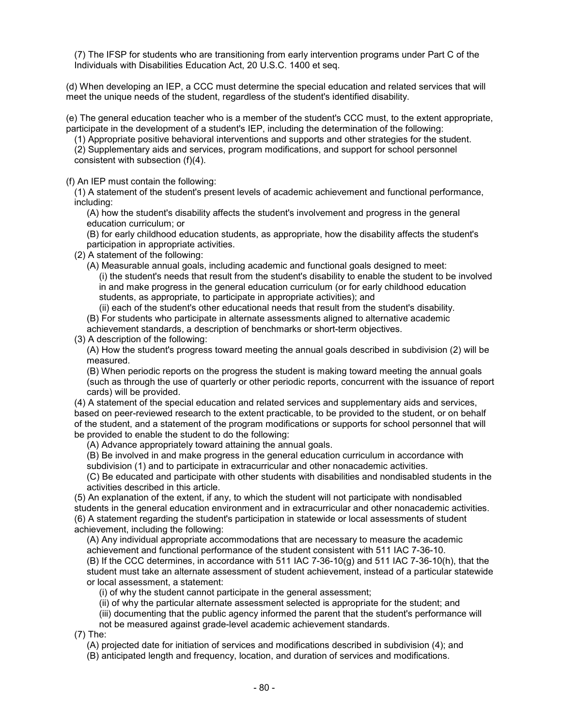(7) The IFSP for students who are transitioning from early intervention programs under Part C of the Individuals with Disabilities Education Act, 20 U.S.C. 1400 et seq.

(d) When developing an IEP, a CCC must determine the special education and related services that will meet the unique needs of the student, regardless of the student's identified disability.

(e) The general education teacher who is a member of the student's CCC must, to the extent appropriate, participate in the development of a student's IEP, including the determination of the following:

(1) Appropriate positive behavioral interventions and supports and other strategies for the student.

(2) Supplementary aids and services, program modifications, and support for school personnel consistent with subsection (f)(4).

(f) An IEP must contain the following:

(1) A statement of the student's present levels of academic achievement and functional performance, including:

(A) how the student's disability affects the student's involvement and progress in the general education curriculum; or

(B) for early childhood education students, as appropriate, how the disability affects the student's participation in appropriate activities.

(2) A statement of the following:

(A) Measurable annual goals, including academic and functional goals designed to meet: (i) the student's needs that result from the student's disability to enable the student to be involved in and make progress in the general education curriculum (or for early childhood education students, as appropriate, to participate in appropriate activities); and

(ii) each of the student's other educational needs that result from the student's disability.

(B) For students who participate in alternate assessments aligned to alternative academic

achievement standards, a description of benchmarks or short-term objectives.

(3) A description of the following:

(A) How the student's progress toward meeting the annual goals described in subdivision (2) will be measured.

(B) When periodic reports on the progress the student is making toward meeting the annual goals (such as through the use of quarterly or other periodic reports, concurrent with the issuance of report cards) will be provided.

(4) A statement of the special education and related services and supplementary aids and services, based on peer-reviewed research to the extent practicable, to be provided to the student, or on behalf of the student, and a statement of the program modifications or supports for school personnel that will be provided to enable the student to do the following:

(A) Advance appropriately toward attaining the annual goals.

(B) Be involved in and make progress in the general education curriculum in accordance with subdivision (1) and to participate in extracurricular and other nonacademic activities.

(C) Be educated and participate with other students with disabilities and nondisabled students in the activities described in this article.

(5) An explanation of the extent, if any, to which the student will not participate with nondisabled students in the general education environment and in extracurricular and other nonacademic activities. (6) A statement regarding the student's participation in statewide or local assessments of student achievement, including the following:

(A) Any individual appropriate accommodations that are necessary to measure the academic achievement and functional performance of the student consistent with 511 IAC 7-36-10. (B) If the CCC determines, in accordance with 511 IAC 7-36-10(g) and 511 IAC 7-36-10(h), that the student must take an alternate assessment of student achievement, instead of a particular statewide or local assessment, a statement:

(i) of why the student cannot participate in the general assessment;

(ii) of why the particular alternate assessment selected is appropriate for the student; and

(iii) documenting that the public agency informed the parent that the student's performance will

not be measured against grade-level academic achievement standards.

(7) The:

(A) projected date for initiation of services and modifications described in subdivision (4); and

(B) anticipated length and frequency, location, and duration of services and modifications.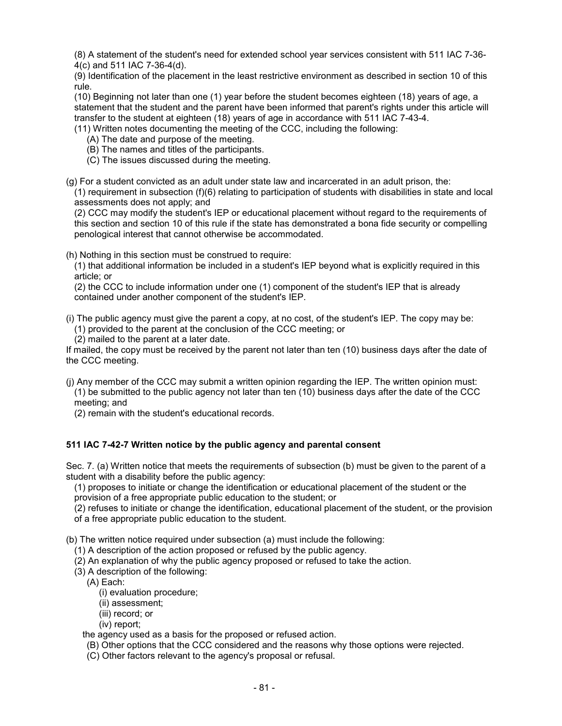(8) A statement of the student's need for extended school year services consistent with 511 IAC 7-36- 4(c) and 511 IAC 7-36-4(d).

(9) Identification of the placement in the least restrictive environment as described in section 10 of this rule.

(10) Beginning not later than one (1) year before the student becomes eighteen (18) years of age, a statement that the student and the parent have been informed that parent's rights under this article will transfer to the student at eighteen (18) years of age in accordance with 511 IAC 7-43-4.

(11) Written notes documenting the meeting of the CCC, including the following:

- (A) The date and purpose of the meeting.
- (B) The names and titles of the participants.
- (C) The issues discussed during the meeting.

(g) For a student convicted as an adult under state law and incarcerated in an adult prison, the:

(1) requirement in subsection (f)(6) relating to participation of students with disabilities in state and local assessments does not apply; and

(2) CCC may modify the student's IEP or educational placement without regard to the requirements of this section and section 10 of this rule if the state has demonstrated a bona fide security or compelling penological interest that cannot otherwise be accommodated.

(h) Nothing in this section must be construed to require:

(1) that additional information be included in a student's IEP beyond what is explicitly required in this article; or

(2) the CCC to include information under one (1) component of the student's IEP that is already contained under another component of the student's IEP.

(i) The public agency must give the parent a copy, at no cost, of the student's IEP. The copy may be: (1) provided to the parent at the conclusion of the CCC meeting; or

(2) mailed to the parent at a later date.

If mailed, the copy must be received by the parent not later than ten (10) business days after the date of the CCC meeting.

- (j) Any member of the CCC may submit a written opinion regarding the IEP. The written opinion must: (1) be submitted to the public agency not later than ten (10) business days after the date of the CCC meeting; and
	- (2) remain with the student's educational records.

## **511 IAC 7-42-7 Written notice by the public agency and parental consent**

Sec. 7. (a) Written notice that meets the requirements of subsection (b) must be given to the parent of a student with a disability before the public agency:

(1) proposes to initiate or change the identification or educational placement of the student or the provision of a free appropriate public education to the student; or

(2) refuses to initiate or change the identification, educational placement of the student, or the provision of a free appropriate public education to the student.

(b) The written notice required under subsection (a) must include the following:

- (1) A description of the action proposed or refused by the public agency.
- (2) An explanation of why the public agency proposed or refused to take the action.
- (3) A description of the following:
	- (A) Each:
		- (i) evaluation procedure;
		- (ii) assessment;
		- (iii) record; or
		- (iv) report;

the agency used as a basis for the proposed or refused action.

- (B) Other options that the CCC considered and the reasons why those options were rejected.
- (C) Other factors relevant to the agency's proposal or refusal.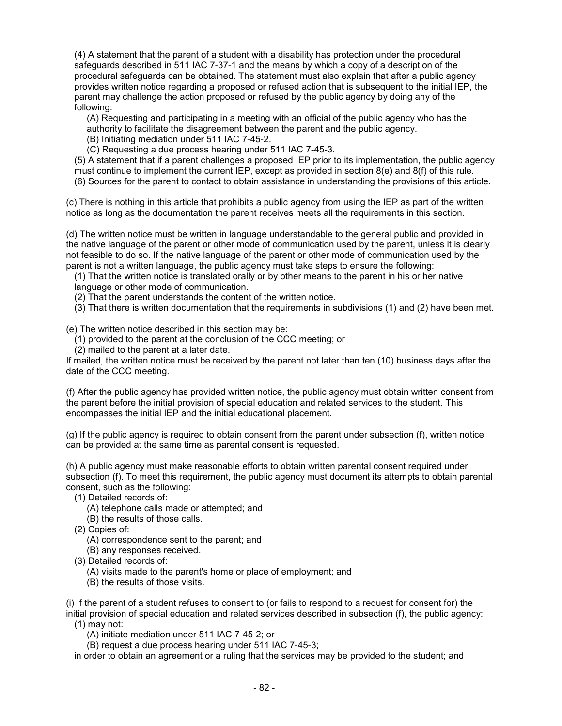(4) A statement that the parent of a student with a disability has protection under the procedural safeguards described in 511 IAC 7-37-1 and the means by which a copy of a description of the procedural safeguards can be obtained. The statement must also explain that after a public agency provides written notice regarding a proposed or refused action that is subsequent to the initial IEP, the parent may challenge the action proposed or refused by the public agency by doing any of the following:

(A) Requesting and participating in a meeting with an official of the public agency who has the authority to facilitate the disagreement between the parent and the public agency.

- (B) Initiating mediation under 511 IAC 7-45-2.
- (C) Requesting a due process hearing under 511 IAC 7-45-3.

(5) A statement that if a parent challenges a proposed IEP prior to its implementation, the public agency must continue to implement the current IEP, except as provided in section 8(e) and 8(f) of this rule. (6) Sources for the parent to contact to obtain assistance in understanding the provisions of this article.

(c) There is nothing in this article that prohibits a public agency from using the IEP as part of the written notice as long as the documentation the parent receives meets all the requirements in this section.

(d) The written notice must be written in language understandable to the general public and provided in the native language of the parent or other mode of communication used by the parent, unless it is clearly not feasible to do so. If the native language of the parent or other mode of communication used by the parent is not a written language, the public agency must take steps to ensure the following:

(1) That the written notice is translated orally or by other means to the parent in his or her native language or other mode of communication.

(2) That the parent understands the content of the written notice.

(3) That there is written documentation that the requirements in subdivisions (1) and (2) have been met.

(e) The written notice described in this section may be:

(1) provided to the parent at the conclusion of the CCC meeting; or

(2) mailed to the parent at a later date.

If mailed, the written notice must be received by the parent not later than ten (10) business days after the date of the CCC meeting.

(f) After the public agency has provided written notice, the public agency must obtain written consent from the parent before the initial provision of special education and related services to the student. This encompasses the initial IEP and the initial educational placement.

(g) If the public agency is required to obtain consent from the parent under subsection (f), written notice can be provided at the same time as parental consent is requested.

(h) A public agency must make reasonable efforts to obtain written parental consent required under subsection (f). To meet this requirement, the public agency must document its attempts to obtain parental consent, such as the following:

- (1) Detailed records of:
	- (A) telephone calls made or attempted; and
	- (B) the results of those calls.
- (2) Copies of:
	- (A) correspondence sent to the parent; and
	- (B) any responses received.
- (3) Detailed records of:
	- (A) visits made to the parent's home or place of employment; and
	- (B) the results of those visits.

(i) If the parent of a student refuses to consent to (or fails to respond to a request for consent for) the initial provision of special education and related services described in subsection (f), the public agency:

(1) may not:

(A) initiate mediation under 511 IAC 7-45-2; or

(B) request a due process hearing under 511 IAC 7-45-3;

in order to obtain an agreement or a ruling that the services may be provided to the student; and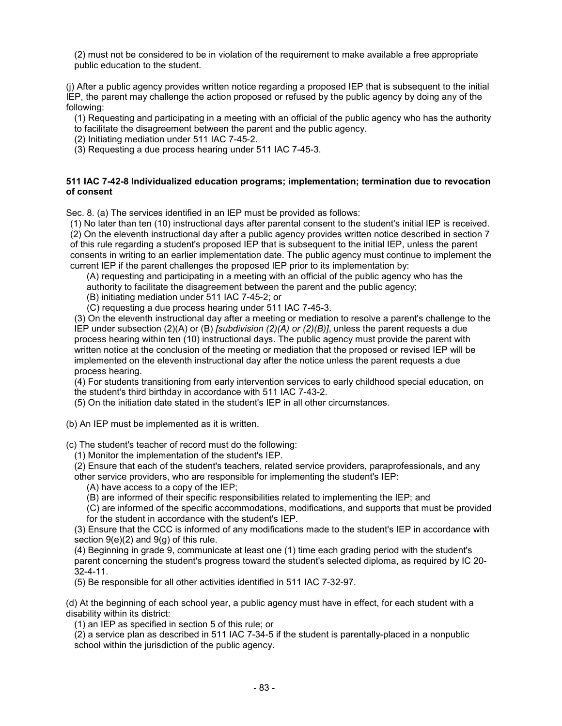(2) must not be considered to be in violation of the requirement to make available a free appropriate public education to the student.

(j) After a public agency provides written notice regarding a proposed IEP that is subsequent to the initial IEP, the parent may challenge the action proposed or refused by the public agency by doing any of the following:

(1) Requesting and participating in a meeting with an official of the public agency who has the authority to facilitate the disagreement between the parent and the public agency.

(2) Initiating mediation under 511 IAC 7-45-2.

(3) Requesting a due process hearing under 511 IAC 7-45-3.

#### **511 IAC 7-42-8 Individualized education programs; implementation; termination due to revocation of consent**

Sec. 8. (a) The services identified in an IEP must be provided as follows:

(1) No later than ten (10) instructional days after parental consent to the student's initial IEP is received. (2) On the eleventh instructional day after a public agency provides written notice described in section 7 of this rule regarding a student's proposed IEP that is subsequent to the initial IEP, unless the parent consents in writing to an earlier implementation date. The public agency must continue to implement the current IEP if the parent challenges the proposed IEP prior to its implementation by:

(A) requesting and participating in a meeting with an official of the public agency who has the authority to facilitate the disagreement between the parent and the public agency;

- (B) initiating mediation under 511 IAC 7-45-2; or
- (C) requesting a due process hearing under 511 IAC 7-45-3.

(3) On the eleventh instructional day after a meeting or mediation to resolve a parent's challenge to the IEP under subsection (2)(A) or (B) *[subdivision (2)(A) or (2)(B)]*, unless the parent requests a due process hearing within ten (10) instructional days. The public agency must provide the parent with written notice at the conclusion of the meeting or mediation that the proposed or revised IEP will be implemented on the eleventh instructional day after the notice unless the parent requests a due process hearing.

(4) For students transitioning from early intervention services to early childhood special education, on the student's third birthday in accordance with 511 IAC 7-43-2.

- (5) On the initiation date stated in the student's IEP in all other circumstances.
- (b) An IEP must be implemented as it is written.

(c) The student's teacher of record must do the following:

(1) Monitor the implementation of the student's IEP.

(2) Ensure that each of the student's teachers, related service providers, paraprofessionals, and any other service providers, who are responsible for implementing the student's IEP:

(A) have access to a copy of the IEP;

(B) are informed of their specific responsibilities related to implementing the IEP; and

(C) are informed of the specific accommodations, modifications, and supports that must be provided for the student in accordance with the student's IEP.

(3) Ensure that the CCC is informed of any modifications made to the student's IEP in accordance with section  $9(e)(2)$  and  $9(q)$  of this rule.

(4) Beginning in grade 9, communicate at least one (1) time each grading period with the student's parent concerning the student's progress toward the student's selected diploma, as required by IC 20- 32-4-11.

(5) Be responsible for all other activities identified in 511 IAC 7-32-97.

(d) At the beginning of each school year, a public agency must have in effect, for each student with a disability within its district:

(1) an IEP as specified in section 5 of this rule; or

(2) a service plan as described in 511 IAC 7-34-5 if the student is parentally-placed in a nonpublic school within the jurisdiction of the public agency.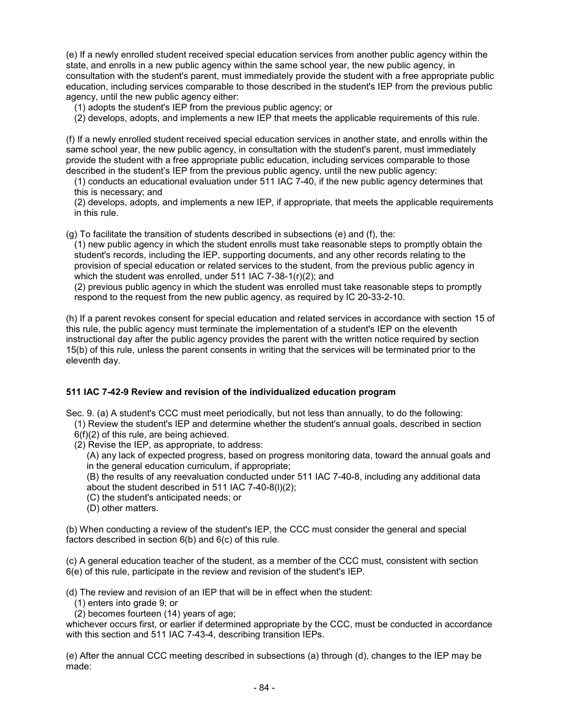(e) If a newly enrolled student received special education services from another public agency within the state, and enrolls in a new public agency within the same school year, the new public agency, in consultation with the student's parent, must immediately provide the student with a free appropriate public education, including services comparable to those described in the student's IEP from the previous public agency, until the new public agency either:

(1) adopts the student's IEP from the previous public agency; or

(2) develops, adopts, and implements a new IEP that meets the applicable requirements of this rule.

(f) If a newly enrolled student received special education services in another state, and enrolls within the same school year, the new public agency, in consultation with the student's parent, must immediately provide the student with a free appropriate public education, including services comparable to those described in the student's IEP from the previous public agency, until the new public agency:

(1) conducts an educational evaluation under 511 IAC 7-40, if the new public agency determines that this is necessary; and

(2) develops, adopts, and implements a new IEP, if appropriate, that meets the applicable requirements in this rule.

(g) To facilitate the transition of students described in subsections (e) and (f), the:

(1) new public agency in which the student enrolls must take reasonable steps to promptly obtain the student's records, including the IEP, supporting documents, and any other records relating to the provision of special education or related services to the student, from the previous public agency in which the student was enrolled, under 511 IAC 7-38-1(r)(2); and

(2) previous public agency in which the student was enrolled must take reasonable steps to promptly respond to the request from the new public agency, as required by IC 20-33-2-10.

(h) If a parent revokes consent for special education and related services in accordance with section 15 of this rule, the public agency must terminate the implementation of a student's IEP on the eleventh instructional day after the public agency provides the parent with the written notice required by section 15(b) of this rule, unless the parent consents in writing that the services will be terminated prior to the eleventh day.

## **511 IAC 7-42-9 Review and revision of the individualized education program**

Sec. 9. (a) A student's CCC must meet periodically, but not less than annually, to do the following:

(1) Review the student's IEP and determine whether the student's annual goals, described in section

- 6(f)(2) of this rule, are being achieved.
- (2) Revise the IEP, as appropriate, to address:
	- (A) any lack of expected progress, based on progress monitoring data, toward the annual goals and in the general education curriculum, if appropriate;

(B) the results of any reevaluation conducted under 511 IAC 7-40-8, including any additional data about the student described in 511 IAC 7-40-8(l)(2);

- (C) the student's anticipated needs; or
- (D) other matters.

(b) When conducting a review of the student's IEP, the CCC must consider the general and special factors described in section 6(b) and 6(c) of this rule.

(c) A general education teacher of the student, as a member of the CCC must, consistent with section 6(e) of this rule, participate in the review and revision of the student's IEP.

(d) The review and revision of an IEP that will be in effect when the student:

(1) enters into grade 9; or

(2) becomes fourteen (14) years of age;

whichever occurs first, or earlier if determined appropriate by the CCC, must be conducted in accordance with this section and 511 IAC 7-43-4, describing transition IEPs.

(e) After the annual CCC meeting described in subsections (a) through (d), changes to the IEP may be made: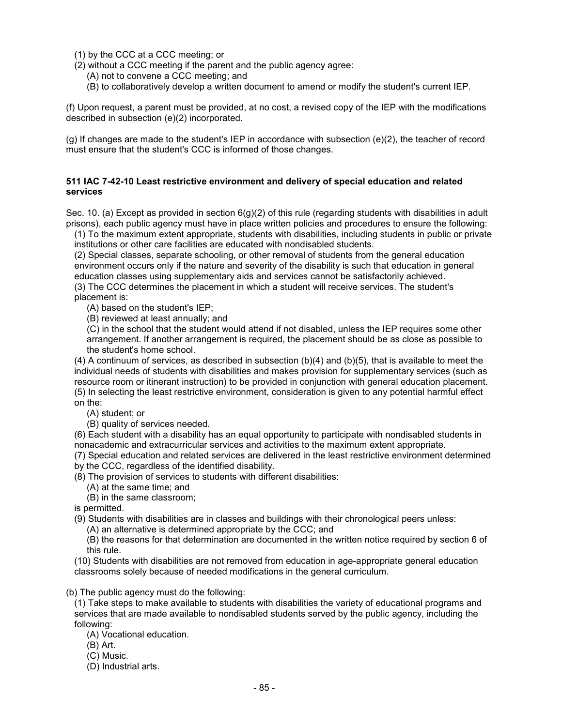(1) by the CCC at a CCC meeting; or

- (2) without a CCC meeting if the parent and the public agency agree:
	- (A) not to convene a CCC meeting; and
	- (B) to collaboratively develop a written document to amend or modify the student's current IEP.

(f) Upon request, a parent must be provided, at no cost, a revised copy of the IEP with the modifications described in subsection (e)(2) incorporated.

(g) If changes are made to the student's IEP in accordance with subsection (e)(2), the teacher of record must ensure that the student's CCC is informed of those changes.

#### **511 IAC 7-42-10 Least restrictive environment and delivery of special education and related services**

Sec. 10. (a) Except as provided in section 6(g)(2) of this rule (regarding students with disabilities in adult prisons), each public agency must have in place written policies and procedures to ensure the following:

(1) To the maximum extent appropriate, students with disabilities, including students in public or private institutions or other care facilities are educated with nondisabled students.

(2) Special classes, separate schooling, or other removal of students from the general education environment occurs only if the nature and severity of the disability is such that education in general education classes using supplementary aids and services cannot be satisfactorily achieved.

(3) The CCC determines the placement in which a student will receive services. The student's placement is:

- (A) based on the student's IEP;
- (B) reviewed at least annually; and

(C) in the school that the student would attend if not disabled, unless the IEP requires some other arrangement. If another arrangement is required, the placement should be as close as possible to the student's home school.

(4) A continuum of services, as described in subsection (b)(4) and (b)(5), that is available to meet the individual needs of students with disabilities and makes provision for supplementary services (such as resource room or itinerant instruction) to be provided in conjunction with general education placement. (5) In selecting the least restrictive environment, consideration is given to any potential harmful effect on the:

- (A) student; or
- (B) quality of services needed.

(6) Each student with a disability has an equal opportunity to participate with nondisabled students in nonacademic and extracurricular services and activities to the maximum extent appropriate.

(7) Special education and related services are delivered in the least restrictive environment determined by the CCC, regardless of the identified disability.

- (8) The provision of services to students with different disabilities:
	- (A) at the same time; and
	- (B) in the same classroom;

is permitted.

- (9) Students with disabilities are in classes and buildings with their chronological peers unless:
	- (A) an alternative is determined appropriate by the CCC; and

(B) the reasons for that determination are documented in the written notice required by section 6 of this rule.

(10) Students with disabilities are not removed from education in age-appropriate general education classrooms solely because of needed modifications in the general curriculum.

(b) The public agency must do the following:

(1) Take steps to make available to students with disabilities the variety of educational programs and services that are made available to nondisabled students served by the public agency, including the following:

- (A) Vocational education.
- (B) Art.
- (C) Music.

(D) Industrial arts.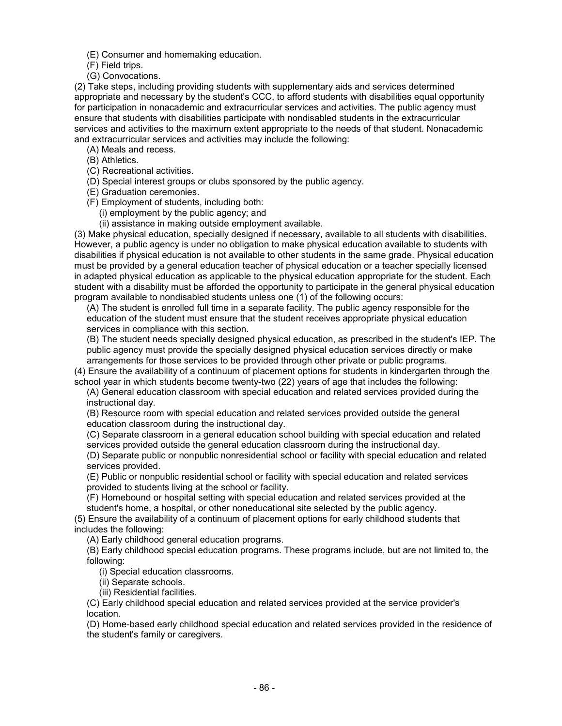(E) Consumer and homemaking education.

(F) Field trips.

(G) Convocations.

(2) Take steps, including providing students with supplementary aids and services determined appropriate and necessary by the student's CCC, to afford students with disabilities equal opportunity for participation in nonacademic and extracurricular services and activities. The public agency must ensure that students with disabilities participate with nondisabled students in the extracurricular services and activities to the maximum extent appropriate to the needs of that student. Nonacademic and extracurricular services and activities may include the following:

- (A) Meals and recess.
- (B) Athletics.
- (C) Recreational activities.
- (D) Special interest groups or clubs sponsored by the public agency.
- (E) Graduation ceremonies.
- (F) Employment of students, including both:
	- (i) employment by the public agency; and
	- (ii) assistance in making outside employment available.

(3) Make physical education, specially designed if necessary, available to all students with disabilities. However, a public agency is under no obligation to make physical education available to students with disabilities if physical education is not available to other students in the same grade. Physical education must be provided by a general education teacher of physical education or a teacher specially licensed in adapted physical education as applicable to the physical education appropriate for the student. Each student with a disability must be afforded the opportunity to participate in the general physical education program available to nondisabled students unless one (1) of the following occurs:

(A) The student is enrolled full time in a separate facility. The public agency responsible for the education of the student must ensure that the student receives appropriate physical education services in compliance with this section.

(B) The student needs specially designed physical education, as prescribed in the student's IEP. The public agency must provide the specially designed physical education services directly or make arrangements for those services to be provided through other private or public programs.

(4) Ensure the availability of a continuum of placement options for students in kindergarten through the school year in which students become twenty-two (22) years of age that includes the following:

(A) General education classroom with special education and related services provided during the instructional day.

(B) Resource room with special education and related services provided outside the general education classroom during the instructional day.

(C) Separate classroom in a general education school building with special education and related services provided outside the general education classroom during the instructional day.

(D) Separate public or nonpublic nonresidential school or facility with special education and related services provided.

(E) Public or nonpublic residential school or facility with special education and related services provided to students living at the school or facility.

(F) Homebound or hospital setting with special education and related services provided at the student's home, a hospital, or other noneducational site selected by the public agency.

(5) Ensure the availability of a continuum of placement options for early childhood students that includes the following:

(A) Early childhood general education programs.

(B) Early childhood special education programs. These programs include, but are not limited to, the following:

(i) Special education classrooms.

(ii) Separate schools.

(iii) Residential facilities.

(C) Early childhood special education and related services provided at the service provider's location.

(D) Home-based early childhood special education and related services provided in the residence of the student's family or caregivers.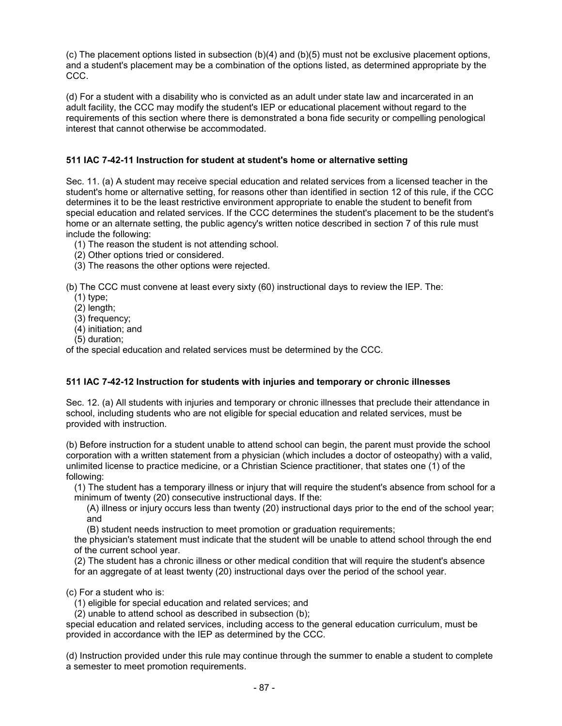(c) The placement options listed in subsection  $(b)(4)$  and  $(b)(5)$  must not be exclusive placement options, and a student's placement may be a combination of the options listed, as determined appropriate by the CCC.

(d) For a student with a disability who is convicted as an adult under state law and incarcerated in an adult facility, the CCC may modify the student's IEP or educational placement without regard to the requirements of this section where there is demonstrated a bona fide security or compelling penological interest that cannot otherwise be accommodated.

## **511 IAC 7-42-11 Instruction for student at student's home or alternative setting**

Sec. 11. (a) A student may receive special education and related services from a licensed teacher in the student's home or alternative setting, for reasons other than identified in section 12 of this rule, if the CCC determines it to be the least restrictive environment appropriate to enable the student to benefit from special education and related services. If the CCC determines the student's placement to be the student's home or an alternate setting, the public agency's written notice described in section 7 of this rule must include the following:

(1) The reason the student is not attending school.

(2) Other options tried or considered.

(3) The reasons the other options were rejected.

(b) The CCC must convene at least every sixty (60) instructional days to review the IEP. The:

- (1) type;
- (2) length;
- (3) frequency;
- (4) initiation; and
- (5) duration;

of the special education and related services must be determined by the CCC.

## **511 IAC 7-42-12 Instruction for students with injuries and temporary or chronic illnesses**

Sec. 12. (a) All students with injuries and temporary or chronic illnesses that preclude their attendance in school, including students who are not eligible for special education and related services, must be provided with instruction.

(b) Before instruction for a student unable to attend school can begin, the parent must provide the school corporation with a written statement from a physician (which includes a doctor of osteopathy) with a valid, unlimited license to practice medicine, or a Christian Science practitioner, that states one (1) of the following:

(1) The student has a temporary illness or injury that will require the student's absence from school for a minimum of twenty (20) consecutive instructional days. If the:

(A) illness or injury occurs less than twenty (20) instructional days prior to the end of the school year; and

(B) student needs instruction to meet promotion or graduation requirements;

the physician's statement must indicate that the student will be unable to attend school through the end of the current school year.

(2) The student has a chronic illness or other medical condition that will require the student's absence

for an aggregate of at least twenty (20) instructional days over the period of the school year.

#### (c) For a student who is:

(1) eligible for special education and related services; and

(2) unable to attend school as described in subsection (b);

special education and related services, including access to the general education curriculum, must be provided in accordance with the IEP as determined by the CCC.

(d) Instruction provided under this rule may continue through the summer to enable a student to complete a semester to meet promotion requirements.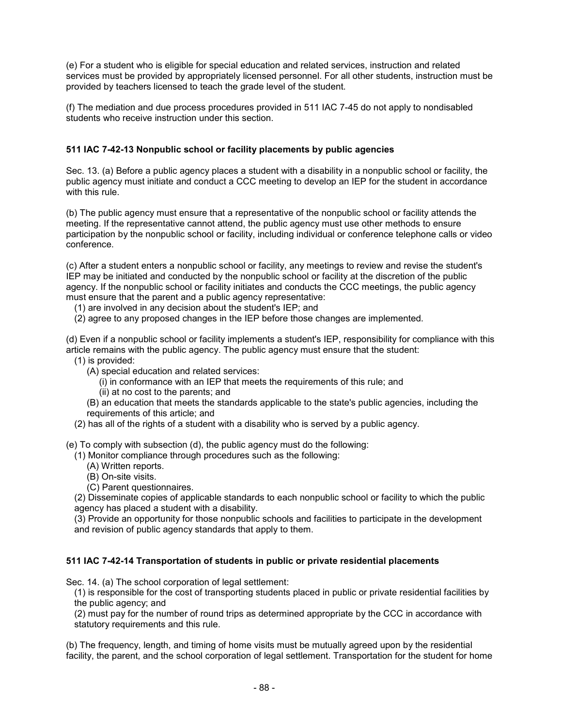(e) For a student who is eligible for special education and related services, instruction and related services must be provided by appropriately licensed personnel. For all other students, instruction must be provided by teachers licensed to teach the grade level of the student.

(f) The mediation and due process procedures provided in 511 IAC 7-45 do not apply to nondisabled students who receive instruction under this section.

## **511 IAC 7-42-13 Nonpublic school or facility placements by public agencies**

Sec. 13. (a) Before a public agency places a student with a disability in a nonpublic school or facility, the public agency must initiate and conduct a CCC meeting to develop an IEP for the student in accordance with this rule.

(b) The public agency must ensure that a representative of the nonpublic school or facility attends the meeting. If the representative cannot attend, the public agency must use other methods to ensure participation by the nonpublic school or facility, including individual or conference telephone calls or video conference.

(c) After a student enters a nonpublic school or facility, any meetings to review and revise the student's IEP may be initiated and conducted by the nonpublic school or facility at the discretion of the public agency. If the nonpublic school or facility initiates and conducts the CCC meetings, the public agency must ensure that the parent and a public agency representative:

(1) are involved in any decision about the student's IEP; and

(2) agree to any proposed changes in the IEP before those changes are implemented.

(d) Even if a nonpublic school or facility implements a student's IEP, responsibility for compliance with this article remains with the public agency. The public agency must ensure that the student:

- (1) is provided:
	- (A) special education and related services:
		- (i) in conformance with an IEP that meets the requirements of this rule; and
		- (ii) at no cost to the parents; and
	- (B) an education that meets the standards applicable to the state's public agencies, including the requirements of this article; and
- (2) has all of the rights of a student with a disability who is served by a public agency.

(e) To comply with subsection (d), the public agency must do the following:

(1) Monitor compliance through procedures such as the following:

- (A) Written reports.
- (B) On-site visits.
- (C) Parent questionnaires.

(2) Disseminate copies of applicable standards to each nonpublic school or facility to which the public agency has placed a student with a disability.

(3) Provide an opportunity for those nonpublic schools and facilities to participate in the development and revision of public agency standards that apply to them.

#### **511 IAC 7-42-14 Transportation of students in public or private residential placements**

Sec. 14. (a) The school corporation of legal settlement:

(1) is responsible for the cost of transporting students placed in public or private residential facilities by the public agency; and

(2) must pay for the number of round trips as determined appropriate by the CCC in accordance with statutory requirements and this rule.

(b) The frequency, length, and timing of home visits must be mutually agreed upon by the residential facility, the parent, and the school corporation of legal settlement. Transportation for the student for home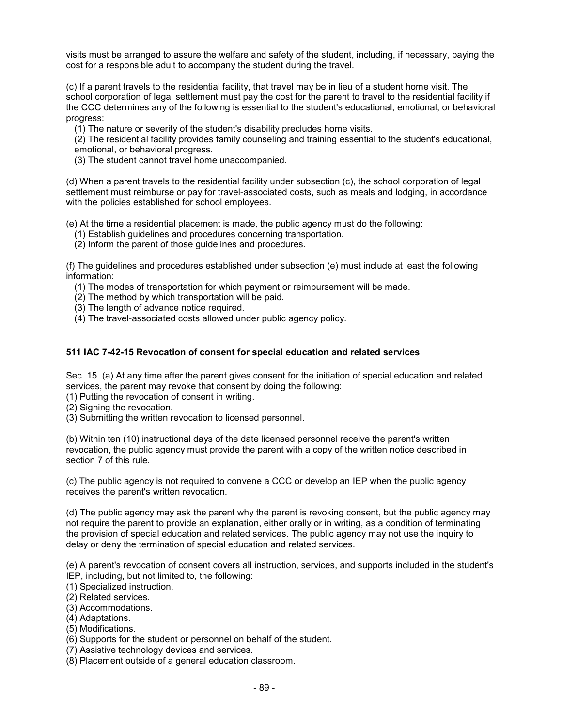visits must be arranged to assure the welfare and safety of the student, including, if necessary, paying the cost for a responsible adult to accompany the student during the travel.

(c) If a parent travels to the residential facility, that travel may be in lieu of a student home visit. The school corporation of legal settlement must pay the cost for the parent to travel to the residential facility if the CCC determines any of the following is essential to the student's educational, emotional, or behavioral progress:

(1) The nature or severity of the student's disability precludes home visits.

(2) The residential facility provides family counseling and training essential to the student's educational, emotional, or behavioral progress.

(3) The student cannot travel home unaccompanied.

(d) When a parent travels to the residential facility under subsection (c), the school corporation of legal settlement must reimburse or pay for travel-associated costs, such as meals and lodging, in accordance with the policies established for school employees.

(e) At the time a residential placement is made, the public agency must do the following:

- (1) Establish guidelines and procedures concerning transportation.
- (2) Inform the parent of those guidelines and procedures.

(f) The guidelines and procedures established under subsection (e) must include at least the following information:

- (1) The modes of transportation for which payment or reimbursement will be made.
- (2) The method by which transportation will be paid.
- (3) The length of advance notice required.
- (4) The travel-associated costs allowed under public agency policy.

#### **511 IAC 7-42-15 Revocation of consent for special education and related services**

Sec. 15. (a) At any time after the parent gives consent for the initiation of special education and related services, the parent may revoke that consent by doing the following:

(1) Putting the revocation of consent in writing.

(2) Signing the revocation.

(3) Submitting the written revocation to licensed personnel.

(b) Within ten (10) instructional days of the date licensed personnel receive the parent's written revocation, the public agency must provide the parent with a copy of the written notice described in section 7 of this rule.

(c) The public agency is not required to convene a CCC or develop an IEP when the public agency receives the parent's written revocation.

(d) The public agency may ask the parent why the parent is revoking consent, but the public agency may not require the parent to provide an explanation, either orally or in writing, as a condition of terminating the provision of special education and related services. The public agency may not use the inquiry to delay or deny the termination of special education and related services.

(e) A parent's revocation of consent covers all instruction, services, and supports included in the student's IEP, including, but not limited to, the following:

(1) Specialized instruction.

(2) Related services.

(3) Accommodations.

(4) Adaptations.

(5) Modifications.

(6) Supports for the student or personnel on behalf of the student.

(7) Assistive technology devices and services.

(8) Placement outside of a general education classroom.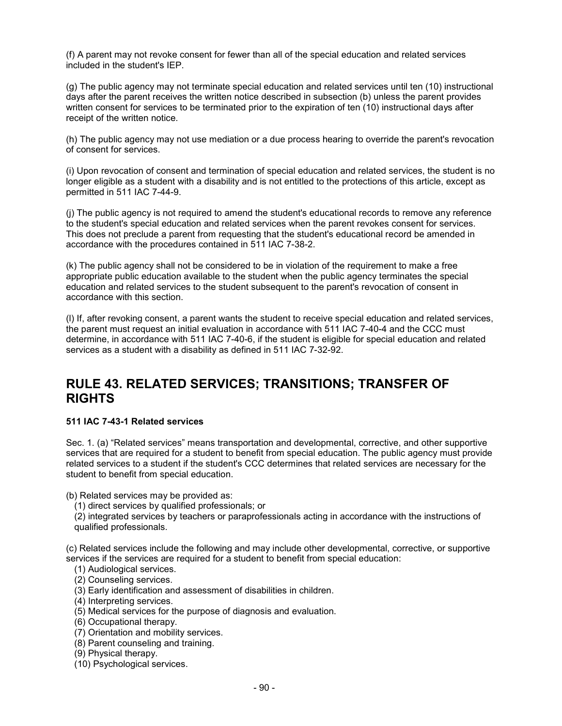(f) A parent may not revoke consent for fewer than all of the special education and related services included in the student's IEP.

(g) The public agency may not terminate special education and related services until ten (10) instructional days after the parent receives the written notice described in subsection (b) unless the parent provides written consent for services to be terminated prior to the expiration of ten (10) instructional days after receipt of the written notice.

(h) The public agency may not use mediation or a due process hearing to override the parent's revocation of consent for services.

(i) Upon revocation of consent and termination of special education and related services, the student is no longer eligible as a student with a disability and is not entitled to the protections of this article, except as permitted in 511 IAC 7-44-9.

(j) The public agency is not required to amend the student's educational records to remove any reference to the student's special education and related services when the parent revokes consent for services. This does not preclude a parent from requesting that the student's educational record be amended in accordance with the procedures contained in 511 IAC 7-38-2.

(k) The public agency shall not be considered to be in violation of the requirement to make a free appropriate public education available to the student when the public agency terminates the special education and related services to the student subsequent to the parent's revocation of consent in accordance with this section.

(l) If, after revoking consent, a parent wants the student to receive special education and related services, the parent must request an initial evaluation in accordance with 511 IAC 7-40-4 and the CCC must determine, in accordance with 511 IAC 7-40-6, if the student is eligible for special education and related services as a student with a disability as defined in 511 IAC 7-32-92.

## **RULE 43. RELATED SERVICES; TRANSITIONS; TRANSFER OF RIGHTS**

#### **511 IAC 7-43-1 Related services**

Sec. 1. (a) "Related services" means transportation and developmental, corrective, and other supportive services that are required for a student to benefit from special education. The public agency must provide related services to a student if the student's CCC determines that related services are necessary for the student to benefit from special education.

(b) Related services may be provided as:

(1) direct services by qualified professionals; or

(2) integrated services by teachers or paraprofessionals acting in accordance with the instructions of qualified professionals.

(c) Related services include the following and may include other developmental, corrective, or supportive services if the services are required for a student to benefit from special education:

(1) Audiological services.

- (2) Counseling services.
- (3) Early identification and assessment of disabilities in children.
- (4) Interpreting services.
- (5) Medical services for the purpose of diagnosis and evaluation.
- (6) Occupational therapy.
- (7) Orientation and mobility services.
- (8) Parent counseling and training.
- (9) Physical therapy.
- (10) Psychological services.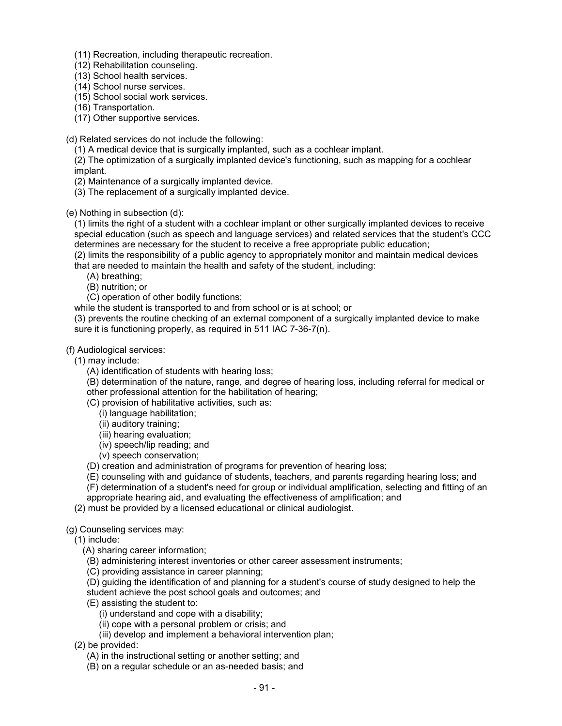- (11) Recreation, including therapeutic recreation.
- (12) Rehabilitation counseling.
- (13) School health services.
- (14) School nurse services.
- (15) School social work services.
- (16) Transportation.
- (17) Other supportive services.
- (d) Related services do not include the following:
	- (1) A medical device that is surgically implanted, such as a cochlear implant.
	- (2) The optimization of a surgically implanted device's functioning, such as mapping for a cochlear implant.
	- (2) Maintenance of a surgically implanted device.
	- (3) The replacement of a surgically implanted device.
- (e) Nothing in subsection (d):

(1) limits the right of a student with a cochlear implant or other surgically implanted devices to receive special education (such as speech and language services) and related services that the student's CCC determines are necessary for the student to receive a free appropriate public education;

(2) limits the responsibility of a public agency to appropriately monitor and maintain medical devices that are needed to maintain the health and safety of the student, including:

- (A) breathing;
- (B) nutrition; or
- (C) operation of other bodily functions;

while the student is transported to and from school or is at school; or

(3) prevents the routine checking of an external component of a surgically implanted device to make sure it is functioning properly, as required in 511 IAC 7-36-7(n).

## (f) Audiological services:

- (1) may include:
	- (A) identification of students with hearing loss;

(B) determination of the nature, range, and degree of hearing loss, including referral for medical or other professional attention for the habilitation of hearing;

- (C) provision of habilitative activities, such as:
	- (i) language habilitation;
	- (ii) auditory training;
	- (iii) hearing evaluation;
	- (iv) speech/lip reading; and
	- (v) speech conservation;
- (D) creation and administration of programs for prevention of hearing loss;
- (E) counseling with and guidance of students, teachers, and parents regarding hearing loss; and
- (F) determination of a student's need for group or individual amplification, selecting and fitting of an
- appropriate hearing aid, and evaluating the effectiveness of amplification; and
- (2) must be provided by a licensed educational or clinical audiologist.

#### (g) Counseling services may:

- (1) include:
	- (A) sharing career information;
	- (B) administering interest inventories or other career assessment instruments;
	- (C) providing assistance in career planning;
	- (D) guiding the identification of and planning for a student's course of study designed to help the
	- student achieve the post school goals and outcomes; and
	- (E) assisting the student to:
		- (i) understand and cope with a disability;
		- (ii) cope with a personal problem or crisis; and
		- (iii) develop and implement a behavioral intervention plan;
- (2) be provided:
	- (A) in the instructional setting or another setting; and
	- (B) on a regular schedule or an as-needed basis; and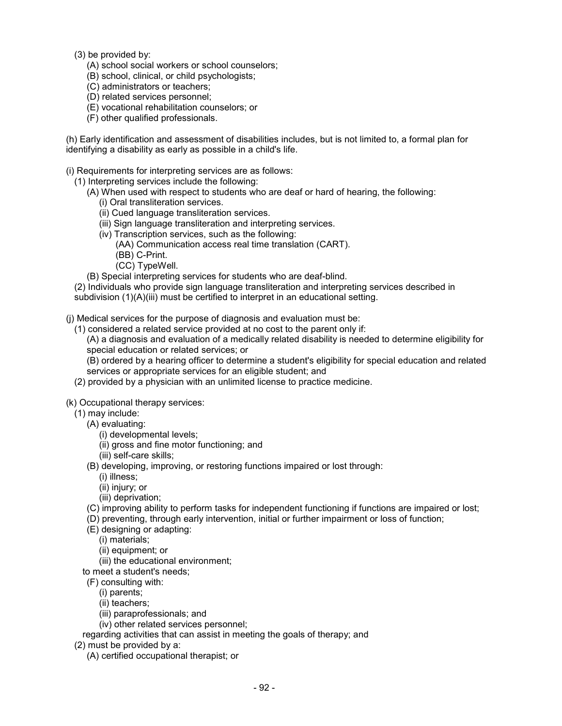- (3) be provided by:
	- (A) school social workers or school counselors;
	- (B) school, clinical, or child psychologists;
	- (C) administrators or teachers;
	- (D) related services personnel;
	- (E) vocational rehabilitation counselors; or
	- (F) other qualified professionals.

(h) Early identification and assessment of disabilities includes, but is not limited to, a formal plan for identifying a disability as early as possible in a child's life.

(i) Requirements for interpreting services are as follows:

(1) Interpreting services include the following:

- (A) When used with respect to students who are deaf or hard of hearing, the following:
	- (i) Oral transliteration services.
	- (ii) Cued language transliteration services.
	- (iii) Sign language transliteration and interpreting services.
	- (iv) Transcription services, such as the following:
		- (AA) Communication access real time translation (CART).
		- (BB) C-Print.
		- (CC) TypeWell.
- (B) Special interpreting services for students who are deaf-blind.

(2) Individuals who provide sign language transliteration and interpreting services described in subdivision (1)(A)(iii) must be certified to interpret in an educational setting.

(j) Medical services for the purpose of diagnosis and evaluation must be:

(1) considered a related service provided at no cost to the parent only if:

(A) a diagnosis and evaluation of a medically related disability is needed to determine eligibility for special education or related services; or

(B) ordered by a hearing officer to determine a student's eligibility for special education and related services or appropriate services for an eligible student; and

(2) provided by a physician with an unlimited license to practice medicine.

(k) Occupational therapy services:

- (1) may include:
	- (A) evaluating:
		- (i) developmental levels;
		- (ii) gross and fine motor functioning; and
		- (iii) self-care skills;
	- (B) developing, improving, or restoring functions impaired or lost through:
		- (i) illness;
		- (ii) injury; or
		- (iii) deprivation;
	- (C) improving ability to perform tasks for independent functioning if functions are impaired or lost;
	- (D) preventing, through early intervention, initial or further impairment or loss of function;
	- (E) designing or adapting:
		- (i) materials;
		- (ii) equipment; or
		- (iii) the educational environment;
	- to meet a student's needs;
	- (F) consulting with:
		- (i) parents;
		- (ii) teachers;
		- (iii) paraprofessionals; and
		- (iv) other related services personnel;
	- regarding activities that can assist in meeting the goals of therapy; and
- (2) must be provided by a:
	- (A) certified occupational therapist; or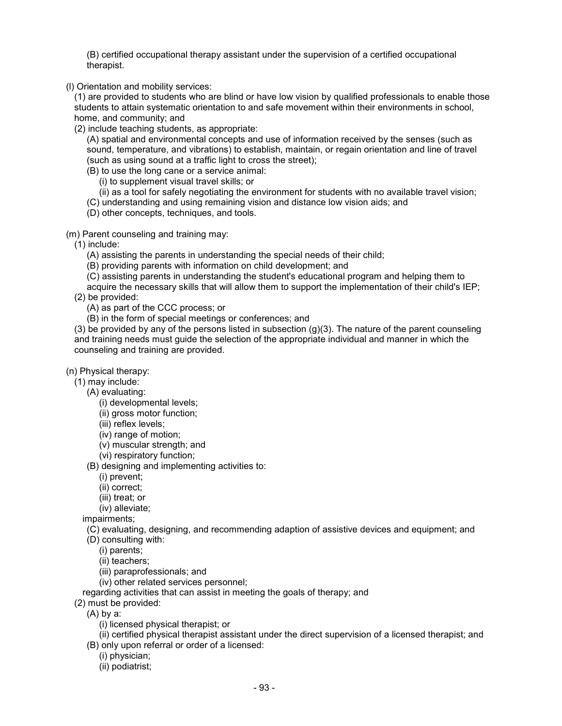(B) certified occupational therapy assistant under the supervision of a certified occupational therapist.

(l) Orientation and mobility services:

(1) are provided to students who are blind or have low vision by qualified professionals to enable those students to attain systematic orientation to and safe movement within their environments in school, home, and community; and

(2) include teaching students, as appropriate:

(A) spatial and environmental concepts and use of information received by the senses (such as sound, temperature, and vibrations) to establish, maintain, or regain orientation and line of travel (such as using sound at a traffic light to cross the street);

(B) to use the long cane or a service animal:

(i) to supplement visual travel skills; or

(ii) as a tool for safely negotiating the environment for students with no available travel vision;

(C) understanding and using remaining vision and distance low vision aids; and

(D) other concepts, techniques, and tools.

(m) Parent counseling and training may:

(1) include:

(A) assisting the parents in understanding the special needs of their child;

(B) providing parents with information on child development; and

(C) assisting parents in understanding the student's educational program and helping them to

acquire the necessary skills that will allow them to support the implementation of their child's IEP; (2) be provided:

(A) as part of the CCC process; or

(B) in the form of special meetings or conferences; and

(3) be provided by any of the persons listed in subsection (g)(3). The nature of the parent counseling and training needs must guide the selection of the appropriate individual and manner in which the counseling and training are provided.

(n) Physical therapy:

(1) may include:

(A) evaluating:

(i) developmental levels;

(ii) gross motor function;

(iii) reflex levels;

(iv) range of motion;

(v) muscular strength; and

(vi) respiratory function;

(B) designing and implementing activities to:

(i) prevent;

(ii) correct;

(iii) treat; or

(iv) alleviate;

impairments;

(C) evaluating, designing, and recommending adaption of assistive devices and equipment; and

(D) consulting with:

(i) parents;

(ii) teachers;

(iii) paraprofessionals; and

(iv) other related services personnel;

regarding activities that can assist in meeting the goals of therapy; and

(2) must be provided:

(A) by a:

(i) licensed physical therapist; or

(ii) certified physical therapist assistant under the direct supervision of a licensed therapist; and (B) only upon referral or order of a licensed:

(i) physician;

(ii) podiatrist;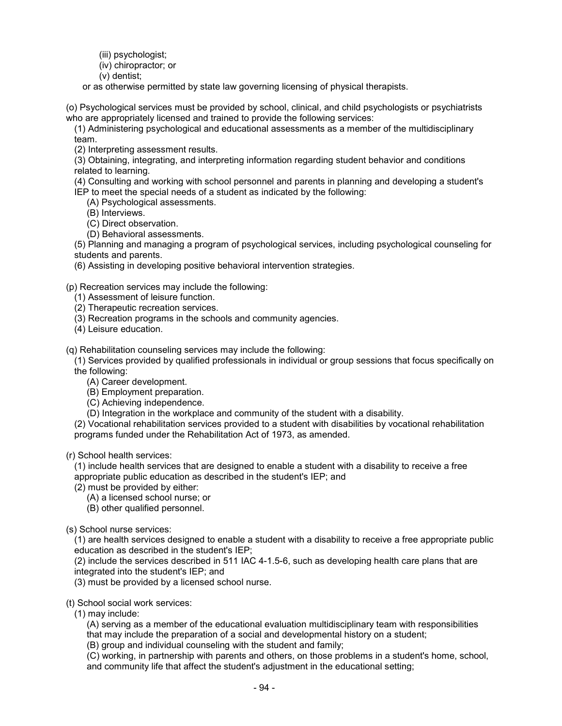- (iii) psychologist;
- (iv) chiropractor; or
- (v) dentist;
- or as otherwise permitted by state law governing licensing of physical therapists.

(o) Psychological services must be provided by school, clinical, and child psychologists or psychiatrists who are appropriately licensed and trained to provide the following services:

(1) Administering psychological and educational assessments as a member of the multidisciplinary team.

(2) Interpreting assessment results.

(3) Obtaining, integrating, and interpreting information regarding student behavior and conditions related to learning.

(4) Consulting and working with school personnel and parents in planning and developing a student's IEP to meet the special needs of a student as indicated by the following:

- (A) Psychological assessments.
- (B) Interviews.
- (C) Direct observation.
- (D) Behavioral assessments.

(5) Planning and managing a program of psychological services, including psychological counseling for students and parents.

(6) Assisting in developing positive behavioral intervention strategies.

(p) Recreation services may include the following:

- (1) Assessment of leisure function.
- (2) Therapeutic recreation services.
- (3) Recreation programs in the schools and community agencies.
- (4) Leisure education.

(q) Rehabilitation counseling services may include the following:

(1) Services provided by qualified professionals in individual or group sessions that focus specifically on the following:

- (A) Career development.
- (B) Employment preparation.
- (C) Achieving independence.
- (D) Integration in the workplace and community of the student with a disability.

(2) Vocational rehabilitation services provided to a student with disabilities by vocational rehabilitation programs funded under the Rehabilitation Act of 1973, as amended.

(r) School health services:

(1) include health services that are designed to enable a student with a disability to receive a free appropriate public education as described in the student's IEP; and

- (2) must be provided by either:
	- (A) a licensed school nurse; or
	- (B) other qualified personnel.

(s) School nurse services:

(1) are health services designed to enable a student with a disability to receive a free appropriate public education as described in the student's IEP;

(2) include the services described in 511 IAC 4-1.5-6, such as developing health care plans that are integrated into the student's IEP; and

(3) must be provided by a licensed school nurse.

(t) School social work services:

(1) may include:

(A) serving as a member of the educational evaluation multidisciplinary team with responsibilities that may include the preparation of a social and developmental history on a student;

(B) group and individual counseling with the student and family;

(C) working, in partnership with parents and others, on those problems in a student's home, school, and community life that affect the student's adjustment in the educational setting;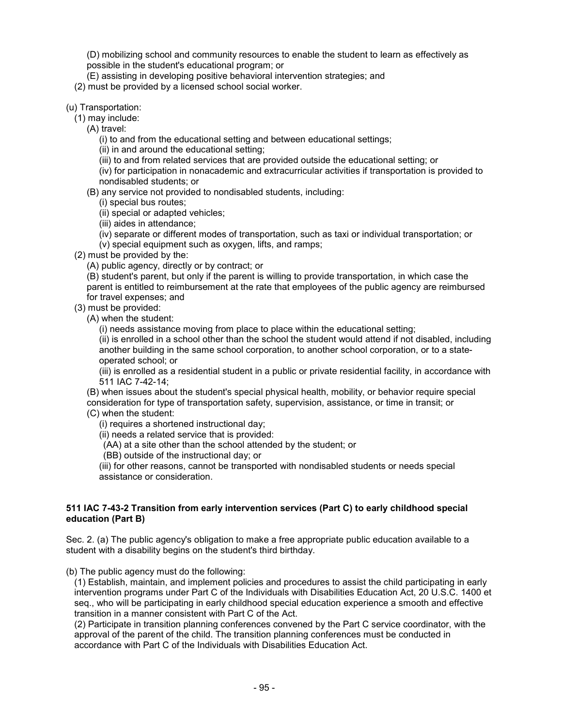(D) mobilizing school and community resources to enable the student to learn as effectively as possible in the student's educational program; or

(E) assisting in developing positive behavioral intervention strategies; and

(2) must be provided by a licensed school social worker.

(u) Transportation:

(1) may include:

(A) travel:

(i) to and from the educational setting and between educational settings;

(ii) in and around the educational setting;

(iii) to and from related services that are provided outside the educational setting; or

(iv) for participation in nonacademic and extracurricular activities if transportation is provided to nondisabled students; or

(B) any service not provided to nondisabled students, including:

(i) special bus routes;

(ii) special or adapted vehicles;

(iii) aides in attendance;

(iv) separate or different modes of transportation, such as taxi or individual transportation; or

(v) special equipment such as oxygen, lifts, and ramps;

(2) must be provided by the:

(A) public agency, directly or by contract; or

(B) student's parent, but only if the parent is willing to provide transportation, in which case the parent is entitled to reimbursement at the rate that employees of the public agency are reimbursed for travel expenses; and

(3) must be provided:

(A) when the student:

(i) needs assistance moving from place to place within the educational setting;

(ii) is enrolled in a school other than the school the student would attend if not disabled, including another building in the same school corporation, to another school corporation, or to a stateoperated school; or

(iii) is enrolled as a residential student in a public or private residential facility, in accordance with 511 IAC 7-42-14;

(B) when issues about the student's special physical health, mobility, or behavior require special consideration for type of transportation safety, supervision, assistance, or time in transit; or

(C) when the student:

(i) requires a shortened instructional day;

(ii) needs a related service that is provided:

(AA) at a site other than the school attended by the student; or

(BB) outside of the instructional day; or

(iii) for other reasons, cannot be transported with nondisabled students or needs special assistance or consideration.

#### **511 IAC 7-43-2 Transition from early intervention services (Part C) to early childhood special education (Part B)**

Sec. 2. (a) The public agency's obligation to make a free appropriate public education available to a student with a disability begins on the student's third birthday.

(b) The public agency must do the following:

(1) Establish, maintain, and implement policies and procedures to assist the child participating in early intervention programs under Part C of the Individuals with Disabilities Education Act, 20 U.S.C. 1400 et seq., who will be participating in early childhood special education experience a smooth and effective transition in a manner consistent with Part C of the Act.

(2) Participate in transition planning conferences convened by the Part C service coordinator, with the approval of the parent of the child. The transition planning conferences must be conducted in accordance with Part C of the Individuals with Disabilities Education Act.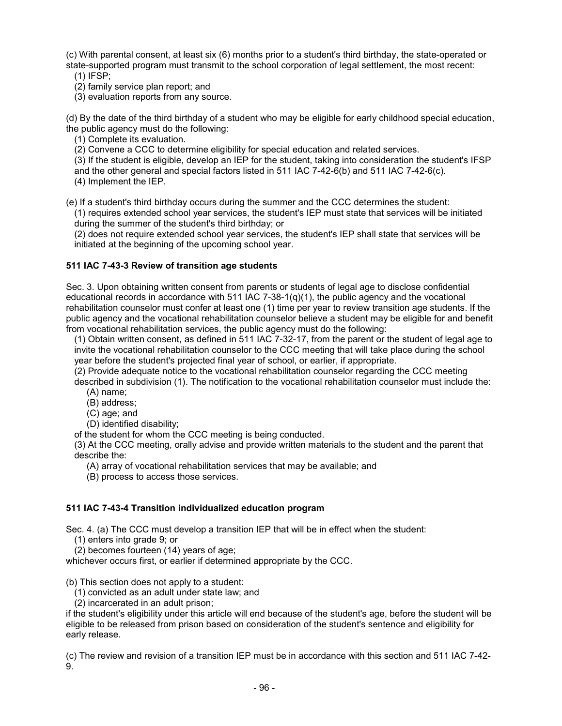(c) With parental consent, at least six (6) months prior to a student's third birthday, the state-operated or state-supported program must transmit to the school corporation of legal settlement, the most recent: (1) IFSP;

(2) family service plan report; and

(3) evaluation reports from any source.

(d) By the date of the third birthday of a student who may be eligible for early childhood special education, the public agency must do the following:

(1) Complete its evaluation.

(2) Convene a CCC to determine eligibility for special education and related services.

(3) If the student is eligible, develop an IEP for the student, taking into consideration the student's IFSP and the other general and special factors listed in 511 IAC 7-42-6(b) and 511 IAC 7-42-6(c). (4) Implement the IEP.

(e) If a student's third birthday occurs during the summer and the CCC determines the student:

(1) requires extended school year services, the student's IEP must state that services will be initiated during the summer of the student's third birthday; or

(2) does not require extended school year services, the student's IEP shall state that services will be initiated at the beginning of the upcoming school year.

## **511 IAC 7-43-3 Review of transition age students**

Sec. 3. Upon obtaining written consent from parents or students of legal age to disclose confidential educational records in accordance with 511 IAC 7-38-1( $q(1)$ , the public agency and the vocational rehabilitation counselor must confer at least one (1) time per year to review transition age students. If the public agency and the vocational rehabilitation counselor believe a student may be eligible for and benefit from vocational rehabilitation services, the public agency must do the following:

(1) Obtain written consent, as defined in 511 IAC 7-32-17, from the parent or the student of legal age to invite the vocational rehabilitation counselor to the CCC meeting that will take place during the school year before the student's projected final year of school, or earlier, if appropriate.

(2) Provide adequate notice to the vocational rehabilitation counselor regarding the CCC meeting

described in subdivision (1). The notification to the vocational rehabilitation counselor must include the: (A) name;

(B) address;

(C) age; and

(D) identified disability;

of the student for whom the CCC meeting is being conducted.

(3) At the CCC meeting, orally advise and provide written materials to the student and the parent that describe the:

(A) array of vocational rehabilitation services that may be available; and

(B) process to access those services.

## **511 IAC 7-43-4 Transition individualized education program**

Sec. 4. (a) The CCC must develop a transition IEP that will be in effect when the student:

(1) enters into grade 9; or

(2) becomes fourteen (14) years of age;

whichever occurs first, or earlier if determined appropriate by the CCC.

#### (b) This section does not apply to a student:

(1) convicted as an adult under state law; and

(2) incarcerated in an adult prison;

if the student's eligibility under this article will end because of the student's age, before the student will be eligible to be released from prison based on consideration of the student's sentence and eligibility for early release.

(c) The review and revision of a transition IEP must be in accordance with this section and 511 IAC 7-42- 9.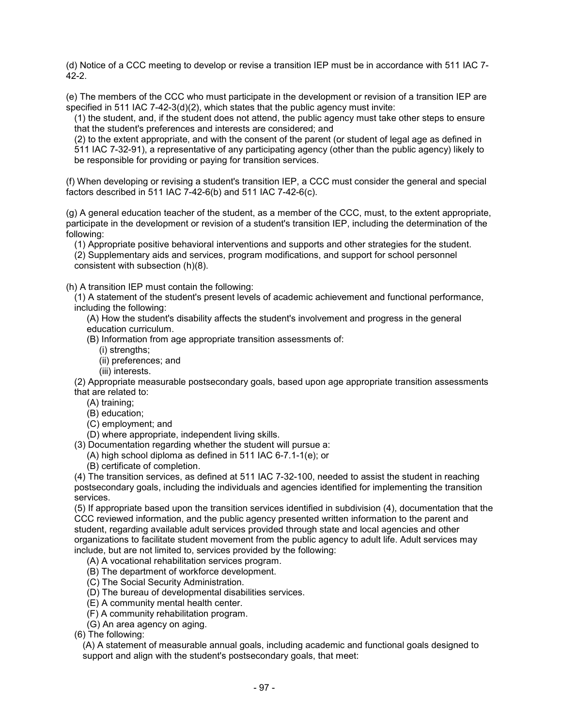(d) Notice of a CCC meeting to develop or revise a transition IEP must be in accordance with 511 IAC 7- 42-2.

(e) The members of the CCC who must participate in the development or revision of a transition IEP are specified in 511 IAC 7-42-3( $d$ )(2), which states that the public agency must invite:

(1) the student, and, if the student does not attend, the public agency must take other steps to ensure that the student's preferences and interests are considered; and

(2) to the extent appropriate, and with the consent of the parent (or student of legal age as defined in 511 IAC 7-32-91), a representative of any participating agency (other than the public agency) likely to be responsible for providing or paying for transition services.

(f) When developing or revising a student's transition IEP, a CCC must consider the general and special factors described in 511 IAC 7-42-6(b) and 511 IAC 7-42-6(c).

(g) A general education teacher of the student, as a member of the CCC, must, to the extent appropriate, participate in the development or revision of a student's transition IEP, including the determination of the following:

(1) Appropriate positive behavioral interventions and supports and other strategies for the student.

(2) Supplementary aids and services, program modifications, and support for school personnel consistent with subsection (h)(8).

(h) A transition IEP must contain the following:

(1) A statement of the student's present levels of academic achievement and functional performance, including the following:

(A) How the student's disability affects the student's involvement and progress in the general education curriculum.

(B) Information from age appropriate transition assessments of:

- (i) strengths;
- (ii) preferences; and
- (iii) interests.

(2) Appropriate measurable postsecondary goals, based upon age appropriate transition assessments that are related to:

- (A) training;
- (B) education;
- (C) employment; and

(D) where appropriate, independent living skills.

(3) Documentation regarding whether the student will pursue a:

(A) high school diploma as defined in 511 IAC 6-7.1-1(e); or

(B) certificate of completion.

(4) The transition services, as defined at 511 IAC 7-32-100, needed to assist the student in reaching postsecondary goals, including the individuals and agencies identified for implementing the transition services.

(5) If appropriate based upon the transition services identified in subdivision (4), documentation that the CCC reviewed information, and the public agency presented written information to the parent and student, regarding available adult services provided through state and local agencies and other organizations to facilitate student movement from the public agency to adult life. Adult services may include, but are not limited to, services provided by the following:

(A) A vocational rehabilitation services program.

(B) The department of workforce development.

(C) The Social Security Administration.

(D) The bureau of developmental disabilities services.

(E) A community mental health center.

(F) A community rehabilitation program.

(G) An area agency on aging.

(6) The following:

(A) A statement of measurable annual goals, including academic and functional goals designed to support and align with the student's postsecondary goals, that meet: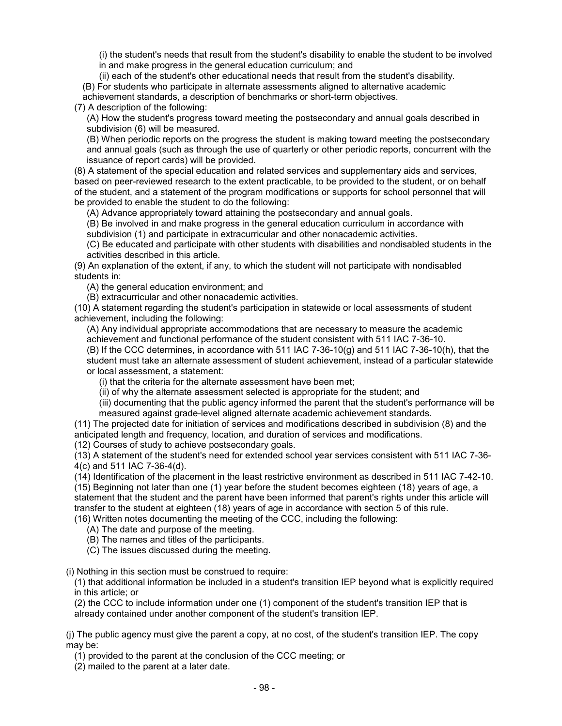(i) the student's needs that result from the student's disability to enable the student to be involved in and make progress in the general education curriculum; and

(ii) each of the student's other educational needs that result from the student's disability. (B) For students who participate in alternate assessments aligned to alternative academic

achievement standards, a description of benchmarks or short-term objectives.

(7) A description of the following:

(A) How the student's progress toward meeting the postsecondary and annual goals described in subdivision (6) will be measured.

(B) When periodic reports on the progress the student is making toward meeting the postsecondary and annual goals (such as through the use of quarterly or other periodic reports, concurrent with the issuance of report cards) will be provided.

(8) A statement of the special education and related services and supplementary aids and services, based on peer-reviewed research to the extent practicable, to be provided to the student, or on behalf of the student, and a statement of the program modifications or supports for school personnel that will be provided to enable the student to do the following:

(A) Advance appropriately toward attaining the postsecondary and annual goals.

(B) Be involved in and make progress in the general education curriculum in accordance with subdivision (1) and participate in extracurricular and other nonacademic activities.

(C) Be educated and participate with other students with disabilities and nondisabled students in the activities described in this article.

(9) An explanation of the extent, if any, to which the student will not participate with nondisabled students in:

(A) the general education environment; and

(B) extracurricular and other nonacademic activities.

(10) A statement regarding the student's participation in statewide or local assessments of student achievement, including the following:

(A) Any individual appropriate accommodations that are necessary to measure the academic achievement and functional performance of the student consistent with 511 IAC 7-36-10.

(B) If the CCC determines, in accordance with 511 IAC 7-36-10(g) and 511 IAC 7-36-10(h), that the student must take an alternate assessment of student achievement, instead of a particular statewide or local assessment, a statement:

(i) that the criteria for the alternate assessment have been met;

(ii) of why the alternate assessment selected is appropriate for the student; and

(iii) documenting that the public agency informed the parent that the student's performance will be measured against grade-level aligned alternate academic achievement standards.

(11) The projected date for initiation of services and modifications described in subdivision (8) and the anticipated length and frequency, location, and duration of services and modifications.

(12) Courses of study to achieve postsecondary goals.

(13) A statement of the student's need for extended school year services consistent with 511 IAC 7-36- 4(c) and 511 IAC 7-36-4(d).

(14) Identification of the placement in the least restrictive environment as described in 511 IAC 7-42-10.

(15) Beginning not later than one (1) year before the student becomes eighteen (18) years of age, a statement that the student and the parent have been informed that parent's rights under this article will transfer to the student at eighteen (18) years of age in accordance with section 5 of this rule.

(16) Written notes documenting the meeting of the CCC, including the following:

(A) The date and purpose of the meeting.

(B) The names and titles of the participants.

(C) The issues discussed during the meeting.

(i) Nothing in this section must be construed to require:

(1) that additional information be included in a student's transition IEP beyond what is explicitly required in this article; or

(2) the CCC to include information under one (1) component of the student's transition IEP that is already contained under another component of the student's transition IEP.

(j) The public agency must give the parent a copy, at no cost, of the student's transition IEP. The copy may be:

(1) provided to the parent at the conclusion of the CCC meeting; or

(2) mailed to the parent at a later date.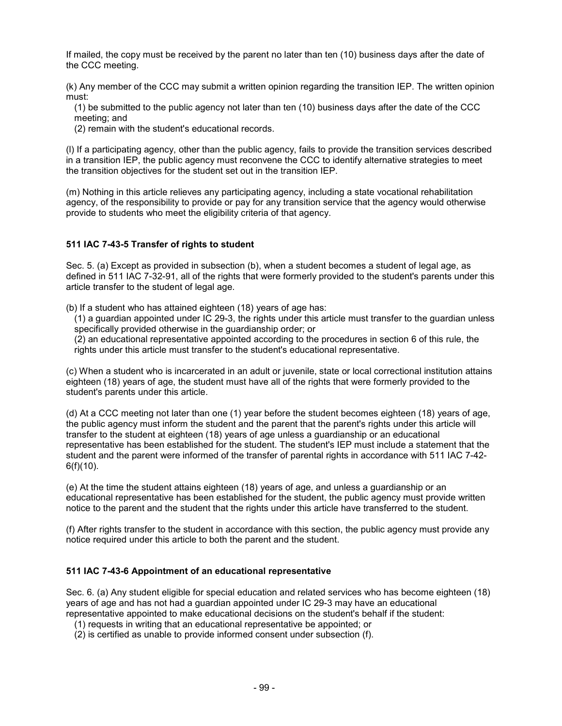If mailed, the copy must be received by the parent no later than ten (10) business days after the date of the CCC meeting.

(k) Any member of the CCC may submit a written opinion regarding the transition IEP. The written opinion must:

(1) be submitted to the public agency not later than ten (10) business days after the date of the CCC meeting; and

(2) remain with the student's educational records.

(l) If a participating agency, other than the public agency, fails to provide the transition services described in a transition IEP, the public agency must reconvene the CCC to identify alternative strategies to meet the transition objectives for the student set out in the transition IEP.

(m) Nothing in this article relieves any participating agency, including a state vocational rehabilitation agency, of the responsibility to provide or pay for any transition service that the agency would otherwise provide to students who meet the eligibility criteria of that agency.

## **511 IAC 7-43-5 Transfer of rights to student**

Sec. 5. (a) Except as provided in subsection (b), when a student becomes a student of legal age, as defined in 511 IAC 7-32-91, all of the rights that were formerly provided to the student's parents under this article transfer to the student of legal age.

(b) If a student who has attained eighteen (18) years of age has:

(1) a guardian appointed under IC 29-3, the rights under this article must transfer to the guardian unless specifically provided otherwise in the guardianship order; or

(2) an educational representative appointed according to the procedures in section 6 of this rule, the rights under this article must transfer to the student's educational representative.

(c) When a student who is incarcerated in an adult or juvenile, state or local correctional institution attains eighteen (18) years of age, the student must have all of the rights that were formerly provided to the student's parents under this article.

(d) At a CCC meeting not later than one (1) year before the student becomes eighteen (18) years of age, the public agency must inform the student and the parent that the parent's rights under this article will transfer to the student at eighteen (18) years of age unless a guardianship or an educational representative has been established for the student. The student's IEP must include a statement that the student and the parent were informed of the transfer of parental rights in accordance with 511 IAC 7-42- 6(f)(10).

(e) At the time the student attains eighteen (18) years of age, and unless a guardianship or an educational representative has been established for the student, the public agency must provide written notice to the parent and the student that the rights under this article have transferred to the student.

(f) After rights transfer to the student in accordance with this section, the public agency must provide any notice required under this article to both the parent and the student.

#### **511 IAC 7-43-6 Appointment of an educational representative**

Sec. 6. (a) Any student eligible for special education and related services who has become eighteen (18) years of age and has not had a guardian appointed under IC 29-3 may have an educational representative appointed to make educational decisions on the student's behalf if the student:

- (1) requests in writing that an educational representative be appointed; or
- (2) is certified as unable to provide informed consent under subsection (f).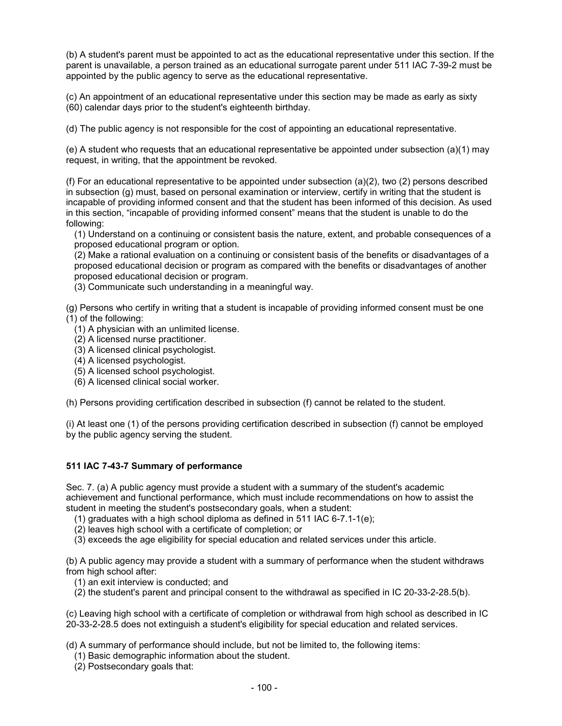(b) A student's parent must be appointed to act as the educational representative under this section. If the parent is unavailable, a person trained as an educational surrogate parent under 511 IAC 7-39-2 must be appointed by the public agency to serve as the educational representative.

(c) An appointment of an educational representative under this section may be made as early as sixty (60) calendar days prior to the student's eighteenth birthday.

(d) The public agency is not responsible for the cost of appointing an educational representative.

(e) A student who requests that an educational representative be appointed under subsection (a)(1) may request, in writing, that the appointment be revoked.

(f) For an educational representative to be appointed under subsection (a)(2), two (2) persons described in subsection (g) must, based on personal examination or interview, certify in writing that the student is incapable of providing informed consent and that the student has been informed of this decision. As used in this section, "incapable of providing informed consent" means that the student is unable to do the following:

(1) Understand on a continuing or consistent basis the nature, extent, and probable consequences of a proposed educational program or option.

(2) Make a rational evaluation on a continuing or consistent basis of the benefits or disadvantages of a proposed educational decision or program as compared with the benefits or disadvantages of another proposed educational decision or program.

(3) Communicate such understanding in a meaningful way.

(g) Persons who certify in writing that a student is incapable of providing informed consent must be one (1) of the following:

- (1) A physician with an unlimited license.
- (2) A licensed nurse practitioner.
- (3) A licensed clinical psychologist.
- (4) A licensed psychologist.
- (5) A licensed school psychologist.
- (6) A licensed clinical social worker.

(h) Persons providing certification described in subsection (f) cannot be related to the student.

(i) At least one (1) of the persons providing certification described in subsection (f) cannot be employed by the public agency serving the student.

#### **511 IAC 7-43-7 Summary of performance**

Sec. 7. (a) A public agency must provide a student with a summary of the student's academic achievement and functional performance, which must include recommendations on how to assist the student in meeting the student's postsecondary goals, when a student:

- (1) graduates with a high school diploma as defined in 511 IAC 6-7.1-1(e);
- (2) leaves high school with a certificate of completion; or
- (3) exceeds the age eligibility for special education and related services under this article.

(b) A public agency may provide a student with a summary of performance when the student withdraws from high school after:

- (1) an exit interview is conducted; and
- (2) the student's parent and principal consent to the withdrawal as specified in IC 20-33-2-28.5(b).

(c) Leaving high school with a certificate of completion or withdrawal from high school as described in IC 20-33-2-28.5 does not extinguish a student's eligibility for special education and related services.

(d) A summary of performance should include, but not be limited to, the following items:

- (1) Basic demographic information about the student.
- (2) Postsecondary goals that: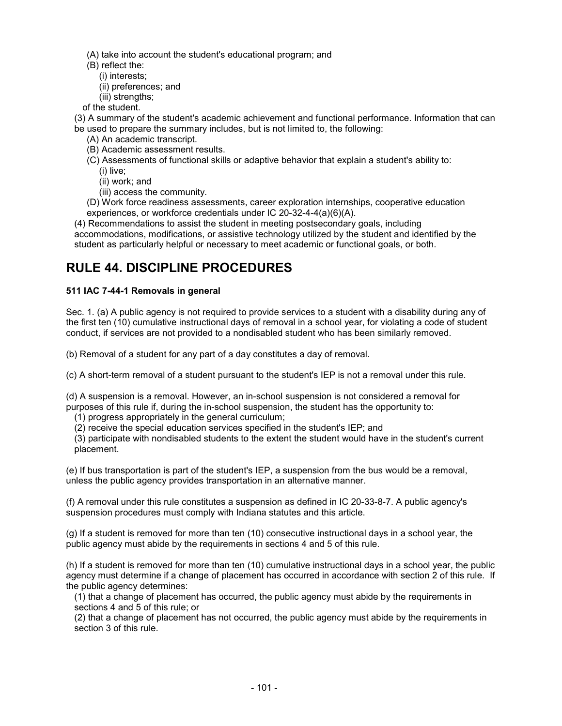(A) take into account the student's educational program; and

- (B) reflect the:
	- (i) interests;
	- (ii) preferences; and
	- (iii) strengths;

of the student.

(3) A summary of the student's academic achievement and functional performance. Information that can be used to prepare the summary includes, but is not limited to, the following:

- (A) An academic transcript.
- (B) Academic assessment results.
- (C) Assessments of functional skills or adaptive behavior that explain a student's ability to:
	- (i) live;
	- (ii) work; and
	- (iii) access the community.
- (D) Work force readiness assessments, career exploration internships, cooperative education experiences, or workforce credentials under IC 20-32-4-4(a)(6)(A).

(4) Recommendations to assist the student in meeting postsecondary goals, including accommodations, modifications, or assistive technology utilized by the student and identified by the student as particularly helpful or necessary to meet academic or functional goals, or both.

# **RULE 44. DISCIPLINE PROCEDURES**

## **511 IAC 7-44-1 Removals in general**

Sec. 1. (a) A public agency is not required to provide services to a student with a disability during any of the first ten (10) cumulative instructional days of removal in a school year, for violating a code of student conduct, if services are not provided to a nondisabled student who has been similarly removed.

(b) Removal of a student for any part of a day constitutes a day of removal.

(c) A short-term removal of a student pursuant to the student's IEP is not a removal under this rule.

(d) A suspension is a removal. However, an in-school suspension is not considered a removal for purposes of this rule if, during the in-school suspension, the student has the opportunity to:

(1) progress appropriately in the general curriculum;

(2) receive the special education services specified in the student's IEP; and

(3) participate with nondisabled students to the extent the student would have in the student's current placement.

(e) If bus transportation is part of the student's IEP, a suspension from the bus would be a removal, unless the public agency provides transportation in an alternative manner.

(f) A removal under this rule constitutes a suspension as defined in IC 20-33-8-7. A public agency's suspension procedures must comply with Indiana statutes and this article.

(g) If a student is removed for more than ten (10) consecutive instructional days in a school year, the public agency must abide by the requirements in sections 4 and 5 of this rule.

(h) If a student is removed for more than ten (10) cumulative instructional days in a school year, the public agency must determine if a change of placement has occurred in accordance with section 2 of this rule. If the public agency determines:

(1) that a change of placement has occurred, the public agency must abide by the requirements in sections 4 and 5 of this rule; or

(2) that a change of placement has not occurred, the public agency must abide by the requirements in section 3 of this rule.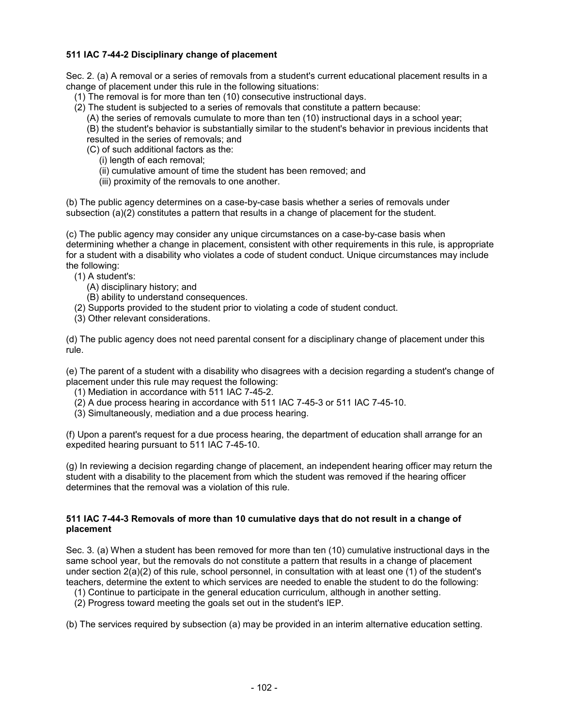## **511 IAC 7-44-2 Disciplinary change of placement**

Sec. 2. (a) A removal or a series of removals from a student's current educational placement results in a change of placement under this rule in the following situations:

- (1) The removal is for more than ten (10) consecutive instructional days.
- (2) The student is subjected to a series of removals that constitute a pattern because:
	- (A) the series of removals cumulate to more than ten (10) instructional days in a school year;
	- (B) the student's behavior is substantially similar to the student's behavior in previous incidents that resulted in the series of removals; and
	- (C) of such additional factors as the:
		- (i) length of each removal;
		- (ii) cumulative amount of time the student has been removed; and
		- (iii) proximity of the removals to one another.

(b) The public agency determines on a case-by-case basis whether a series of removals under subsection (a)(2) constitutes a pattern that results in a change of placement for the student.

(c) The public agency may consider any unique circumstances on a case-by-case basis when determining whether a change in placement, consistent with other requirements in this rule, is appropriate for a student with a disability who violates a code of student conduct. Unique circumstances may include the following:

(1) A student's:

- (A) disciplinary history; and
- (B) ability to understand consequences.
- (2) Supports provided to the student prior to violating a code of student conduct.
- (3) Other relevant considerations.

(d) The public agency does not need parental consent for a disciplinary change of placement under this rule.

(e) The parent of a student with a disability who disagrees with a decision regarding a student's change of placement under this rule may request the following:

- (1) Mediation in accordance with 511 IAC 7-45-2.
- (2) A due process hearing in accordance with 511 IAC 7-45-3 or 511 IAC 7-45-10.
- (3) Simultaneously, mediation and a due process hearing.

(f) Upon a parent's request for a due process hearing, the department of education shall arrange for an expedited hearing pursuant to 511 IAC 7-45-10.

(g) In reviewing a decision regarding change of placement, an independent hearing officer may return the student with a disability to the placement from which the student was removed if the hearing officer determines that the removal was a violation of this rule.

#### **511 IAC 7-44-3 Removals of more than 10 cumulative days that do not result in a change of placement**

Sec. 3. (a) When a student has been removed for more than ten (10) cumulative instructional days in the same school year, but the removals do not constitute a pattern that results in a change of placement under section 2(a)(2) of this rule, school personnel, in consultation with at least one (1) of the student's teachers, determine the extent to which services are needed to enable the student to do the following:

- (1) Continue to participate in the general education curriculum, although in another setting.
- (2) Progress toward meeting the goals set out in the student's IEP.

(b) The services required by subsection (a) may be provided in an interim alternative education setting.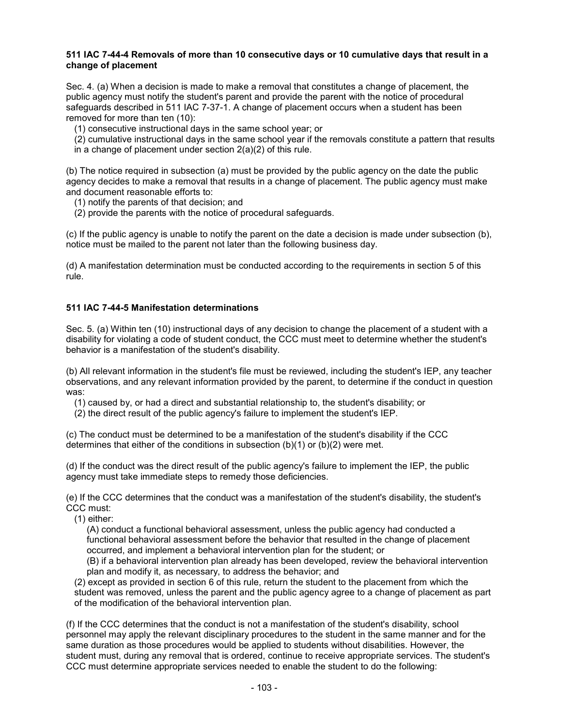### **511 IAC 7-44-4 Removals of more than 10 consecutive days or 10 cumulative days that result in a change of placement**

Sec. 4. (a) When a decision is made to make a removal that constitutes a change of placement, the public agency must notify the student's parent and provide the parent with the notice of procedural safeguards described in 511 IAC 7-37-1. A change of placement occurs when a student has been removed for more than ten (10):

(1) consecutive instructional days in the same school year; or

- (2) cumulative instructional days in the same school year if the removals constitute a pattern that results
- in a change of placement under section 2(a)(2) of this rule.

(b) The notice required in subsection (a) must be provided by the public agency on the date the public agency decides to make a removal that results in a change of placement. The public agency must make and document reasonable efforts to:

- (1) notify the parents of that decision; and
- (2) provide the parents with the notice of procedural safeguards.

(c) If the public agency is unable to notify the parent on the date a decision is made under subsection (b), notice must be mailed to the parent not later than the following business day.

(d) A manifestation determination must be conducted according to the requirements in section 5 of this rule.

### **511 IAC 7-44-5 Manifestation determinations**

Sec. 5. (a) Within ten (10) instructional days of any decision to change the placement of a student with a disability for violating a code of student conduct, the CCC must meet to determine whether the student's behavior is a manifestation of the student's disability.

(b) All relevant information in the student's file must be reviewed, including the student's IEP, any teacher observations, and any relevant information provided by the parent, to determine if the conduct in question was:

- (1) caused by, or had a direct and substantial relationship to, the student's disability; or
- (2) the direct result of the public agency's failure to implement the student's IEP.

(c) The conduct must be determined to be a manifestation of the student's disability if the CCC determines that either of the conditions in subsection (b)(1) or (b)(2) were met.

(d) If the conduct was the direct result of the public agency's failure to implement the IEP, the public agency must take immediate steps to remedy those deficiencies.

(e) If the CCC determines that the conduct was a manifestation of the student's disability, the student's CCC must:

(1) either:

(A) conduct a functional behavioral assessment, unless the public agency had conducted a functional behavioral assessment before the behavior that resulted in the change of placement occurred, and implement a behavioral intervention plan for the student; or

(B) if a behavioral intervention plan already has been developed, review the behavioral intervention plan and modify it, as necessary, to address the behavior; and

(2) except as provided in section 6 of this rule, return the student to the placement from which the student was removed, unless the parent and the public agency agree to a change of placement as part of the modification of the behavioral intervention plan.

(f) If the CCC determines that the conduct is not a manifestation of the student's disability, school personnel may apply the relevant disciplinary procedures to the student in the same manner and for the same duration as those procedures would be applied to students without disabilities. However, the student must, during any removal that is ordered, continue to receive appropriate services. The student's CCC must determine appropriate services needed to enable the student to do the following: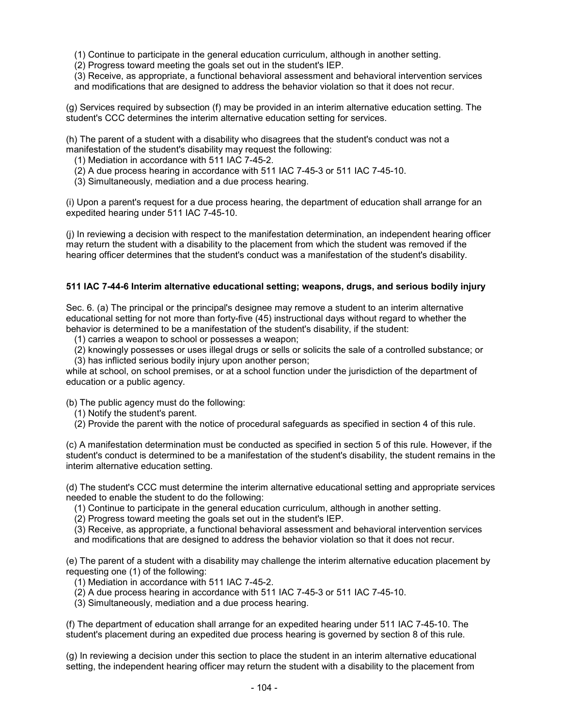(1) Continue to participate in the general education curriculum, although in another setting.

(2) Progress toward meeting the goals set out in the student's IEP.

(3) Receive, as appropriate, a functional behavioral assessment and behavioral intervention services and modifications that are designed to address the behavior violation so that it does not recur.

(g) Services required by subsection (f) may be provided in an interim alternative education setting. The student's CCC determines the interim alternative education setting for services.

(h) The parent of a student with a disability who disagrees that the student's conduct was not a manifestation of the student's disability may request the following:

- (1) Mediation in accordance with 511 IAC 7-45-2.
- (2) A due process hearing in accordance with 511 IAC 7-45-3 or 511 IAC 7-45-10.
- (3) Simultaneously, mediation and a due process hearing.

(i) Upon a parent's request for a due process hearing, the department of education shall arrange for an expedited hearing under 511 IAC 7-45-10.

(j) In reviewing a decision with respect to the manifestation determination, an independent hearing officer may return the student with a disability to the placement from which the student was removed if the hearing officer determines that the student's conduct was a manifestation of the student's disability.

### **511 IAC 7-44-6 Interim alternative educational setting; weapons, drugs, and serious bodily injury**

Sec. 6. (a) The principal or the principal's designee may remove a student to an interim alternative educational setting for not more than forty-five (45) instructional days without regard to whether the behavior is determined to be a manifestation of the student's disability, if the student:

(1) carries a weapon to school or possesses a weapon;

(2) knowingly possesses or uses illegal drugs or sells or solicits the sale of a controlled substance; or

(3) has inflicted serious bodily injury upon another person;

while at school, on school premises, or at a school function under the jurisdiction of the department of education or a public agency.

(b) The public agency must do the following:

- (1) Notify the student's parent.
- (2) Provide the parent with the notice of procedural safeguards as specified in section 4 of this rule.

(c) A manifestation determination must be conducted as specified in section 5 of this rule. However, if the student's conduct is determined to be a manifestation of the student's disability, the student remains in the interim alternative education setting.

(d) The student's CCC must determine the interim alternative educational setting and appropriate services needed to enable the student to do the following:

- (1) Continue to participate in the general education curriculum, although in another setting.
- (2) Progress toward meeting the goals set out in the student's IEP.
- (3) Receive, as appropriate, a functional behavioral assessment and behavioral intervention services

and modifications that are designed to address the behavior violation so that it does not recur.

(e) The parent of a student with a disability may challenge the interim alternative education placement by requesting one (1) of the following:

- (1) Mediation in accordance with 511 IAC 7-45-2.
- (2) A due process hearing in accordance with 511 IAC 7-45-3 or 511 IAC 7-45-10.
- (3) Simultaneously, mediation and a due process hearing.

(f) The department of education shall arrange for an expedited hearing under 511 IAC 7-45-10. The student's placement during an expedited due process hearing is governed by section 8 of this rule.

(g) In reviewing a decision under this section to place the student in an interim alternative educational setting, the independent hearing officer may return the student with a disability to the placement from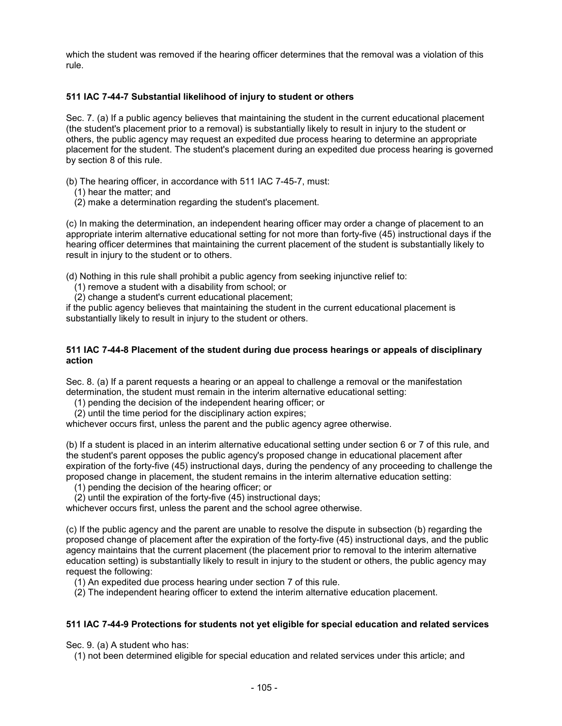which the student was removed if the hearing officer determines that the removal was a violation of this rule.

### **511 IAC 7-44-7 Substantial likelihood of injury to student or others**

Sec. 7. (a) If a public agency believes that maintaining the student in the current educational placement (the student's placement prior to a removal) is substantially likely to result in injury to the student or others, the public agency may request an expedited due process hearing to determine an appropriate placement for the student. The student's placement during an expedited due process hearing is governed by section 8 of this rule.

(b) The hearing officer, in accordance with 511 IAC 7-45-7, must:

- (1) hear the matter; and
- (2) make a determination regarding the student's placement.

(c) In making the determination, an independent hearing officer may order a change of placement to an appropriate interim alternative educational setting for not more than forty-five (45) instructional days if the hearing officer determines that maintaining the current placement of the student is substantially likely to result in injury to the student or to others.

(d) Nothing in this rule shall prohibit a public agency from seeking injunctive relief to:

- (1) remove a student with a disability from school; or
- (2) change a student's current educational placement;

if the public agency believes that maintaining the student in the current educational placement is substantially likely to result in injury to the student or others.

#### **511 IAC 7-44-8 Placement of the student during due process hearings or appeals of disciplinary action**

Sec. 8. (a) If a parent requests a hearing or an appeal to challenge a removal or the manifestation determination, the student must remain in the interim alternative educational setting:

(1) pending the decision of the independent hearing officer; or

(2) until the time period for the disciplinary action expires;

whichever occurs first, unless the parent and the public agency agree otherwise.

(b) If a student is placed in an interim alternative educational setting under section 6 or 7 of this rule, and the student's parent opposes the public agency's proposed change in educational placement after expiration of the forty-five (45) instructional days, during the pendency of any proceeding to challenge the proposed change in placement, the student remains in the interim alternative education setting:

(1) pending the decision of the hearing officer; or

(2) until the expiration of the forty-five (45) instructional days;

whichever occurs first, unless the parent and the school agree otherwise.

(c) If the public agency and the parent are unable to resolve the dispute in subsection (b) regarding the proposed change of placement after the expiration of the forty-five (45) instructional days, and the public agency maintains that the current placement (the placement prior to removal to the interim alternative education setting) is substantially likely to result in injury to the student or others, the public agency may request the following:

(1) An expedited due process hearing under section 7 of this rule.

(2) The independent hearing officer to extend the interim alternative education placement.

### **511 IAC 7-44-9 Protections for students not yet eligible for special education and related services**

Sec. 9. (a) A student who has:

(1) not been determined eligible for special education and related services under this article; and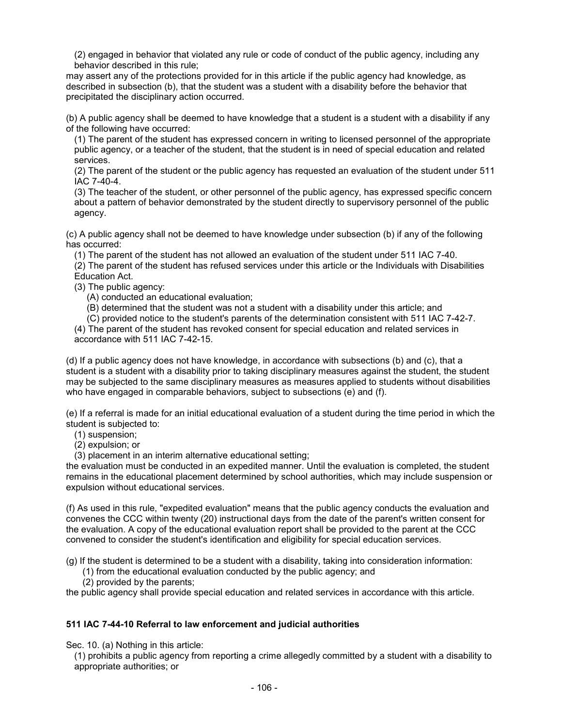(2) engaged in behavior that violated any rule or code of conduct of the public agency, including any behavior described in this rule;

may assert any of the protections provided for in this article if the public agency had knowledge, as described in subsection (b), that the student was a student with a disability before the behavior that precipitated the disciplinary action occurred.

(b) A public agency shall be deemed to have knowledge that a student is a student with a disability if any of the following have occurred:

(1) The parent of the student has expressed concern in writing to licensed personnel of the appropriate public agency, or a teacher of the student, that the student is in need of special education and related services.

(2) The parent of the student or the public agency has requested an evaluation of the student under 511 IAC 7-40-4.

(3) The teacher of the student, or other personnel of the public agency, has expressed specific concern about a pattern of behavior demonstrated by the student directly to supervisory personnel of the public agency.

(c) A public agency shall not be deemed to have knowledge under subsection (b) if any of the following has occurred:

(1) The parent of the student has not allowed an evaluation of the student under 511 IAC 7-40.

(2) The parent of the student has refused services under this article or the Individuals with Disabilities Education Act.

(3) The public agency:

(A) conducted an educational evaluation;

(B) determined that the student was not a student with a disability under this article; and

(C) provided notice to the student's parents of the determination consistent with 511 IAC 7-42-7.

(4) The parent of the student has revoked consent for special education and related services in accordance with [511 IAC 7-42-15.](http://www.in.gov/legislative/iac/iac_title?iact=511&iaca=7)

(d) If a public agency does not have knowledge, in accordance with subsections (b) and (c), that a student is a student with a disability prior to taking disciplinary measures against the student, the student may be subjected to the same disciplinary measures as measures applied to students without disabilities who have engaged in comparable behaviors, subject to subsections (e) and (f).

(e) If a referral is made for an initial educational evaluation of a student during the time period in which the student is subjected to:

(1) suspension;

(2) expulsion; or

(3) placement in an interim alternative educational setting;

the evaluation must be conducted in an expedited manner. Until the evaluation is completed, the student remains in the educational placement determined by school authorities, which may include suspension or expulsion without educational services.

(f) As used in this rule, "expedited evaluation" means that the public agency conducts the evaluation and convenes the CCC within twenty (20) instructional days from the date of the parent's written consent for the evaluation. A copy of the educational evaluation report shall be provided to the parent at the CCC convened to consider the student's identification and eligibility for special education services.

(g) If the student is determined to be a student with a disability, taking into consideration information:

- (1) from the educational evaluation conducted by the public agency; and
- (2) provided by the parents;

the public agency shall provide special education and related services in accordance with this article.

### **511 IAC 7-44-10 Referral to law enforcement and judicial authorities**

Sec. 10. (a) Nothing in this article:

(1) prohibits a public agency from reporting a crime allegedly committed by a student with a disability to appropriate authorities; or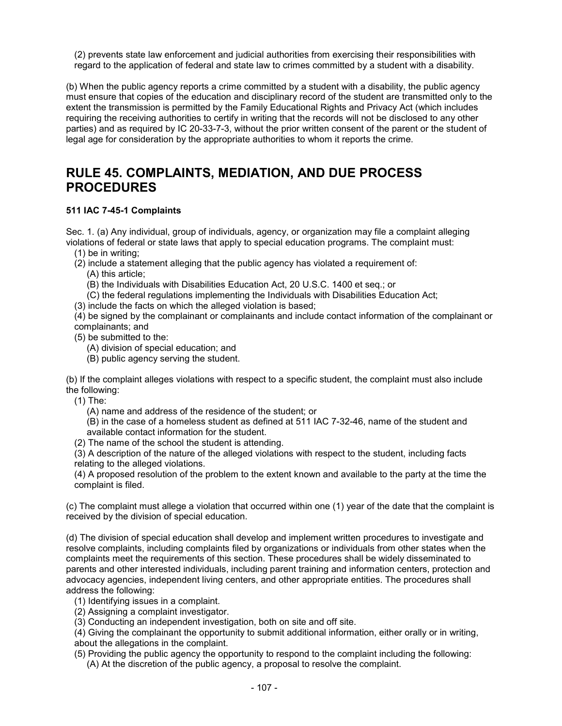(2) prevents state law enforcement and judicial authorities from exercising their responsibilities with regard to the application of federal and state law to crimes committed by a student with a disability.

(b) When the public agency reports a crime committed by a student with a disability, the public agency must ensure that copies of the education and disciplinary record of the student are transmitted only to the extent the transmission is permitted by the Family Educational Rights and Privacy Act (which includes requiring the receiving authorities to certify in writing that the records will not be disclosed to any other parties) and as required by IC 20-33-7-3, without the prior written consent of the parent or the student of legal age for consideration by the appropriate authorities to whom it reports the crime.

## **RULE 45. COMPLAINTS, MEDIATION, AND DUE PROCESS PROCEDURES**

## **511 IAC 7-45-1 Complaints**

Sec. 1. (a) Any individual, group of individuals, agency, or organization may file a complaint alleging violations of federal or state laws that apply to special education programs. The complaint must:

(1) be in writing;

(2) include a statement alleging that the public agency has violated a requirement of:

(A) this article;

- (B) the Individuals with Disabilities Education Act, 20 U.S.C. 1400 et seq.; or
- (C) the federal regulations implementing the Individuals with Disabilities Education Act;
- (3) include the facts on which the alleged violation is based;

(4) be signed by the complainant or complainants and include contact information of the complainant or complainants; and

- (5) be submitted to the:
	- (A) division of special education; and
	- (B) public agency serving the student.

(b) If the complaint alleges violations with respect to a specific student, the complaint must also include the following:

(1) The:

(A) name and address of the residence of the student; or

(B) in the case of a homeless student as defined at 511 IAC 7-32-46, name of the student and available contact information for the student.

(2) The name of the school the student is attending.

(3) A description of the nature of the alleged violations with respect to the student, including facts relating to the alleged violations.

(4) A proposed resolution of the problem to the extent known and available to the party at the time the complaint is filed.

(c) The complaint must allege a violation that occurred within one (1) year of the date that the complaint is received by the division of special education.

(d) The division of special education shall develop and implement written procedures to investigate and resolve complaints, including complaints filed by organizations or individuals from other states when the complaints meet the requirements of this section. These procedures shall be widely disseminated to parents and other interested individuals, including parent training and information centers, protection and advocacy agencies, independent living centers, and other appropriate entities. The procedures shall address the following:

- (1) Identifying issues in a complaint.
- (2) Assigning a complaint investigator.
- (3) Conducting an independent investigation, both on site and off site.

(4) Giving the complainant the opportunity to submit additional information, either orally or in writing, about the allegations in the complaint.

(5) Providing the public agency the opportunity to respond to the complaint including the following:

(A) At the discretion of the public agency, a proposal to resolve the complaint.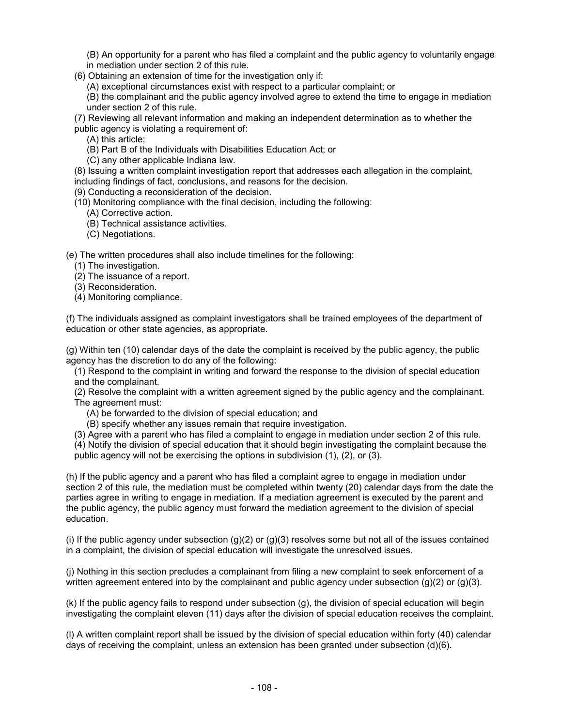(B) An opportunity for a parent who has filed a complaint and the public agency to voluntarily engage in mediation under section 2 of this rule.

(6) Obtaining an extension of time for the investigation only if:

(A) exceptional circumstances exist with respect to a particular complaint; or

(B) the complainant and the public agency involved agree to extend the time to engage in mediation under section 2 of this rule.

(7) Reviewing all relevant information and making an independent determination as to whether the public agency is violating a requirement of:

(A) this article;

(B) Part B of the Individuals with Disabilities Education Act; or

(C) any other applicable Indiana law.

(8) Issuing a written complaint investigation report that addresses each allegation in the complaint,

including findings of fact, conclusions, and reasons for the decision.

(9) Conducting a reconsideration of the decision.

(10) Monitoring compliance with the final decision, including the following:

(A) Corrective action.

(B) Technical assistance activities.

(C) Negotiations.

(e) The written procedures shall also include timelines for the following:

(1) The investigation.

(2) The issuance of a report.

(3) Reconsideration.

(4) Monitoring compliance.

(f) The individuals assigned as complaint investigators shall be trained employees of the department of education or other state agencies, as appropriate.

(g) Within ten (10) calendar days of the date the complaint is received by the public agency, the public agency has the discretion to do any of the following:

(1) Respond to the complaint in writing and forward the response to the division of special education and the complainant.

(2) Resolve the complaint with a written agreement signed by the public agency and the complainant. The agreement must:

(A) be forwarded to the division of special education; and

(B) specify whether any issues remain that require investigation.

(3) Agree with a parent who has filed a complaint to engage in mediation under section 2 of this rule.

(4) Notify the division of special education that it should begin investigating the complaint because the public agency will not be exercising the options in subdivision (1), (2), or (3).

(h) If the public agency and a parent who has filed a complaint agree to engage in mediation under section 2 of this rule, the mediation must be completed within twenty (20) calendar days from the date the parties agree in writing to engage in mediation. If a mediation agreement is executed by the parent and the public agency, the public agency must forward the mediation agreement to the division of special education.

(i) If the public agency under subsection  $(g)(2)$  or  $(g)(3)$  resolves some but not all of the issues contained in a complaint, the division of special education will investigate the unresolved issues.

(j) Nothing in this section precludes a complainant from filing a new complaint to seek enforcement of a written agreement entered into by the complainant and public agency under subsection  $(g)(2)$  or  $(g)(3)$ .

(k) If the public agency fails to respond under subsection (g), the division of special education will begin investigating the complaint eleven (11) days after the division of special education receives the complaint.

(l) A written complaint report shall be issued by the division of special education within forty (40) calendar days of receiving the complaint, unless an extension has been granted under subsection (d)(6).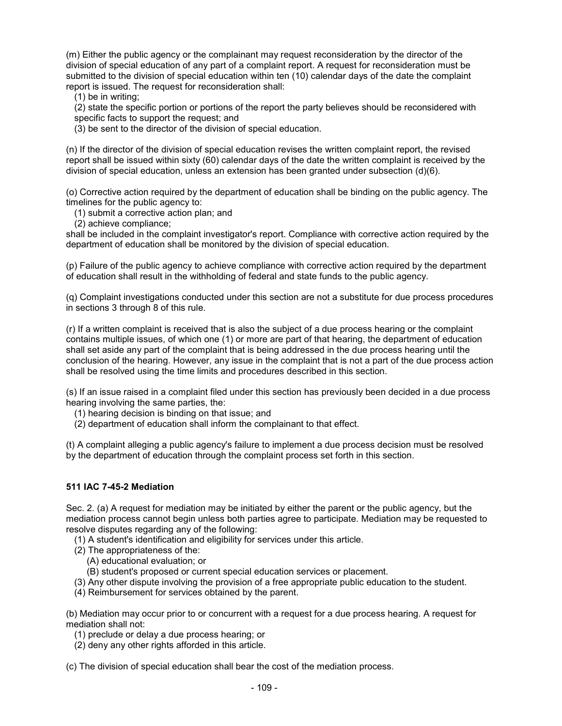(m) Either the public agency or the complainant may request reconsideration by the director of the division of special education of any part of a complaint report. A request for reconsideration must be submitted to the division of special education within ten (10) calendar days of the date the complaint report is issued. The request for reconsideration shall:

(1) be in writing;

(2) state the specific portion or portions of the report the party believes should be reconsidered with specific facts to support the request; and

(3) be sent to the director of the division of special education.

(n) If the director of the division of special education revises the written complaint report, the revised report shall be issued within sixty (60) calendar days of the date the written complaint is received by the division of special education, unless an extension has been granted under subsection (d)(6).

(o) Corrective action required by the department of education shall be binding on the public agency. The timelines for the public agency to:

(1) submit a corrective action plan; and

(2) achieve compliance;

shall be included in the complaint investigator's report. Compliance with corrective action required by the department of education shall be monitored by the division of special education.

(p) Failure of the public agency to achieve compliance with corrective action required by the department of education shall result in the withholding of federal and state funds to the public agency.

(q) Complaint investigations conducted under this section are not a substitute for due process procedures in sections 3 through 8 of this rule.

(r) If a written complaint is received that is also the subject of a due process hearing or the complaint contains multiple issues, of which one (1) or more are part of that hearing, the department of education shall set aside any part of the complaint that is being addressed in the due process hearing until the conclusion of the hearing. However, any issue in the complaint that is not a part of the due process action shall be resolved using the time limits and procedures described in this section.

(s) If an issue raised in a complaint filed under this section has previously been decided in a due process hearing involving the same parties, the:

(1) hearing decision is binding on that issue; and

(2) department of education shall inform the complainant to that effect.

(t) A complaint alleging a public agency's failure to implement a due process decision must be resolved by the department of education through the complaint process set forth in this section.

### **511 IAC 7-45-2 Mediation**

Sec. 2. (a) A request for mediation may be initiated by either the parent or the public agency, but the mediation process cannot begin unless both parties agree to participate. Mediation may be requested to resolve disputes regarding any of the following:

(1) A student's identification and eligibility for services under this article.

- (2) The appropriateness of the:
	- (A) educational evaluation; or

(B) student's proposed or current special education services or placement.

(3) Any other dispute involving the provision of a free appropriate public education to the student.

(4) Reimbursement for services obtained by the parent.

(b) Mediation may occur prior to or concurrent with a request for a due process hearing. A request for mediation shall not:

- (1) preclude or delay a due process hearing; or
- (2) deny any other rights afforded in this article.

(c) The division of special education shall bear the cost of the mediation process.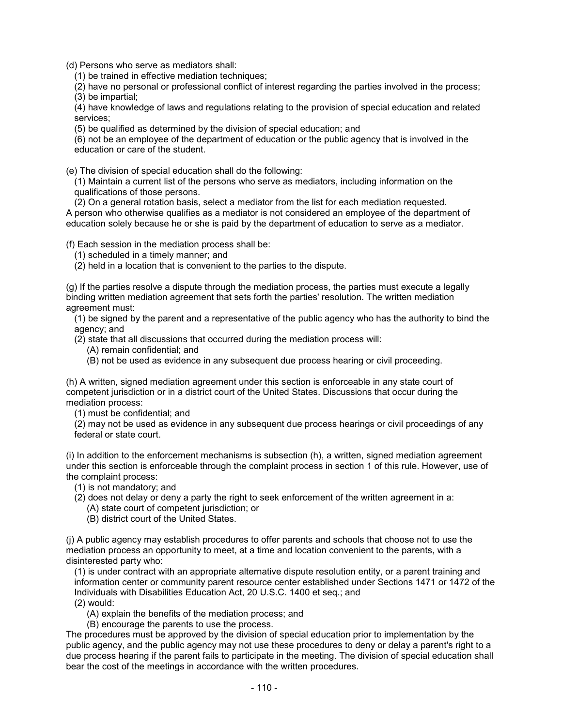(d) Persons who serve as mediators shall:

(1) be trained in effective mediation techniques;

(2) have no personal or professional conflict of interest regarding the parties involved in the process; (3) be impartial;

(4) have knowledge of laws and regulations relating to the provision of special education and related services;

(5) be qualified as determined by the division of special education; and

(6) not be an employee of the department of education or the public agency that is involved in the education or care of the student.

(e) The division of special education shall do the following:

(1) Maintain a current list of the persons who serve as mediators, including information on the qualifications of those persons.

(2) On a general rotation basis, select a mediator from the list for each mediation requested. A person who otherwise qualifies as a mediator is not considered an employee of the department of education solely because he or she is paid by the department of education to serve as a mediator.

(f) Each session in the mediation process shall be:

(1) scheduled in a timely manner; and

(2) held in a location that is convenient to the parties to the dispute.

(g) If the parties resolve a dispute through the mediation process, the parties must execute a legally binding written mediation agreement that sets forth the parties' resolution. The written mediation agreement must:

(1) be signed by the parent and a representative of the public agency who has the authority to bind the agency; and

(2) state that all discussions that occurred during the mediation process will:

(A) remain confidential; and

(B) not be used as evidence in any subsequent due process hearing or civil proceeding.

(h) A written, signed mediation agreement under this section is enforceable in any state court of competent jurisdiction or in a district court of the United States. Discussions that occur during the mediation process:

(1) must be confidential; and

(2) may not be used as evidence in any subsequent due process hearings or civil proceedings of any federal or state court.

(i) In addition to the enforcement mechanisms is subsection (h), a written, signed mediation agreement under this section is enforceable through the complaint process in section 1 of this rule. However, use of the complaint process:

(1) is not mandatory; and

- (2) does not delay or deny a party the right to seek enforcement of the written agreement in a: (A) state court of competent jurisdiction; or
	- (B) district court of the United States.

(j) A public agency may establish procedures to offer parents and schools that choose not to use the mediation process an opportunity to meet, at a time and location convenient to the parents, with a disinterested party who:

(1) is under contract with an appropriate alternative dispute resolution entity, or a parent training and information center or community parent resource center established under Sections 1471 or 1472 of the Individuals with Disabilities Education Act, 20 U.S.C. 1400 et seq.; and (2) would:

(A) explain the benefits of the mediation process; and

(B) encourage the parents to use the process.

The procedures must be approved by the division of special education prior to implementation by the public agency, and the public agency may not use these procedures to deny or delay a parent's right to a due process hearing if the parent fails to participate in the meeting. The division of special education shall bear the cost of the meetings in accordance with the written procedures.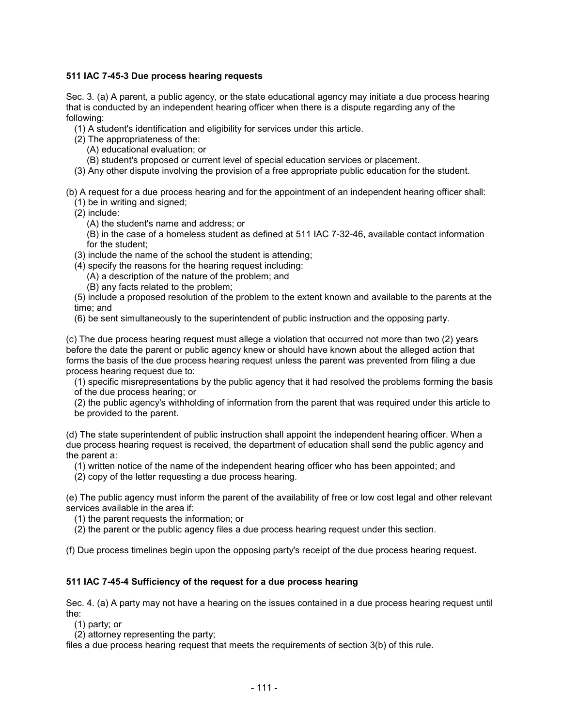### **511 IAC 7-45-3 Due process hearing requests**

Sec. 3. (a) A parent, a public agency, or the state educational agency may initiate a due process hearing that is conducted by an independent hearing officer when there is a dispute regarding any of the following:

- (1) A student's identification and eligibility for services under this article.
- (2) The appropriateness of the:
	- (A) educational evaluation; or
	- (B) student's proposed or current level of special education services or placement.
- (3) Any other dispute involving the provision of a free appropriate public education for the student.

(b) A request for a due process hearing and for the appointment of an independent hearing officer shall:

- (1) be in writing and signed;
- (2) include:
	- (A) the student's name and address; or

(B) in the case of a homeless student as defined at 511 IAC 7-32-46, available contact information for the student;

- (3) include the name of the school the student is attending;
- (4) specify the reasons for the hearing request including:
	- (A) a description of the nature of the problem; and
	- (B) any facts related to the problem;

(5) include a proposed resolution of the problem to the extent known and available to the parents at the time; and

(6) be sent simultaneously to the superintendent of public instruction and the opposing party.

(c) The due process hearing request must allege a violation that occurred not more than two (2) years before the date the parent or public agency knew or should have known about the alleged action that forms the basis of the due process hearing request unless the parent was prevented from filing a due process hearing request due to:

(1) specific misrepresentations by the public agency that it had resolved the problems forming the basis of the due process hearing; or

(2) the public agency's withholding of information from the parent that was required under this article to be provided to the parent.

(d) The state superintendent of public instruction shall appoint the independent hearing officer. When a due process hearing request is received, the department of education shall send the public agency and the parent a:

(1) written notice of the name of the independent hearing officer who has been appointed; and

(2) copy of the letter requesting a due process hearing.

(e) The public agency must inform the parent of the availability of free or low cost legal and other relevant services available in the area if:

(1) the parent requests the information; or

(2) the parent or the public agency files a due process hearing request under this section.

(f) Due process timelines begin upon the opposing party's receipt of the due process hearing request.

## **511 IAC 7-45-4 Sufficiency of the request for a due process hearing**

Sec. 4. (a) A party may not have a hearing on the issues contained in a due process hearing request until the:

(1) party; or

(2) attorney representing the party;

files a due process hearing request that meets the requirements of section 3(b) of this rule.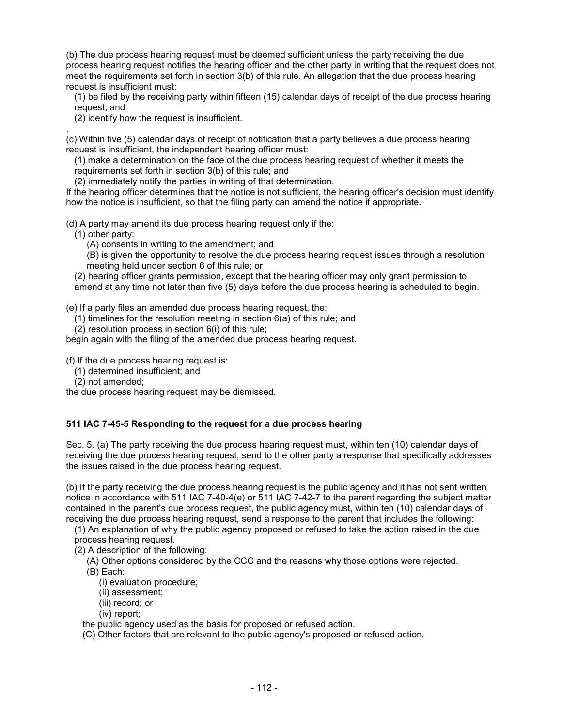(b) The due process hearing request must be deemed sufficient unless the party receiving the due process hearing request notifies the hearing officer and the other party in writing that the request does not meet the requirements set forth in section 3(b) of this rule. An allegation that the due process hearing request is insufficient must:

(1) be filed by the receiving party within fifteen (15) calendar days of receipt of the due process hearing request; and

(2) identify how the request is insufficient.

. (c) Within five (5) calendar days of receipt of notification that a party believes a due process hearing request is insufficient, the independent hearing officer must:

(1) make a determination on the face of the due process hearing request of whether it meets the requirements set forth in section 3(b) of this rule; and

(2) immediately notify the parties in writing of that determination.

If the hearing officer determines that the notice is not sufficient, the hearing officer's decision must identify how the notice is insufficient, so that the filing party can amend the notice if appropriate.

(d) A party may amend its due process hearing request only if the:

(1) other party:

(A) consents in writing to the amendment; and

(B) is given the opportunity to resolve the due process hearing request issues through a resolution meeting held under section 6 of this rule; or

(2) hearing officer grants permission, except that the hearing officer may only grant permission to amend at any time not later than five (5) days before the due process hearing is scheduled to begin.

(e) If a party files an amended due process hearing request, the:

 $(1)$  timelines for the resolution meeting in section  $6(a)$  of this rule; and

(2) resolution process in section 6(i) of this rule;

begin again with the filing of the amended due process hearing request.

(f) If the due process hearing request is:

(1) determined insufficient; and

(2) not amended;

the due process hearing request may be dismissed.

## **511 IAC 7-45-5 Responding to the request for a due process hearing**

Sec. 5. (a) The party receiving the due process hearing request must, within ten (10) calendar days of receiving the due process hearing request, send to the other party a response that specifically addresses the issues raised in the due process hearing request.

(b) If the party receiving the due process hearing request is the public agency and it has not sent written notice in accordance with 511 IAC 7-40-4(e) or 511 IAC 7-42-7 to the parent regarding the subject matter contained in the parent's due process request, the public agency must, within ten (10) calendar days of receiving the due process hearing request, send a response to the parent that includes the following:

(1) An explanation of why the public agency proposed or refused to take the action raised in the due process hearing request.

(2) A description of the following:

(A) Other options considered by the CCC and the reasons why those options were rejected.

- (B) Each:
	- (i) evaluation procedure;
	- (ii) assessment;
	- (iii) record; or
	- (iv) report;

the public agency used as the basis for proposed or refused action.

(C) Other factors that are relevant to the public agency's proposed or refused action.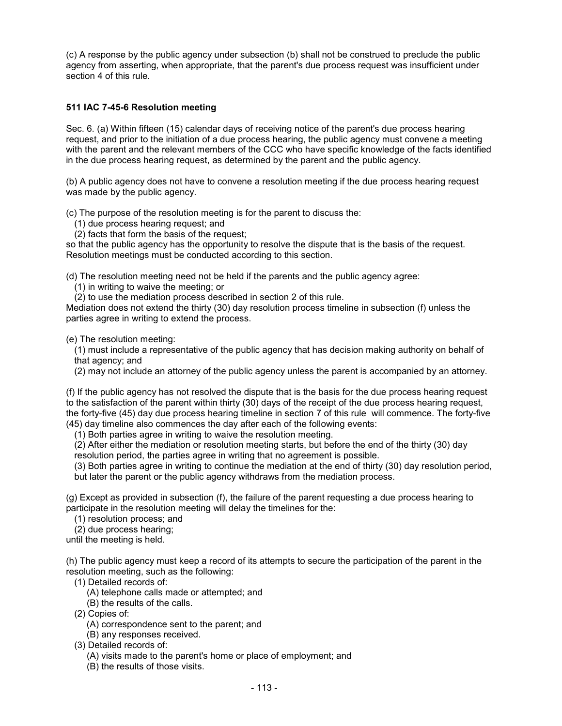(c) A response by the public agency under subsection (b) shall not be construed to preclude the public agency from asserting, when appropriate, that the parent's due process request was insufficient under section 4 of this rule.

## **511 IAC 7-45-6 Resolution meeting**

Sec. 6. (a) Within fifteen (15) calendar days of receiving notice of the parent's due process hearing request, and prior to the initiation of a due process hearing, the public agency must convene a meeting with the parent and the relevant members of the CCC who have specific knowledge of the facts identified in the due process hearing request, as determined by the parent and the public agency.

(b) A public agency does not have to convene a resolution meeting if the due process hearing request was made by the public agency.

(c) The purpose of the resolution meeting is for the parent to discuss the:

(1) due process hearing request; and

(2) facts that form the basis of the request;

so that the public agency has the opportunity to resolve the dispute that is the basis of the request. Resolution meetings must be conducted according to this section.

(d) The resolution meeting need not be held if the parents and the public agency agree:

(1) in writing to waive the meeting; or

(2) to use the mediation process described in section 2 of this rule.

Mediation does not extend the thirty (30) day resolution process timeline in subsection (f) unless the parties agree in writing to extend the process.

(e) The resolution meeting:

(1) must include a representative of the public agency that has decision making authority on behalf of that agency; and

(2) may not include an attorney of the public agency unless the parent is accompanied by an attorney.

(f) If the public agency has not resolved the dispute that is the basis for the due process hearing request to the satisfaction of the parent within thirty (30) days of the receipt of the due process hearing request, the forty-five (45) day due process hearing timeline in section 7 of this rule will commence. The forty-five (45) day timeline also commences the day after each of the following events:

(1) Both parties agree in writing to waive the resolution meeting.

(2) After either the mediation or resolution meeting starts, but before the end of the thirty (30) day

resolution period, the parties agree in writing that no agreement is possible.

(3) Both parties agree in writing to continue the mediation at the end of thirty (30) day resolution period, but later the parent or the public agency withdraws from the mediation process.

(g) Except as provided in subsection (f), the failure of the parent requesting a due process hearing to participate in the resolution meeting will delay the timelines for the:

(1) resolution process; and

(2) due process hearing;

until the meeting is held.

(h) The public agency must keep a record of its attempts to secure the participation of the parent in the resolution meeting, such as the following:

(1) Detailed records of:

- (A) telephone calls made or attempted; and
- (B) the results of the calls.
- (2) Copies of:
	- (A) correspondence sent to the parent; and
	- (B) any responses received.
- (3) Detailed records of:
	- (A) visits made to the parent's home or place of employment; and
	- (B) the results of those visits.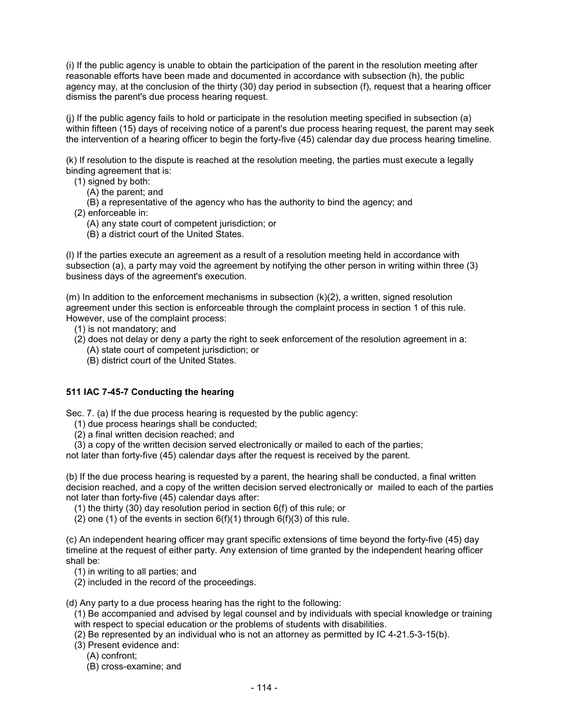(i) If the public agency is unable to obtain the participation of the parent in the resolution meeting after reasonable efforts have been made and documented in accordance with subsection (h), the public agency may, at the conclusion of the thirty (30) day period in subsection (f), request that a hearing officer dismiss the parent's due process hearing request.

(j) If the public agency fails to hold or participate in the resolution meeting specified in subsection (a) within fifteen (15) days of receiving notice of a parent's due process hearing request, the parent may seek the intervention of a hearing officer to begin the forty-five (45) calendar day due process hearing timeline.

(k) If resolution to the dispute is reached at the resolution meeting, the parties must execute a legally binding agreement that is:

- (1) signed by both:
	- (A) the parent; and
	- (B) a representative of the agency who has the authority to bind the agency; and
- (2) enforceable in:
	- (A) any state court of competent jurisdiction; or
	- (B) a district court of the United States.

(l) If the parties execute an agreement as a result of a resolution meeting held in accordance with subsection (a), a party may void the agreement by notifying the other person in writing within three (3) business days of the agreement's execution.

 $(m)$  In addition to the enforcement mechanisms in subsection  $(k)(2)$ , a written, signed resolution agreement under this section is enforceable through the complaint process in section 1 of this rule. However, use of the complaint process:

- (1) is not mandatory; and
- (2) does not delay or deny a party the right to seek enforcement of the resolution agreement in a:
	- (A) state court of competent jurisdiction; or
	- (B) district court of the United States.

## **511 IAC 7-45-7 Conducting the hearing**

Sec. 7. (a) If the due process hearing is requested by the public agency:

- (1) due process hearings shall be conducted;
- (2) a final written decision reached; and
- (3) a copy of the written decision served electronically or mailed to each of the parties;

not later than forty-five (45) calendar days after the request is received by the parent.

(b) If the due process hearing is requested by a parent, the hearing shall be conducted, a final written decision reached, and a copy of the written decision served electronically or mailed to each of the parties not later than forty-five (45) calendar days after:

(1) the thirty (30) day resolution period in section 6(f) of this rule; or

(2) one (1) of the events in section  $6(f)(1)$  through  $6(f)(3)$  of this rule.

(c) An independent hearing officer may grant specific extensions of time beyond the forty-five (45) day timeline at the request of either party. Any extension of time granted by the independent hearing officer shall be:

(1) in writing to all parties; and

(2) included in the record of the proceedings.

(d) Any party to a due process hearing has the right to the following:

- (1) Be accompanied and advised by legal counsel and by individuals with special knowledge or training with respect to special education or the problems of students with disabilities.
- (2) Be represented by an individual who is not an attorney as permitted by [IC 4-21.5-3-15\(](http://www.in.gov/legislative/ic/code/title4/ar21.5/ch3.html#IC4-21.5-3-15)b).
- (3) Present evidence and:
	- (A) confront;
	- (B) cross-examine; and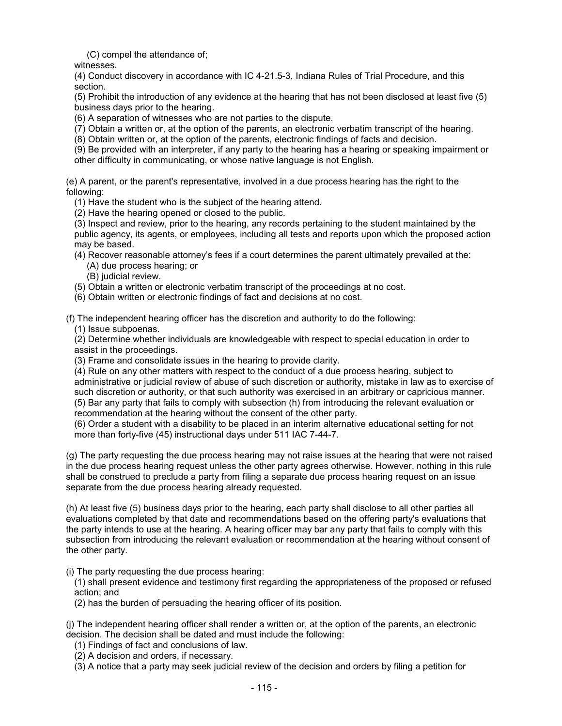(C) compel the attendance of;

witnesses.

(4) Conduct discovery in accordance with IC 4-21.5-3, Indiana Rules of Trial Procedure, and this section.

(5) Prohibit the introduction of any evidence at the hearing that has not been disclosed at least five (5) business days prior to the hearing.

(6) A separation of witnesses who are not parties to the dispute.

(7) Obtain a written or, at the option of the parents, an electronic verbatim transcript of the hearing.

(8) Obtain written or, at the option of the parents, electronic findings of facts and decision.

(9) Be provided with an interpreter, if any party to the hearing has a hearing or speaking impairment or other difficulty in communicating, or whose native language is not English.

(e) A parent, or the parent's representative, involved in a due process hearing has the right to the following:

(1) Have the student who is the subject of the hearing attend.

(2) Have the hearing opened or closed to the public.

(3) Inspect and review, prior to the hearing, any records pertaining to the student maintained by the public agency, its agents, or employees, including all tests and reports upon which the proposed action may be based.

(4) Recover reasonable attorney's fees if a court determines the parent ultimately prevailed at the: (A) due process hearing; or

(B) judicial review.

(5) Obtain a written or electronic verbatim transcript of the proceedings at no cost.

(6) Obtain written or electronic findings of fact and decisions at no cost.

(f) The independent hearing officer has the discretion and authority to do the following:

(1) Issue subpoenas.

(2) Determine whether individuals are knowledgeable with respect to special education in order to assist in the proceedings.

(3) Frame and consolidate issues in the hearing to provide clarity.

(4) Rule on any other matters with respect to the conduct of a due process hearing, subject to administrative or judicial review of abuse of such discretion or authority, mistake in law as to exercise of such discretion or authority, or that such authority was exercised in an arbitrary or capricious manner. (5) Bar any party that fails to comply with subsection (h) from introducing the relevant evaluation or recommendation at the hearing without the consent of the other party.

(6) Order a student with a disability to be placed in an interim alternative educational setting for not more than forty-five (45) instructional days under 511 IAC 7-44-7.

(g) The party requesting the due process hearing may not raise issues at the hearing that were not raised in the due process hearing request unless the other party agrees otherwise. However, nothing in this rule shall be construed to preclude a party from filing a separate due process hearing request on an issue separate from the due process hearing already requested.

(h) At least five (5) business days prior to the hearing, each party shall disclose to all other parties all evaluations completed by that date and recommendations based on the offering party's evaluations that the party intends to use at the hearing. A hearing officer may bar any party that fails to comply with this subsection from introducing the relevant evaluation or recommendation at the hearing without consent of the other party.

(i) The party requesting the due process hearing:

(1) shall present evidence and testimony first regarding the appropriateness of the proposed or refused action; and

(2) has the burden of persuading the hearing officer of its position.

(j) The independent hearing officer shall render a written or, at the option of the parents, an electronic decision. The decision shall be dated and must include the following:

- (1) Findings of fact and conclusions of law.
- (2) A decision and orders, if necessary.

(3) A notice that a party may seek judicial review of the decision and orders by filing a petition for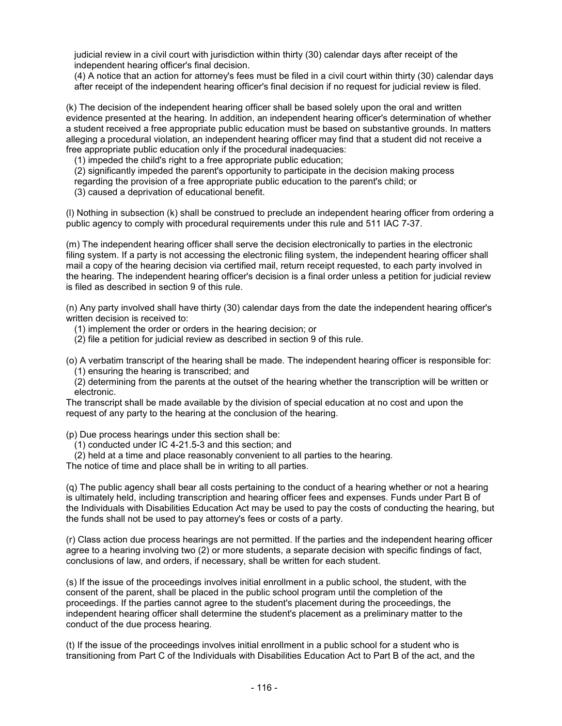judicial review in a civil court with jurisdiction within thirty (30) calendar days after receipt of the independent hearing officer's final decision.

(4) A notice that an action for attorney's fees must be filed in a civil court within thirty (30) calendar days after receipt of the independent hearing officer's final decision if no request for judicial review is filed.

(k) The decision of the independent hearing officer shall be based solely upon the oral and written evidence presented at the hearing. In addition, an independent hearing officer's determination of whether a student received a free appropriate public education must be based on substantive grounds. In matters alleging a procedural violation, an independent hearing officer may find that a student did not receive a free appropriate public education only if the procedural inadequacies:

(1) impeded the child's right to a free appropriate public education;

(2) significantly impeded the parent's opportunity to participate in the decision making process

regarding the provision of a free appropriate public education to the parent's child; or

(3) caused a deprivation of educational benefit.

(l) Nothing in subsection (k) shall be construed to preclude an independent hearing officer from ordering a public agency to comply with procedural requirements under this rule and 511 IAC 7-37.

(m) The independent hearing officer shall serve the decision electronically to parties in the electronic filing system. If a party is not accessing the electronic filing system, the independent hearing officer shall mail a copy of the hearing decision via certified mail, return receipt requested, to each party involved in the hearing. The independent hearing officer's decision is a final order unless a petition for judicial review is filed as described in section 9 of this rule.

(n) Any party involved shall have thirty (30) calendar days from the date the independent hearing officer's written decision is received to:

(1) implement the order or orders in the hearing decision; or

(2) file a petition for judicial review as described in section 9 of this rule.

(o) A verbatim transcript of the hearing shall be made. The independent hearing officer is responsible for: (1) ensuring the hearing is transcribed; and

(2) determining from the parents at the outset of the hearing whether the transcription will be written or electronic.

The transcript shall be made available by the division of special education at no cost and upon the request of any party to the hearing at the conclusion of the hearing.

(p) Due process hearings under this section shall be:

(1) conducted under IC 4-21.5-3 and this section; and

(2) held at a time and place reasonably convenient to all parties to the hearing.

The notice of time and place shall be in writing to all parties.

(q) The public agency shall bear all costs pertaining to the conduct of a hearing whether or not a hearing is ultimately held, including transcription and hearing officer fees and expenses. Funds under Part B of the Individuals with Disabilities Education Act may be used to pay the costs of conducting the hearing, but the funds shall not be used to pay attorney's fees or costs of a party.

(r) Class action due process hearings are not permitted. If the parties and the independent hearing officer agree to a hearing involving two (2) or more students, a separate decision with specific findings of fact, conclusions of law, and orders, if necessary, shall be written for each student.

(s) If the issue of the proceedings involves initial enrollment in a public school, the student, with the consent of the parent, shall be placed in the public school program until the completion of the proceedings. If the parties cannot agree to the student's placement during the proceedings, the independent hearing officer shall determine the student's placement as a preliminary matter to the conduct of the due process hearing.

(t) If the issue of the proceedings involves initial enrollment in a public school for a student who is transitioning from Part C of the Individuals with Disabilities Education Act to Part B of the act, and the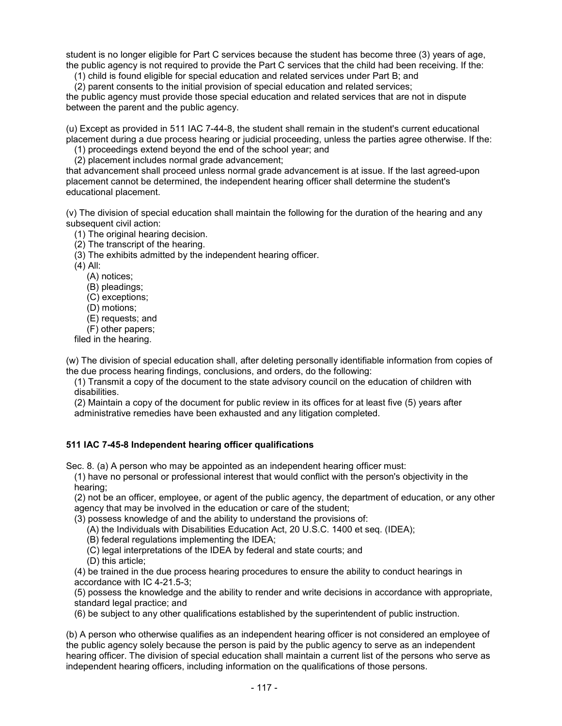student is no longer eligible for Part C services because the student has become three (3) years of age, the public agency is not required to provide the Part C services that the child had been receiving. If the:

(1) child is found eligible for special education and related services under Part B; and

(2) parent consents to the initial provision of special education and related services;

the public agency must provide those special education and related services that are not in dispute between the parent and the public agency.

(u) Except as provided in 511 IAC 7-44-8, the student shall remain in the student's current educational placement during a due process hearing or judicial proceeding, unless the parties agree otherwise. If the:

(1) proceedings extend beyond the end of the school year; and

(2) placement includes normal grade advancement;

that advancement shall proceed unless normal grade advancement is at issue. If the last agreed-upon placement cannot be determined, the independent hearing officer shall determine the student's educational placement.

(v) The division of special education shall maintain the following for the duration of the hearing and any subsequent civil action:

(1) The original hearing decision.

(2) The transcript of the hearing.

(3) The exhibits admitted by the independent hearing officer.

(4) All:

(A) notices;

(B) pleadings;

(C) exceptions;

(D) motions;

(E) requests; and

(F) other papers;

filed in the hearing.

(w) The division of special education shall, after deleting personally identifiable information from copies of the due process hearing findings, conclusions, and orders, do the following:

(1) Transmit a copy of the document to the state advisory council on the education of children with disabilities.

(2) Maintain a copy of the document for public review in its offices for at least five (5) years after administrative remedies have been exhausted and any litigation completed.

### **511 IAC 7-45-8 Independent hearing officer qualifications**

Sec. 8. (a) A person who may be appointed as an independent hearing officer must:

(1) have no personal or professional interest that would conflict with the person's objectivity in the hearing;

(2) not be an officer, employee, or agent of the public agency, the department of education, or any other agency that may be involved in the education or care of the student;

(3) possess knowledge of and the ability to understand the provisions of:

(A) the Individuals with Disabilities Education Act, 20 U.S.C. 1400 et seq. (IDEA);

- (B) federal regulations implementing the IDEA;
- (C) legal interpretations of the IDEA by federal and state courts; and
- (D) this article;

(4) be trained in the due process hearing procedures to ensure the ability to conduct hearings in accordance with IC 4-21.5-3;

(5) possess the knowledge and the ability to render and write decisions in accordance with appropriate, standard legal practice; and

(6) be subject to any other qualifications established by the superintendent of public instruction.

(b) A person who otherwise qualifies as an independent hearing officer is not considered an employee of the public agency solely because the person is paid by the public agency to serve as an independent hearing officer. The division of special education shall maintain a current list of the persons who serve as independent hearing officers, including information on the qualifications of those persons.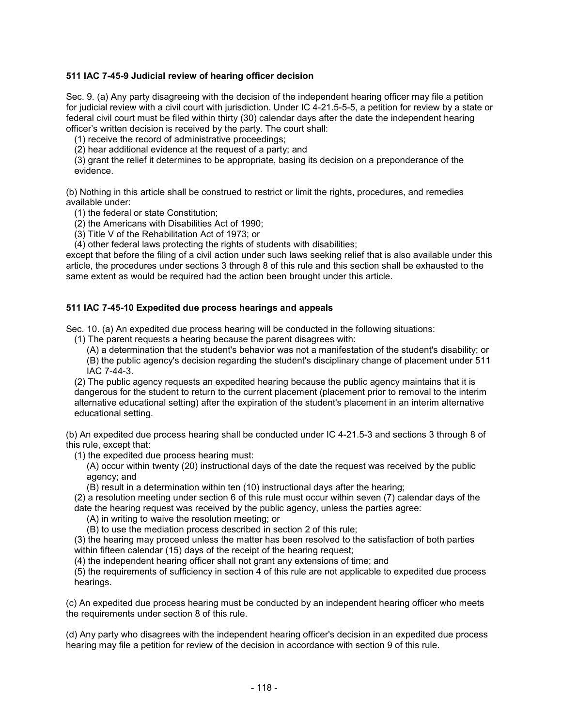### **511 IAC 7-45-9 Judicial review of hearing officer decision**

Sec. 9. (a) Any party disagreeing with the decision of the independent hearing officer may file a petition for judicial review with a civil court with jurisdiction. Under IC 4-21.5-5-5, a petition for review by a state or federal civil court must be filed within thirty (30) calendar days after the date the independent hearing officer's written decision is received by the party. The court shall:

(1) receive the record of administrative proceedings;

(2) hear additional evidence at the request of a party; and

(3) grant the relief it determines to be appropriate, basing its decision on a preponderance of the evidence.

(b) Nothing in this article shall be construed to restrict or limit the rights, procedures, and remedies available under:

- (1) the federal or state Constitution;
- (2) the Americans with Disabilities Act of 1990;
- (3) Title V of the Rehabilitation Act of 1973; or

(4) other federal laws protecting the rights of students with disabilities;

except that before the filing of a civil action under such laws seeking relief that is also available under this article, the procedures under sections 3 through 8 of this rule and this section shall be exhausted to the same extent as would be required had the action been brought under this article.

### **511 IAC 7-45-10 Expedited due process hearings and appeals**

Sec. 10. (a) An expedited due process hearing will be conducted in the following situations:

(1) The parent requests a hearing because the parent disagrees with:

(A) a determination that the student's behavior was not a manifestation of the student's disability; or (B) the public agency's decision regarding the student's disciplinary change of placement under 511 IAC 7-44-3.

(2) The public agency requests an expedited hearing because the public agency maintains that it is dangerous for the student to return to the current placement (placement prior to removal to the interim alternative educational setting) after the expiration of the student's placement in an interim alternative educational setting.

(b) An expedited due process hearing shall be conducted under IC 4-21.5-3 and sections 3 through 8 of this rule, except that:

(1) the expedited due process hearing must:

(A) occur within twenty (20) instructional days of the date the request was received by the public agency; and

(B) result in a determination within ten (10) instructional days after the hearing;

(2) a resolution meeting under section 6 of this rule must occur within seven (7) calendar days of the date the hearing request was received by the public agency, unless the parties agree:

(A) in writing to waive the resolution meeting; or

(B) to use the mediation process described in section 2 of this rule;

(3) the hearing may proceed unless the matter has been resolved to the satisfaction of both parties within fifteen calendar (15) days of the receipt of the hearing request;

(4) the independent hearing officer shall not grant any extensions of time; and

(5) the requirements of sufficiency in section 4 of this rule are not applicable to expedited due process hearings.

(c) An expedited due process hearing must be conducted by an independent hearing officer who meets the requirements under section 8 of this rule.

(d) Any party who disagrees with the independent hearing officer's decision in an expedited due process hearing may file a petition for review of the decision in accordance with section 9 of this rule.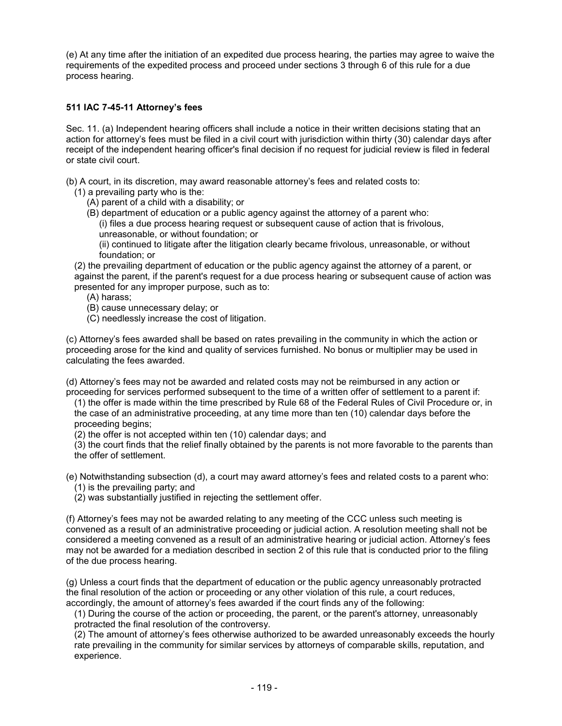(e) At any time after the initiation of an expedited due process hearing, the parties may agree to waive the requirements of the expedited process and proceed under sections 3 through 6 of this rule for a due process hearing.

### **511 IAC 7-45-11 Attorney's fees**

Sec. 11. (a) Independent hearing officers shall include a notice in their written decisions stating that an action for attorney's fees must be filed in a civil court with jurisdiction within thirty (30) calendar days after receipt of the independent hearing officer's final decision if no request for judicial review is filed in federal or state civil court.

(b) A court, in its discretion, may award reasonable attorney's fees and related costs to:

- (1) a prevailing party who is the:
	- (A) parent of a child with a disability; or
	- (B) department of education or a public agency against the attorney of a parent who: (i) files a due process hearing request or subsequent cause of action that is frivolous,
		- unreasonable, or without foundation; or

(ii) continued to litigate after the litigation clearly became frivolous, unreasonable, or without foundation; or

(2) the prevailing department of education or the public agency against the attorney of a parent, or against the parent, if the parent's request for a due process hearing or subsequent cause of action was presented for any improper purpose, such as to:

- (A) harass;
- (B) cause unnecessary delay; or
- (C) needlessly increase the cost of litigation.

(c) Attorney's fees awarded shall be based on rates prevailing in the community in which the action or proceeding arose for the kind and quality of services furnished. No bonus or multiplier may be used in calculating the fees awarded.

(d) Attorney's fees may not be awarded and related costs may not be reimbursed in any action or proceeding for services performed subsequent to the time of a written offer of settlement to a parent if:

(1) the offer is made within the time prescribed by Rule 68 of the Federal Rules of Civil Procedure or, in the case of an administrative proceeding, at any time more than ten (10) calendar days before the proceeding begins;

(2) the offer is not accepted within ten (10) calendar days; and

(3) the court finds that the relief finally obtained by the parents is not more favorable to the parents than the offer of settlement.

(e) Notwithstanding subsection (d), a court may award attorney's fees and related costs to a parent who: (1) is the prevailing party; and

(2) was substantially justified in rejecting the settlement offer.

(f) Attorney's fees may not be awarded relating to any meeting of the CCC unless such meeting is convened as a result of an administrative proceeding or judicial action. A resolution meeting shall not be considered a meeting convened as a result of an administrative hearing or judicial action. Attorney's fees may not be awarded for a mediation described in section 2 of this rule that is conducted prior to the filing of the due process hearing.

(g) Unless a court finds that the department of education or the public agency unreasonably protracted the final resolution of the action or proceeding or any other violation of this rule, a court reduces, accordingly, the amount of attorney's fees awarded if the court finds any of the following:

(1) During the course of the action or proceeding, the parent, or the parent's attorney, unreasonably protracted the final resolution of the controversy.

(2) The amount of attorney's fees otherwise authorized to be awarded unreasonably exceeds the hourly rate prevailing in the community for similar services by attorneys of comparable skills, reputation, and experience.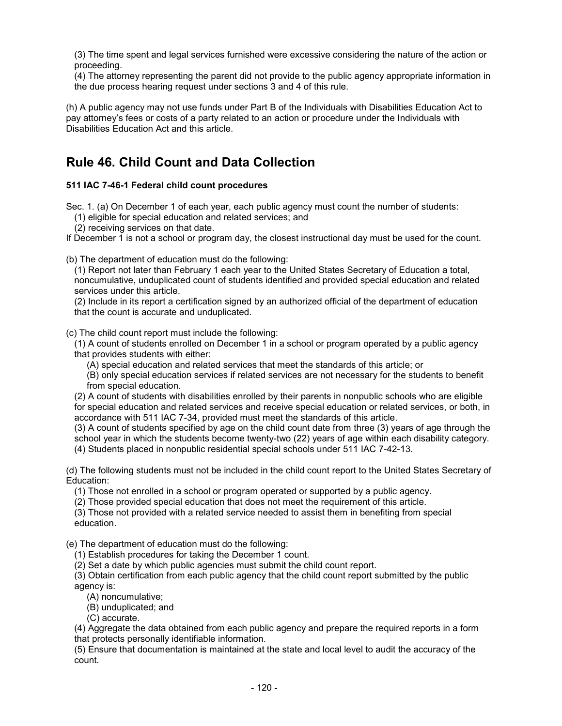(3) The time spent and legal services furnished were excessive considering the nature of the action or proceeding.

(4) The attorney representing the parent did not provide to the public agency appropriate information in the due process hearing request under sections 3 and 4 of this rule.

(h) A public agency may not use funds under Part B of the Individuals with Disabilities Education Act to pay attorney's fees or costs of a party related to an action or procedure under the Individuals with Disabilities Education Act and this article.

# **Rule 46. Child Count and Data Collection**

## **511 IAC 7-46-1 Federal child count procedures**

Sec. 1. (a) On December 1 of each year, each public agency must count the number of students:

(1) eligible for special education and related services; and

(2) receiving services on that date.

If December 1 is not a school or program day, the closest instructional day must be used for the count.

(b) The department of education must do the following:

(1) Report not later than February 1 each year to the United States Secretary of Education a total, noncumulative, unduplicated count of students identified and provided special education and related services under this article.

(2) Include in its report a certification signed by an authorized official of the department of education that the count is accurate and unduplicated.

(c) The child count report must include the following:

(1) A count of students enrolled on December 1 in a school or program operated by a public agency that provides students with either:

(A) special education and related services that meet the standards of this article; or

(B) only special education services if related services are not necessary for the students to benefit from special education.

(2) A count of students with disabilities enrolled by their parents in nonpublic schools who are eligible for special education and related services and receive special education or related services, or both, in accordance with 511 IAC 7-34, provided must meet the standards of this article.

(3) A count of students specified by age on the child count date from three (3) years of age through the school year in which the students become twenty-two (22) years of age within each disability category. (4) Students placed in nonpublic residential special schools under 511 IAC 7-42-13.

(d) The following students must not be included in the child count report to the United States Secretary of Education:

(1) Those not enrolled in a school or program operated or supported by a public agency.

(2) Those provided special education that does not meet the requirement of this article.

(3) Those not provided with a related service needed to assist them in benefiting from special education.

(e) The department of education must do the following:

(1) Establish procedures for taking the December 1 count.

(2) Set a date by which public agencies must submit the child count report.

(3) Obtain certification from each public agency that the child count report submitted by the public agency is:

(A) noncumulative;

(B) unduplicated; and

(C) accurate.

(4) Aggregate the data obtained from each public agency and prepare the required reports in a form that protects personally identifiable information.

(5) Ensure that documentation is maintained at the state and local level to audit the accuracy of the count.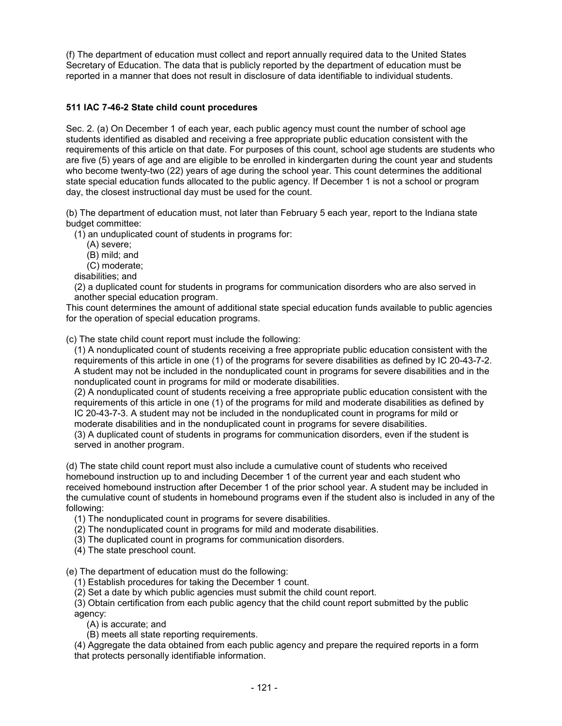(f) The department of education must collect and report annually required data to the United States Secretary of Education. The data that is publicly reported by the department of education must be reported in a manner that does not result in disclosure of data identifiable to individual students.

## **511 IAC 7-46-2 State child count procedures**

Sec. 2. (a) On December 1 of each year, each public agency must count the number of school age students identified as disabled and receiving a free appropriate public education consistent with the requirements of this article on that date. For purposes of this count, school age students are students who are five (5) years of age and are eligible to be enrolled in kindergarten during the count year and students who become twenty-two (22) years of age during the school year. This count determines the additional state special education funds allocated to the public agency. If December 1 is not a school or program day, the closest instructional day must be used for the count.

(b) The department of education must, not later than February 5 each year, report to the Indiana state budget committee:

(1) an unduplicated count of students in programs for:

- (A) severe;
- (B) mild; and
- (C) moderate;
- disabilities; and

(2) a duplicated count for students in programs for communication disorders who are also served in another special education program.

This count determines the amount of additional state special education funds available to public agencies for the operation of special education programs.

(c) The state child count report must include the following:

(1) A nonduplicated count of students receiving a free appropriate public education consistent with the requirements of this article in one (1) of the programs for severe disabilities as defined by IC 20-43-7-2. A student may not be included in the nonduplicated count in programs for severe disabilities and in the nonduplicated count in programs for mild or moderate disabilities.

(2) A nonduplicated count of students receiving a free appropriate public education consistent with the requirements of this article in one (1) of the programs for mild and moderate disabilities as defined by IC 20-43-7-3. A student may not be included in the nonduplicated count in programs for mild or

moderate disabilities and in the nonduplicated count in programs for severe disabilities.

(3) A duplicated count of students in programs for communication disorders, even if the student is served in another program.

(d) The state child count report must also include a cumulative count of students who received homebound instruction up to and including December 1 of the current year and each student who received homebound instruction after December 1 of the prior school year. A student may be included in the cumulative count of students in homebound programs even if the student also is included in any of the following:

(1) The nonduplicated count in programs for severe disabilities.

(2) The nonduplicated count in programs for mild and moderate disabilities.

(3) The duplicated count in programs for communication disorders.

(4) The state preschool count.

(e) The department of education must do the following:

(1) Establish procedures for taking the December 1 count.

(2) Set a date by which public agencies must submit the child count report.

(3) Obtain certification from each public agency that the child count report submitted by the public agency:

(A) is accurate; and

(B) meets all state reporting requirements.

(4) Aggregate the data obtained from each public agency and prepare the required reports in a form that protects personally identifiable information.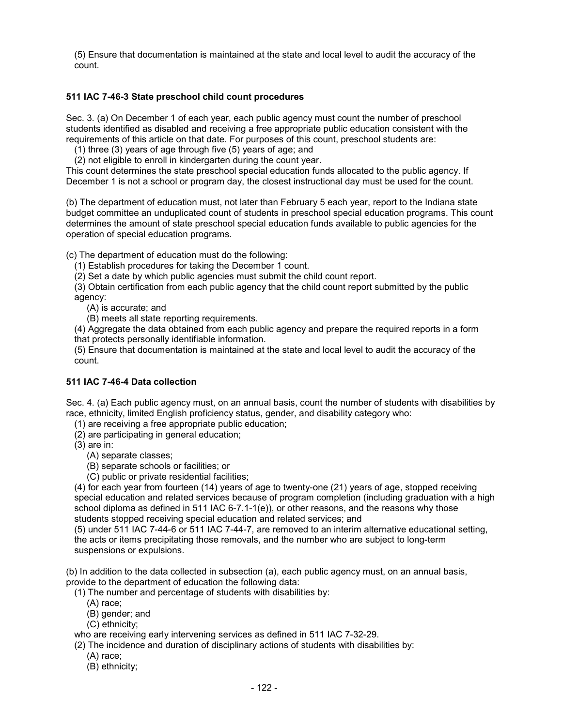(5) Ensure that documentation is maintained at the state and local level to audit the accuracy of the count.

## **511 IAC 7-46-3 State preschool child count procedures**

Sec. 3. (a) On December 1 of each year, each public agency must count the number of preschool students identified as disabled and receiving a free appropriate public education consistent with the requirements of this article on that date. For purposes of this count, preschool students are:

(1) three (3) years of age through five (5) years of age; and

(2) not eligible to enroll in kindergarten during the count year.

This count determines the state preschool special education funds allocated to the public agency. If December 1 is not a school or program day, the closest instructional day must be used for the count.

(b) The department of education must, not later than February 5 each year, report to the Indiana state budget committee an unduplicated count of students in preschool special education programs. This count determines the amount of state preschool special education funds available to public agencies for the operation of special education programs.

(c) The department of education must do the following:

(1) Establish procedures for taking the December 1 count.

(2) Set a date by which public agencies must submit the child count report.

(3) Obtain certification from each public agency that the child count report submitted by the public agency:

(A) is accurate; and

(B) meets all state reporting requirements.

(4) Aggregate the data obtained from each public agency and prepare the required reports in a form that protects personally identifiable information.

(5) Ensure that documentation is maintained at the state and local level to audit the accuracy of the count.

### **511 IAC 7-46-4 Data collection**

Sec. 4. (a) Each public agency must, on an annual basis, count the number of students with disabilities by race, ethnicity, limited English proficiency status, gender, and disability category who:

(1) are receiving a free appropriate public education;

(2) are participating in general education;

(3) are in:

(A) separate classes;

(B) separate schools or facilities; or

(C) public or private residential facilities;

(4) for each year from fourteen (14) years of age to twenty-one (21) years of age, stopped receiving special education and related services because of program completion (including graduation with a high school diploma as defined in 511 IAC 6-7.1-1(e)), or other reasons, and the reasons why those students stopped receiving special education and related services; and

(5) under 511 IAC 7-44-6 or 511 IAC 7-44-7, are removed to an interim alternative educational setting, the acts or items precipitating those removals, and the number who are subject to long-term suspensions or expulsions.

(b) In addition to the data collected in subsection (a), each public agency must, on an annual basis, provide to the department of education the following data:

(1) The number and percentage of students with disabilities by:

- (A) race;
- (B) gender; and
- (C) ethnicity;

who are receiving early intervening services as defined in 511 IAC 7-32-29.

(2) The incidence and duration of disciplinary actions of students with disabilities by:

- (A) race;
- (B) ethnicity;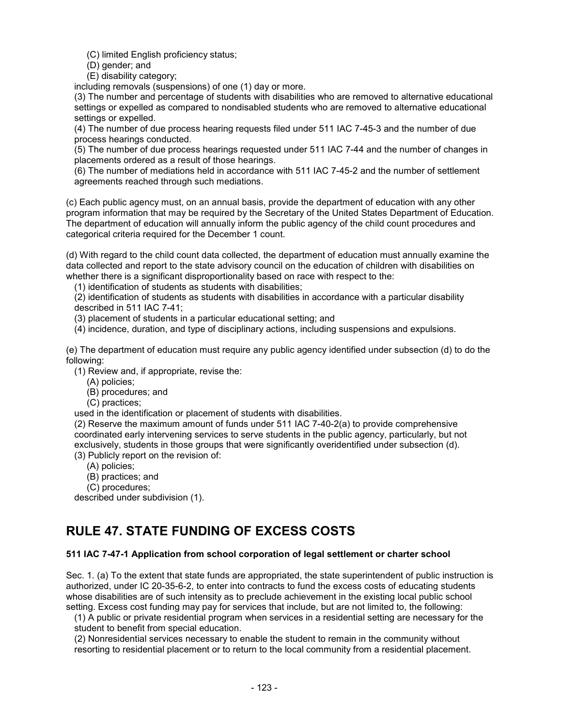(C) limited English proficiency status;

(D) gender; and

(E) disability category;

including removals (suspensions) of one (1) day or more.

(3) The number and percentage of students with disabilities who are removed to alternative educational settings or expelled as compared to nondisabled students who are removed to alternative educational settings or expelled.

(4) The number of due process hearing requests filed under 511 IAC 7-45-3 and the number of due process hearings conducted.

(5) The number of due process hearings requested under 511 IAC 7-44 and the number of changes in placements ordered as a result of those hearings.

(6) The number of mediations held in accordance with 511 IAC 7-45-2 and the number of settlement agreements reached through such mediations.

(c) Each public agency must, on an annual basis, provide the department of education with any other program information that may be required by the Secretary of the United States Department of Education. The department of education will annually inform the public agency of the child count procedures and categorical criteria required for the December 1 count.

(d) With regard to the child count data collected, the department of education must annually examine the data collected and report to the state advisory council on the education of children with disabilities on whether there is a significant disproportionality based on race with respect to the:

(1) identification of students as students with disabilities;

(2) identification of students as students with disabilities in accordance with a particular disability described in 511 IAC 7-41;

(3) placement of students in a particular educational setting; and

(4) incidence, duration, and type of disciplinary actions, including suspensions and expulsions.

(e) The department of education must require any public agency identified under subsection (d) to do the following:

(1) Review and, if appropriate, revise the:

- (A) policies;
- (B) procedures; and
- (C) practices;

used in the identification or placement of students with disabilities.

(2) Reserve the maximum amount of funds under 511 IAC 7-40-2(a) to provide comprehensive coordinated early intervening services to serve students in the public agency, particularly, but not exclusively, students in those groups that were significantly overidentified under subsection (d). (3) Publicly report on the revision of:

- (A) policies;
- (B) practices; and
- (C) procedures;

described under subdivision (1).

# **RULE 47. STATE FUNDING OF EXCESS COSTS**

### **511 IAC 7-47-1 Application from school corporation of legal settlement or charter school**

Sec. 1. (a) To the extent that state funds are appropriated, the state superintendent of public instruction is authorized, under IC 20-35-6-2, to enter into contracts to fund the excess costs of educating students whose disabilities are of such intensity as to preclude achievement in the existing local public school setting. Excess cost funding may pay for services that include, but are not limited to, the following:

(1) A public or private residential program when services in a residential setting are necessary for the student to benefit from special education.

(2) Nonresidential services necessary to enable the student to remain in the community without resorting to residential placement or to return to the local community from a residential placement.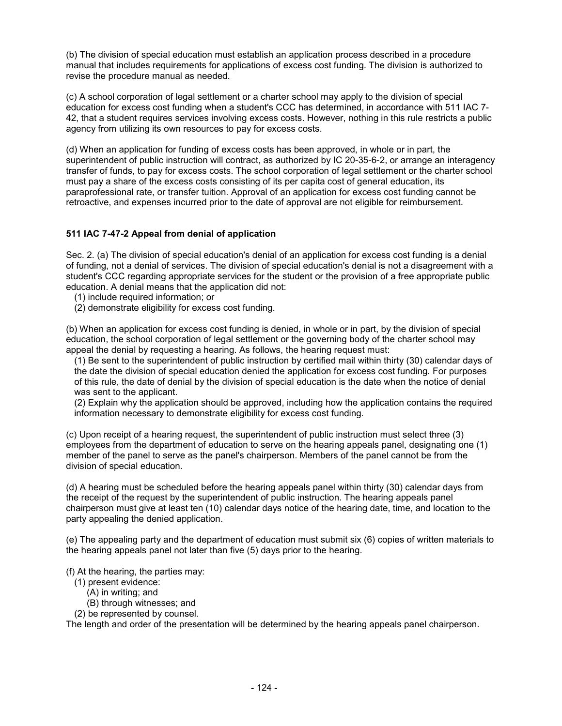(b) The division of special education must establish an application process described in a procedure manual that includes requirements for applications of excess cost funding. The division is authorized to revise the procedure manual as needed.

(c) A school corporation of legal settlement or a charter school may apply to the division of special education for excess cost funding when a student's CCC has determined, in accordance with 511 IAC 7- 42, that a student requires services involving excess costs. However, nothing in this rule restricts a public agency from utilizing its own resources to pay for excess costs.

(d) When an application for funding of excess costs has been approved, in whole or in part, the superintendent of public instruction will contract, as authorized by IC 20-35-6-2, or arrange an interagency transfer of funds, to pay for excess costs. The school corporation of legal settlement or the charter school must pay a share of the excess costs consisting of its per capita cost of general education, its paraprofessional rate, or transfer tuition. Approval of an application for excess cost funding cannot be retroactive, and expenses incurred prior to the date of approval are not eligible for reimbursement.

## **511 IAC 7-47-2 Appeal from denial of application**

Sec. 2. (a) The division of special education's denial of an application for excess cost funding is a denial of funding, not a denial of services. The division of special education's denial is not a disagreement with a student's CCC regarding appropriate services for the student or the provision of a free appropriate public education. A denial means that the application did not:

- (1) include required information; or
- (2) demonstrate eligibility for excess cost funding.

(b) When an application for excess cost funding is denied, in whole or in part, by the division of special education, the school corporation of legal settlement or the governing body of the charter school may appeal the denial by requesting a hearing. As follows, the hearing request must:

(1) Be sent to the superintendent of public instruction by certified mail within thirty (30) calendar days of the date the division of special education denied the application for excess cost funding. For purposes of this rule, the date of denial by the division of special education is the date when the notice of denial was sent to the applicant.

(2) Explain why the application should be approved, including how the application contains the required information necessary to demonstrate eligibility for excess cost funding.

(c) Upon receipt of a hearing request, the superintendent of public instruction must select three (3) employees from the department of education to serve on the hearing appeals panel, designating one (1) member of the panel to serve as the panel's chairperson. Members of the panel cannot be from the division of special education.

(d) A hearing must be scheduled before the hearing appeals panel within thirty (30) calendar days from the receipt of the request by the superintendent of public instruction. The hearing appeals panel chairperson must give at least ten (10) calendar days notice of the hearing date, time, and location to the party appealing the denied application.

(e) The appealing party and the department of education must submit six (6) copies of written materials to the hearing appeals panel not later than five (5) days prior to the hearing.

(f) At the hearing, the parties may:

- (1) present evidence:
	- (A) in writing; and
	- (B) through witnesses; and
- (2) be represented by counsel.

The length and order of the presentation will be determined by the hearing appeals panel chairperson.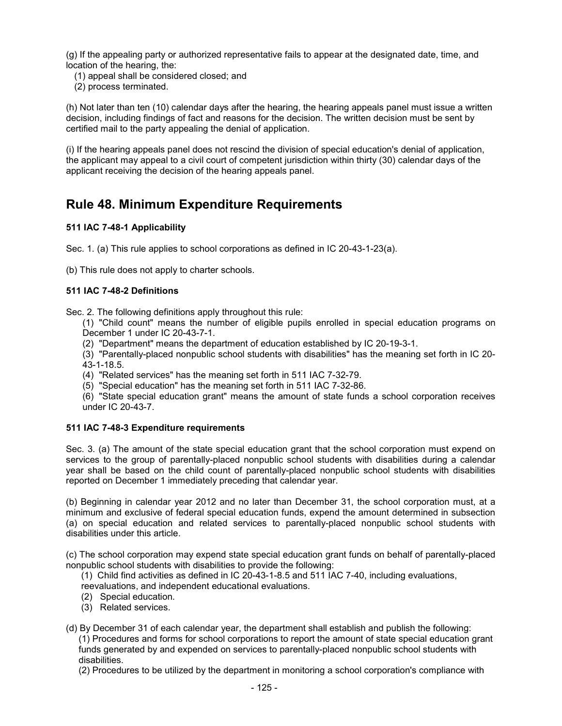(g) If the appealing party or authorized representative fails to appear at the designated date, time, and location of the hearing, the:

(1) appeal shall be considered closed; and

(2) process terminated.

(h) Not later than ten (10) calendar days after the hearing, the hearing appeals panel must issue a written decision, including findings of fact and reasons for the decision. The written decision must be sent by certified mail to the party appealing the denial of application.

(i) If the hearing appeals panel does not rescind the division of special education's denial of application, the applicant may appeal to a civil court of competent jurisdiction within thirty (30) calendar days of the applicant receiving the decision of the hearing appeals panel.

# **Rule 48. Minimum Expenditure Requirements**

## **511 IAC 7-48-1 Applicability**

Sec. 1. (a) This rule applies to school corporations as defined in IC 20-43-1-23(a).

(b) This rule does not apply to charter schools.

### **511 IAC 7-48-2 Definitions**

Sec. 2. The following definitions apply throughout this rule:

(1) "Child count" means the number of eligible pupils enrolled in special education programs on December 1 under IC 20-43-7-1.

(2) "Department" means the department of education established by IC 20-19-3-1.

(3) "Parentally-placed nonpublic school students with disabilities" has the meaning set forth in IC 20- 43-1-18.5.

(4) "Related services" has the meaning set forth in 511 IAC 7-32-79.

(5) "Special education" has the meaning set forth in 511 IAC 7-32-86.

(6) "State special education grant" means the amount of state funds a school corporation receives under IC 20-43-7.

## **511 IAC 7-48-3 Expenditure requirements**

Sec. 3. (a) The amount of the state special education grant that the school corporation must expend on services to the group of parentally-placed nonpublic school students with disabilities during a calendar year shall be based on the child count of parentally-placed nonpublic school students with disabilities reported on December 1 immediately preceding that calendar year.

(b) Beginning in calendar year 2012 and no later than December 31, the school corporation must, at a minimum and exclusive of federal special education funds, expend the amount determined in subsection (a) on special education and related services to parentally-placed nonpublic school students with disabilities under this article.

(c) The school corporation may expend state special education grant funds on behalf of parentally-placed nonpublic school students with disabilities to provide the following:

(1) Child find activities as defined in IC 20-43-1-8.5 and 511 IAC 7-40, including evaluations,

reevaluations, and independent educational evaluations.

- (2) Special education.
- (3) Related services.

(d) By December 31 of each calendar year, the department shall establish and publish the following:

 (1) Procedures and forms for school corporations to report the amount of state special education grant funds generated by and expended on services to parentally-placed nonpublic school students with disabilities.

(2) Procedures to be utilized by the department in monitoring a school corporation's compliance with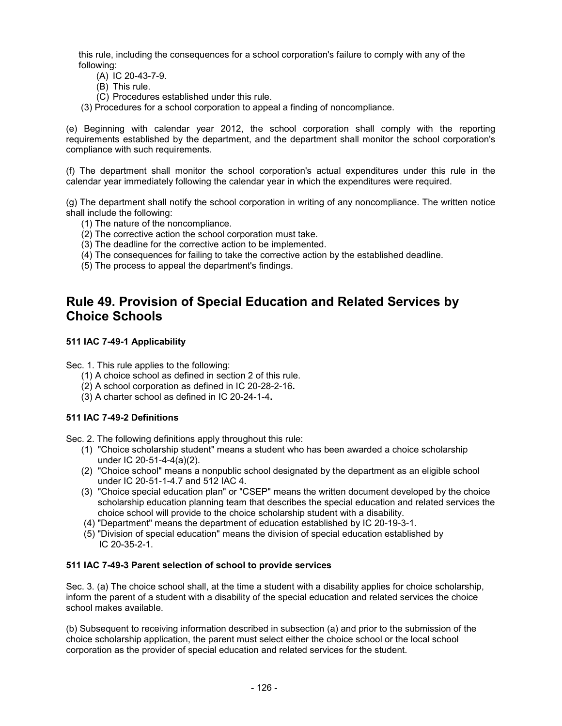this rule, including the consequences for a school corporation's failure to comply with any of the following:

- (A) IC 20-43-7-9.
- (B) This rule.
- (C) Procedures established under this rule.
- (3) Procedures for a school corporation to appeal a finding of noncompliance.

(e) Beginning with calendar year 2012, the school corporation shall comply with the reporting requirements established by the department, and the department shall monitor the school corporation's compliance with such requirements.

(f) The department shall monitor the school corporation's actual expenditures under this rule in the calendar year immediately following the calendar year in which the expenditures were required.

(g) The department shall notify the school corporation in writing of any noncompliance. The written notice shall include the following:

- (1) The nature of the noncompliance.
- (2) The corrective action the school corporation must take.
- (3) The deadline for the corrective action to be implemented.
- (4) The consequences for failing to take the corrective action by the established deadline.
- (5) The process to appeal the department's findings.

## **Rule 49. Provision of Special Education and Related Services by Choice Schools**

### **[511 IAC 7-49-1](http://www.in.gov/legislative/iac/iac_title?iact=511&iaca=7) Applicability**

Sec. 1. This rule applies to the following:

- (1) A choice school as defined in section 2 of this rule.
- (2) A school corporation as defined in [IC 20-28-2-16](http://www.in.gov/legislative/iac/ic?t=20&a=28&c=2&s=16)**.**
- (3) A charter school as defined in [IC 20-24-1-4](http://www.in.gov/legislative/iac/ic?t=20&a=24&c=1&s=4)**.**

## **[511 IAC 7-49-2](http://www.in.gov/legislative/iac/iac_title?iact=511&iaca=7) Definitions**

Sec. 2. The following definitions apply throughout this rule:

- (1) "Choice scholarship student" means a student who has been awarded a choice scholarship under [IC 20-51-4-4\(](http://www.in.gov/legislative/iac/ic?t=20&a=51&c=4&s=4)a)(2).
- (2) "Choice school" means a nonpublic school designated by the department as an eligible school under [IC 20-51-1-4.7](http://www.in.gov/legislative/iac/ic?t=20&a=51&c=1&s=4.7) and [512 IAC 4.](http://www.in.gov/legislative/iac/iac_title?iact=512&iaca=4)
- (3) "Choice special education plan" or "CSEP" means the written document developed by the choice scholarship education planning team that describes the special education and related services the choice school will provide to the choice scholarship student with a disability.
- (4) "Department" means the department of education established by [IC 20-19-3-1.](http://www.in.gov/legislative/iac/ic?t=20&a=19&c=3&s=1)
- (5) "Division of special education" means the division of special education established by [IC 20-35-2-1.](http://www.in.gov/legislative/iac/ic?t=20&a=35&c=2&s=1)

### **[511 IAC 7-49-3](http://www.in.gov/legislative/iac/iac_title?iact=511&iaca=7) Parent selection of school to provide services**

Sec. 3. (a) The choice school shall, at the time a student with a disability applies for choice scholarship, inform the parent of a student with a disability of the special education and related services the choice school makes available.

(b) Subsequent to receiving information described in subsection (a) and prior to the submission of the choice scholarship application, the parent must select either the choice school or the local school corporation as the provider of special education and related services for the student.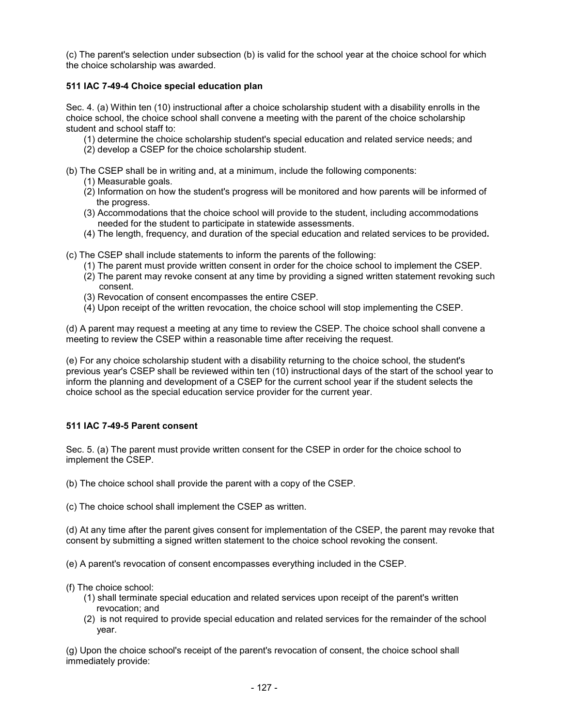(c) The parent's selection under subsection (b) is valid for the school year at the choice school for which the choice scholarship was awarded.

## **[511 IAC 7-49-4](http://www.in.gov/legislative/iac/iac_title?iact=511&iaca=7) Choice special education plan**

Sec. 4. (a) Within ten (10) instructional after a choice scholarship student with a disability enrolls in the choice school, the choice school shall convene a meeting with the parent of the choice scholarship student and school staff to:

- (1) determine the choice scholarship student's special education and related service needs; and
- (2) develop a CSEP for the choice scholarship student.
- (b) The CSEP shall be in writing and, at a minimum, include the following components:
	- (1) Measurable goals.
	- (2) Information on how the student's progress will be monitored and how parents will be informed of the progress.
	- (3) Accommodations that the choice school will provide to the student, including accommodations needed for the student to participate in statewide assessments.
	- (4) The length, frequency, and duration of the special education and related services to be provided**.**

(c) The CSEP shall include statements to inform the parents of the following:

- (1) The parent must provide written consent in order for the choice school to implement the CSEP.
- (2) The parent may revoke consent at any time by providing a signed written statement revoking such consent.
- (3) Revocation of consent encompasses the entire CSEP.
- (4) Upon receipt of the written revocation, the choice school will stop implementing the CSEP.

(d) A parent may request a meeting at any time to review the CSEP. The choice school shall convene a meeting to review the CSEP within a reasonable time after receiving the request.

(e) For any choice scholarship student with a disability returning to the choice school, the student's previous year's CSEP shall be reviewed within ten (10) instructional days of the start of the school year to inform the planning and development of a CSEP for the current school year if the student selects the choice school as the special education service provider for the current year.

## **[511 IAC 7-49-5](http://www.in.gov/legislative/iac/iac_title?iact=511&iaca=7) Parent consent**

Sec. 5. (a) The parent must provide written consent for the CSEP in order for the choice school to implement the CSEP.

- (b) The choice school shall provide the parent with a copy of the CSEP.
- (c) The choice school shall implement the CSEP as written.

(d) At any time after the parent gives consent for implementation of the CSEP, the parent may revoke that consent by submitting a signed written statement to the choice school revoking the consent.

(e) A parent's revocation of consent encompasses everything included in the CSEP.

- (f) The choice school:
	- (1) shall terminate special education and related services upon receipt of the parent's written revocation; and
	- (2) is not required to provide special education and related services for the remainder of the school year.

(g) Upon the choice school's receipt of the parent's revocation of consent, the choice school shall immediately provide: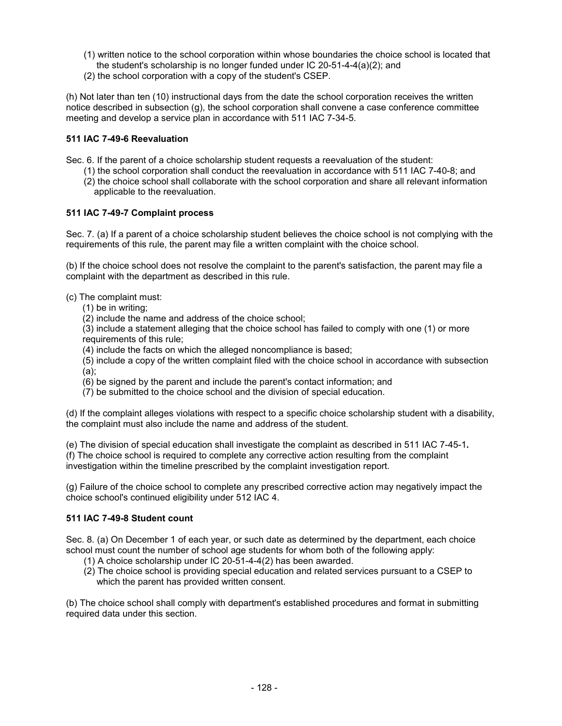- (1) written notice to the school corporation within whose boundaries the choice school is located that the student's scholarship is no longer funded under [IC 20-51-4-4\(](http://www.in.gov/legislative/iac/ic?t=20&a=51&c=4&s=4)a)(2); and
- (2) the school corporation with a copy of the student's CSEP.

(h) Not later than ten (10) instructional days from the date the school corporation receives the written notice described in subsection (g), the school corporation shall convene a case conference committee meeting and develop a service plan in accordance with [511 IAC 7-34-5.](http://www.in.gov/legislative/iac/iac_title?iact=511&iaca=7)

### **[511 IAC 7-49-6](http://www.in.gov/legislative/iac/iac_title?iact=511&iaca=7) Reevaluation**

Sec. 6. If the parent of a choice scholarship student requests a reevaluation of the student:

 (1) the school corporation shall conduct the reevaluation in accordance with [511 IAC 7-40-8;](http://www.in.gov/legislative/iac/iac_title?iact=511&iaca=7) and (2) the choice school shall collaborate with the school corporation and share all relevant information applicable to the reevaluation.

### **[511 IAC 7-49-7](http://www.in.gov/legislative/iac/iac_title?iact=511&iaca=7) Complaint process**

Sec. 7. (a) If a parent of a choice scholarship student believes the choice school is not complying with the requirements of this rule, the parent may file a written complaint with the choice school.

(b) If the choice school does not resolve the complaint to the parent's satisfaction, the parent may file a complaint with the department as described in this rule.

- (c) The complaint must:
	- (1) be in writing;

(2) include the name and address of the choice school;

(3) include a statement alleging that the choice school has failed to comply with one (1) or more requirements of this rule;

(4) include the facts on which the alleged noncompliance is based;

(5) include a copy of the written complaint filed with the choice school in accordance with subsection (a);

- (6) be signed by the parent and include the parent's contact information; and
- (7) be submitted to the choice school and the division of special education.

(d) If the complaint alleges violations with respect to a specific choice scholarship student with a disability, the complaint must also include the name and address of the student.

(e) The division of special education shall investigate the complaint as described in [511 IAC 7-45-1](http://www.in.gov/legislative/iac/iac_title?iact=511&iaca=7)**.** (f) The choice school is required to complete any corrective action resulting from the complaint investigation within the timeline prescribed by the complaint investigation report.

(g) Failure of the choice school to complete any prescribed corrective action may negatively impact the choice school's continued eligibility under [512 IAC 4.](http://www.in.gov/legislative/iac/iac_title?iact=512&iaca=4)

### **511 [IAC 7-49-8](http://www.in.gov/legislative/iac/iac_title?iact=511&iaca=7) Student count**

Sec. 8. (a) On December 1 of each year, or such date as determined by the department, each choice school must count the number of school age students for whom both of the following apply:

- (1) A choice scholarship under [IC 20-51-4-4\(](http://www.in.gov/legislative/iac/ic?t=20&a=51&c=4&s=4)2) has been awarded.
- (2) The choice school is providing special education and related services pursuant to a CSEP to which the parent has provided written consent.

(b) The choice school shall comply with department's established procedures and format in submitting required data under this section.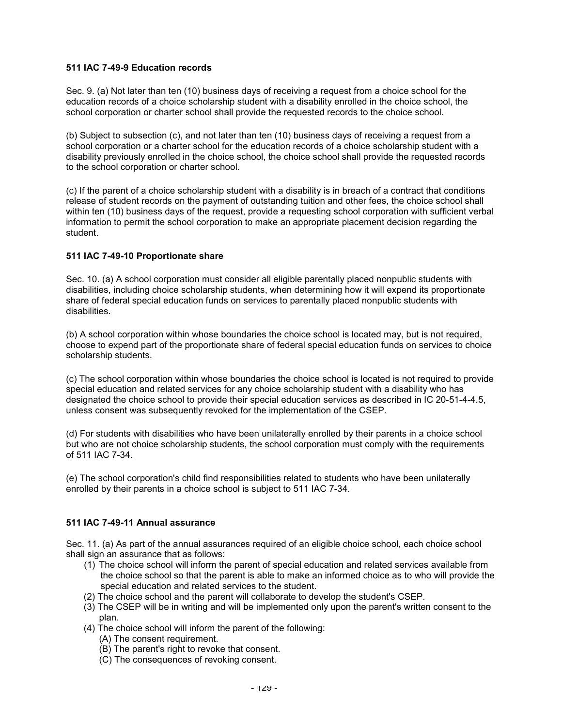### **[511 IAC 7-49-9](http://www.in.gov/legislative/iac/iac_title?iact=511&iaca=7) Education records**

Sec. 9. (a) Not later than ten (10) business days of receiving a request from a choice school for the education records of a choice scholarship student with a disability enrolled in the choice school, the school corporation or charter school shall provide the requested records to the choice school.

(b) Subject to subsection (c), and not later than ten (10) business days of receiving a request from a school corporation or a charter school for the education records of a choice scholarship student with a disability previously enrolled in the choice school, the choice school shall provide the requested records to the school corporation or charter school.

(c) If the parent of a choice scholarship student with a disability is in breach of a contract that conditions release of student records on the payment of outstanding tuition and other fees, the choice school shall within ten (10) business days of the request, provide a requesting school corporation with sufficient verbal information to permit the school corporation to make an appropriate placement decision regarding the student.

### **[511 IAC 7-49-10](http://www.in.gov/legislative/iac/iac_title?iact=511&iaca=7) Proportionate share**

Sec. 10. (a) A school corporation must consider all eligible parentally placed nonpublic students with disabilities, including choice scholarship students, when determining how it will expend its proportionate share of federal special education funds on services to parentally placed nonpublic students with disabilities.

(b) A school corporation within whose boundaries the choice school is located may, but is not required, choose to expend part of the proportionate share of federal special education funds on services to choice scholarship students.

(c) The school corporation within whose boundaries the choice school is located is not required to provide special education and related services for any choice scholarship student with a disability who has designated the choice school to provide their special education services as described in [IC 20-51-4-4.5,](http://www.in.gov/legislative/iac/ic?t=20&a=51&c=4&s=4.5) unless consent was subsequently revoked for the implementation of the CSEP.

(d) For students with disabilities who have been unilaterally enrolled by their parents in a choice school but who are not choice scholarship students, the school corporation must comply with the requirements of [511 IAC 7-34.](http://www.in.gov/legislative/iac/iac_title?iact=511&iaca=7)

(e) The school corporation's child find responsibilities related to students who have been unilaterally enrolled by their parents in a choice school is subject to [511 IAC 7-34.](http://www.in.gov/legislative/iac/iac_title?iact=511&iaca=7)

### **[511 IAC 7-49-11](http://www.in.gov/legislative/iac/iac_title?iact=511&iaca=7) Annual assurance**

Sec. 11. (a) As part of the annual assurances required of an eligible choice school, each choice school shall sign an assurance that as follows:

- (1) The choice school will inform the parent of special education and related services available from the choice school so that the parent is able to make an informed choice as to who will provide the special education and related services to the student.
- (2) The choice school and the parent will collaborate to develop the student's CSEP.
- (3) The CSEP will be in writing and will be implemented only upon the parent's written consent to the plan.
- (4) The choice school will inform the parent of the following:
	- (A) The consent requirement.
	- (B) The parent's right to revoke that consent.
	- (C) The consequences of revoking consent.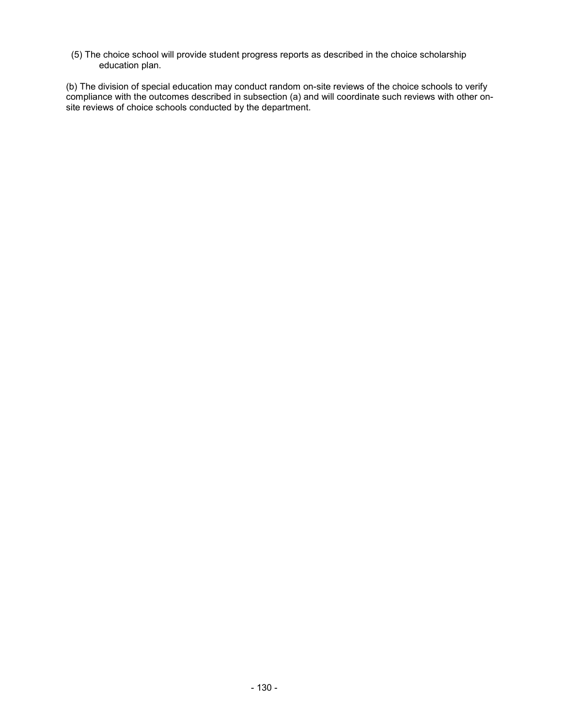(5) The choice school will provide student progress reports as described in the choice scholarship education plan.

(b) The division of special education may conduct random on-site reviews of the choice schools to verify compliance with the outcomes described in subsection (a) and will coordinate such reviews with other onsite reviews of choice schools conducted by the department.